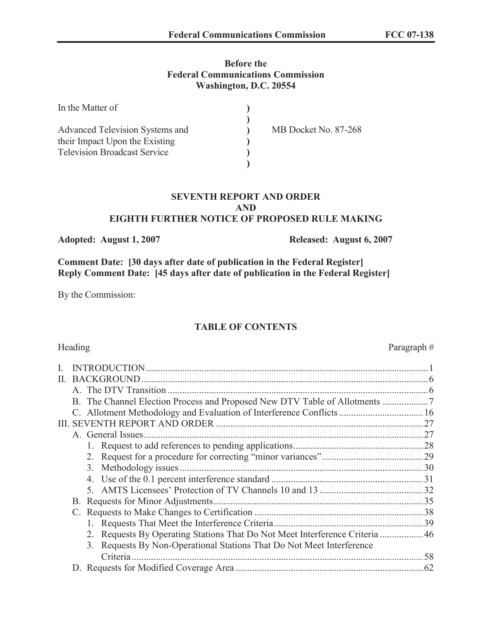#### **Before the Federal Communications Commission Washington, D.C. 20554**

| In the Matter of                    |                      |
|-------------------------------------|----------------------|
|                                     |                      |
| Advanced Television Systems and     | MB Docket No. 87-268 |
| their Impact Upon the Existing      |                      |
| <b>Television Broadcast Service</b> |                      |
|                                     |                      |

#### **SEVENTH REPORT AND ORDER AND EIGHTH FURTHER NOTICE OF PROPOSED RULE MAKING**

**Adopted: August 1, 2007 Released: August 6, 2007**

**Comment Date: [30 days after date of publication in the Federal Register] Reply Comment Date: [45 days after date of publication in the Federal Register]**

By the Commission:

# **TABLE OF CONTENTS**

# Heading Paragraph #

| II. |                                                                             |    |
|-----|-----------------------------------------------------------------------------|----|
|     |                                                                             |    |
|     |                                                                             |    |
|     |                                                                             |    |
| Ш   |                                                                             |    |
|     |                                                                             |    |
|     |                                                                             |    |
|     |                                                                             |    |
|     | 3.                                                                          |    |
|     |                                                                             |    |
|     |                                                                             |    |
|     |                                                                             |    |
|     |                                                                             |    |
|     |                                                                             |    |
|     | 2. Requests By Operating Stations That Do Not Meet Interference Criteria 46 |    |
|     | Requests By Non-Operational Stations That Do Not Meet Interference<br>3.    |    |
|     | Criteria                                                                    | 58 |
|     |                                                                             |    |
|     |                                                                             |    |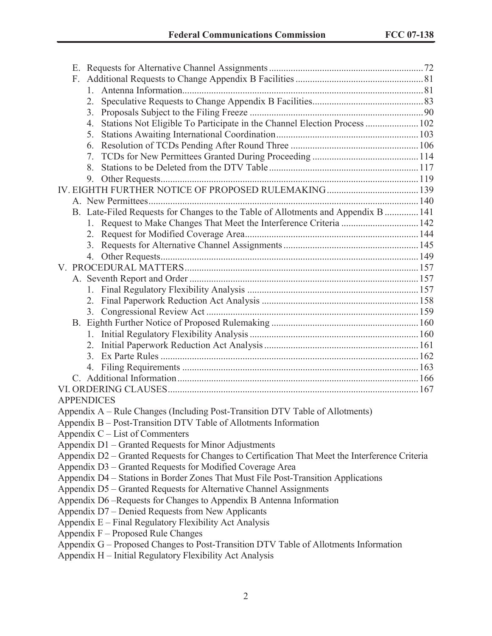| F.                                                                                                                                               |  |
|--------------------------------------------------------------------------------------------------------------------------------------------------|--|
|                                                                                                                                                  |  |
| 2.                                                                                                                                               |  |
| 3.                                                                                                                                               |  |
| Stations Not Eligible To Participate in the Channel Election Process  102<br>4.                                                                  |  |
| 5.                                                                                                                                               |  |
| 6.                                                                                                                                               |  |
| 7.                                                                                                                                               |  |
| 8.                                                                                                                                               |  |
| 9.                                                                                                                                               |  |
|                                                                                                                                                  |  |
|                                                                                                                                                  |  |
| B. Late-Filed Requests for Changes to the Table of Allotments and Appendix B  141                                                                |  |
| 1. Request to Make Changes That Meet the Interference Criteria  142                                                                              |  |
|                                                                                                                                                  |  |
| 3.                                                                                                                                               |  |
| 4.                                                                                                                                               |  |
|                                                                                                                                                  |  |
|                                                                                                                                                  |  |
|                                                                                                                                                  |  |
|                                                                                                                                                  |  |
|                                                                                                                                                  |  |
|                                                                                                                                                  |  |
|                                                                                                                                                  |  |
|                                                                                                                                                  |  |
| 3.                                                                                                                                               |  |
| 4.                                                                                                                                               |  |
|                                                                                                                                                  |  |
|                                                                                                                                                  |  |
| <b>APPENDICES</b>                                                                                                                                |  |
| Appendix A – Rule Changes (Including Post-Transition DTV Table of Allotments)                                                                    |  |
| Appendix B – Post-Transition DTV Table of Allotments Information                                                                                 |  |
| Appendix C – List of Commenters                                                                                                                  |  |
| Appendix D1 – Granted Requests for Minor Adjustments                                                                                             |  |
| Appendix D2 – Granted Requests for Changes to Certification That Meet the Interference Criteria                                                  |  |
| Appendix D3 – Granted Requests for Modified Coverage Area                                                                                        |  |
| Appendix D4 - Stations in Border Zones That Must File Post-Transition Applications                                                               |  |
| Appendix D5 – Granted Requests for Alternative Channel Assignments                                                                               |  |
| Appendix D6 –Requests for Changes to Appendix B Antenna Information                                                                              |  |
| Appendix D7 – Denied Requests from New Applicants                                                                                                |  |
| Appendix E – Final Regulatory Flexibility Act Analysis                                                                                           |  |
| Appendix F – Proposed Rule Changes                                                                                                               |  |
| Appendix G – Proposed Changes to Post-Transition DTV Table of Allotments Information<br>Appendix H – Initial Regulatory Flexibility Act Analysis |  |
|                                                                                                                                                  |  |

Appendix H – Initial Regulatory Flexibility Act Analysis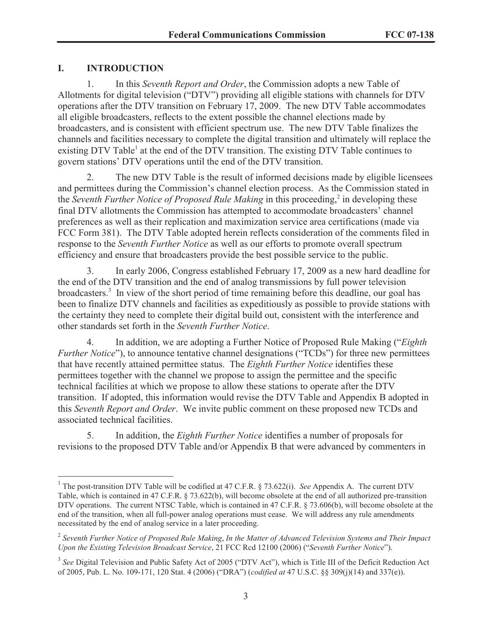# **I. INTRODUCTION**

1. In this *Seventh Report and Order*, the Commission adopts a new Table of Allotments for digital television ("DTV") providing all eligible stations with channels for DTV operations after the DTV transition on February 17, 2009. The new DTV Table accommodates all eligible broadcasters, reflects to the extent possible the channel elections made by broadcasters, and is consistent with efficient spectrum use. The new DTV Table finalizes the channels and facilities necessary to complete the digital transition and ultimately will replace the existing DTV Table<sup>1</sup> at the end of the DTV transition. The existing DTV Table continues to govern stations' DTV operations until the end of the DTV transition.

2. The new DTV Table is the result of informed decisions made by eligible licensees and permittees during the Commission's channel election process. As the Commission stated in the *Seventh Further Notice of Proposed Rule Making* in this proceeding,<sup>2</sup> in developing these final DTV allotments the Commission has attempted to accommodate broadcasters' channel preferences as well as their replication and maximization service area certifications (made via FCC Form 381). The DTV Table adopted herein reflects consideration of the comments filed in response to the *Seventh Further Notice* as well as our efforts to promote overall spectrum efficiency and ensure that broadcasters provide the best possible service to the public.

3. In early 2006, Congress established February 17, 2009 as a new hard deadline for the end of the DTV transition and the end of analog transmissions by full power television broadcasters.<sup>3</sup> In view of the short period of time remaining before this deadline, our goal has been to finalize DTV channels and facilities as expeditiously as possible to provide stations with the certainty they need to complete their digital build out, consistent with the interference and other standards set forth in the *Seventh Further Notice*.

4. In addition, we are adopting a Further Notice of Proposed Rule Making ("*Eighth Further Notice*"), to announce tentative channel designations ("TCDs") for three new permittees that have recently attained permittee status. The *Eighth Further Notice* identifies these permittees together with the channel we propose to assign the permittee and the specific technical facilities at which we propose to allow these stations to operate after the DTV transition. If adopted, this information would revise the DTV Table and Appendix B adopted in this *Seventh Report and Order*. We invite public comment on these proposed new TCDs and associated technical facilities.

5. In addition, the *Eighth Further Notice* identifies a number of proposals for revisions to the proposed DTV Table and/or Appendix B that were advanced by commenters in

<sup>&</sup>lt;sup>1</sup> The post-transition DTV Table will be codified at 47 C.F.R. § 73.622(i). *See* Appendix A. The current DTV Table, which is contained in 47 C.F.R. § 73.622(b), will become obsolete at the end of all authorized pre-transition DTV operations. The current NTSC Table, which is contained in 47 C.F.R. § 73.606(b), will become obsolete at the end of the transition, when all full-power analog operations must cease. We will address any rule amendments necessitated by the end of analog service in a later proceeding.

<sup>2</sup> *Seventh Further Notice of Proposed Rule Making*, *In the Matter of Advanced Television Systems and Their Impact Upon the Existing Television Broadcast Service*, 21 FCC Rcd 12100 (2006) ("*Seventh Further Notice*").

<sup>&</sup>lt;sup>3</sup> See Digital Television and Public Safety Act of 2005 ("DTV Act"), which is Title III of the Deficit Reduction Act of 2005, Pub. L. No. 109-171, 120 Stat. 4 (2006) ("DRA") (*codified at* 47 U.S.C. §§ 309(j)(14) and 337(e)).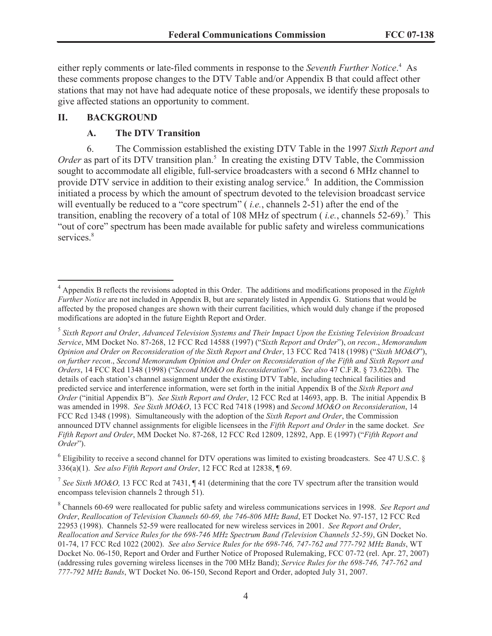either reply comments or late-filed comments in response to the *Seventh Further Notice*. <sup>4</sup> As these comments propose changes to the DTV Table and/or Appendix B that could affect other stations that may not have had adequate notice of these proposals, we identify these proposals to give affected stations an opportunity to comment.

# **II. BACKGROUND**

# **A. The DTV Transition**

6. The Commission established the existing DTV Table in the 1997 *Sixth Report and*  Order as part of its DTV transition plan.<sup>5</sup> In creating the existing DTV Table, the Commission sought to accommodate all eligible, full-service broadcasters with a second 6 MHz channel to provide DTV service in addition to their existing analog service.<sup>6</sup> In addition, the Commission initiated a process by which the amount of spectrum devoted to the television broadcast service will eventually be reduced to a "core spectrum" ( *i.e.*, channels 2-51) after the end of the transition, enabling the recovery of a total of 108 MHz of spectrum (*i.e.*, channels 52-69).<sup>7</sup> This "out of core" spectrum has been made available for public safety and wireless communications services.<sup>8</sup>

 $6$  Eligibility to receive a second channel for DTV operations was limited to existing broadcasters. See 47 U.S.C.  $\S$ 336(a)(1). *See also Fifth Report and Order*, 12 FCC Rcd at 12838, ¶ 69.

<sup>7</sup> See Sixth MO&O, 13 FCC Rcd at 7431,  $\P$  41 (determining that the core TV spectrum after the transition would encompass television channels 2 through 51).

<sup>4</sup> Appendix B reflects the revisions adopted in this Order. The additions and modifications proposed in the *Eighth Further Notice* are not included in Appendix B, but are separately listed in Appendix G. Stations that would be affected by the proposed changes are shown with their current facilities, which would duly change if the proposed modifications are adopted in the future Eighth Report and Order.

<sup>5</sup> *Sixth Report and Order*, *Advanced Television Systems and Their Impact Upon the Existing Television Broadcast Service*, MM Docket No. 87-268, 12 FCC Rcd 14588 (1997) ("*Sixth Report and Order*"), *on recon*., *Memorandum Opinion and Order on Reconsideration of the Sixth Report and Order*, 13 FCC Rcd 7418 (1998) ("*Sixth MO&O*"), *on further recon*., *Second Memorandum Opinion and Order on Reconsideration of the Fifth and Sixth Report and Orders*, 14 FCC Rcd 1348 (1998) ("*Second MO&O on Reconsideration*"). *See also* 47 C.F.R. § 73.622(b). The details of each station's channel assignment under the existing DTV Table, including technical facilities and predicted service and interference information, were set forth in the initial Appendix B of the *Sixth Report and Order* ("initial Appendix B"). *See Sixth Report and Order*, 12 FCC Rcd at 14693, app. B. The initial Appendix B was amended in 1998. *See Sixth MO&O*, 13 FCC Rcd 7418 (1998) and *Second MO&O on Reconsideration*, 14 FCC Rcd 1348 (1998). Simultaneously with the adoption of the *Sixth Report and Order*, the Commission announced DTV channel assignments for eligible licensees in the *Fifth Report and Order* in the same docket. *See Fifth Report and Order*, MM Docket No. 87-268, 12 FCC Rcd 12809, 12892, App. E (1997) ("*Fifth Report and Order*").

<sup>8</sup> Channels 60-69 were reallocated for public safety and wireless communications services in 1998. *See Report and Order*, *Reallocation of Television Channels 60-69, the 746-806 MHz Band*, ET Docket No. 97-157, 12 FCC Rcd 22953 (1998). Channels 52-59 were reallocated for new wireless services in 2001. *See Report and Order*, *Reallocation and Service Rules for the 698-746 MHz Spectrum Band (Television Channels 52-59)*, GN Docket No. 01-74, 17 FCC Rcd 1022 (2002). *See also Service Rules for the 698-746, 747-762 and 777-792 MHz Bands*, WT Docket No. 06-150, Report and Order and Further Notice of Proposed Rulemaking, FCC 07-72 (rel. Apr. 27, 2007) (addressing rules governing wireless licenses in the 700 MHz Band); *Service Rules for the 698-746, 747-762 and 777-792 MHz Bands*, WT Docket No. 06-150, Second Report and Order, adopted July 31, 2007.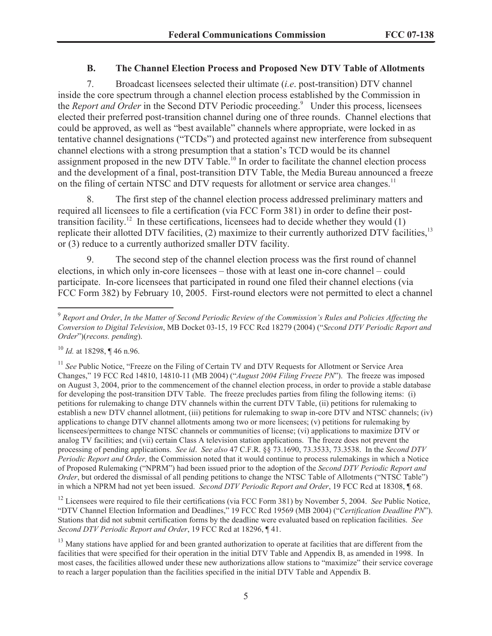#### **B. The Channel Election Process and Proposed New DTV Table of Allotments**

7. Broadcast licensees selected their ultimate (*i.e*. post-transition) DTV channel inside the core spectrum through a channel election process established by the Commission in the *Report and Order* in the Second DTV Periodic proceeding.<sup>9</sup> Under this process, licensees elected their preferred post-transition channel during one of three rounds. Channel elections that could be approved, as well as "best available" channels where appropriate, were locked in as tentative channel designations ("TCDs") and protected against new interference from subsequent channel elections with a strong presumption that a station's TCD would be its channel assignment proposed in the new DTV Table.<sup>10</sup> In order to facilitate the channel election process and the development of a final, post-transition DTV Table, the Media Bureau announced a freeze on the filing of certain NTSC and DTV requests for allotment or service area changes.<sup>11</sup>

8. The first step of the channel election process addressed preliminary matters and required all licensees to file a certification (via FCC Form 381) in order to define their posttransition facility.<sup>12</sup> In these certifications, licensees had to decide whether they would  $(1)$ replicate their allotted DTV facilities, (2) maximize to their currently authorized DTV facilities,<sup>13</sup> or (3) reduce to a currently authorized smaller DTV facility.

9. The second step of the channel election process was the first round of channel elections, in which only in-core licensees – those with at least one in-core channel – could participate. In-core licensees that participated in round one filed their channel elections (via FCC Form 382) by February 10, 2005. First-round electors were not permitted to elect a channel

<sup>12</sup> Licensees were required to file their certifications (via FCC Form 381) by November 5, 2004. *See* Public Notice, "DTV Channel Election Information and Deadlines," 19 FCC Rcd 19569 (MB 2004) ("*Certification Deadline PN*"). Stations that did not submit certification forms by the deadline were evaluated based on replication facilities. *See Second DTV Periodic Report and Order*, 19 FCC Rcd at 18296, ¶ 41.

<sup>13</sup> Many stations have applied for and been granted authorization to operate at facilities that are different from the facilities that were specified for their operation in the initial DTV Table and Appendix B, as amended in 1998. In most cases, the facilities allowed under these new authorizations allow stations to "maximize" their service coverage to reach a larger population than the facilities specified in the initial DTV Table and Appendix B.

<sup>9</sup> *Report and Order*, *In the Matter of Second Periodic Review of the Commission's Rules and Policies Affecting the Conversion to Digital Television*, MB Docket 03-15, 19 FCC Rcd 18279 (2004) ("*Second DTV Periodic Report and Order*")(*recons. pending*).

<sup>10</sup> *Id.* at 18298, ¶ 46 n.96.

<sup>&</sup>lt;sup>11</sup> See Public Notice, "Freeze on the Filing of Certain TV and DTV Requests for Allotment or Service Area Changes," 19 FCC Rcd 14810, 14810-11 (MB 2004) ("*August 2004 Filing Freeze PN*"). The freeze was imposed on August 3, 2004, prior to the commencement of the channel election process, in order to provide a stable database for developing the post-transition DTV Table. The freeze precludes parties from filing the following items: (i) petitions for rulemaking to change DTV channels within the current DTV Table, (ii) petitions for rulemaking to establish a new DTV channel allotment, (iii) petitions for rulemaking to swap in-core DTV and NTSC channels; (iv) applications to change DTV channel allotments among two or more licensees; (v) petitions for rulemaking by licensees/permittees to change NTSC channels or communities of license; (vi) applications to maximize DTV or analog TV facilities; and (vii) certain Class A television station applications. The freeze does not prevent the processing of pending applications. *See id*. *See also* 47 C.F.R. §§ 73.1690, 73.3533, 73.3538. In the *Second DTV Periodic Report and Order,* the Commission noted that it would continue to process rulemakings in which a Notice of Proposed Rulemaking ("NPRM") had been issued prior to the adoption of the *Second DTV Periodic Report and Order*, but ordered the dismissal of all pending petitions to change the NTSC Table of Allotments ("NTSC Table") in which a NPRM had not yet been issued. *Second DTV Periodic Report and Order*, 19 FCC Rcd at 18308, ¶ 68.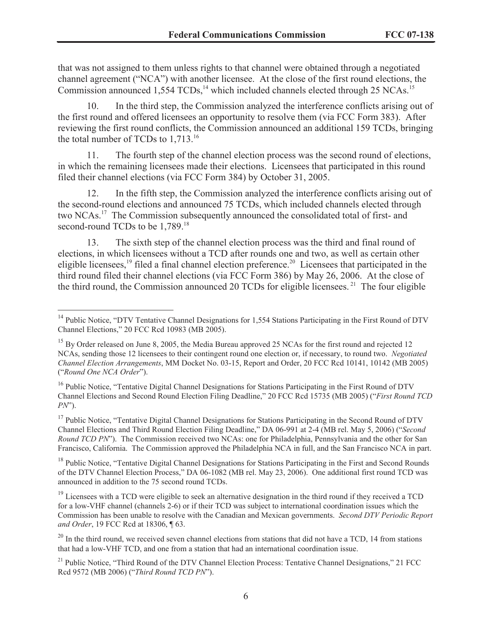that was not assigned to them unless rights to that channel were obtained through a negotiated channel agreement ("NCA") with another licensee. At the close of the first round elections, the Commission announced  $1,554$  TCDs,<sup>14</sup> which included channels elected through 25 NCAs.<sup>15</sup>

10. In the third step, the Commission analyzed the interference conflicts arising out of the first round and offered licensees an opportunity to resolve them (via FCC Form 383). After reviewing the first round conflicts, the Commission announced an additional 159 TCDs, bringing the total number of TCDs to 1,713.<sup>16</sup>

11. The fourth step of the channel election process was the second round of elections, in which the remaining licensees made their elections. Licensees that participated in this round filed their channel elections (via FCC Form 384) by October 31, 2005.

12. In the fifth step, the Commission analyzed the interference conflicts arising out of the second-round elections and announced 75 TCDs, which included channels elected through two NCAs.<sup>17</sup> The Commission subsequently announced the consolidated total of first- and second-round TCDs to be 1,789.<sup>18</sup>

13. The sixth step of the channel election process was the third and final round of elections, in which licensees without a TCD after rounds one and two, as well as certain other eligible licensees,<sup>19</sup> filed a final channel election preference.<sup>20</sup> Licensees that participated in the third round filed their channel elections (via FCC Form 386) by May 26, 2006. At the close of the third round, the Commission announced 20 TCDs for eligible licensees.<sup>21</sup> The four eligible

<sup>&</sup>lt;sup>14</sup> Public Notice, "DTV Tentative Channel Designations for 1,554 Stations Participating in the First Round of DTV Channel Elections," 20 FCC Rcd 10983 (MB 2005).

<sup>&</sup>lt;sup>15</sup> By Order released on June 8, 2005, the Media Bureau approved 25 NCAs for the first round and rejected 12 NCAs, sending those 12 licensees to their contingent round one election or, if necessary, to round two. *Negotiated Channel Election Arrangements*, MM Docket No. 03-15, Report and Order, 20 FCC Rcd 10141, 10142 (MB 2005) ("*Round One NCA Order*").

<sup>&</sup>lt;sup>16</sup> Public Notice, "Tentative Digital Channel Designations for Stations Participating in the First Round of DTV Channel Elections and Second Round Election Filing Deadline," 20 FCC Rcd 15735 (MB 2005) ("*First Round TCD PN*").

<sup>&</sup>lt;sup>17</sup> Public Notice, "Tentative Digital Channel Designations for Stations Participating in the Second Round of DTV Channel Elections and Third Round Election Filing Deadline," DA 06-991 at 2-4 (MB rel. May 5, 2006) ("*Second Round TCD PN*"). The Commission received two NCAs: one for Philadelphia, Pennsylvania and the other for San Francisco, California. The Commission approved the Philadelphia NCA in full, and the San Francisco NCA in part.

<sup>&</sup>lt;sup>18</sup> Public Notice, "Tentative Digital Channel Designations for Stations Participating in the First and Second Rounds of the DTV Channel Election Process," DA 06-1082 (MB rel. May 23, 2006). One additional first round TCD was announced in addition to the 75 second round TCDs.

 $19$  Licensees with a TCD were eligible to seek an alternative designation in the third round if they received a TCD for a low-VHF channel (channels 2-6) or if their TCD was subject to international coordination issues which the Commission has been unable to resolve with the Canadian and Mexican governments. *Second DTV Periodic Report and Order*, 19 FCC Rcd at 18306, ¶ 63.

 $20$  In the third round, we received seven channel elections from stations that did not have a TCD, 14 from stations that had a low-VHF TCD, and one from a station that had an international coordination issue.

<sup>&</sup>lt;sup>21</sup> Public Notice, "Third Round of the DTV Channel Election Process: Tentative Channel Designations," 21 FCC Rcd 9572 (MB 2006) ("*Third Round TCD PN*").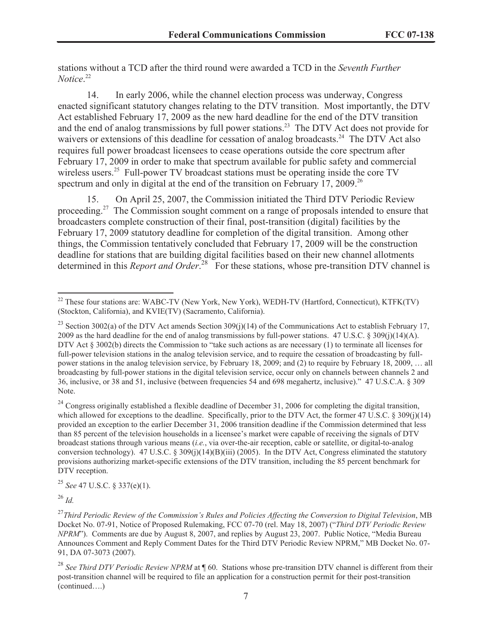stations without a TCD after the third round were awarded a TCD in the *Seventh Further Notice*. 22

14. In early 2006, while the channel election process was underway, Congress enacted significant statutory changes relating to the DTV transition. Most importantly, the DTV Act established February 17, 2009 as the new hard deadline for the end of the DTV transition and the end of analog transmissions by full power stations.<sup>23</sup> The DTV Act does not provide for waivers or extensions of this deadline for cessation of analog broadcasts.<sup>24</sup> The DTV Act also requires full power broadcast licensees to cease operations outside the core spectrum after February 17, 2009 in order to make that spectrum available for public safety and commercial wireless users.<sup>25</sup> Full-power TV broadcast stations must be operating inside the core TV spectrum and only in digital at the end of the transition on February 17, 2009.<sup>26</sup>

15. On April 25, 2007, the Commission initiated the Third DTV Periodic Review proceeding.<sup>27</sup> The Commission sought comment on a range of proposals intended to ensure that broadcasters complete construction of their final, post-transition (digital) facilities by the February 17, 2009 statutory deadline for completion of the digital transition. Among other things, the Commission tentatively concluded that February 17, 2009 will be the construction deadline for stations that are building digital facilities based on their new channel allotments determined in this *Report and Order*<sup>28</sup> For these stations, whose pre-transition DTV channel is

<sup>24</sup> Congress originally established a flexible deadline of December 31, 2006 for completing the digital transition, which allowed for exceptions to the deadline. Specifically, prior to the DTV Act, the former 47 U.S.C. § 309(j)(14) provided an exception to the earlier December 31, 2006 transition deadline if the Commission determined that less than 85 percent of the television households in a licensee's market were capable of receiving the signals of DTV broadcast stations through various means (*i.e.*, via over-the-air reception, cable or satellite, or digital-to-analog conversion technology). 47 U.S.C. § 309(j)(14)(B)(iii) (2005). In the DTV Act, Congress eliminated the statutory provisions authorizing market-specific extensions of the DTV transition, including the 85 percent benchmark for DTV reception.

<sup>25</sup> *See* 47 U.S.C. § 337(e)(1).

<sup>26</sup> *Id.*

<sup>&</sup>lt;sup>22</sup> These four stations are: WABC-TV (New York, New York), WEDH-TV (Hartford, Connecticut), KTFK(TV) (Stockton, California), and KVIE(TV) (Sacramento, California).

<sup>&</sup>lt;sup>23</sup> Section 3002(a) of the DTV Act amends Section 309(j)(14) of the Communications Act to establish February 17, 2009 as the hard deadline for the end of analog transmissions by full-power stations. 47 U.S.C. § 309(j)(14)(A). DTV Act § 3002(b) directs the Commission to "take such actions as are necessary (1) to terminate all licenses for full-power television stations in the analog television service, and to require the cessation of broadcasting by fullpower stations in the analog television service, by February 18, 2009; and (2) to require by February 18, 2009, … all broadcasting by full-power stations in the digital television service, occur only on channels between channels 2 and 36, inclusive, or 38 and 51, inclusive (between frequencies 54 and 698 megahertz, inclusive)." 47 U.S.C.A. § 309 Note.

<sup>27</sup>*Third Periodic Review of the Commission's Rules and Policies Affecting the Conversion to Digital Television*, MB Docket No. 07-91, Notice of Proposed Rulemaking, FCC 07-70 (rel. May 18, 2007) ("*Third DTV Periodic Review NPRM*"). Comments are due by August 8, 2007, and replies by August 23, 2007. Public Notice, "Media Bureau Announces Comment and Reply Comment Dates for the Third DTV Periodic Review NPRM," MB Docket No. 07- 91, DA 07-3073 (2007).

<sup>28</sup> *See Third DTV Periodic Review NPRM* at ¶ 60. Stations whose pre-transition DTV channel is different from their post-transition channel will be required to file an application for a construction permit for their post-transition (continued….)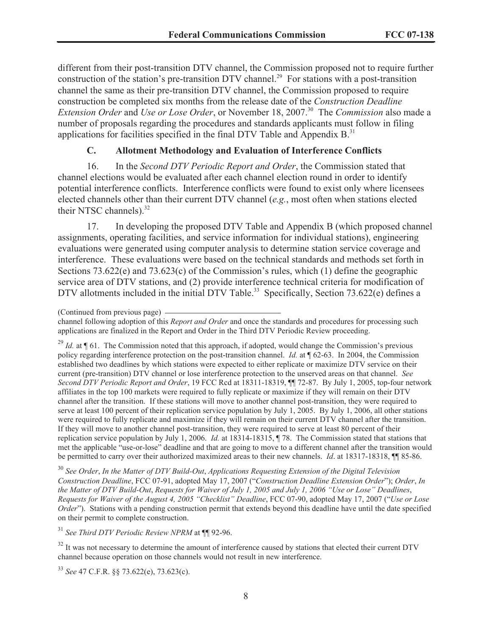different from their post-transition DTV channel, the Commission proposed not to require further construction of the station's pre-transition DTV channel.<sup>29</sup> For stations with a post-transition channel the same as their pre-transition DTV channel, the Commission proposed to require construction be completed six months from the release date of the *Construction Deadline Extension Order* and *Use or Lose Order*, or November 18, 2007.<sup>30</sup> The *Commission* also made a number of proposals regarding the procedures and standards applicants must follow in filing applications for facilities specified in the final DTV Table and Appendix  $B$ <sup>31</sup>

### **C. Allotment Methodology and Evaluation of Interference Conflicts**

16. In the *Second DTV Periodic Report and Order*, the Commission stated that channel elections would be evaluated after each channel election round in order to identify potential interference conflicts. Interference conflicts were found to exist only where licensees elected channels other than their current DTV channel (*e.g.*, most often when stations elected their NTSC channels).<sup>32</sup>

17. In developing the proposed DTV Table and Appendix B (which proposed channel assignments, operating facilities, and service information for individual stations), engineering evaluations were generated using computer analysis to determine station service coverage and interference. These evaluations were based on the technical standards and methods set forth in Sections 73.622(e) and 73.623(c) of the Commission's rules, which (1) define the geographic service area of DTV stations, and (2) provide interference technical criteria for modification of DTV allotments included in the initial DTV Table.<sup>33</sup> Specifically, Section 73.622(e) defines a

<sup>29</sup> *Id.* at ¶ 61. The Commission noted that this approach, if adopted, would change the Commission's previous policy regarding interference protection on the post-transition channel. *Id.* at ¶ 62-63. In 2004, the Commission established two deadlines by which stations were expected to either replicate or maximize DTV service on their current (pre-transition) DTV channel or lose interference protection to the unserved areas on that channel. *See Second DTV Periodic Report and Order*, 19 FCC Rcd at 18311-18319, ¶¶ 72-87. By July 1, 2005, top-four network affiliates in the top 100 markets were required to fully replicate or maximize if they will remain on their DTV channel after the transition. If these stations will move to another channel post-transition, they were required to serve at least 100 percent of their replication service population by July 1, 2005. By July 1, 2006, all other stations were required to fully replicate and maximize if they will remain on their current DTV channel after the transition. If they will move to another channel post-transition, they were required to serve at least 80 percent of their replication service population by July 1, 2006. *Id.* at 18314-18315, ¶ 78. The Commission stated that stations that met the applicable "use-or-lose" deadline and that are going to move to a different channel after the transition would be permitted to carry over their authorized maximized areas to their new channels. *Id*. at 18317-18318, ¶¶ 85-86.

<sup>30</sup> *See Order*, *In the Matter of DTV Build-Out*, *Applications Requesting Extension of the Digital Television Construction Deadline*, FCC 07-91, adopted May 17, 2007 ("*Construction Deadline Extension Order*"); *Order*, *In the Matter of DTV Build-Out*, *Requests for Waiver of July 1, 2005 and July 1, 2006 "Use or Lose" Deadlines*, *Requests for Waiver of the August 4, 2005 "Checklist" Deadline*, FCC 07-90, adopted May 17, 2007 ("*Use or Lose Order*"). Stations with a pending construction permit that extends beyond this deadline have until the date specified on their permit to complete construction.

<sup>31</sup> *See Third DTV Periodic Review NPRM* at ¶¶ 92-96.

<sup>32</sup> It was not necessary to determine the amount of interference caused by stations that elected their current DTV channel because operation on those channels would not result in new interference.

<sup>33</sup> *See* 47 C.F.R. §§ 73.622(e), 73.623(c).

<sup>(</sup>Continued from previous page)

channel following adoption of this *Report and Order* and once the standards and procedures for processing such applications are finalized in the Report and Order in the Third DTV Periodic Review proceeding.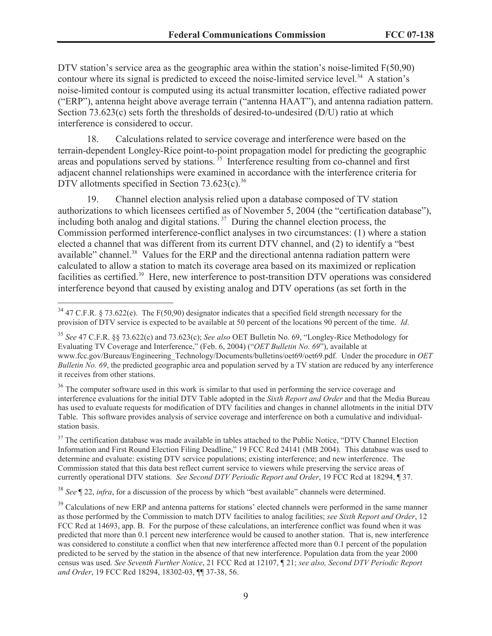DTV station's service area as the geographic area within the station's noise-limited  $F(50,90)$ contour where its signal is predicted to exceed the noise-limited service level.<sup>34</sup> A station's noise-limited contour is computed using its actual transmitter location, effective radiated power ("ERP"), antenna height above average terrain ("antenna HAAT"), and antenna radiation pattern. Section 73.623(c) sets forth the thresholds of desired-to-undesired (D/U) ratio at which interference is considered to occur.

18. Calculations related to service coverage and interference were based on the terrain-dependent Longley-Rice point-to-point propagation model for predicting the geographic areas and populations served by stations.<sup>35</sup> Interference resulting from co-channel and first adjacent channel relationships were examined in accordance with the interference criteria for DTV allotments specified in Section  $73.623(c)$ .<sup>36</sup>

19. Channel election analysis relied upon a database composed of TV station authorizations to which licensees certified as of November 5, 2004 (the "certification database"), including both analog and digital stations.<sup>37</sup> During the channel election process, the Commission performed interference-conflict analyses in two circumstances: (1) where a station elected a channel that was different from its current DTV channel, and (2) to identify a "best available" channel.<sup>38</sup> Values for the ERP and the directional antenna radiation pattern were calculated to allow a station to match its coverage area based on its maximized or replication facilities as certified.<sup>39</sup> Here, new interference to post-transition DTV operations was considered interference beyond that caused by existing analog and DTV operations (as set forth in the

<sup>36</sup> The computer software used in this work is similar to that used in performing the service coverage and interference evaluations for the initial DTV Table adopted in the *Sixth Report and Order* and that the Media Bureau has used to evaluate requests for modification of DTV facilities and changes in channel allotments in the initial DTV Table. This software provides analysis of service coverage and interference on both a cumulative and individualstation basis.

<sup>37</sup> The certification database was made available in tables attached to the Public Notice, "DTV Channel Election Information and First Round Election Filing Deadline," 19 FCC Rcd 24141 (MB 2004). This database was used to determine and evaluate: existing DTV service populations; existing interference; and new interference. The Commission stated that this data best reflect current service to viewers while preserving the service areas of currently operational DTV stations. *See Second DTV Periodic Report and Order*, 19 FCC Rcd at 18294, ¶ 37.

<sup>38</sup> *See* ¶ 22, *infra*, for a discussion of the process by which "best available" channels were determined.

<sup>&</sup>lt;sup>34</sup> 47 C.F.R. § 73.622(e). The F(50,90) designator indicates that a specified field strength necessary for the provision of DTV service is expected to be available at 50 percent of the locations 90 percent of the time. *Id*.

<sup>35</sup> *See* 47 C.F.R. §§ 73.622(c) and 73.623(c); *See also* OET Bulletin No. 69, "Longley-Rice Methodology for Evaluating TV Coverage and Interference," (Feb. 6, 2004) ("*OET Bulletin No. 69*"), available at www.fcc.gov/Bureaus/Engineering\_Technology/Documents/bulletins/oet69/oet69.pdf. Under the procedure in *OET Bulletin No. 69*, the predicted geographic area and population served by a TV station are reduced by any interference it receives from other stations.

<sup>&</sup>lt;sup>39</sup> Calculations of new ERP and antenna patterns for stations' elected channels were performed in the same manner as those performed by the Commission to match DTV facilities to analog facilities; *see Sixth Report and Order*, 12 FCC Rcd at 14693, app. B. For the purpose of these calculations, an interference conflict was found when it was predicted that more than 0.1 percent new interference would be caused to another station. That is, new interference was considered to constitute a conflict when that new interference affected more than 0.1 percent of the population predicted to be served by the station in the absence of that new interference. Population data from the year 2000 census was used. *See Seventh Further Notice*, 21 FCC Rcd at 12107, ¶ 21; *see also, Second DTV Periodic Report and Order*, 19 FCC Rcd 18294, 18302-03, ¶¶ 37-38, 56.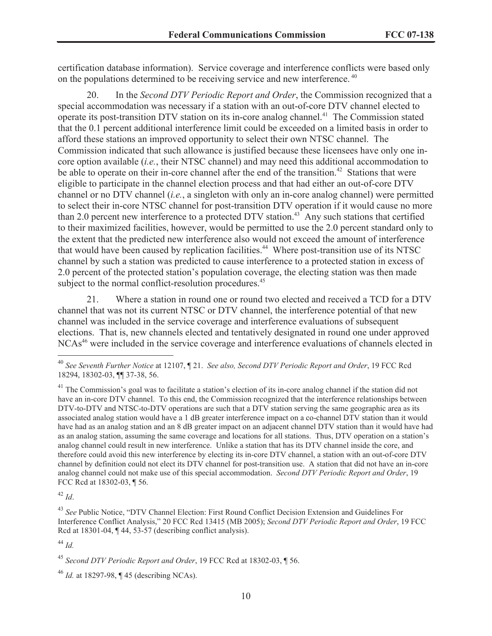certification database information). Service coverage and interference conflicts were based only on the populations determined to be receiving service and new interference. <sup>40</sup>

20. In the *Second DTV Periodic Report and Order*, the Commission recognized that a special accommodation was necessary if a station with an out-of-core DTV channel elected to operate its post-transition DTV station on its in-core analog channel.<sup>41</sup> The Commission stated that the 0.1 percent additional interference limit could be exceeded on a limited basis in order to afford these stations an improved opportunity to select their own NTSC channel. The Commission indicated that such allowance is justified because these licensees have only one incore option available (*i.e.*, their NTSC channel) and may need this additional accommodation to be able to operate on their in-core channel after the end of the transition.<sup>42</sup> Stations that were eligible to participate in the channel election process and that had either an out-of-core DTV channel or no DTV channel (*i.e.*, a singleton with only an in-core analog channel) were permitted to select their in-core NTSC channel for post-transition DTV operation if it would cause no more than 2.0 percent new interference to a protected DTV station.<sup>43</sup> Any such stations that certified to their maximized facilities, however, would be permitted to use the 2.0 percent standard only to the extent that the predicted new interference also would not exceed the amount of interference that would have been caused by replication facilities.<sup>44</sup> Where post-transition use of its NTSC channel by such a station was predicted to cause interference to a protected station in excess of 2.0 percent of the protected station's population coverage, the electing station was then made subject to the normal conflict-resolution procedures.<sup>45</sup>

21. Where a station in round one or round two elected and received a TCD for a DTV channel that was not its current NTSC or DTV channel, the interference potential of that new channel was included in the service coverage and interference evaluations of subsequent elections. That is, new channels elected and tentatively designated in round one under approved NCAs<sup>46</sup> were included in the service coverage and interference evaluations of channels elected in

<sup>42</sup> *Id*.

<sup>40</sup> *See Seventh Further Notice* at 12107, ¶ 21. *See also, Second DTV Periodic Report and Order*, 19 FCC Rcd 18294, 18302-03, ¶¶ 37-38, 56.

 $^{41}$  The Commission's goal was to facilitate a station's election of its in-core analog channel if the station did not have an in-core DTV channel. To this end, the Commission recognized that the interference relationships between DTV-to-DTV and NTSC-to-DTV operations are such that a DTV station serving the same geographic area as its associated analog station would have a 1 dB greater interference impact on a co-channel DTV station than it would have had as an analog station and an 8 dB greater impact on an adjacent channel DTV station than it would have had as an analog station, assuming the same coverage and locations for all stations. Thus, DTV operation on a station's analog channel could result in new interference. Unlike a station that has its DTV channel inside the core, and therefore could avoid this new interference by electing its in-core DTV channel, a station with an out-of-core DTV channel by definition could not elect its DTV channel for post-transition use. A station that did not have an in-core analog channel could not make use of this special accommodation. *Second DTV Periodic Report and Order*, 19 FCC Rcd at 18302-03, ¶ 56.

<sup>43</sup> *See* Public Notice, "DTV Channel Election: First Round Conflict Decision Extension and Guidelines For Interference Conflict Analysis," 20 FCC Rcd 13415 (MB 2005); *Second DTV Periodic Report and Order*, 19 FCC Rcd at 18301-04,  $\P$  44, 53-57 (describing conflict analysis).

<sup>44</sup> *Id.*

<sup>45</sup> *Second DTV Periodic Report and Order*, 19 FCC Rcd at 18302-03, ¶ 56.

<sup>46</sup> *Id.* at 18297-98, ¶ 45 (describing NCAs).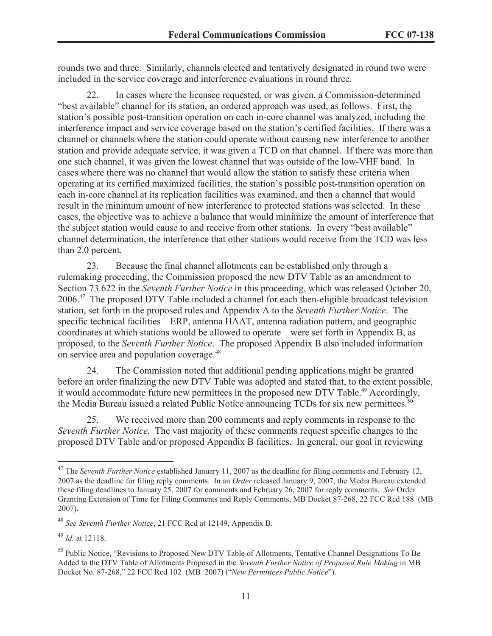rounds two and three. Similarly, channels elected and tentatively designated in round two were included in the service coverage and interference evaluations in round three.

22. In cases where the licensee requested, or was given, a Commission-determined "best available" channel for its station, an ordered approach was used, as follows. First, the station's possible post-transition operation on each in-core channel was analyzed, including the interference impact and service coverage based on the station's certified facilities. If there was a channel or channels where the station could operate without causing new interference to another station and provide adequate service, it was given a TCD on that channel. If there was more than one such channel, it was given the lowest channel that was outside of the low-VHF band. In cases where there was no channel that would allow the station to satisfy these criteria when operating at its certified maximized facilities, the station's possible post-transition operation on each in-core channel at its replication facilities was examined, and then a channel that would result in the minimum amount of new interference to protected stations was selected. In these cases, the objective was to achieve a balance that would minimize the amount of interference that the subject station would cause to and receive from other stations. In every "best available" channel determination, the interference that other stations would receive from the TCD was less than 2.0 percent.

23. Because the final channel allotments can be established only through a rulemaking proceeding, the Commission proposed the new DTV Table as an amendment to Section 73.622 in the *Seventh Further Notice* in this proceeding, which was released October 20, 2006.<sup>47</sup> The proposed DTV Table included a channel for each then-eligible broadcast television station, set forth in the proposed rules and Appendix A to the *Seventh Further Notice*. The specific technical facilities – ERP, antenna HAAT, antenna radiation pattern, and geographic coordinates at which stations would be allowed to operate – were set forth in Appendix B, as proposed, to the *Seventh Further Notice*. The proposed Appendix B also included information on service area and population coverage.<sup>48</sup>

24. The Commission noted that additional pending applications might be granted before an order finalizing the new DTV Table was adopted and stated that, to the extent possible, it would accommodate future new permittees in the proposed new DTV Table.<sup>49</sup> Accordingly, the Media Bureau issued a related Public Notice announcing TCDs for six new permittees.<sup>50</sup>

25. We received more than 200 comments and reply comments in response to the *Seventh Further Notice.* The vast majority of these comments request specific changes to the proposed DTV Table and/or proposed Appendix B facilities. In general, our goal in reviewing

<sup>&</sup>lt;sup>47</sup> The *Seventh Further Notice* established January 11, 2007 as the deadline for filing comments and February 12, 2007 as the deadline for filing reply comments. In an *Order* released January 9, 2007, the Media Bureau extended these filing deadlines to January 25, 2007 for comments and February 26, 2007 for reply comments. *See* Order Granting Extension of Time for Filing Comments and Reply Comments, MB Docket 87-268, 22 FCC Rcd 188 (MB 2007).

<sup>48</sup> *See Seventh Further Notice*, 21 FCC Rcd at 12149, Appendix B.

<sup>49</sup> *Id.* at 12118.

<sup>&</sup>lt;sup>50</sup> Public Notice, "Revisions to Proposed New DTV Table of Allotments, Tentative Channel Designations To Be Added to the DTV Table of Allotments Proposed in the *Seventh Further Notice of Proposed Rule Making* in MB Docket No. 87-268," 22 FCC Rcd 102 (MB 2007) ("*New Permittees Public Notice*").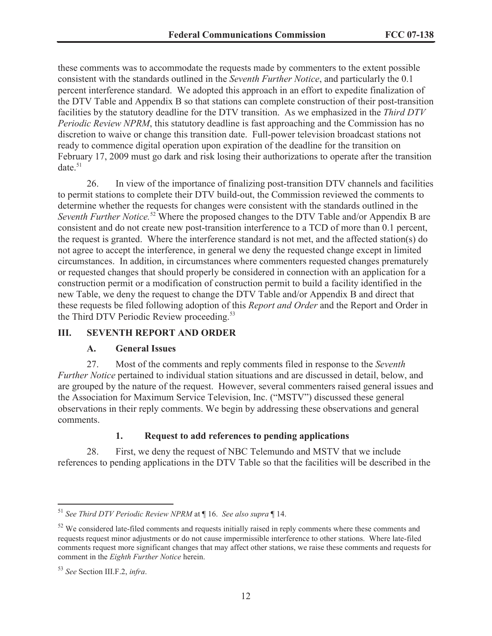these comments was to accommodate the requests made by commenters to the extent possible consistent with the standards outlined in the *Seventh Further Notice*, and particularly the 0.1 percent interference standard. We adopted this approach in an effort to expedite finalization of the DTV Table and Appendix B so that stations can complete construction of their post-transition facilities by the statutory deadline for the DTV transition. As we emphasized in the *Third DTV Periodic Review NPRM*, this statutory deadline is fast approaching and the Commission has no discretion to waive or change this transition date. Full-power television broadcast stations not ready to commence digital operation upon expiration of the deadline for the transition on February 17, 2009 must go dark and risk losing their authorizations to operate after the transition  $date.^{51}$ 

26. In view of the importance of finalizing post-transition DTV channels and facilities to permit stations to complete their DTV build-out, the Commission reviewed the comments to determine whether the requests for changes were consistent with the standards outlined in the *Seventh Further Notice.*<sup>52</sup> Where the proposed changes to the DTV Table and/or Appendix B are consistent and do not create new post-transition interference to a TCD of more than 0.1 percent, the request is granted. Where the interference standard is not met, and the affected station(s) do not agree to accept the interference, in general we deny the requested change except in limited circumstances. In addition, in circumstances where commenters requested changes prematurely or requested changes that should properly be considered in connection with an application for a construction permit or a modification of construction permit to build a facility identified in the new Table, we deny the request to change the DTV Table and/or Appendix B and direct that these requests be filed following adoption of this *Report and Order* and the Report and Order in the Third DTV Periodic Review proceeding.<sup>53</sup>

# **III. SEVENTH REPORT AND ORDER**

#### **A. General Issues**

27. Most of the comments and reply comments filed in response to the *Seventh Further Notice* pertained to individual station situations and are discussed in detail, below, and are grouped by the nature of the request. However, several commenters raised general issues and the Association for Maximum Service Television, Inc. ("MSTV") discussed these general observations in their reply comments. We begin by addressing these observations and general comments.

# **1. Request to add references to pending applications**

28. First, we deny the request of NBC Telemundo and MSTV that we include references to pending applications in the DTV Table so that the facilities will be described in the

<sup>51</sup> *See Third DTV Periodic Review NPRM* at ¶ 16. *See also supra* ¶ 14.

<sup>&</sup>lt;sup>52</sup> We considered late-filed comments and requests initially raised in reply comments where these comments and requests request minor adjustments or do not cause impermissible interference to other stations. Where late-filed comments request more significant changes that may affect other stations, we raise these comments and requests for comment in the *Eighth Further Notice* herein.

<sup>53</sup> *See* Section III.F.2, *infra*.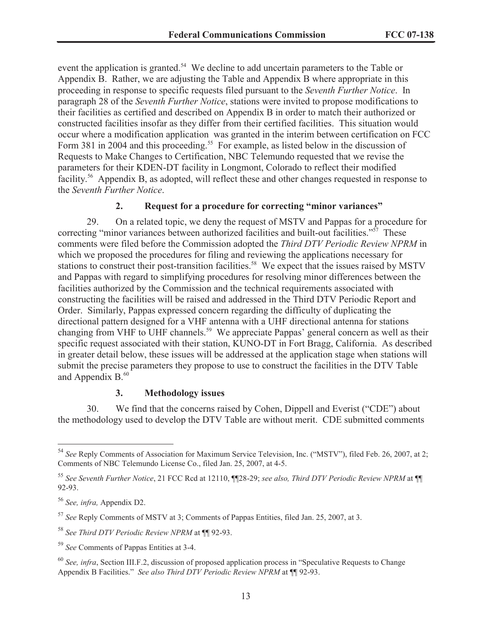event the application is granted.<sup>54</sup> We decline to add uncertain parameters to the Table or Appendix B. Rather, we are adjusting the Table and Appendix B where appropriate in this proceeding in response to specific requests filed pursuant to the *Seventh Further Notice*. In paragraph 28 of the *Seventh Further Notice*, stations were invited to propose modifications to their facilities as certified and described on Appendix B in order to match their authorized or constructed facilities insofar as they differ from their certified facilities. This situation would occur where a modification application was granted in the interim between certification on FCC Form 381 in 2004 and this proceeding.<sup>55</sup> For example, as listed below in the discussion of Requests to Make Changes to Certification, NBC Telemundo requested that we revise the parameters for their KDEN-DT facility in Longmont, Colorado to reflect their modified facility.<sup>56</sup> Appendix B, as adopted, will reflect these and other changes requested in response to the *Seventh Further Notice*.

#### **2. Request for a procedure for correcting "minor variances"**

29. On a related topic, we deny the request of MSTV and Pappas for a procedure for correcting "minor variances between authorized facilities and built-out facilities."<sup>57</sup> These comments were filed before the Commission adopted the *Third DTV Periodic Review NPRM* in which we proposed the procedures for filing and reviewing the applications necessary for stations to construct their post-transition facilities.<sup>58</sup> We expect that the issues raised by MSTV and Pappas with regard to simplifying procedures for resolving minor differences between the facilities authorized by the Commission and the technical requirements associated with constructing the facilities will be raised and addressed in the Third DTV Periodic Report and Order. Similarly, Pappas expressed concern regarding the difficulty of duplicating the directional pattern designed for a VHF antenna with a UHF directional antenna for stations changing from VHF to UHF channels.<sup>59</sup> We appreciate Pappas' general concern as well as their specific request associated with their station, KUNO-DT in Fort Bragg, California. As described in greater detail below, these issues will be addressed at the application stage when stations will submit the precise parameters they propose to use to construct the facilities in the DTV Table and Appendix  $B<sub>0</sub><sup>60</sup>$ 

#### **3. Methodology issues**

30. We find that the concerns raised by Cohen, Dippell and Everist ("CDE") about the methodology used to develop the DTV Table are without merit. CDE submitted comments

<sup>54</sup> *See* Reply Comments of Association for Maximum Service Television, Inc. ("MSTV"), filed Feb. 26, 2007, at 2; Comments of NBC Telemundo License Co., filed Jan. 25, 2007, at 4-5.

<sup>55</sup> *See Seventh Further Notice*, 21 FCC Rcd at 12110, ¶¶28-29; *see also, Third DTV Periodic Review NPRM* at ¶¶ 92-93.

<sup>56</sup> *See, infra,* Appendix D2.

<sup>57</sup> *See* Reply Comments of MSTV at 3; Comments of Pappas Entities, filed Jan. 25, 2007, at 3.

<sup>58</sup> *See Third DTV Periodic Review NPRM* at ¶¶ 92-93.

<sup>59</sup> *See* Comments of Pappas Entities at 3-4.

<sup>60</sup> *See, infra*, Section III.F.2, discussion of proposed application process in "Speculative Requests to Change Appendix B Facilities." *See also Third DTV Periodic Review NPRM* at ¶¶ 92-93.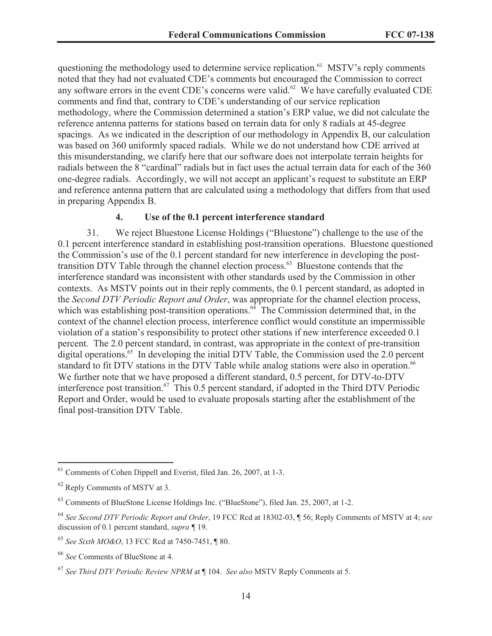questioning the methodology used to determine service replication.<sup>61</sup> MSTV's reply comments noted that they had not evaluated CDE's comments but encouraged the Commission to correct any software errors in the event CDE's concerns were valid.<sup>62</sup> We have carefully evaluated CDE comments and find that, contrary to CDE's understanding of our service replication methodology, where the Commission determined a station's ERP value, we did not calculate the reference antenna patterns for stations based on terrain data for only 8 radials at 45-degree spacings. As we indicated in the description of our methodology in Appendix B, our calculation was based on 360 uniformly spaced radials. While we do not understand how CDE arrived at this misunderstanding, we clarify here that our software does not interpolate terrain heights for radials between the 8 "cardinal" radials but in fact uses the actual terrain data for each of the 360 one-degree radials. Accordingly, we will not accept an applicant's request to substitute an ERP and reference antenna pattern that are calculated using a methodology that differs from that used in preparing Appendix B.

# **4. Use of the 0.1 percent interference standard**

31. We reject Bluestone License Holdings ("Bluestone") challenge to the use of the 0.1 percent interference standard in establishing post-transition operations. Bluestone questioned the Commission's use of the 0.1 percent standard for new interference in developing the posttransition DTV Table through the channel election process.<sup>63</sup> Bluestone contends that the interference standard was inconsistent with other standards used by the Commission in other contexts. As MSTV points out in their reply comments, the 0.1 percent standard, as adopted in the *Second DTV Periodic Report and Order*, was appropriate for the channel election process, which was establishing post-transition operations.<sup>64</sup> The Commission determined that, in the context of the channel election process, interference conflict would constitute an impermissible violation of a station's responsibility to protect other stations if new interference exceeded 0.1 percent. The 2.0 percent standard, in contrast, was appropriate in the context of pre-transition digital operations.<sup>65</sup> In developing the initial DTV Table, the Commission used the 2.0 percent standard to fit DTV stations in the DTV Table while analog stations were also in operation.<sup>66</sup> We further note that we have proposed a different standard, 0.5 percent, for DTV-to-DTV interference post transition.<sup>67</sup> This 0.5 percent standard, if adopted in the Third DTV Periodic Report and Order, would be used to evaluate proposals starting after the establishment of the final post-transition DTV Table.

<sup>61</sup> Comments of Cohen Dippell and Everist, filed Jan. 26, 2007, at 1-3.

<sup>62</sup> Reply Comments of MSTV at 3.

<sup>63</sup> Comments of BlueStone License Holdings Inc. ("BlueStone"), filed Jan. 25, 2007, at 1-2.

<sup>64</sup> *See Second DTV Periodic Report and Order*, 19 FCC Rcd at 18302-03, ¶ 56; Reply Comments of MSTV at 4; *see*  discussion of 0.1 percent standard, *supra ¶* 19.

<sup>65</sup> *See Sixth MO&O*, 13 FCC Rcd at 7450-7451, ¶ 80.

<sup>66</sup> *See* Comments of BlueStone at 4.

<sup>67</sup> *See Third DTV Periodic Review NPRM* at ¶ 104. *See also* MSTV Reply Comments at 5.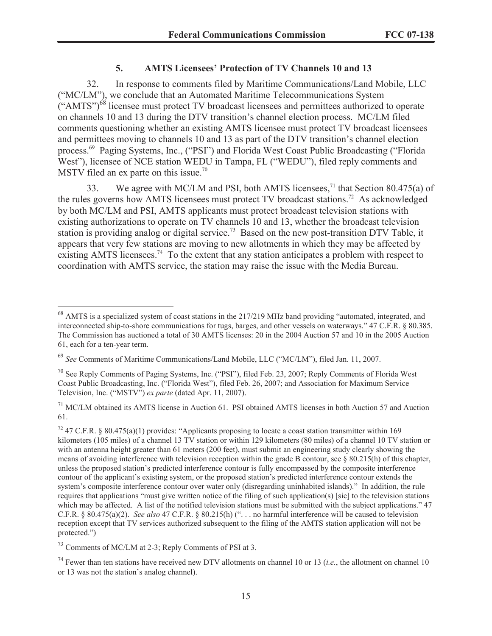#### **5. AMTS Licensees' Protection of TV Channels 10 and 13**

32. In response to comments filed by Maritime Communications/Land Mobile, LLC ("MC/LM"), we conclude that an Automated Maritime Telecommunications System  $(\text{``AMTS''})^{68}$  licensee must protect TV broadcast licensees and permittees authorized to operate on channels 10 and 13 during the DTV transition's channel election process. MC/LM filed comments questioning whether an existing AMTS licensee must protect TV broadcast licensees and permittees moving to channels 10 and 13 as part of the DTV transition's channel election process.<sup>69</sup> Paging Systems, Inc., ("PSI") and Florida West Coast Public Broadcasting ("Florida West"), licensee of NCE station WEDU in Tampa, FL ("WEDU"), filed reply comments and MSTV filed an ex parte on this issue.<sup>70</sup>

33. We agree with MC/LM and PSI, both AMTS licensees,<sup>71</sup> that Section 80.475(a) of the rules governs how AMTS licensees must protect TV broadcast stations.<sup>72</sup> As acknowledged by both MC/LM and PSI, AMTS applicants must protect broadcast television stations with existing authorizations to operate on TV channels 10 and 13, whether the broadcast television station is providing analog or digital service.<sup>73</sup> Based on the new post-transition DTV Table, it appears that very few stations are moving to new allotments in which they may be affected by existing AMTS licensees.<sup>74</sup> To the extent that any station anticipates a problem with respect to coordination with AMTS service, the station may raise the issue with the Media Bureau.

<sup>68</sup> AMTS is a specialized system of coast stations in the 217/219 MHz band providing "automated, integrated, and interconnected ship-to-shore communications for tugs, barges, and other vessels on waterways." 47 C.F.R. § 80.385. The Commission has auctioned a total of 30 AMTS licenses: 20 in the 2004 Auction 57 and 10 in the 2005 Auction 61, each for a ten-year term.

<sup>69</sup> *See* Comments of Maritime Communications/Land Mobile, LLC ("MC/LM"), filed Jan. 11, 2007.

<sup>&</sup>lt;sup>70</sup> See Reply Comments of Paging Systems, Inc. ("PSI"), filed Feb. 23, 2007; Reply Comments of Florida West Coast Public Broadcasting, Inc. ("Florida West"), filed Feb. 26, 2007; and Association for Maximum Service Television, Inc. ("MSTV") *ex parte* (dated Apr. 11, 2007).

 $171$  MC/LM obtained its AMTS license in Auction 61. PSI obtained AMTS licenses in both Auction 57 and Auction 61.

<sup>72</sup> 47 C.F.R. § 80.475(a)(1) provides: "Applicants proposing to locate a coast station transmitter within 169 kilometers (105 miles) of a channel 13 TV station or within 129 kilometers (80 miles) of a channel 10 TV station or with an antenna height greater than 61 meters (200 feet), must submit an engineering study clearly showing the means of avoiding interference with television reception within the grade B contour, see § 80.215(h) of this chapter, unless the proposed station's predicted interference contour is fully encompassed by the composite interference contour of the applicant's existing system, or the proposed station's predicted interference contour extends the system's composite interference contour over water only (disregarding uninhabited islands)." In addition, the rule requires that applications "must give written notice of the filing of such application(s) [sic] to the television stations which may be affected. A list of the notified television stations must be submitted with the subject applications." 47 C.F.R. § 80.475(a)(2). *See also* 47 C.F.R. § 80.215(h) (". . . no harmful interference will be caused to television reception except that TV services authorized subsequent to the filing of the AMTS station application will not be protected.")

<sup>73</sup> Comments of MC/LM at 2-3; Reply Comments of PSI at 3.

<sup>74</sup> Fewer than ten stations have received new DTV allotments on channel 10 or 13 (*i.e.*, the allotment on channel 10 or 13 was not the station's analog channel).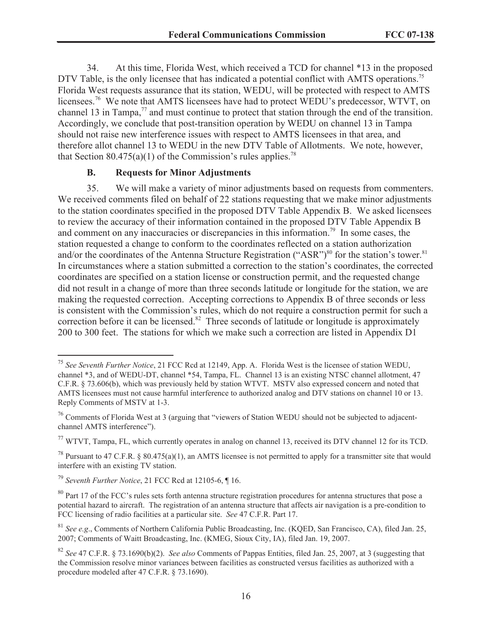34. At this time, Florida West, which received a TCD for channel \*13 in the proposed DTV Table, is the only licensee that has indicated a potential conflict with AMTS operations.<sup>75</sup> Florida West requests assurance that its station, WEDU, will be protected with respect to AMTS licensees.<sup>76</sup> We note that AMTS licensees have had to protect WEDU's predecessor, WTVT, on channel 13 in Tampa, $^{77}$  and must continue to protect that station through the end of the transition. Accordingly, we conclude that post-transition operation by WEDU on channel 13 in Tampa should not raise new interference issues with respect to AMTS licensees in that area, and therefore allot channel 13 to WEDU in the new DTV Table of Allotments. We note, however, that Section  $80.475(a)(1)$  of the Commission's rules applies.<sup>78</sup>

#### **B. Requests for Minor Adjustments**

35. We will make a variety of minor adjustments based on requests from commenters. We received comments filed on behalf of 22 stations requesting that we make minor adjustments to the station coordinates specified in the proposed DTV Table Appendix B. We asked licensees to review the accuracy of their information contained in the proposed DTV Table Appendix B and comment on any inaccuracies or discrepancies in this information.<sup>79</sup> In some cases, the station requested a change to conform to the coordinates reflected on a station authorization and/or the coordinates of the Antenna Structure Registration ("ASR")<sup>80</sup> for the station's tower.<sup>81</sup> In circumstances where a station submitted a correction to the station's coordinates, the corrected coordinates are specified on a station license or construction permit, and the requested change did not result in a change of more than three seconds latitude or longitude for the station, we are making the requested correction. Accepting corrections to Appendix B of three seconds or less is consistent with the Commission's rules, which do not require a construction permit for such a correction before it can be licensed.<sup>82</sup> Three seconds of latitude or longitude is approximately 200 to 300 feet. The stations for which we make such a correction are listed in Appendix D1

<sup>75</sup> *See Seventh Further Notice*, 21 FCC Rcd at 12149, App. A. Florida West is the licensee of station WEDU, channel \*3, and of WEDU-DT, channel \*54, Tampa, FL. Channel 13 is an existing NTSC channel allotment, 47 C.F.R. § 73.606(b), which was previously held by station WTVT. MSTV also expressed concern and noted that AMTS licensees must not cause harmful interference to authorized analog and DTV stations on channel 10 or 13. Reply Comments of MSTV at 1-3.

 $76$  Comments of Florida West at 3 (arguing that "viewers of Station WEDU should not be subjected to adjacentchannel AMTS interference").

 $77$  WTVT, Tampa, FL, which currently operates in analog on channel 13, received its DTV channel 12 for its TCD.

<sup>&</sup>lt;sup>78</sup> Pursuant to 47 C.F.R. § 80.475(a)(1), an AMTS licensee is not permitted to apply for a transmitter site that would interfere with an existing TV station.

<sup>79</sup> *Seventh Further Notice*, 21 FCC Rcd at 12105-6, ¶ 16.

<sup>&</sup>lt;sup>80</sup> Part 17 of the FCC's rules sets forth antenna structure registration procedures for antenna structures that pose a potential hazard to aircraft. The registration of an antenna structure that affects air navigation is a pre-condition to FCC licensing of radio facilities at a particular site. *See* 47 C.F.R. Part 17.

<sup>81</sup> *See e.g*., Comments of Northern California Public Broadcasting, Inc. (KQED, San Francisco, CA), filed Jan. 25, 2007; Comments of Waitt Broadcasting, Inc. (KMEG, Sioux City, IA), filed Jan. 19, 2007.

<sup>82</sup> *See* 47 C.F.R. § 73.1690(b)(2). *See also* Comments of Pappas Entities, filed Jan. 25, 2007, at 3 (suggesting that the Commission resolve minor variances between facilities as constructed versus facilities as authorized with a procedure modeled after 47 C.F.R. § 73.1690).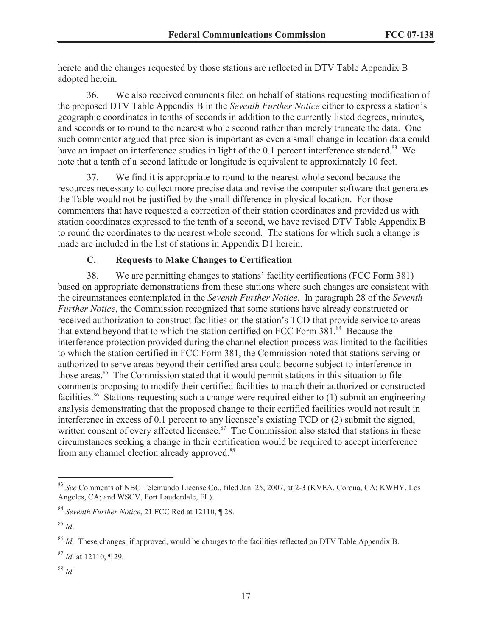hereto and the changes requested by those stations are reflected in DTV Table Appendix B adopted herein.

36. We also received comments filed on behalf of stations requesting modification of the proposed DTV Table Appendix B in the *Seventh Further Notice* either to express a station's geographic coordinates in tenths of seconds in addition to the currently listed degrees, minutes, and seconds or to round to the nearest whole second rather than merely truncate the data. One such commenter argued that precision is important as even a small change in location data could have an impact on interference studies in light of the 0.1 percent interference standard.<sup>83</sup> We note that a tenth of a second latitude or longitude is equivalent to approximately 10 feet.

37. We find it is appropriate to round to the nearest whole second because the resources necessary to collect more precise data and revise the computer software that generates the Table would not be justified by the small difference in physical location. For those commenters that have requested a correction of their station coordinates and provided us with station coordinates expressed to the tenth of a second, we have revised DTV Table Appendix B to round the coordinates to the nearest whole second. The stations for which such a change is made are included in the list of stations in Appendix D1 herein.

# **C. Requests to Make Changes to Certification**

38. We are permitting changes to stations' facility certifications (FCC Form 381) based on appropriate demonstrations from these stations where such changes are consistent with the circumstances contemplated in the *Seventh Further Notice*. In paragraph 28 of the *Seventh Further Notice*, the Commission recognized that some stations have already constructed or received authorization to construct facilities on the station's TCD that provide service to areas that extend beyond that to which the station certified on FCC Form 381.<sup>84</sup> Because the interference protection provided during the channel election process was limited to the facilities to which the station certified in FCC Form 381, the Commission noted that stations serving or authorized to serve areas beyond their certified area could become subject to interference in those areas.<sup>85</sup> The Commission stated that it would permit stations in this situation to file comments proposing to modify their certified facilities to match their authorized or constructed facilities.<sup>86</sup> Stations requesting such a change were required either to  $(1)$  submit an engineering analysis demonstrating that the proposed change to their certified facilities would not result in interference in excess of 0.1 percent to any licensee's existing TCD or (2) submit the signed, written consent of every affected licensee.<sup>87</sup> The Commission also stated that stations in these circumstances seeking a change in their certification would be required to accept interference from any channel election already approved.<sup>88</sup>

<sup>83</sup> *See* Comments of NBC Telemundo License Co., filed Jan. 25, 2007, at 2-3 (KVEA, Corona, CA; KWHY, Los Angeles, CA; and WSCV, Fort Lauderdale, FL).

<sup>84</sup> *Seventh Further Notice*, 21 FCC Rcd at 12110, ¶ 28.

<sup>85</sup> *Id*.

<sup>86</sup> *Id*. These changes, if approved, would be changes to the facilities reflected on DTV Table Appendix B.

<sup>87</sup> *Id*. at 12110, ¶ 29.

<sup>88</sup> *Id.*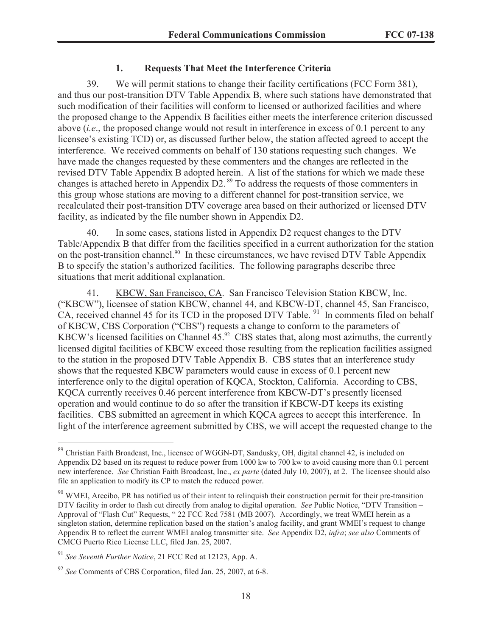# **1. Requests That Meet the Interference Criteria**

39. We will permit stations to change their facility certifications (FCC Form 381), and thus our post-transition DTV Table Appendix B, where such stations have demonstrated that such modification of their facilities will conform to licensed or authorized facilities and where the proposed change to the Appendix B facilities either meets the interference criterion discussed above (*i.e*., the proposed change would not result in interference in excess of 0.1 percent to any licensee's existing TCD) or, as discussed further below, the station affected agreed to accept the interference. We received comments on behalf of 130 stations requesting such changes. We have made the changes requested by these commenters and the changes are reflected in the revised DTV Table Appendix B adopted herein. A list of the stations for which we made these changes is attached hereto in Appendix D2. <sup>89</sup> To address the requests of those commenters in this group whose stations are moving to a different channel for post-transition service, we recalculated their post-transition DTV coverage area based on their authorized or licensed DTV facility, as indicated by the file number shown in Appendix D2.

40. In some cases, stations listed in Appendix D2 request changes to the DTV Table/Appendix B that differ from the facilities specified in a current authorization for the station on the post-transition channel.<sup>90</sup> In these circumstances, we have revised DTV Table Appendix B to specify the station's authorized facilities. The following paragraphs describe three situations that merit additional explanation.

41. KBCW, San Francisco, CA. San Francisco Television Station KBCW, Inc. ("KBCW"), licensee of station KBCW, channel 44, and KBCW-DT, channel 45, San Francisco, CA, received channel 45 for its TCD in the proposed DTV Table.  $91$  In comments filed on behalf of KBCW, CBS Corporation ("CBS") requests a change to conform to the parameters of KBCW's licensed facilities on Channel  $45<sup>92</sup>$  CBS states that, along most azimuths, the currently licensed digital facilities of KBCW exceed those resulting from the replication facilities assigned to the station in the proposed DTV Table Appendix B. CBS states that an interference study shows that the requested KBCW parameters would cause in excess of 0.1 percent new interference only to the digital operation of KQCA, Stockton, California. According to CBS, KQCA currently receives 0.46 percent interference from KBCW-DT's presently licensed operation and would continue to do so after the transition if KBCW-DT keeps its existing facilities. CBS submitted an agreement in which KQCA agrees to accept this interference. In light of the interference agreement submitted by CBS, we will accept the requested change to the

<sup>89</sup> Christian Faith Broadcast, Inc., licensee of WGGN-DT, Sandusky, OH, digital channel 42, is included on Appendix D2 based on its request to reduce power from 1000 kw to 700 kw to avoid causing more than 0.1 percent new interference. *See* Christian Faith Broadcast, Inc., *ex parte* (dated July 10, 2007), at 2. The licensee should also file an application to modify its CP to match the reduced power.

<sup>&</sup>lt;sup>90</sup> WMEI, Arecibo, PR has notified us of their intent to relinquish their construction permit for their pre-transition DTV facility in order to flash cut directly from analog to digital operation. *See* Public Notice, "DTV Transition – Approval of "Flash Cut" Requests, " 22 FCC Rcd 7581 (MB 2007). Accordingly, we treat WMEI herein as a singleton station, determine replication based on the station's analog facility, and grant WMEI's request to change Appendix B to reflect the current WMEI analog transmitter site. *See* Appendix D2, *infra*; *see also* Comments of CMCG Puerto Rico License LLC, filed Jan. 25, 2007.

<sup>91</sup> *See Seventh Further Notice*, 21 FCC Rcd at 12123, App. A.

<sup>92</sup> *See* Comments of CBS Corporation, filed Jan. 25, 2007, at 6-8.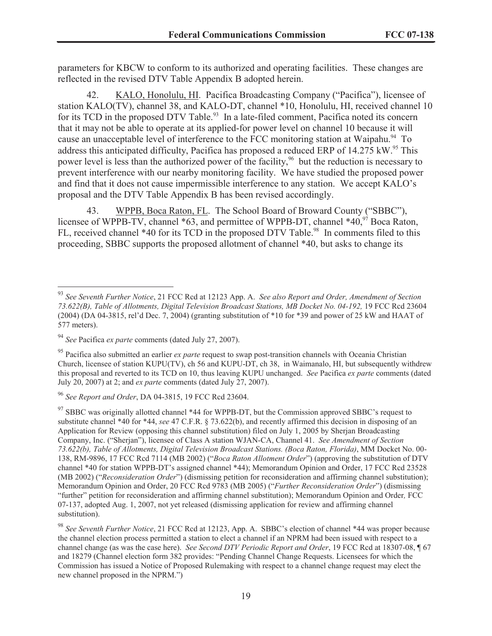parameters for KBCW to conform to its authorized and operating facilities. These changes are reflected in the revised DTV Table Appendix B adopted herein.

42. KALO, Honolulu, HI. Pacifica Broadcasting Company ("Pacifica"), licensee of station KALO(TV), channel 38, and KALO-DT, channel \*10, Honolulu, HI, received channel 10 for its TCD in the proposed DTV Table.<sup>93</sup> In a late-filed comment, Pacifica noted its concern that it may not be able to operate at its applied-for power level on channel 10 because it will cause an unacceptable level of interference to the FCC monitoring station at Waipahu.<sup>94</sup> To address this anticipated difficulty, Pacifica has proposed a reduced ERP of  $14.275 \text{ kW}^{95}$  This power level is less than the authorized power of the facility,<sup>96</sup> but the reduction is necessary to prevent interference with our nearby monitoring facility. We have studied the proposed power and find that it does not cause impermissible interference to any station. We accept KALO's proposal and the DTV Table Appendix B has been revised accordingly.

43. WPPB, Boca Raton, FL. The School Board of Broward County ("SBBC"), licensee of WPPB-TV, channel  $*63$ , and permittee of WPPB-DT, channel  $*40$ ,  $*7$  Boca Raton, FL, received channel \*40 for its TCD in the proposed DTV Table.<sup>98</sup> In comments filed to this proceeding, SBBC supports the proposed allotment of channel \*40, but asks to change its

<sup>96</sup> *See Report and Order*, DA 04-3815, 19 FCC Rcd 23604.

<sup>93</sup> *See Seventh Further Notice*, 21 FCC Rcd at 12123 App. A. *See also Report and Order, Amendment of Section*  73.622(B), Table of Allotments, Digital Television Broadcast Stations, MB Docket No. 04-192, 19 FCC Rcd 23604 (2004) (DA 04-3815, rel'd Dec. 7, 2004) (granting substitution of \*10 for \*39 and power of 25 kW and HAAT of 577 meters).

<sup>94</sup> *See* Pacifica *ex parte* comments (dated July 27, 2007).

<sup>&</sup>lt;sup>95</sup> Pacifica also submitted an earlier *ex parte* request to swap post-transition channels with Oceania Christian Church, licensee of station KUPU(TV), ch 56 and KUPU-DT, ch 38, in Waimanalo, HI, but subsequently withdrew this proposal and reverted to its TCD on 10, thus leaving KUPU unchanged. *See* Pacifica *ex parte* comments (dated July 20, 2007) at 2; and *ex parte* comments (dated July 27, 2007).

 $97$  SBBC was originally allotted channel \*44 for WPPB-DT, but the Commission approved SBBC's request to substitute channel \*40 for \*44, *see* 47 C.F.R. § 73.622(b), and recently affirmed this decision in disposing of an Application for Review (opposing this channel substitution) filed on July 1, 2005 by Sherjan Broadcasting Company, Inc. ("Sherjan"), licensee of Class A station WJAN-CA, Channel 41. *See Amendment of Section 73.622(b), Table of Allotments, Digital Television Broadcast Stations. (Boca Raton, Florida)*, MM Docket No. 00- 138, RM-9896, 17 FCC Rcd 7114 (MB 2002) ("*Boca Raton Allotment Order*") (approving the substitution of DTV channel \*40 for station WPPB-DT's assigned channel \*44); Memorandum Opinion and Order, 17 FCC Rcd 23528 (MB 2002) ("*Reconsideration Order*") (dismissing petition for reconsideration and affirming channel substitution); Memorandum Opinion and Order, 20 FCC Rcd 9783 (MB 2005) ("*Further Reconsideration Order*") (dismissing "further" petition for reconsideration and affirming channel substitution); Memorandum Opinion and Order*,* FCC 07-137, adopted Aug. 1, 2007, not yet released (dismissing application for review and affirming channel substitution).

<sup>98</sup> *See Seventh Further Notice*, 21 FCC Rcd at 12123, App. A. SBBC's election of channel \*44 was proper because the channel election process permitted a station to elect a channel if an NPRM had been issued with respect to a channel change (as was the case here). *See Second DTV Periodic Report and Order*, 19 FCC Rcd at 18307-08, ¶ 67 and 18279 (Channel election form 382 provides: "Pending Channel Change Requests. Licensees for which the Commission has issued a Notice of Proposed Rulemaking with respect to a channel change request may elect the new channel proposed in the NPRM.")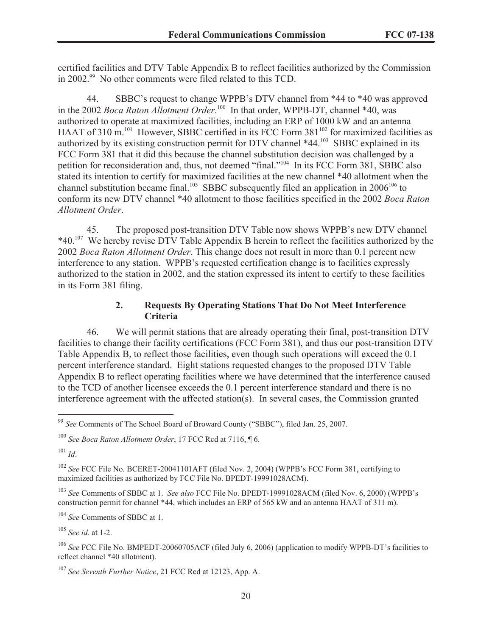certified facilities and DTV Table Appendix B to reflect facilities authorized by the Commission in 2002. <sup>99</sup> No other comments were filed related to this TCD.

44. SBBC's request to change WPPB's DTV channel from \*44 to \*40 was approved in the 2002 *Boca Raton Allotment Order*.<sup>100</sup> In that order, WPPB-DT, channel \*40, was authorized to operate at maximized facilities, including an ERP of 1000 kW and an antenna HAAT of 310 m.<sup>101</sup> However, SBBC certified in its FCC Form  $381^{102}$  for maximized facilities as authorized by its existing construction permit for DTV channel \*44.<sup>103</sup> SBBC explained in its FCC Form 381 that it did this because the channel substitution decision was challenged by a petition for reconsideration and, thus, not deemed "final."<sup>104</sup> In its FCC Form 381, SBBC also stated its intention to certify for maximized facilities at the new channel \*40 allotment when the channel substitution became final.<sup>105</sup> SBBC subsequently filed an application in  $2006^{106}$  to conform its new DTV channel \*40 allotment to those facilities specified in the 2002 *Boca Raton Allotment Order*.

45. The proposed post-transition DTV Table now shows WPPB's new DTV channel \*40.<sup>107</sup> We hereby revise DTV Table Appendix B herein to reflect the facilities authorized by the 2002 *Boca Raton Allotment Order*. This change does not result in more than 0.1 percent new interference to any station. WPPB's requested certification change is to facilities expressly authorized to the station in 2002, and the station expressed its intent to certify to these facilities in its Form 381 filing.

# **2. Requests By Operating Stations That Do Not Meet Interference Criteria**

46. We will permit stations that are already operating their final, post-transition DTV facilities to change their facility certifications (FCC Form 381), and thus our post-transition DTV Table Appendix B, to reflect those facilities, even though such operations will exceed the 0.1 percent interference standard. Eight stations requested changes to the proposed DTV Table Appendix B to reflect operating facilities where we have determined that the interference caused to the TCD of another licensee exceeds the 0.1 percent interference standard and there is no interference agreement with the affected station(s). In several cases, the Commission granted

 $101$  *Id*.

<sup>104</sup> *See* Comments of SBBC at 1.

<sup>105</sup> *See id*. at 1-2.

<sup>99</sup> *See* Comments of The School Board of Broward County ("SBBC"), filed Jan. 25, 2007.

<sup>100</sup> *See Boca Raton Allotment Order*, 17 FCC Rcd at 7116, ¶ 6.

<sup>102</sup> *See* FCC File No. BCERET-20041101AFT (filed Nov. 2, 2004) (WPPB's FCC Form 381, certifying to maximized facilities as authorized by FCC File No. BPEDT-19991028ACM).

<sup>103</sup> *See* Comments of SBBC at 1. *See also* FCC File No. BPEDT-19991028ACM (filed Nov. 6, 2000) (WPPB's construction permit for channel \*44, which includes an ERP of 565 kW and an antenna HAAT of 311 m).

<sup>106</sup> *See* FCC File No. BMPEDT-20060705ACF (filed July 6, 2006) (application to modify WPPB-DT's facilities to reflect channel \*40 allotment).

<sup>107</sup> *See Seventh Further Notice*, 21 FCC Rcd at 12123, App. A.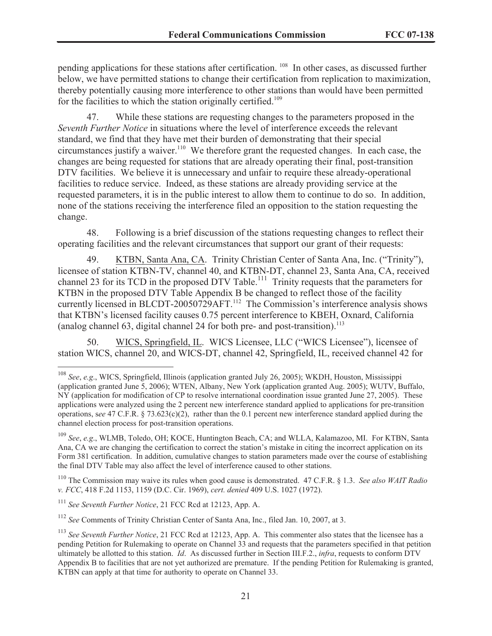pending applications for these stations after certification. <sup>108</sup> In other cases, as discussed further below, we have permitted stations to change their certification from replication to maximization, thereby potentially causing more interference to other stations than would have been permitted for the facilities to which the station originally certified.<sup>109</sup>

47. While these stations are requesting changes to the parameters proposed in the *Seventh Further Notice* in situations where the level of interference exceeds the relevant standard, we find that they have met their burden of demonstrating that their special circumstances justify a waiver.<sup>110</sup> We therefore grant the requested changes. In each case, the changes are being requested for stations that are already operating their final, post-transition DTV facilities. We believe it is unnecessary and unfair to require these already-operational facilities to reduce service. Indeed, as these stations are already providing service at the requested parameters, it is in the public interest to allow them to continue to do so. In addition, none of the stations receiving the interference filed an opposition to the station requesting the change.

48. Following is a brief discussion of the stations requesting changes to reflect their operating facilities and the relevant circumstances that support our grant of their requests:

49. KTBN, Santa Ana, CA. Trinity Christian Center of Santa Ana, Inc. ("Trinity"), licensee of station KTBN-TV, channel 40, and KTBN-DT, channel 23, Santa Ana, CA, received channel 23 for its TCD in the proposed DTV Table.<sup>111</sup> Trinity requests that the parameters for KTBN in the proposed DTV Table Appendix B be changed to reflect those of the facility currently licensed in BLCDT-20050729AFT.<sup>112</sup> The Commission's interference analysis shows that KTBN's licensed facility causes 0.75 percent interference to KBEH, Oxnard, California (analog channel  $63$ , digital channel  $24$  for both pre- and post-transition).<sup>113</sup>

50. WICS, Springfield, IL. WICS Licensee, LLC ("WICS Licensee"), licensee of station WICS, channel 20, and WICS-DT, channel 42, Springfield, IL, received channel 42 for

<sup>110</sup> The Commission may waive its rules when good cause is demonstrated. 47 C.F.R. § 1.3. *See also WAIT Radio v. FCC*, 418 F.2d 1153, 1159 (D.C. Cir. 1969), *cert. denied* 409 U.S. 1027 (1972).

<sup>111</sup> *See Seventh Further Notice*, 21 FCC Rcd at 12123, App. A.

<sup>112</sup> *See* Comments of Trinity Christian Center of Santa Ana, Inc., filed Jan. 10, 2007, at 3.

<sup>108</sup> *See*, *e.g*., WICS, Springfield, Illinois (application granted July 26, 2005); WKDH, Houston, Mississippi (application granted June 5, 2006); WTEN, Albany, New York (application granted Aug. 2005); WUTV, Buffalo, NY (application for modification of CP to resolve international coordination issue granted June 27, 2005). These applications were analyzed using the 2 percent new interference standard applied to applications for pre-transition operations, s*ee* 47 C.F.R. § 73.623(c)(2), rather than the 0.1 percent new interference standard applied during the channel election process for post-transition operations.

<sup>109</sup> *See*, *e.g*., WLMB, Toledo, OH; KOCE, Huntington Beach, CA; and WLLA, Kalamazoo, MI. For KTBN, Santa Ana, CA we are changing the certification to correct the station's mistake in citing the incorrect application on its Form 381 certification. In addition, cumulative changes to station parameters made over the course of establishing the final DTV Table may also affect the level of interference caused to other stations.

<sup>113</sup> *See Seventh Further Notice*, 21 FCC Rcd at 12123, App. A. This commenter also states that the licensee has a pending Petition for Rulemaking to operate on Channel 33 and requests that the parameters specified in that petition ultimately be allotted to this station. *Id*. As discussed further in Section III.F.2., *infra*, requests to conform DTV Appendix B to facilities that are not yet authorized are premature. If the pending Petition for Rulemaking is granted, KTBN can apply at that time for authority to operate on Channel 33.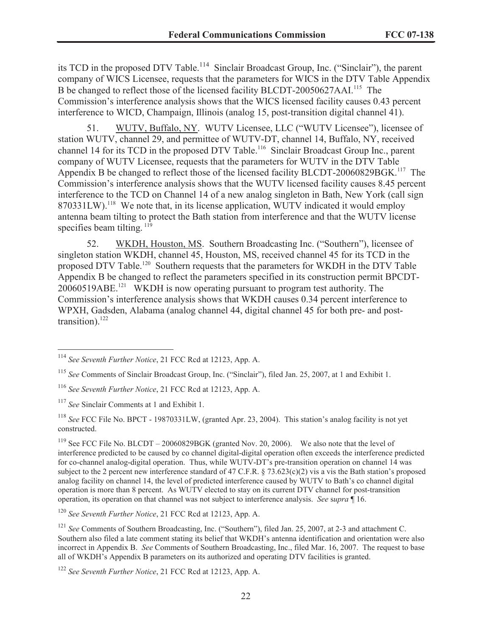its TCD in the proposed DTV Table.<sup>114</sup> Sinclair Broadcast Group, Inc. ("Sinclair"), the parent company of WICS Licensee, requests that the parameters for WICS in the DTV Table Appendix B be changed to reflect those of the licensed facility BLCDT-20050627AAI.<sup>115</sup> The Commission's interference analysis shows that the WICS licensed facility causes 0.43 percent interference to WICD, Champaign, Illinois (analog 15, post-transition digital channel 41).

51. WUTV, Buffalo, NY. WUTV Licensee, LLC ("WUTV Licensee"), licensee of station WUTV, channel 29, and permittee of WUTV-DT, channel 14, Buffalo, NY, received channel 14 for its TCD in the proposed DTV Table.<sup>116</sup> Sinclair Broadcast Group Inc., parent company of WUTV Licensee, requests that the parameters for WUTV in the DTV Table Appendix B be changed to reflect those of the licensed facility BLCDT-20060829BGK.<sup>117</sup> The Commission's interference analysis shows that the WUTV licensed facility causes 8.45 percent interference to the TCD on Channel 14 of a new analog singleton in Bath, New York (call sign 870331LW).<sup>118</sup> We note that, in its license application, WUTV indicated it would employ antenna beam tilting to protect the Bath station from interference and that the WUTV license specifies beam tilting.<sup>119</sup>

52. WKDH, Houston, MS. Southern Broadcasting Inc. ("Southern"), licensee of singleton station WKDH, channel 45, Houston, MS, received channel 45 for its TCD in the proposed DTV Table.<sup>120</sup> Southern requests that the parameters for WKDH in the DTV Table Appendix B be changed to reflect the parameters specified in its construction permit BPCDT-20060519ABE.<sup>121</sup> WKDH is now operating pursuant to program test authority. The Commission's interference analysis shows that WKDH causes 0.34 percent interference to WPXH, Gadsden, Alabama (analog channel 44, digital channel 45 for both pre- and posttransition). 122

<sup>114</sup> *See Seventh Further Notice*, 21 FCC Rcd at 12123, App. A.

<sup>115</sup> *See* Comments of Sinclair Broadcast Group, Inc. ("Sinclair"), filed Jan. 25, 2007, at 1 and Exhibit 1.

<sup>116</sup> *See Seventh Further Notice*, 21 FCC Rcd at 12123, App. A.

<sup>117</sup> *See* Sinclair Comments at 1 and Exhibit 1.

<sup>118</sup> *See* FCC File No. BPCT - 19870331LW, (granted Apr. 23, 2004). This station's analog facility is not yet constructed.

<sup>&</sup>lt;sup>119</sup> See FCC File No. BLCDT – 20060829BGK (granted Nov. 20, 2006). We also note that the level of interference predicted to be caused by co channel digital-digital operation often exceeds the interference predicted for co-channel analog-digital operation. Thus, while WUTV-DT's pre-transition operation on channel 14 was subject to the 2 percent new interference standard of 47 C.F.R. § 73.623(c)(2) vis a vis the Bath station's proposed analog facility on channel 14, the level of predicted interference caused by WUTV to Bath's co channel digital operation is more than 8 percent. As WUTV elected to stay on its current DTV channel for post-transition operation, its operation on that channel was not subject to interference analysis. *See* s*upra* ¶ 16.

<sup>120</sup> *See Seventh Further Notice*, 21 FCC Rcd at 12123, App. A.

<sup>&</sup>lt;sup>121</sup> *See* Comments of Southern Broadcasting, Inc. ("Southern"), filed Jan. 25, 2007, at 2-3 and attachment C. Southern also filed a late comment stating its belief that WKDH's antenna identification and orientation were also incorrect in Appendix B. *See* Comments of Southern Broadcasting, Inc., filed Mar. 16, 2007. The request to base all of WKDH's Appendix B parameters on its authorized and operating DTV facilities is granted.

<sup>122</sup> *See Seventh Further Notice*, 21 FCC Rcd at 12123, App. A.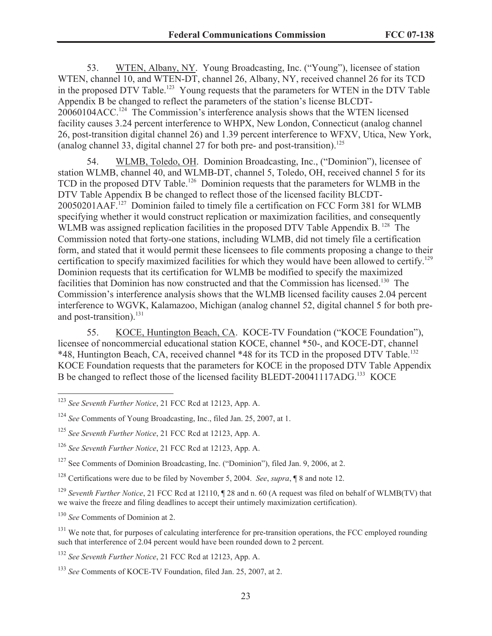53. WTEN, Albany, NY. Young Broadcasting, Inc. ("Young"), licensee of station WTEN, channel 10, and WTEN-DT, channel 26, Albany, NY, received channel 26 for its TCD in the proposed DTV Table.<sup>123</sup> Young requests that the parameters for WTEN in the DTV Table Appendix B be changed to reflect the parameters of the station's license BLCDT-20060104ACC.<sup>124</sup> The Commission's interference analysis shows that the WTEN licensed facility causes 3.24 percent interference to WHPX, New London, Connecticut (analog channel 26, post-transition digital channel 26) and 1.39 percent interference to WFXV, Utica, New York, (analog channel 33, digital channel 27 for both pre- and post-transition).<sup>125</sup>

54. WLMB, Toledo, OH. Dominion Broadcasting, Inc., ("Dominion"), licensee of station WLMB, channel 40, and WLMB-DT, channel 5, Toledo, OH, received channel 5 for its TCD in the proposed DTV Table.<sup>126</sup> Dominion requests that the parameters for WLMB in the DTV Table Appendix B be changed to reflect those of the licensed facility BLCDT-20050201AAF.<sup>127</sup> Dominion failed to timely file a certification on FCC Form 381 for WLMB specifying whether it would construct replication or maximization facilities, and consequently WLMB was assigned replication facilities in the proposed DTV Table Appendix B.<sup>128</sup> The Commission noted that forty-one stations, including WLMB, did not timely file a certification form, and stated that it would permit these licensees to file comments proposing a change to their certification to specify maximized facilities for which they would have been allowed to certify.<sup>129</sup> Dominion requests that its certification for WLMB be modified to specify the maximized facilities that Dominion has now constructed and that the Commission has licensed.<sup>130</sup> The Commission's interference analysis shows that the WLMB licensed facility causes 2.04 percent interference to WGVK, Kalamazoo, Michigan (analog channel 52, digital channel 5 for both preand post-transition). $^{131}$ 

55. KOCE, Huntington Beach, CA. KOCE-TV Foundation ("KOCE Foundation"), licensee of noncommercial educational station KOCE, channel \*50-, and KOCE-DT, channel \*48, Huntington Beach, CA, received channel \*48 for its TCD in the proposed DTV Table.<sup>132</sup> KOCE Foundation requests that the parameters for KOCE in the proposed DTV Table Appendix B be changed to reflect those of the licensed facility BLEDT-20041117ADG.<sup>133</sup> KOCE

<sup>130</sup> *See* Comments of Dominion at 2.

<sup>123</sup> *See Seventh Further Notice*, 21 FCC Rcd at 12123, App. A.

<sup>124</sup> *See* Comments of Young Broadcasting, Inc., filed Jan. 25, 2007, at 1.

<sup>125</sup> *See Seventh Further Notice*, 21 FCC Rcd at 12123, App. A.

<sup>126</sup> *See Seventh Further Notice*, 21 FCC Rcd at 12123, App. A.

<sup>&</sup>lt;sup>127</sup> See Comments of Dominion Broadcasting, Inc. ("Dominion"), filed Jan. 9, 2006, at 2.

<sup>128</sup> Certifications were due to be filed by November 5, 2004. *See*, *supra*, ¶ 8 and note 12.

<sup>&</sup>lt;sup>129</sup> *Seventh Further Notice*, 21 FCC Rcd at 12110,  $\P$  28 and n. 60 (A request was filed on behalf of WLMB(TV) that we waive the freeze and filing deadlines to accept their untimely maximization certification).

<sup>&</sup>lt;sup>131</sup> We note that, for purposes of calculating interference for pre-transition operations, the FCC employed rounding such that interference of 2.04 percent would have been rounded down to 2 percent.

<sup>132</sup> *See Seventh Further Notice*, 21 FCC Rcd at 12123, App. A.

<sup>133</sup> *See* Comments of KOCE-TV Foundation, filed Jan. 25, 2007, at 2.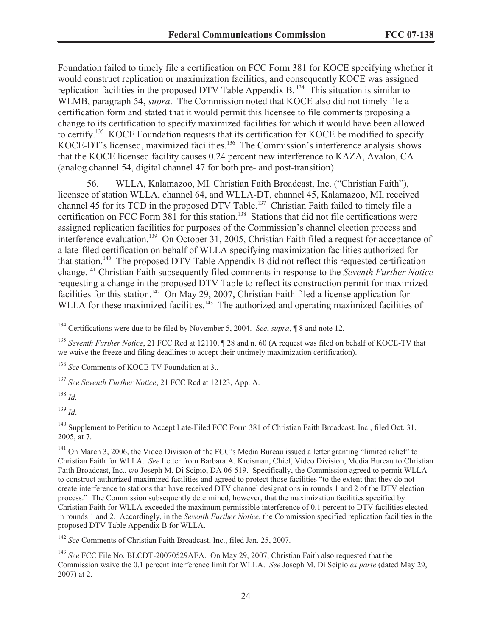Foundation failed to timely file a certification on FCC Form 381 for KOCE specifying whether it would construct replication or maximization facilities, and consequently KOCE was assigned replication facilities in the proposed DTV Table Appendix B. <sup>134</sup> This situation is similar to WLMB, paragraph 54, *supra*. The Commission noted that KOCE also did not timely file a certification form and stated that it would permit this licensee to file comments proposing a change to its certification to specify maximized facilities for which it would have been allowed to certify.<sup>135</sup> KOCE Foundation requests that its certification for KOCE be modified to specify KOCE-DT's licensed, maximized facilities.<sup>136</sup> The Commission's interference analysis shows that the KOCE licensed facility causes 0.24 percent new interference to KAZA, Avalon, CA (analog channel 54, digital channel 47 for both pre- and post-transition).

56. WLLA, Kalamazoo, MI. Christian Faith Broadcast, Inc. ("Christian Faith"), licensee of station WLLA, channel 64, and WLLA-DT, channel 45, Kalamazoo, MI, received channel 45 for its TCD in the proposed DTV Table.<sup>137</sup> Christian Faith failed to timely file a certification on FCC Form 381 for this station.<sup>138</sup> Stations that did not file certifications were assigned replication facilities for purposes of the Commission's channel election process and interference evaluation.<sup>139</sup> On October 31, 2005, Christian Faith filed a request for acceptance of a late-filed certification on behalf of WLLA specifying maximization facilities authorized for that station.<sup>140</sup> The proposed DTV Table Appendix B did not reflect this requested certification change.<sup>141</sup> Christian Faith subsequently filed comments in response to the *Seventh Further Notice* requesting a change in the proposed DTV Table to reflect its construction permit for maximized facilities for this station.<sup>142</sup> On May 29, 2007, Christian Faith filed a license application for WLLA for these maximized facilities.<sup>143</sup> The authorized and operating maximized facilities of

<sup>137</sup> *See Seventh Further Notice*, 21 FCC Rcd at 12123, App. A.

<sup>138</sup> *Id.*

<sup>139</sup> *Id*.

<sup>140</sup> Supplement to Petition to Accept Late-Filed FCC Form 381 of Christian Faith Broadcast, Inc., filed Oct. 31, 2005, at 7.

<sup>141</sup> On March 3, 2006, the Video Division of the FCC's Media Bureau issued a letter granting "limited relief" to Christian Faith for WLLA. *See* Letter from Barbara A. Kreisman, Chief, Video Division, Media Bureau to Christian Faith Broadcast, Inc., c/o Joseph M. Di Scipio, DA 06-519. Specifically, the Commission agreed to permit WLLA to construct authorized maximized facilities and agreed to protect those facilities "to the extent that they do not create interference to stations that have received DTV channel designations in rounds 1 and 2 of the DTV election process." The Commission subsequently determined, however, that the maximization facilities specified by Christian Faith for WLLA exceeded the maximum permissible interference of 0.1 percent to DTV facilities elected in rounds 1 and 2. Accordingly, in the *Seventh Further Notice*, the Commission specified replication facilities in the proposed DTV Table Appendix B for WLLA.

<sup>142</sup> *See* Comments of Christian Faith Broadcast, Inc., filed Jan. 25, 2007.

<sup>143</sup> *See* FCC File No. BLCDT-20070529AEA. On May 29, 2007, Christian Faith also requested that the Commission waive the 0.1 percent interference limit for WLLA. *See* Joseph M. Di Scipio *ex parte* (dated May 29, 2007) at 2.

<sup>134</sup> Certifications were due to be filed by November 5, 2004. *See*, *supra*, ¶ 8 and note 12.

<sup>135</sup> *Seventh Further Notice*, 21 FCC Rcd at 12110, ¶ 28 and n. 60 (A request was filed on behalf of KOCE-TV that we waive the freeze and filing deadlines to accept their untimely maximization certification).

<sup>&</sup>lt;sup>136</sup> See Comments of KOCE-TV Foundation at 3...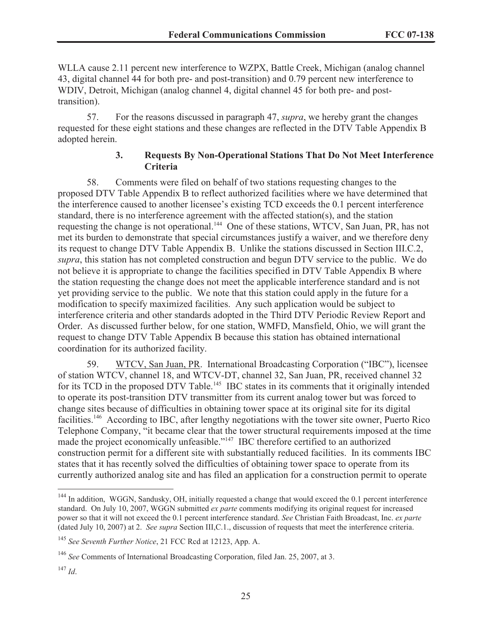WLLA cause 2.11 percent new interference to WZPX, Battle Creek, Michigan (analog channel 43, digital channel 44 for both pre- and post-transition) and 0.79 percent new interference to WDIV, Detroit, Michigan (analog channel 4, digital channel 45 for both pre- and posttransition).

57. For the reasons discussed in paragraph 47, *supra*, we hereby grant the changes requested for these eight stations and these changes are reflected in the DTV Table Appendix B adopted herein.

### **3. Requests By Non-Operational Stations That Do Not Meet Interference Criteria**

58. Comments were filed on behalf of two stations requesting changes to the proposed DTV Table Appendix B to reflect authorized facilities where we have determined that the interference caused to another licensee's existing TCD exceeds the 0.1 percent interference standard, there is no interference agreement with the affected station(s), and the station requesting the change is not operational.<sup>144</sup> One of these stations, WTCV, San Juan, PR, has not met its burden to demonstrate that special circumstances justify a waiver, and we therefore deny its request to change DTV Table Appendix B. Unlike the stations discussed in Section III.C.2, *supra*, this station has not completed construction and begun DTV service to the public. We do not believe it is appropriate to change the facilities specified in DTV Table Appendix B where the station requesting the change does not meet the applicable interference standard and is not yet providing service to the public. We note that this station could apply in the future for a modification to specify maximized facilities. Any such application would be subject to interference criteria and other standards adopted in the Third DTV Periodic Review Report and Order. As discussed further below, for one station, WMFD, Mansfield, Ohio, we will grant the request to change DTV Table Appendix B because this station has obtained international coordination for its authorized facility.

59. WTCV, San Juan, PR. International Broadcasting Corporation ("IBC"), licensee of station WTCV, channel 18, and WTCV-DT, channel 32, San Juan, PR, received channel 32 for its TCD in the proposed DTV Table.<sup>145</sup> IBC states in its comments that it originally intended to operate its post-transition DTV transmitter from its current analog tower but was forced to change sites because of difficulties in obtaining tower space at its original site for its digital facilities.<sup>146</sup> According to IBC, after lengthy negotiations with the tower site owner, Puerto Rico Telephone Company, "it became clear that the tower structural requirements imposed at the time made the project economically unfeasible."<sup>147</sup> IBC therefore certified to an authorized construction permit for a different site with substantially reduced facilities. In its comments IBC states that it has recently solved the difficulties of obtaining tower space to operate from its currently authorized analog site and has filed an application for a construction permit to operate

<sup>&</sup>lt;sup>144</sup> In addition, WGGN, Sandusky, OH, initially requested a change that would exceed the 0.1 percent interference standard. On July 10, 2007, WGGN submitted *ex parte* comments modifying its original request for increased power so that it will not exceed the 0.1 percent interference standard. *See* Christian Faith Broadcast, Inc. *ex parte* (dated July 10, 2007) at 2. *See supra* Section III,C.1., discussion of requests that meet the interference criteria.

<sup>145</sup> *See Seventh Further Notice*, 21 FCC Rcd at 12123, App. A.

<sup>146</sup> *See* Comments of International Broadcasting Corporation, filed Jan. 25, 2007, at 3.

<sup>147</sup> *Id*.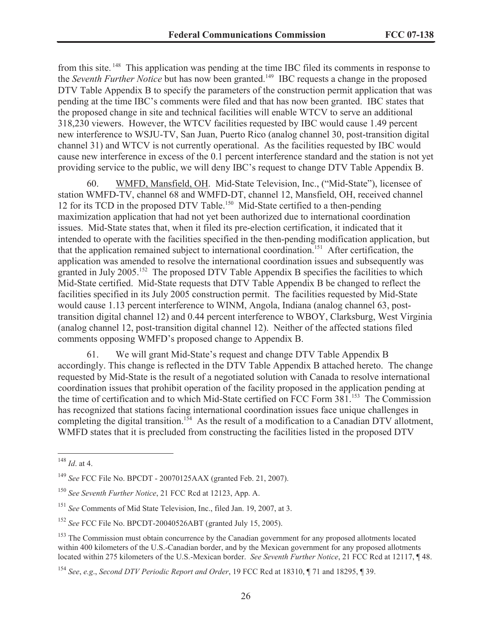from this site. <sup>148</sup> This application was pending at the time IBC filed its comments in response to the *Seventh Further Notice* but has now been granted.<sup>149</sup> IBC requests a change in the proposed DTV Table Appendix B to specify the parameters of the construction permit application that was pending at the time IBC's comments were filed and that has now been granted. IBC states that the proposed change in site and technical facilities will enable WTCV to serve an additional 318,230 viewers. However, the WTCV facilities requested by IBC would cause 1.49 percent new interference to WSJU-TV, San Juan, Puerto Rico (analog channel 30, post-transition digital channel 31) and WTCV is not currently operational. As the facilities requested by IBC would cause new interference in excess of the 0.1 percent interference standard and the station is not yet providing service to the public, we will deny IBC's request to change DTV Table Appendix B.

60. WMFD, Mansfield, OH. Mid-State Television, Inc., ("Mid-State"), licensee of station WMFD-TV, channel 68 and WMFD-DT, channel 12, Mansfield, OH, received channel 12 for its TCD in the proposed DTV Table.<sup>150</sup> Mid-State certified to a then-pending maximization application that had not yet been authorized due to international coordination issues. Mid-State states that, when it filed its pre-election certification, it indicated that it intended to operate with the facilities specified in the then-pending modification application, but that the application remained subject to international coordination.<sup>151</sup> After certification, the application was amended to resolve the international coordination issues and subsequently was granted in July 2005.<sup>152</sup> The proposed DTV Table Appendix B specifies the facilities to which Mid-State certified. Mid-State requests that DTV Table Appendix B be changed to reflect the facilities specified in its July 2005 construction permit. The facilities requested by Mid-State would cause 1.13 percent interference to WINM, Angola, Indiana (analog channel 63, posttransition digital channel 12) and 0.44 percent interference to WBOY, Clarksburg, West Virginia (analog channel 12, post-transition digital channel 12). Neither of the affected stations filed comments opposing WMFD's proposed change to Appendix B.

61. We will grant Mid-State's request and change DTV Table Appendix B accordingly. This change is reflected in the DTV Table Appendix B attached hereto. The change requested by Mid-State is the result of a negotiated solution with Canada to resolve international coordination issues that prohibit operation of the facility proposed in the application pending at the time of certification and to which Mid-State certified on FCC Form 381.<sup>153</sup> The Commission has recognized that stations facing international coordination issues face unique challenges in completing the digital transition.<sup>154</sup> As the result of a modification to a Canadian DTV allotment, WMFD states that it is precluded from constructing the facilities listed in the proposed DTV

<sup>148</sup> *Id*. at 4.

<sup>149</sup> *See* FCC File No. BPCDT - 20070125AAX (granted Feb. 21, 2007).

<sup>150</sup> *See Seventh Further Notice*, 21 FCC Rcd at 12123, App. A.

<sup>151</sup> *See* Comments of Mid State Television, Inc., filed Jan. 19, 2007, at 3.

<sup>152</sup> *See* FCC File No. BPCDT-20040526ABT (granted July 15, 2005).

<sup>&</sup>lt;sup>153</sup> The Commission must obtain concurrence by the Canadian government for any proposed allotments located within 400 kilometers of the U.S.-Canadian border, and by the Mexican government for any proposed allotments located within 275 kilometers of the U.S.-Mexican border. *See Seventh Further Notice*, 21 FCC Rcd at 12117, ¶ 48.

<sup>154</sup> *See*, *e.g*., *Second DTV Periodic Report and Order*, 19 FCC Rcd at 18310, ¶ 71 and 18295, ¶ 39.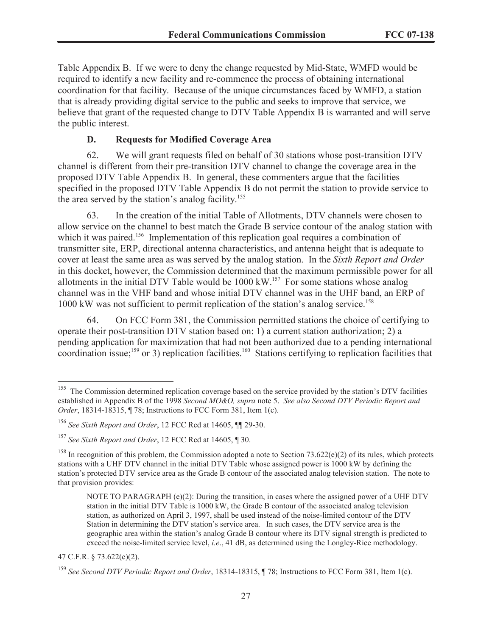Table Appendix B. If we were to deny the change requested by Mid-State, WMFD would be required to identify a new facility and re-commence the process of obtaining international coordination for that facility. Because of the unique circumstances faced by WMFD, a station that is already providing digital service to the public and seeks to improve that service, we believe that grant of the requested change to DTV Table Appendix B is warranted and will serve the public interest.

# **D. Requests for Modified Coverage Area**

62. We will grant requests filed on behalf of 30 stations whose post-transition DTV channel is different from their pre-transition DTV channel to change the coverage area in the proposed DTV Table Appendix B. In general, these commenters argue that the facilities specified in the proposed DTV Table Appendix B do not permit the station to provide service to the area served by the station's analog facility. 155

63. In the creation of the initial Table of Allotments, DTV channels were chosen to allow service on the channel to best match the Grade B service contour of the analog station with which it was paired.<sup>156</sup> Implementation of this replication goal requires a combination of transmitter site, ERP, directional antenna characteristics, and antenna height that is adequate to cover at least the same area as was served by the analog station. In the *Sixth Report and Order* in this docket, however, the Commission determined that the maximum permissible power for all allotments in the initial DTV Table would be  $1000 \, \text{kW}$ .<sup>157</sup> For some stations whose analog channel was in the VHF band and whose initial DTV channel was in the UHF band, an ERP of 1000 kW was not sufficient to permit replication of the station's analog service.<sup>158</sup>

64. On FCC Form 381, the Commission permitted stations the choice of certifying to operate their post-transition DTV station based on: 1) a current station authorization; 2) a pending application for maximization that had not been authorized due to a pending international coordination issue;<sup>159</sup> or 3) replication facilities.<sup>160</sup> Stations certifying to replication facilities that

47 C.F.R. § 73.622(e)(2).

<sup>&</sup>lt;sup>155</sup> The Commission determined replication coverage based on the service provided by the station's DTV facilities established in Appendix B of the 1998 *Second MO&O, supra* note 5. *See also Second DTV Periodic Report and Order*, 18314-18315, ¶ 78; Instructions to FCC Form 381, Item 1(c).

<sup>156</sup> *See Sixth Report and Order*, 12 FCC Rcd at 14605, ¶¶ 29-30.

<sup>157</sup> *See Sixth Report and Order*, 12 FCC Rcd at 14605, ¶ 30.

<sup>&</sup>lt;sup>158</sup> In recognition of this problem, the Commission adopted a note to Section 73.622(e)(2) of its rules, which protects stations with a UHF DTV channel in the initial DTV Table whose assigned power is 1000 kW by defining the station's protected DTV service area as the Grade B contour of the associated analog television station. The note to that provision provides:

NOTE TO PARAGRAPH (e)(2): During the transition, in cases where the assigned power of a UHF DTV station in the initial DTV Table is 1000 kW, the Grade B contour of the associated analog television station, as authorized on April 3, 1997, shall be used instead of the noise-limited contour of the DTV Station in determining the DTV station's service area. In such cases, the DTV service area is the geographic area within the station's analog Grade B contour where its DTV signal strength is predicted to exceed the noise-limited service level, *i.e*., 41 dB, as determined using the Longley-Rice methodology.

<sup>159</sup> *See Second DTV Periodic Report and Order*, 18314-18315, ¶ 78; Instructions to FCC Form 381, Item 1(c).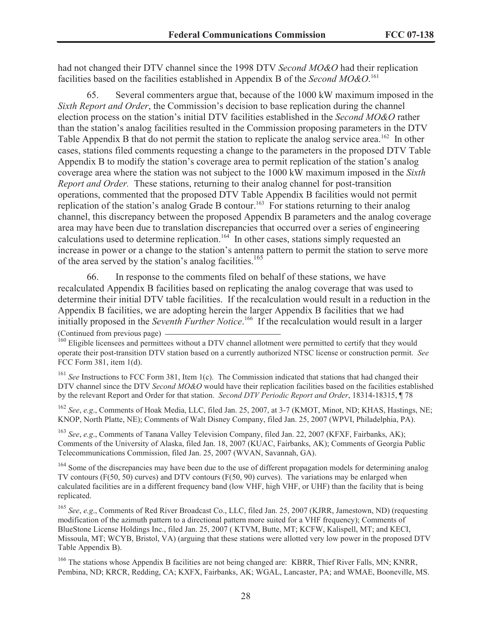had not changed their DTV channel since the 1998 DTV *Second MO&O* had their replication facilities based on the facilities established in Appendix B of the *Second MO&O*. 161

65. Several commenters argue that, because of the 1000 kW maximum imposed in the *Sixth Report and Order*, the Commission's decision to base replication during the channel election process on the station's initial DTV facilities established in the *Second MO&O* rather than the station's analog facilities resulted in the Commission proposing parameters in the DTV Table Appendix B that do not permit the station to replicate the analog service area.<sup>162</sup> In other cases, stations filed comments requesting a change to the parameters in the proposed DTV Table Appendix B to modify the station's coverage area to permit replication of the station's analog coverage area where the station was not subject to the 1000 kW maximum imposed in the *Sixth Report and Order.* These stations, returning to their analog channel for post-transition operations, commented that the proposed DTV Table Appendix B facilities would not permit replication of the station's analog Grade B contour.<sup>163</sup> For stations returning to their analog channel, this discrepancy between the proposed Appendix B parameters and the analog coverage area may have been due to translation discrepancies that occurred over a series of engineering calculations used to determine replication.<sup>164</sup> In other cases, stations simply requested an increase in power or a change to the station's antenna pattern to permit the station to serve more of the area served by the station's analog facilities.<sup>165</sup>

66. In response to the comments filed on behalf of these stations, we have recalculated Appendix B facilities based on replicating the analog coverage that was used to determine their initial DTV table facilities. If the recalculation would result in a reduction in the Appendix B facilities, we are adopting herein the larger Appendix B facilities that we had initially proposed in the *Seventh Further Notice*. <sup>166</sup> If the recalculation would result in a larger

(Continued from previous page)

<sup>161</sup> *See* Instructions to FCC Form 381, Item 1(c). The Commission indicated that stations that had changed their DTV channel since the DTV *Second MO&O* would have their replication facilities based on the facilities established by the relevant Report and Order for that station. *Second DTV Periodic Report and Order*, 18314-18315, ¶ 78

<sup>162</sup> *See*, *e.g*., Comments of Hoak Media, LLC, filed Jan. 25, 2007, at 3-7 (KMOT, Minot, ND; KHAS, Hastings, NE; KNOP, North Platte, NE); Comments of Walt Disney Company, filed Jan. 25, 2007 (WPVI, Philadelphia, PA).

<sup>163</sup> *See*, *e.g*., Comments of Tanana Valley Television Company, filed Jan. 22, 2007 (KFXF, Fairbanks, AK); Comments of the University of Alaska, filed Jan. 18, 2007 (KUAC, Fairbanks, AK); Comments of Georgia Public Telecommunications Commission, filed Jan. 25, 2007 (WVAN, Savannah, GA).

<sup>164</sup> Some of the discrepancies may have been due to the use of different propagation models for determining analog TV contours (F(50, 50) curves) and DTV contours (F(50, 90) curves). The variations may be enlarged when calculated facilities are in a different frequency band (low VHF, high VHF, or UHF) than the facility that is being replicated.

<sup>165</sup> *See*, *e.g*., Comments of Red River Broadcast Co., LLC, filed Jan. 25, 2007 (KJRR, Jamestown, ND) (requesting modification of the azimuth pattern to a directional pattern more suited for a VHF frequency); Comments of BlueStone License Holdings Inc., filed Jan. 25, 2007 ( KTVM, Butte, MT; KCFW, Kalispell, MT; and KECI, Missoula, MT; WCYB, Bristol, VA) (arguing that these stations were allotted very low power in the proposed DTV Table Appendix B).

<sup>166</sup> The stations whose Appendix B facilities are not being changed are: KBRR, Thief River Falls, MN; KNRR, Pembina, ND; KRCR, Redding, CA; KXFX, Fairbanks, AK; WGAL, Lancaster, PA; and WMAE, Booneville, MS.

<sup>&</sup>lt;sup>160</sup> Eligible licensees and permittees without a DTV channel allotment were permitted to certify that they would operate their post-transition DTV station based on a currently authorized NTSC license or construction permit. *See* FCC Form 381, item 1(d).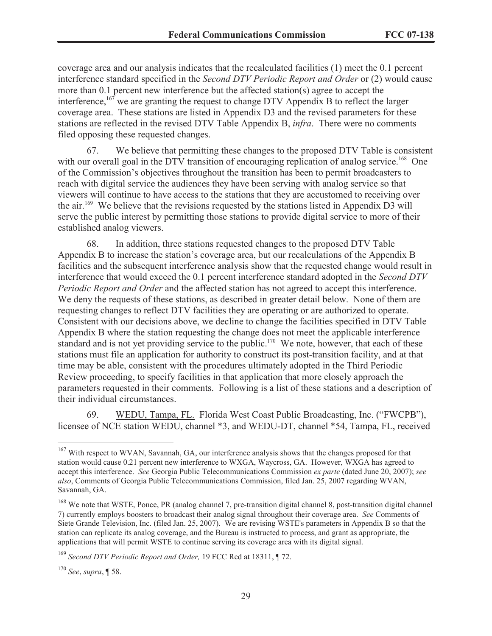coverage area and our analysis indicates that the recalculated facilities (1) meet the 0.1 percent interference standard specified in the *Second DTV Periodic Report and Order* or (2) would cause more than 0.1 percent new interference but the affected station(s) agree to accept the interference,  $167$  we are granting the request to change DTV Appendix B to reflect the larger coverage area. These stations are listed in Appendix D3 and the revised parameters for these stations are reflected in the revised DTV Table Appendix B, *infra*. There were no comments filed opposing these requested changes.

67. We believe that permitting these changes to the proposed DTV Table is consistent with our overall goal in the DTV transition of encouraging replication of analog service.<sup>168</sup> One of the Commission's objectives throughout the transition has been to permit broadcasters to reach with digital service the audiences they have been serving with analog service so that viewers will continue to have access to the stations that they are accustomed to receiving over the air.<sup>169</sup> We believe that the revisions requested by the stations listed in Appendix D3 will serve the public interest by permitting those stations to provide digital service to more of their established analog viewers.

68. In addition, three stations requested changes to the proposed DTV Table Appendix B to increase the station's coverage area, but our recalculations of the Appendix B facilities and the subsequent interference analysis show that the requested change would result in interference that would exceed the 0.1 percent interference standard adopted in the *Second DTV Periodic Report and Order* and the affected station has not agreed to accept this interference. We deny the requests of these stations, as described in greater detail below. None of them are requesting changes to reflect DTV facilities they are operating or are authorized to operate. Consistent with our decisions above, we decline to change the facilities specified in DTV Table Appendix B where the station requesting the change does not meet the applicable interference standard and is not yet providing service to the public.<sup>170</sup> We note, however, that each of these stations must file an application for authority to construct its post-transition facility, and at that time may be able, consistent with the procedures ultimately adopted in the Third Periodic Review proceeding, to specify facilities in that application that more closely approach the parameters requested in their comments. Following is a list of these stations and a description of their individual circumstances.

69. WEDU, Tampa, FL. Florida West Coast Public Broadcasting, Inc. ("FWCPB"), licensee of NCE station WEDU, channel \*3, and WEDU-DT, channel \*54, Tampa, FL, received

<sup>&</sup>lt;sup>167</sup> With respect to WVAN, Savannah, GA, our interference analysis shows that the changes proposed for that station would cause 0.21 percent new interference to WXGA, Waycross, GA. However, WXGA has agreed to accept this interference. *See* Georgia Public Telecommunications Commission *ex parte* (dated June 20, 2007); *see also*, Comments of Georgia Public Telecommunications Commission, filed Jan. 25, 2007 regarding WVAN, Savannah, GA.

<sup>&</sup>lt;sup>168</sup> We note that WSTE, Ponce, PR (analog channel 7, pre-transition digital channel 8, post-transition digital channel 7) currently employs boosters to broadcast their analog signal throughout their coverage area. *See* Comments of Siete Grande Television, Inc. (filed Jan. 25, 2007). We are revising WSTE's parameters in Appendix B so that the station can replicate its analog coverage, and the Bureau is instructed to process, and grant as appropriate, the applications that will permit WSTE to continue serving its coverage area with its digital signal.

<sup>169</sup> *Second DTV Periodic Report and Order,* 19 FCC Rcd at 18311, ¶ 72.

<sup>170</sup> *See*, *supra*, ¶ 58.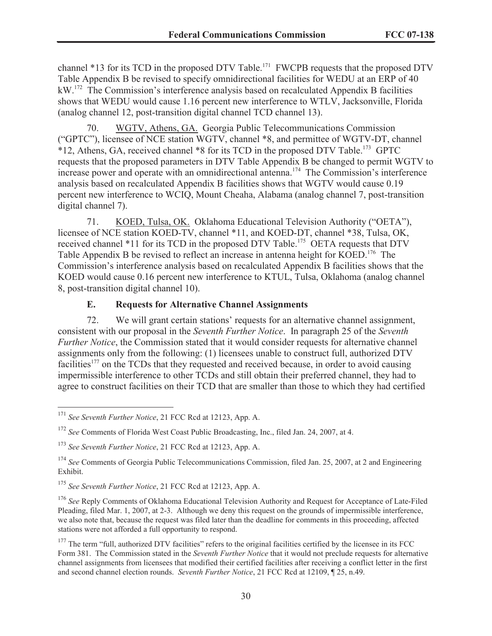channel \*13 for its TCD in the proposed DTV Table.<sup>171</sup> FWCPB requests that the proposed DTV Table Appendix B be revised to specify omnidirectional facilities for WEDU at an ERP of 40 kW.<sup>172</sup> The Commission's interference analysis based on recalculated Appendix B facilities shows that WEDU would cause 1.16 percent new interference to WTLV, Jacksonville, Florida (analog channel 12, post-transition digital channel TCD channel 13).

70. WGTV, Athens, GA. Georgia Public Telecommunications Commission ("GPTC"), licensee of NCE station WGTV, channel \*8, and permittee of WGTV-DT, channel \*12, Athens, GA, received channel \*8 for its TCD in the proposed DTV Table.<sup>173</sup> GPTC requests that the proposed parameters in DTV Table Appendix B be changed to permit WGTV to increase power and operate with an omnidirectional antenna.<sup>174</sup> The Commission's interference analysis based on recalculated Appendix B facilities shows that WGTV would cause 0.19 percent new interference to WCIQ, Mount Cheaha, Alabama (analog channel 7, post-transition digital channel 7).

71. KOED, Tulsa, OK. Oklahoma Educational Television Authority ("OETA"), licensee of NCE station KOED-TV, channel \*11, and KOED-DT, channel \*38, Tulsa, OK, received channel \*11 for its TCD in the proposed DTV Table.<sup>175</sup> OETA requests that DTV Table Appendix B be revised to reflect an increase in antenna height for KOED.<sup>176</sup> The Commission's interference analysis based on recalculated Appendix B facilities shows that the KOED would cause 0.16 percent new interference to KTUL, Tulsa, Oklahoma (analog channel 8, post-transition digital channel 10).

#### **E. Requests for Alternative Channel Assignments**

72. We will grant certain stations' requests for an alternative channel assignment, consistent with our proposal in the *Seventh Further Notice*. In paragraph 25 of the *Seventh Further Notice*, the Commission stated that it would consider requests for alternative channel assignments only from the following: (1) licensees unable to construct full, authorized DTV facilities<sup>177</sup> on the TCDs that they requested and received because, in order to avoid causing impermissible interference to other TCDs and still obtain their preferred channel, they had to agree to construct facilities on their TCD that are smaller than those to which they had certified

<sup>171</sup> *See Seventh Further Notice*, 21 FCC Rcd at 12123, App. A.

<sup>172</sup> *See* Comments of Florida West Coast Public Broadcasting, Inc., filed Jan. 24, 2007, at 4.

<sup>173</sup> *See Seventh Further Notice*, 21 FCC Rcd at 12123, App. A.

<sup>&</sup>lt;sup>174</sup> See Comments of Georgia Public Telecommunications Commission, filed Jan. 25, 2007, at 2 and Engineering Exhibit.

<sup>175</sup> *See Seventh Further Notice*, 21 FCC Rcd at 12123, App. A.

<sup>&</sup>lt;sup>176</sup> See Reply Comments of Oklahoma Educational Television Authority and Request for Acceptance of Late-Filed Pleading, filed Mar. 1, 2007, at 2-3. Although we deny this request on the grounds of impermissible interference, we also note that, because the request was filed later than the deadline for comments in this proceeding, affected stations were not afforded a full opportunity to respond.

<sup>&</sup>lt;sup>177</sup> The term "full, authorized DTV facilities" refers to the original facilities certified by the licensee in its FCC Form 381. The Commission stated in the *Seventh Further Notice* that it would not preclude requests for alternative channel assignments from licensees that modified their certified facilities after receiving a conflict letter in the first and second channel election rounds. *Seventh Further Notice*, 21 FCC Rcd at 12109, ¶ 25, n.49.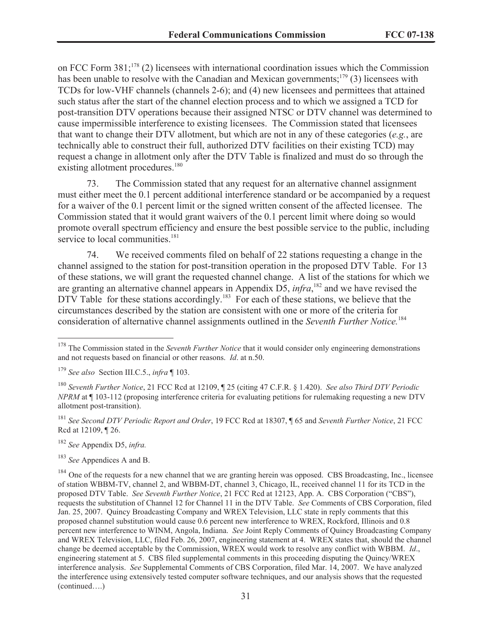on FCC Form 381;<sup>178</sup> (2) licensees with international coordination issues which the Commission has been unable to resolve with the Canadian and Mexican governments;<sup>179</sup> (3) licensees with TCDs for low-VHF channels (channels 2-6); and (4) new licensees and permittees that attained such status after the start of the channel election process and to which we assigned a TCD for post-transition DTV operations because their assigned NTSC or DTV channel was determined to cause impermissible interference to existing licensees. The Commission stated that licensees that want to change their DTV allotment, but which are not in any of these categories (*e.g.*, are technically able to construct their full, authorized DTV facilities on their existing TCD) may request a change in allotment only after the DTV Table is finalized and must do so through the existing allotment procedures.<sup>180</sup>

73. The Commission stated that any request for an alternative channel assignment must either meet the 0.1 percent additional interference standard or be accompanied by a request for a waiver of the 0.1 percent limit or the signed written consent of the affected licensee. The Commission stated that it would grant waivers of the 0.1 percent limit where doing so would promote overall spectrum efficiency and ensure the best possible service to the public, including service to local communities.<sup>181</sup>

74. We received comments filed on behalf of 22 stations requesting a change in the channel assigned to the station for post-transition operation in the proposed DTV Table. For 13 of these stations, we will grant the requested channel change. A list of the stations for which we are granting an alternative channel appears in Appendix D5, *infra*,<sup>182</sup> and we have revised the DTV Table for these stations accordingly.<sup>183</sup> For each of these stations, we believe that the circumstances described by the station are consistent with one or more of the criteria for consideration of alternative channel assignments outlined in the *Seventh Further Notice.*<sup>184</sup>

<sup>181</sup> *See Second DTV Periodic Report and Order*, 19 FCC Rcd at 18307, ¶ 65 and *Seventh Further Notice*, 21 FCC Rcd at 12109, ¶ 26.

<sup>182</sup> *See* Appendix D5, *infra.*

<sup>183</sup> *See* Appendices A and B.

<sup>184</sup> One of the requests for a new channel that we are granting herein was opposed. CBS Broadcasting, Inc., licensee of station WBBM-TV, channel 2, and WBBM-DT, channel 3, Chicago, IL, received channel 11 for its TCD in the proposed DTV Table. *See Seventh Further Notice*, 21 FCC Rcd at 12123, App. A. CBS Corporation ("CBS"), requests the substitution of Channel 12 for Channel 11 in the DTV Table. *See* Comments of CBS Corporation, filed Jan. 25, 2007. Quincy Broadcasting Company and WREX Television, LLC state in reply comments that this proposed channel substitution would cause 0.6 percent new interference to WREX, Rockford, Illinois and 0.8 percent new interference to WINM, Angola, Indiana. *See* Joint Reply Comments of Quincy Broadcasting Company and WREX Television, LLC, filed Feb. 26, 2007, engineering statement at 4. WREX states that, should the channel change be deemed acceptable by the Commission, WREX would work to resolve any conflict with WBBM. *Id*., engineering statement at 5. CBS filed supplemental comments in this proceeding disputing the Quincy/WREX interference analysis. *See* Supplemental Comments of CBS Corporation, filed Mar. 14, 2007. We have analyzed the interference using extensively tested computer software techniques, and our analysis shows that the requested (continued….)

<sup>&</sup>lt;sup>178</sup> The Commission stated in the *Seventh Further Notice* that it would consider only engineering demonstrations and not requests based on financial or other reasons. *Id*. at n.50.

<sup>179</sup> *See also* Section III.C.5., *infra* ¶ 103.

<sup>180</sup> *Seventh Further Notice*, 21 FCC Rcd at 12109, ¶ 25 (citing 47 C.F.R. § 1.420). *See also Third DTV Periodic NPRM* at ¶ 103-112 (proposing interference criteria for evaluating petitions for rulemaking requesting a new DTV allotment post-transition).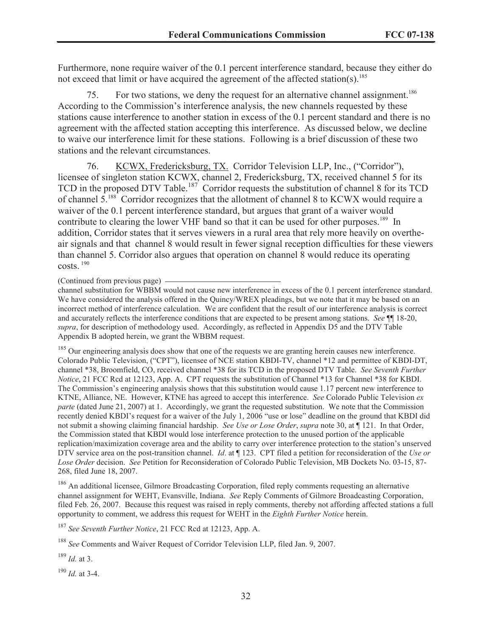Furthermore, none require waiver of the 0.1 percent interference standard, because they either do not exceed that limit or have acquired the agreement of the affected station(s).<sup>185</sup>

75. For two stations, we deny the request for an alternative channel assignment.<sup>186</sup> According to the Commission's interference analysis, the new channels requested by these stations cause interference to another station in excess of the 0.1 percent standard and there is no agreement with the affected station accepting this interference. As discussed below, we decline to waive our interference limit for these stations. Following is a brief discussion of these two stations and the relevant circumstances.

76. KCWX, Fredericksburg, TX. Corridor Television LLP, Inc., ("Corridor"), licensee of singleton station KCWX, channel 2, Fredericksburg, TX, received channel 5 for its TCD in the proposed DTV Table.<sup>187</sup> Corridor requests the substitution of channel 8 for its TCD of channel 5.<sup>188</sup> Corridor recognizes that the allotment of channel 8 to KCWX would require a waiver of the 0.1 percent interference standard, but argues that grant of a waiver would contribute to clearing the lower VHF band so that it can be used for other purposes.<sup>189</sup> In addition, Corridor states that it serves viewers in a rural area that rely more heavily on overtheair signals and that channel 8 would result in fewer signal reception difficulties for these viewers than channel 5. Corridor also argues that operation on channel 8 would reduce its operating costs. <sup>190</sup>

#### (Continued from previous page)

channel substitution for WBBM would not cause new interference in excess of the 0.1 percent interference standard. We have considered the analysis offered in the Quincy/WREX pleadings, but we note that it may be based on an incorrect method of interference calculation. We are confident that the result of our interference analysis is correct and accurately reflects the interference conditions that are expected to be present among stations. *See* ¶¶ 18-20, *supra*, for description of methodology used. Accordingly, as reflected in Appendix D5 and the DTV Table Appendix B adopted herein, we grant the WBBM request.

<sup>185</sup> Our engineering analysis does show that one of the requests we are granting herein causes new interference. Colorado Public Television, ("CPT"), licensee of NCE station KBDI-TV, channel \*12 and permittee of KBDI-DT, channel \*38, Broomfield, CO, received channel \*38 for its TCD in the proposed DTV Table. *See Seventh Further Notice*, 21 FCC Rcd at 12123, App. A. CPT requests the substitution of Channel \*13 for Channel \*38 for KBDI. The Commission's engineering analysis shows that this substitution would cause 1.17 percent new interference to KTNE, Alliance, NE. However, KTNE has agreed to accept this interference. *See* Colorado Public Television *ex parte* (dated June 21, 2007) at 1. Accordingly, we grant the requested substitution. We note that the Commission recently denied KBDI's request for a waiver of the July 1, 2006 "use or lose" deadline on the ground that KBDI did not submit a showing claiming financial hardship. *See Use or Lose Order*, *supra* note 30, at ¶ 121. In that Order, the Commission stated that KBDI would lose interference protection to the unused portion of the applicable replication/maximization coverage area and the ability to carry over interference protection to the station's unserved DTV service area on the post-transition channel. *Id*. at ¶ 123. CPT filed a petition for reconsideration of the *Use or Lose Order* decision. *See* Petition for Reconsideration of Colorado Public Television, MB Dockets No. 03-15, 87- 268, filed June 18, 2007.

<sup>186</sup> An additional licensee, Gilmore Broadcasting Corporation, filed reply comments requesting an alternative channel assignment for WEHT, Evansville, Indiana. *See* Reply Comments of Gilmore Broadcasting Corporation, filed Feb. 26, 2007. Because this request was raised in reply comments, thereby not affording affected stations a full opportunity to comment, we address this request for WEHT in the *Eighth Further Notice* herein.

<sup>187</sup> *See Seventh Further Notice*, 21 FCC Rcd at 12123, App. A.

<sup>188</sup> *See* Comments and Waiver Request of Corridor Television LLP, filed Jan. 9, 2007.

<sup>189</sup> *Id.* at 3.

<sup>190</sup> *Id.* at 3-4.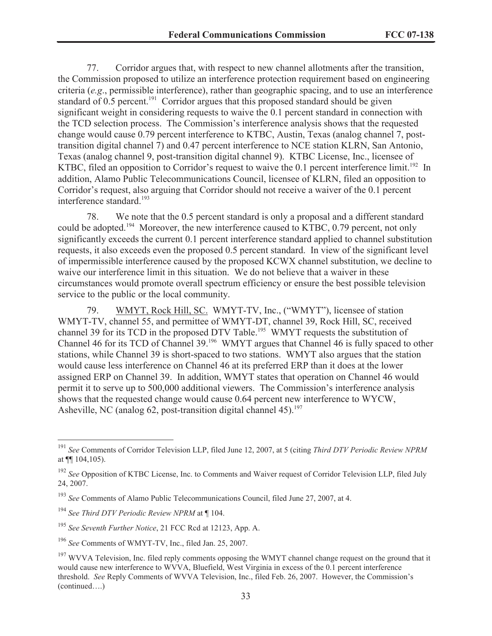77. Corridor argues that, with respect to new channel allotments after the transition, the Commission proposed to utilize an interference protection requirement based on engineering criteria (*e.g*., permissible interference), rather than geographic spacing, and to use an interference standard of 0.5 percent.<sup>191</sup> Corridor argues that this proposed standard should be given significant weight in considering requests to waive the 0.1 percent standard in connection with the TCD selection process. The Commission's interference analysis shows that the requested change would cause 0.79 percent interference to KTBC, Austin, Texas (analog channel 7, posttransition digital channel 7) and 0.47 percent interference to NCE station KLRN, San Antonio, Texas (analog channel 9, post-transition digital channel 9). KTBC License, Inc., licensee of KTBC, filed an opposition to Corridor's request to waive the 0.1 percent interference limit.<sup>192</sup> In addition, Alamo Public Telecommunications Council, licensee of KLRN, filed an opposition to Corridor's request, also arguing that Corridor should not receive a waiver of the 0.1 percent interference standard.<sup>193</sup>

78. We note that the 0.5 percent standard is only a proposal and a different standard could be adopted.<sup>194</sup> Moreover, the new interference caused to KTBC, 0.79 percent, not only significantly exceeds the current 0.1 percent interference standard applied to channel substitution requests, it also exceeds even the proposed 0.5 percent standard. In view of the significant level of impermissible interference caused by the proposed KCWX channel substitution, we decline to waive our interference limit in this situation. We do not believe that a waiver in these circumstances would promote overall spectrum efficiency or ensure the best possible television service to the public or the local community.

79. WMYT, Rock Hill, SC. WMYT-TV, Inc., ("WMYT"), licensee of station WMYT-TV, channel 55, and permittee of WMYT-DT, channel 39, Rock Hill, SC, received channel 39 for its TCD in the proposed DTV Table.<sup>195</sup> WMYT requests the substitution of Channel 46 for its TCD of Channel 39.<sup>196</sup> WMYT argues that Channel 46 is fully spaced to other stations, while Channel 39 is short-spaced to two stations. WMYT also argues that the station would cause less interference on Channel 46 at its preferred ERP than it does at the lower assigned ERP on Channel 39. In addition, WMYT states that operation on Channel 46 would permit it to serve up to 500,000 additional viewers. The Commission's interference analysis shows that the requested change would cause 0.64 percent new interference to WYCW, Asheville, NC (analog 62, post-transition digital channel 45).<sup>197</sup>

<sup>191</sup> *See* Comments of Corridor Television LLP, filed June 12, 2007, at 5 (citing *Third DTV Periodic Review NPRM* at ¶¶ 104,105).

<sup>&</sup>lt;sup>192</sup> See Opposition of KTBC License, Inc. to Comments and Waiver request of Corridor Television LLP, filed July 24, 2007.

<sup>193</sup> *See* Comments of Alamo Public Telecommunications Council, filed June 27, 2007, at 4.

<sup>194</sup> *See Third DTV Periodic Review NPRM* at ¶ 104.

<sup>195</sup> *See Seventh Further Notice*, 21 FCC Rcd at 12123, App. A.

<sup>196</sup> *See* Comments of WMYT-TV, Inc., filed Jan. 25, 2007.

<sup>&</sup>lt;sup>197</sup> WVVA Television, Inc. filed reply comments opposing the WMYT channel change request on the ground that it would cause new interference to WVVA, Bluefield, West Virginia in excess of the 0.1 percent interference threshold. *See* Reply Comments of WVVA Television, Inc., filed Feb. 26, 2007. However, the Commission's (continued….)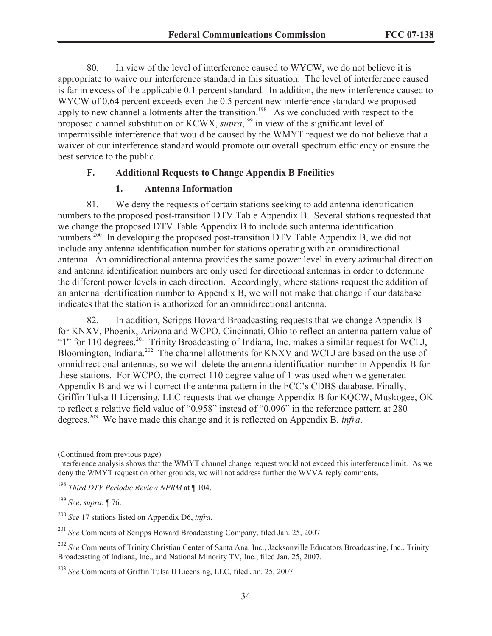80. In view of the level of interference caused to WYCW, we do not believe it is appropriate to waive our interference standard in this situation. The level of interference caused is far in excess of the applicable 0.1 percent standard. In addition, the new interference caused to WYCW of 0.64 percent exceeds even the 0.5 percent new interference standard we proposed apply to new channel allotments after the transition.<sup>198</sup> As we concluded with respect to the proposed channel substitution of KCWX, *supra*, <sup>199</sup> in view of the significant level of impermissible interference that would be caused by the WMYT request we do not believe that a waiver of our interference standard would promote our overall spectrum efficiency or ensure the best service to the public.

# **F. Additional Requests to Change Appendix B Facilities**

#### **1. Antenna Information**

81. We deny the requests of certain stations seeking to add antenna identification numbers to the proposed post-transition DTV Table Appendix B. Several stations requested that we change the proposed DTV Table Appendix B to include such antenna identification numbers.<sup>200</sup> In developing the proposed post-transition DTV Table Appendix B, we did not include any antenna identification number for stations operating with an omnidirectional antenna. An omnidirectional antenna provides the same power level in every azimuthal direction and antenna identification numbers are only used for directional antennas in order to determine the different power levels in each direction. Accordingly, where stations request the addition of an antenna identification number to Appendix B, we will not make that change if our database indicates that the station is authorized for an omnidirectional antenna.

82. In addition, Scripps Howard Broadcasting requests that we change Appendix B for KNXV, Phoenix, Arizona and WCPO, Cincinnati, Ohio to reflect an antenna pattern value of "1" for 110 degrees.<sup>201</sup> Trinity Broadcasting of Indiana, Inc. makes a similar request for WCLJ, Bloomington, Indiana.<sup>202</sup> The channel allotments for KNXV and WCLJ are based on the use of omnidirectional antennas, so we will delete the antenna identification number in Appendix B for these stations. For WCPO, the correct 110 degree value of 1 was used when we generated Appendix B and we will correct the antenna pattern in the FCC's CDBS database. Finally, Griffin Tulsa II Licensing, LLC requests that we change Appendix B for KQCW, Muskogee, OK to reflect a relative field value of "0.958" instead of "0.096" in the reference pattern at 280 degrees.<sup>203</sup> We have made this change and it is reflected on Appendix B, *infra*.

(Continued from previous page)

<sup>199</sup> *See*, *supra*, ¶ 76.

<sup>200</sup> *See* 17 stations listed on Appendix D6, *infra*.

<sup>201</sup> *See* Comments of Scripps Howard Broadcasting Company, filed Jan. 25, 2007.

interference analysis shows that the WMYT channel change request would not exceed this interference limit. As we deny the WMYT request on other grounds, we will not address further the WVVA reply comments.

<sup>198</sup> *Third DTV Periodic Review NPRM* at ¶ 104.

<sup>202</sup> *See* Comments of Trinity Christian Center of Santa Ana, Inc., Jacksonville Educators Broadcasting, Inc., Trinity Broadcasting of Indiana, Inc., and National Minority TV, Inc., filed Jan. 25, 2007.

<sup>203</sup> *See* Comments of Griffin Tulsa II Licensing, LLC, filed Jan. 25, 2007.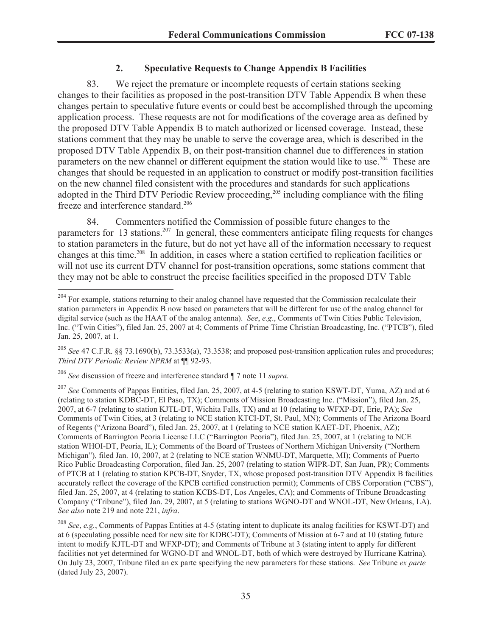# **2. Speculative Requests to Change Appendix B Facilities**

83. We reject the premature or incomplete requests of certain stations seeking changes to their facilities as proposed in the post-transition DTV Table Appendix B when these changes pertain to speculative future events or could best be accomplished through the upcoming application process. These requests are not for modifications of the coverage area as defined by the proposed DTV Table Appendix B to match authorized or licensed coverage. Instead, these stations comment that they may be unable to serve the coverage area, which is described in the proposed DTV Table Appendix B, on their post-transition channel due to differences in station parameters on the new channel or different equipment the station would like to use.<sup>204</sup> These are changes that should be requested in an application to construct or modify post-transition facilities on the new channel filed consistent with the procedures and standards for such applications adopted in the Third DTV Periodic Review proceeding,<sup>205</sup> including compliance with the filing freeze and interference standard.<sup>206</sup>

84. Commenters notified the Commission of possible future changes to the parameters for 13 stations.<sup>207</sup> In general, these commenters anticipate filing requests for changes to station parameters in the future, but do not yet have all of the information necessary to request changes at this time.<sup>208</sup> In addition, in cases where a station certified to replication facilities or will not use its current DTV channel for post-transition operations, some stations comment that they may not be able to construct the precise facilities specified in the proposed DTV Table

<sup>&</sup>lt;sup>204</sup> For example, stations returning to their analog channel have requested that the Commission recalculate their station parameters in Appendix B now based on parameters that will be different for use of the analog channel for digital service (such as the HAAT of the analog antenna). *See*, *e.g*., Comments of Twin Cities Public Television, Inc. ("Twin Cities"), filed Jan. 25, 2007 at 4; Comments of Prime Time Christian Broadcasting, Inc. ("PTCB"), filed Jan. 25, 2007, at 1.

<sup>205</sup> *See* 47 C.F.R. §§ 73.1690(b), 73.3533(a), 73.3538; and proposed post-transition application rules and procedures; *Third DTV Periodic Review NPRM* at ¶¶ 92-93.

<sup>206</sup> *See* discussion of freeze and interference standard *¶* 7 note 11 *supra.* 

<sup>207</sup> *See* Comments of Pappas Entities, filed Jan. 25, 2007, at 4-5 (relating to station KSWT-DT, Yuma, AZ) and at 6 (relating to station KDBC-DT, El Paso, TX); Comments of Mission Broadcasting Inc. ("Mission"), filed Jan. 25, 2007, at 6-7 (relating to station KJTL-DT, Wichita Falls, TX) and at 10 (relating to WFXP-DT, Erie, PA); *See* Comments of Twin Cities, at 3 (relating to NCE station KTCI-DT, St. Paul, MN); Comments of The Arizona Board of Regents ("Arizona Board"), filed Jan. 25, 2007, at 1 (relating to NCE station KAET-DT, Phoenix, AZ); Comments of Barrington Peoria License LLC ("Barrington Peoria"), filed Jan. 25, 2007, at 1 (relating to NCE station WHOI-DT, Peoria, IL); Comments of the Board of Trustees of Northern Michigan University ("Northern Michigan"), filed Jan. 10, 2007, at 2 (relating to NCE station WNMU-DT, Marquette, MI); Comments of Puerto Rico Public Broadcasting Corporation, filed Jan. 25, 2007 (relating to station WIPR-DT, San Juan, PR); Comments of PTCB at 1 (relating to station KPCB-DT, Snyder, TX, whose proposed post-transition DTV Appendix B facilities accurately reflect the coverage of the KPCB certified construction permit); Comments of CBS Corporation ("CBS"), filed Jan. 25, 2007, at 4 (relating to station KCBS-DT, Los Angeles, CA); and Comments of Tribune Broadcasting Company ("Tribune"), filed Jan. 29, 2007, at 5 (relating to stations WGNO-DT and WNOL-DT, New Orleans, LA). *See also* note 219 and note 221, *infra*.

<sup>208</sup> *See*, *e.g.*, Comments of Pappas Entities at 4-5 (stating intent to duplicate its analog facilities for KSWT-DT) and at 6 (speculating possible need for new site for KDBC-DT); Comments of Mission at 6-7 and at 10 (stating future intent to modify KJTL-DT and WFXP-DT); and Comments of Tribune at 3 (stating intent to apply for different facilities not yet determined for WGNO-DT and WNOL-DT, both of which were destroyed by Hurricane Katrina). On July 23, 2007, Tribune filed an ex parte specifying the new parameters for these stations. *See* Tribune *ex parte* (dated July 23, 2007).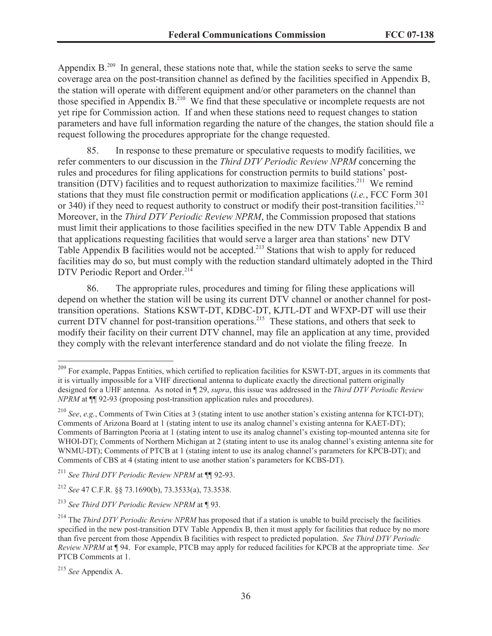Appendix  $B<sup>209</sup>$  In general, these stations note that, while the station seeks to serve the same coverage area on the post-transition channel as defined by the facilities specified in Appendix B, the station will operate with different equipment and/or other parameters on the channel than those specified in Appendix  $B<sup>210</sup>$  We find that these speculative or incomplete requests are not yet ripe for Commission action. If and when these stations need to request changes to station parameters and have full information regarding the nature of the changes, the station should file a request following the procedures appropriate for the change requested.

85. In response to these premature or speculative requests to modify facilities, we refer commenters to our discussion in the *Third DTV Periodic Review NPRM* concerning the rules and procedures for filing applications for construction permits to build stations' posttransition (DTV) facilities and to request authorization to maximize facilities.<sup>211</sup> We remind stations that they must file construction permit or modification applications (*i.e.*, FCC Form 301 or 340) if they need to request authority to construct or modify their post-transition facilities.<sup>212</sup> Moreover, in the *Third DTV Periodic Review NPRM*, the Commission proposed that stations must limit their applications to those facilities specified in the new DTV Table Appendix B and that applications requesting facilities that would serve a larger area than stations' new DTV Table Appendix B facilities would not be accepted.<sup>213</sup> Stations that wish to apply for reduced facilities may do so, but must comply with the reduction standard ultimately adopted in the Third DTV Periodic Report and Order.<sup>214</sup>

86. The appropriate rules, procedures and timing for filing these applications will depend on whether the station will be using its current DTV channel or another channel for posttransition operations. Stations KSWT-DT, KDBC-DT, KJTL-DT and WFXP-DT will use their current DTV channel for post-transition operations.<sup>215</sup> These stations, and others that seek to modify their facility on their current DTV channel, may file an application at any time, provided they comply with the relevant interference standard and do not violate the filing freeze. In

<sup>212</sup> *See* 47 C.F.R. §§ 73.1690(b), 73.3533(a), 73.3538.

<sup>&</sup>lt;sup>209</sup> For example, Pappas Entities, which certified to replication facilities for KSWT-DT, argues in its comments that it is virtually impossible for a VHF directional antenna to duplicate exactly the directional pattern originally designed for a UHF antenna. As noted in ¶ 29, *supra*, this issue was addressed in the *Third DTV Periodic Review NPRM* at  $\P$ [92-93 (proposing post-transition application rules and procedures).

<sup>210</sup> *See*, *e.g.*, Comments of Twin Cities at 3 (stating intent to use another station's existing antenna for KTCI-DT); Comments of Arizona Board at 1 (stating intent to use its analog channel's existing antenna for KAET-DT); Comments of Barrington Peoria at 1 (stating intent to use its analog channel's existing top-mounted antenna site for WHOI-DT); Comments of Northern Michigan at 2 (stating intent to use its analog channel's existing antenna site for WNMU-DT); Comments of PTCB at 1 (stating intent to use its analog channel's parameters for KPCB-DT); and Comments of CBS at 4 (stating intent to use another station's parameters for KCBS-DT).

<sup>211</sup> *See Third DTV Periodic Review NPRM* at ¶¶ 92-93.

<sup>213</sup> *See Third DTV Periodic Review NPRM* at ¶ 93.

<sup>&</sup>lt;sup>214</sup> The *Third DTV Periodic Review NPRM* has proposed that if a station is unable to build precisely the facilities specified in the new post-transition DTV Table Appendix B, then it must apply for facilities that reduce by no more than five percent from those Appendix B facilities with respect to predicted population. *See Third DTV Periodic Review NPRM* at ¶ 94. For example, PTCB may apply for reduced facilities for KPCB at the appropriate time. *See*  PTCB Comments at 1.

<sup>215</sup> *See* Appendix A.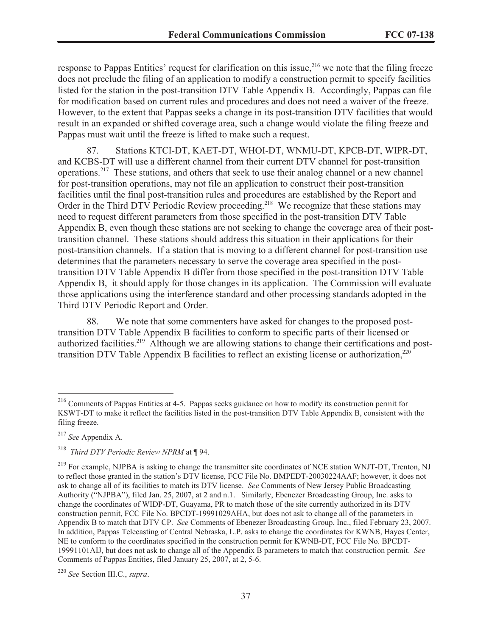response to Pappas Entities' request for clarification on this issue,<sup>216</sup> we note that the filing freeze does not preclude the filing of an application to modify a construction permit to specify facilities listed for the station in the post-transition DTV Table Appendix B. Accordingly, Pappas can file for modification based on current rules and procedures and does not need a waiver of the freeze. However, to the extent that Pappas seeks a change in its post-transition DTV facilities that would result in an expanded or shifted coverage area, such a change would violate the filing freeze and Pappas must wait until the freeze is lifted to make such a request.

87. Stations KTCI-DT, KAET-DT, WHOI-DT, WNMU-DT, KPCB-DT, WIPR-DT, and KCBS-DT will use a different channel from their current DTV channel for post-transition operations.<sup>217</sup> These stations, and others that seek to use their analog channel or a new channel for post-transition operations, may not file an application to construct their post-transition facilities until the final post-transition rules and procedures are established by the Report and Order in the Third DTV Periodic Review proceeding.<sup>218</sup> We recognize that these stations may need to request different parameters from those specified in the post-transition DTV Table Appendix B, even though these stations are not seeking to change the coverage area of their posttransition channel. These stations should address this situation in their applications for their post-transition channels. If a station that is moving to a different channel for post-transition use determines that the parameters necessary to serve the coverage area specified in the posttransition DTV Table Appendix B differ from those specified in the post-transition DTV Table Appendix B, it should apply for those changes in its application. The Commission will evaluate those applications using the interference standard and other processing standards adopted in the Third DTV Periodic Report and Order.

88. We note that some commenters have asked for changes to the proposed posttransition DTV Table Appendix B facilities to conform to specific parts of their licensed or authorized facilities.<sup>219</sup> Although we are allowing stations to change their certifications and posttransition DTV Table Appendix B facilities to reflect an existing license or authorization, $^{220}$ 

<sup>216</sup> Comments of Pappas Entities at 4-5. Pappas seeks guidance on how to modify its construction permit for KSWT-DT to make it reflect the facilities listed in the post-transition DTV Table Appendix B, consistent with the filing freeze.

<sup>217</sup> *See* Appendix A.

<sup>218</sup> *Third DTV Periodic Review NPRM* at ¶ 94.

<sup>&</sup>lt;sup>219</sup> For example, NJPBA is asking to change the transmitter site coordinates of NCE station WNJT-DT, Trenton, NJ to reflect those granted in the station's DTV license, FCC File No. BMPEDT-20030224AAF; however, it does not ask to change all of its facilities to match its DTV license. *See* Comments of New Jersey Public Broadcasting Authority ("NJPBA"), filed Jan. 25, 2007, at 2 and n.1. Similarly, Ebenezer Broadcasting Group, Inc. asks to change the coordinates of WIDP-DT, Guayama, PR to match those of the site currently authorized in its DTV construction permit, FCC File No. BPCDT-19991029AHA, but does not ask to change all of the parameters in Appendix B to match that DTV CP. *See* Comments of Ebenezer Broadcasting Group, Inc., filed February 23, 2007. In addition, Pappas Telecasting of Central Nebraska, L.P. asks to change the coordinates for KWNB, Hayes Center, NE to conform to the coordinates specified in the construction permit for KWNB-DT, FCC File No. BPCDT-19991101AIJ, but does not ask to change all of the Appendix B parameters to match that construction permit. *See* Comments of Pappas Entities, filed January 25, 2007, at 2, 5-6.

<sup>220</sup> *See* Section III.C., *supra*.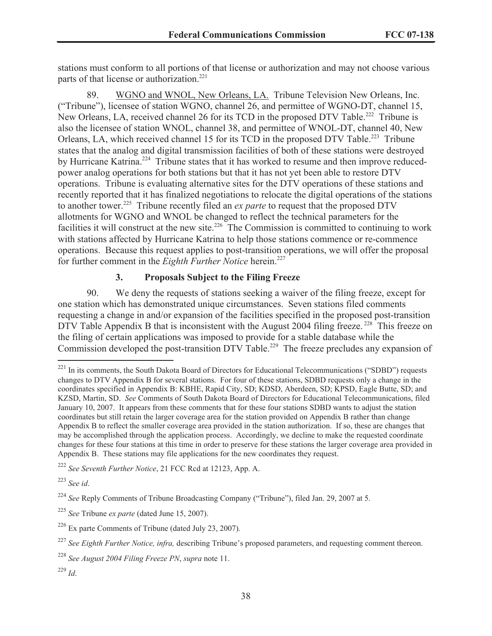stations must conform to all portions of that license or authorization and may not choose various parts of that license or authorization.<sup>221</sup>

89. WGNO and WNOL, New Orleans, LA. Tribune Television New Orleans, Inc. ("Tribune"), licensee of station WGNO, channel 26, and permittee of WGNO-DT, channel 15, New Orleans, LA, received channel 26 for its TCD in the proposed DTV Table.<sup>222</sup> Tribune is also the licensee of station WNOL, channel 38, and permittee of WNOL-DT, channel 40, New Orleans, LA, which received channel 15 for its TCD in the proposed DTV Table.<sup>223</sup> Tribune states that the analog and digital transmission facilities of both of these stations were destroyed by Hurricane Katrina.<sup>224</sup> Tribune states that it has worked to resume and then improve reducedpower analog operations for both stations but that it has not yet been able to restore DTV operations. Tribune is evaluating alternative sites for the DTV operations of these stations and recently reported that it has finalized negotiations to relocate the digital operations of the stations to another tower.<sup>225</sup> Tribune recently filed an *ex parte* to request that the proposed DTV allotments for WGNO and WNOL be changed to reflect the technical parameters for the facilities it will construct at the new site.<sup>226</sup> The Commission is committed to continuing to work with stations affected by Hurricane Katrina to help those stations commence or re-commence operations. Because this request applies to post-transition operations, we will offer the proposal for further comment in the *Eighth Further Notice* herein.<sup>227</sup>

# **3. Proposals Subject to the Filing Freeze**

90. We deny the requests of stations seeking a waiver of the filing freeze, except for one station which has demonstrated unique circumstances. Seven stations filed comments requesting a change in and/or expansion of the facilities specified in the proposed post-transition DTV Table Appendix B that is inconsistent with the August 2004 filing freeze.<sup>228</sup> This freeze on the filing of certain applications was imposed to provide for a stable database while the Commission developed the post-transition DTV Table.<sup>229</sup> The freeze precludes any expansion of

<sup>&</sup>lt;sup>221</sup> In its comments, the South Dakota Board of Directors for Educational Telecommunications ("SDBD") requests changes to DTV Appendix B for several stations. For four of these stations, SDBD requests only a change in the coordinates specified in Appendix B: KBHE, Rapid City, SD; KDSD, Aberdeen, SD; KPSD, Eagle Butte, SD; and KZSD, Martin, SD. *See* Comments of South Dakota Board of Directors for Educational Telecommunications, filed January 10, 2007. It appears from these comments that for these four stations SDBD wants to adjust the station coordinates but still retain the larger coverage area for the station provided on Appendix B rather than change Appendix B to reflect the smaller coverage area provided in the station authorization. If so, these are changes that may be accomplished through the application process. Accordingly, we decline to make the requested coordinate changes for these four stations at this time in order to preserve for these stations the larger coverage area provided in Appendix B. These stations may file applications for the new coordinates they request.

<sup>222</sup> *See Seventh Further Notice*, 21 FCC Rcd at 12123, App. A.

<sup>223</sup> *See id*.

<sup>224</sup> *See* Reply Comments of Tribune Broadcasting Company ("Tribune"), filed Jan. 29, 2007 at 5.

<sup>225</sup> *See* Tribune *ex parte* (dated June 15, 2007).

 $226$  Ex parte Comments of Tribune (dated July 23, 2007).

<sup>&</sup>lt;sup>227</sup> See Eighth Further Notice, infra, describing Tribune's proposed parameters, and requesting comment thereon.

<sup>228</sup> *See August 2004 Filing Freeze PN*, *supra* note 11.

<sup>229</sup> *Id*.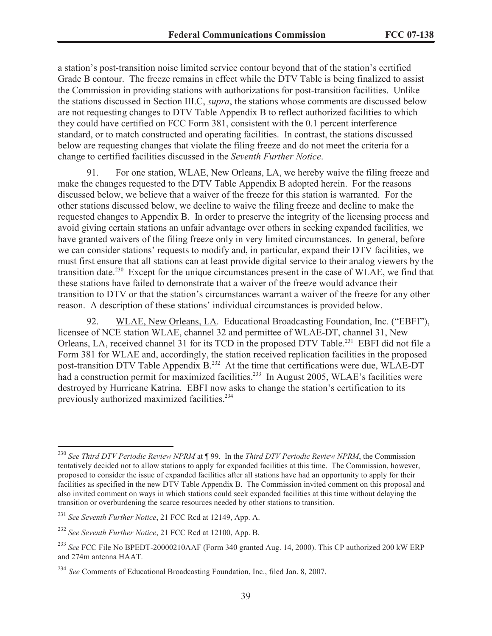a station's post-transition noise limited service contour beyond that of the station's certified Grade B contour. The freeze remains in effect while the DTV Table is being finalized to assist the Commission in providing stations with authorizations for post-transition facilities. Unlike the stations discussed in Section III.C, *supra*, the stations whose comments are discussed below are not requesting changes to DTV Table Appendix B to reflect authorized facilities to which they could have certified on FCC Form 381, consistent with the 0.1 percent interference standard, or to match constructed and operating facilities. In contrast, the stations discussed below are requesting changes that violate the filing freeze and do not meet the criteria for a change to certified facilities discussed in the *Seventh Further Notice*.

91. For one station, WLAE, New Orleans, LA, we hereby waive the filing freeze and make the changes requested to the DTV Table Appendix B adopted herein. For the reasons discussed below, we believe that a waiver of the freeze for this station is warranted. For the other stations discussed below, we decline to waive the filing freeze and decline to make the requested changes to Appendix B. In order to preserve the integrity of the licensing process and avoid giving certain stations an unfair advantage over others in seeking expanded facilities, we have granted waivers of the filing freeze only in very limited circumstances. In general, before we can consider stations' requests to modify and, in particular, expand their DTV facilities, we must first ensure that all stations can at least provide digital service to their analog viewers by the transition date.<sup>230</sup> Except for the unique circumstances present in the case of WLAE, we find that these stations have failed to demonstrate that a waiver of the freeze would advance their transition to DTV or that the station's circumstances warrant a waiver of the freeze for any other reason. A description of these stations' individual circumstances is provided below.

92. WLAE, New Orleans, LA. Educational Broadcasting Foundation, Inc. ("EBFI"), licensee of NCE station WLAE, channel 32 and permittee of WLAE-DT, channel 31, New Orleans, LA, received channel 31 for its TCD in the proposed DTV Table.<sup>231</sup> EBFI did not file a Form 381 for WLAE and, accordingly, the station received replication facilities in the proposed post-transition DTV Table Appendix B.<sup>232</sup> At the time that certifications were due, WLAE-DT had a construction permit for maximized facilities.<sup>233</sup> In August 2005, WLAE's facilities were destroyed by Hurricane Katrina. EBFI now asks to change the station's certification to its previously authorized maximized facilities.<sup>234</sup>

<sup>230</sup> *See Third DTV Periodic Review NPRM* at ¶ 99. In the *Third DTV Periodic Review NPRM*, the Commission tentatively decided not to allow stations to apply for expanded facilities at this time. The Commission, however, proposed to consider the issue of expanded facilities after all stations have had an opportunity to apply for their facilities as specified in the new DTV Table Appendix B. The Commission invited comment on this proposal and also invited comment on ways in which stations could seek expanded facilities at this time without delaying the transition or overburdening the scarce resources needed by other stations to transition.

<sup>231</sup> *See Seventh Further Notice*, 21 FCC Rcd at 12149, App. A.

<sup>232</sup> *See Seventh Further Notice*, 21 FCC Rcd at 12100, App. B.

<sup>233</sup> *See* FCC File No BPEDT-20000210AAF (Form 340 granted Aug. 14, 2000). This CP authorized 200 kW ERP and 274m antenna HAAT.

<sup>234</sup> *See* Comments of Educational Broadcasting Foundation, Inc., filed Jan. 8, 2007.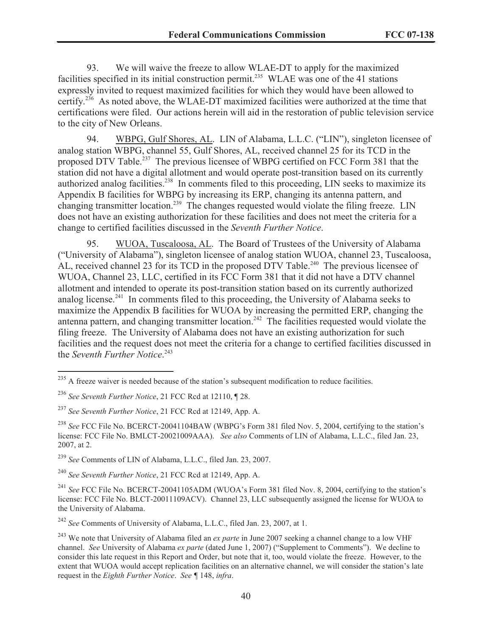93. We will waive the freeze to allow WLAE-DT to apply for the maximized facilities specified in its initial construction permit.<sup>235</sup> WLAE was one of the 41 stations expressly invited to request maximized facilities for which they would have been allowed to certify.<sup>236</sup> As noted above, the WLAE-DT maximized facilities were authorized at the time that certifications were filed. Our actions herein will aid in the restoration of public television service to the city of New Orleans.

94. WBPG, Gulf Shores, AL. LIN of Alabama, L.L.C. ("LIN"), singleton licensee of analog station WBPG, channel 55, Gulf Shores, AL, received channel 25 for its TCD in the proposed DTV Table.<sup>237</sup> The previous licensee of WBPG certified on FCC Form 381 that the station did not have a digital allotment and would operate post-transition based on its currently authorized analog facilities.<sup>238</sup> In comments filed to this proceeding, LIN seeks to maximize its Appendix B facilities for WBPG by increasing its ERP, changing its antenna pattern, and changing transmitter location.<sup>239</sup> The changes requested would violate the filing freeze. LIN does not have an existing authorization for these facilities and does not meet the criteria for a change to certified facilities discussed in the *Seventh Further Notice*.

95. WUOA, Tuscaloosa, AL. The Board of Trustees of the University of Alabama ("University of Alabama"), singleton licensee of analog station WUOA, channel 23, Tuscaloosa, AL, received channel 23 for its TCD in the proposed  $\overline{D}$ TV Table.<sup>240</sup> The previous licensee of WUOA, Channel 23, LLC, certified in its FCC Form 381 that it did not have a DTV channel allotment and intended to operate its post-transition station based on its currently authorized analog license.<sup>241</sup> In comments filed to this proceeding, the University of Alabama seeks to maximize the Appendix B facilities for WUOA by increasing the permitted ERP, changing the antenna pattern, and changing transmitter location.<sup>242</sup> The facilities requested would violate the filing freeze. The University of Alabama does not have an existing authorization for such facilities and the request does not meet the criteria for a change to certified facilities discussed in the *Seventh Further Notice*. 243

<sup>240</sup> *See Seventh Further Notice*, 21 FCC Rcd at 12149, App. A.

<sup>242</sup> *See* Comments of University of Alabama, L.L.C., filed Jan. 23, 2007, at 1.

 $^{235}$  A freeze waiver is needed because of the station's subsequent modification to reduce facilities.

<sup>236</sup> *See Seventh Further Notice*, 21 FCC Rcd at 12110, ¶ 28.

<sup>237</sup> *See Seventh Further Notice*, 21 FCC Rcd at 12149, App. A.

<sup>&</sup>lt;sup>238</sup> *See* FCC File No. BCERCT-20041104BAW (WBPG's Form 381 filed Nov. 5, 2004, certifying to the station's license: FCC File No. BMLCT-20021009AAA). *See also* Comments of LIN of Alabama, L.L.C., filed Jan. 23, 2007, at 2.

<sup>239</sup> *See* Comments of LIN of Alabama, L.L.C., filed Jan. 23, 2007.

<sup>&</sup>lt;sup>241</sup> See FCC File No. BCERCT-20041105ADM (WUOA's Form 381 filed Nov. 8, 2004, certifying to the station's license: FCC File No. BLCT-20011109ACV). Channel 23, LLC subsequently assigned the license for WUOA to the University of Alabama.

<sup>&</sup>lt;sup>243</sup> We note that University of Alabama filed an *ex parte* in June 2007 seeking a channel change to a low VHF channel. *See* University of Alabama *ex parte* (dated June 1, 2007) ("Supplement to Comments"). We decline to consider this late request in this Report and Order, but note that it, too, would violate the freeze. However, to the extent that WUOA would accept replication facilities on an alternative channel, we will consider the station's late request in the *Eighth Further Notice*. *See ¶* 148, *infra*.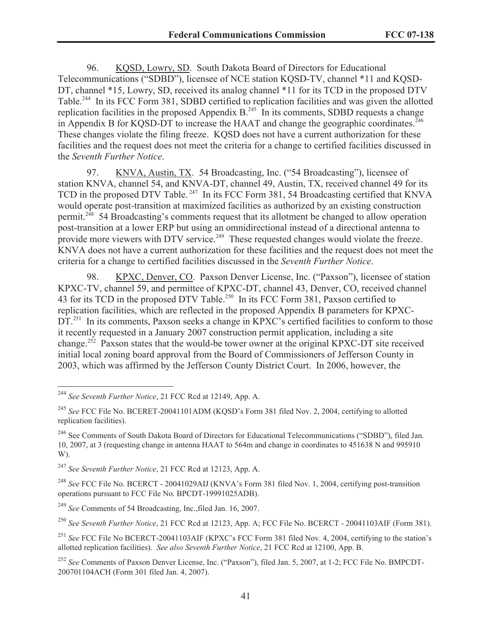96. KQSD, Lowry, SD. South Dakota Board of Directors for Educational Telecommunications ("SDBD"), licensee of NCE station KQSD-TV, channel \*11 and KQSD-DT, channel \*15, Lowry, SD, received its analog channel \*11 for its TCD in the proposed DTV Table.<sup>244</sup> In its FCC Form 381, SDBD certified to replication facilities and was given the allotted replication facilities in the proposed Appendix  $B<sub>1</sub><sup>245</sup>$  In its comments, SDBD requests a change in Appendix B for KOSD-DT to increase the HAAT and change the geographic coordinates.<sup>246</sup> These changes violate the filing freeze. KQSD does not have a current authorization for these facilities and the request does not meet the criteria for a change to certified facilities discussed in the *Seventh Further Notice*.

97. KNVA, Austin, TX. 54 Broadcasting, Inc. ("54 Broadcasting"), licensee of station KNVA, channel 54, and KNVA-DT, channel 49, Austin, TX, received channel 49 for its TCD in the proposed DTV Table.<sup>247</sup> In its FCC Form 381, 54 Broadcasting certified that KNVA would operate post-transition at maximized facilities as authorized by an existing construction permit.<sup>248</sup> 54 Broadcasting's comments request that its allotment be changed to allow operation post-transition at a lower ERP but using an omnidirectional instead of a directional antenna to provide more viewers with DTV service.<sup>249</sup> These requested changes would violate the freeze. KNVA does not have a current authorization for these facilities and the request does not meet the criteria for a change to certified facilities discussed in the *Seventh Further Notice*.

98. KPXC, Denver, CO. Paxson Denver License, Inc. ("Paxson"), licensee of station KPXC-TV, channel 59, and permittee of KPXC-DT, channel 43, Denver, CO, received channel 43 for its TCD in the proposed DTV Table.<sup>250</sup> In its FCC Form 381, Paxson certified to replication facilities, which are reflected in the proposed Appendix B parameters for KPXC-DT.<sup>251</sup> In its comments, Paxson seeks a change in KPXC's certified facilities to conform to those it recently requested in a January 2007 construction permit application, including a site change.<sup>252</sup> Paxson states that the would-be tower owner at the original KPXC-DT site received initial local zoning board approval from the Board of Commissioners of Jefferson County in 2003, which was affirmed by the Jefferson County District Court. In 2006, however, the

<sup>244</sup> *See Seventh Further Notice*, 21 FCC Rcd at 12149, App. A.

<sup>245</sup> *See* FCC File No. BCERET-20041101ADM (KQSD's Form 381 filed Nov. 2, 2004, certifying to allotted replication facilities).

<sup>&</sup>lt;sup>246</sup> See Comments of South Dakota Board of Directors for Educational Telecommunications ("SDBD"), filed Jan. 10, 2007, at 3 (requesting change in antenna HAAT to 564m and change in coordinates to 451638 N and 995910 W).

<sup>247</sup> *See Seventh Further Notice*, 21 FCC Rcd at 12123, App. A.

<sup>248</sup> *See* FCC File No. BCERCT - 20041029AIJ (KNVA's Form 381 filed Nov. 1, 2004, certifying post-transition operations pursuant to FCC File No. BPCDT-19991025ADB).

<sup>249</sup> *See* Comments of 54 Broadcasting, Inc.,filed Jan. 16, 2007.

<sup>250</sup> *See Seventh Further Notice*, 21 FCC Rcd at 12123, App. A; FCC File No. BCERCT - 20041103AIF (Form 381).

<sup>&</sup>lt;sup>251</sup> *See* FCC File No BCERCT-20041103AIF (KPXC's FCC Form 381 filed Nov. 4, 2004, certifying to the station's allotted replication facilities). *See also Seventh Further Notice*, 21 FCC Rcd at 12100, App. B.

<sup>252</sup> *See* Comments of Paxson Denver License, Inc. ("Paxson"), filed Jan. 5, 2007, at 1-2; FCC File No. BMPCDT-200701104ACH (Form 301 filed Jan. 4, 2007).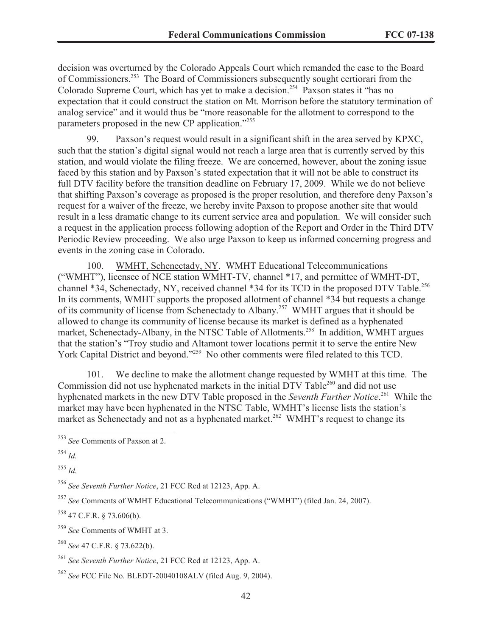decision was overturned by the Colorado Appeals Court which remanded the case to the Board of Commissioners.<sup>253</sup> The Board of Commissioners subsequently sought certiorari from the Colorado Supreme Court, which has yet to make a decision.<sup>254</sup> Paxson states it "has no expectation that it could construct the station on Mt. Morrison before the statutory termination of analog service" and it would thus be "more reasonable for the allotment to correspond to the parameters proposed in the new CP application."255

99. Paxson's request would result in a significant shift in the area served by KPXC, such that the station's digital signal would not reach a large area that is currently served by this station, and would violate the filing freeze. We are concerned, however, about the zoning issue faced by this station and by Paxson's stated expectation that it will not be able to construct its full DTV facility before the transition deadline on February 17, 2009. While we do not believe that shifting Paxson's coverage as proposed is the proper resolution, and therefore deny Paxson's request for a waiver of the freeze, we hereby invite Paxson to propose another site that would result in a less dramatic change to its current service area and population. We will consider such a request in the application process following adoption of the Report and Order in the Third DTV Periodic Review proceeding. We also urge Paxson to keep us informed concerning progress and events in the zoning case in Colorado.

100. WMHT, Schenectady, NY. WMHT Educational Telecommunications ("WMHT"), licensee of NCE station WMHT-TV, channel \*17, and permittee of WMHT-DT, channel \*34, Schenectady, NY, received channel \*34 for its TCD in the proposed DTV Table.<sup>256</sup> In its comments, WMHT supports the proposed allotment of channel \*34 but requests a change of its community of license from Schenectady to Albany.<sup>257</sup> WMHT argues that it should be allowed to change its community of license because its market is defined as a hyphenated market, Schenectady-Albany, in the NTSC Table of Allotments.<sup>258</sup> In addition, WMHT argues that the station's "Troy studio and Altamont tower locations permit it to serve the entire New York Capital District and beyond."<sup>259</sup> No other comments were filed related to this TCD.

101. We decline to make the allotment change requested by WMHT at this time. The Commission did not use hyphenated markets in the initial DTV Table<sup>260</sup> and did not use hyphenated markets in the new DTV Table proposed in the *Seventh Further Notice*. <sup>261</sup> While the market may have been hyphenated in the NTSC Table, WMHT's license lists the station's market as Schenectady and not as a hyphenated market.<sup>262</sup> WMHT's request to change its

<sup>255</sup> *Id.*

<sup>256</sup> *See Seventh Further Notice*, 21 FCC Rcd at 12123, App. A.

<sup>257</sup> *See* Comments of WMHT Educational Telecommunications ("WMHT") (filed Jan. 24, 2007).

 $258$  47 C.F.R. § 73.606(b).

<sup>259</sup> *See* Comments of WMHT at 3.

<sup>260</sup> *See* 47 C.F.R. § 73.622(b).

<sup>261</sup> *See Seventh Further Notice*, 21 FCC Rcd at 12123, App. A.

<sup>262</sup> *See* FCC File No. BLEDT-20040108ALV (filed Aug. 9, 2004).

<sup>253</sup> *See* Comments of Paxson at 2.

 $^{254}$  *Id.*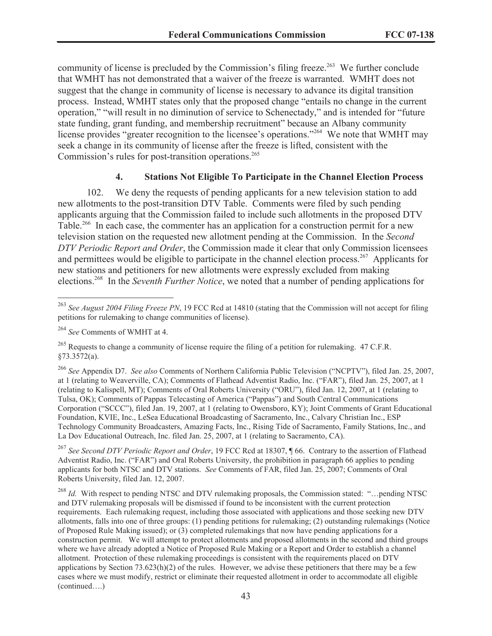community of license is precluded by the Commission's filing freeze.<sup>263</sup> We further conclude that WMHT has not demonstrated that a waiver of the freeze is warranted. WMHT does not suggest that the change in community of license is necessary to advance its digital transition process. Instead, WMHT states only that the proposed change "entails no change in the current operation," "will result in no diminution of service to Schenectady," and is intended for "future state funding, grant funding, and membership recruitment" because an Albany community license provides "greater recognition to the licensee's operations."<sup>264</sup> We note that WMHT may seek a change in its community of license after the freeze is lifted, consistent with the Commission's rules for post-transition operations.<sup>265</sup>

### **4. Stations Not Eligible To Participate in the Channel Election Process**

102. We deny the requests of pending applicants for a new television station to add new allotments to the post-transition DTV Table. Comments were filed by such pending applicants arguing that the Commission failed to include such allotments in the proposed DTV Table.<sup>266</sup> In each case, the commenter has an application for a construction permit for a new television station on the requested new allotment pending at the Commission. In the *Second DTV Periodic Report and Order*, the Commission made it clear that only Commission licensees and permittees would be eligible to participate in the channel election process.<sup>267</sup> Applicants for new stations and petitioners for new allotments were expressly excluded from making elections.<sup>268</sup> In the *Seventh Further Notice*, we noted that a number of pending applications for

<sup>266</sup> *See* Appendix D7. *See also* Comments of Northern California Public Television ("NCPTV"), filed Jan. 25, 2007, at 1 (relating to Weaverville, CA); Comments of Flathead Adventist Radio, Inc. ("FAR"), filed Jan. 25, 2007, at 1 (relating to Kalispell, MT); Comments of Oral Roberts University ("ORU"), filed Jan. 12, 2007, at 1 (relating to Tulsa, OK); Comments of Pappas Telecasting of America ("Pappas") and South Central Communications Corporation ("SCCC"), filed Jan. 19, 2007, at 1 (relating to Owensboro, KY); Joint Comments of Grant Educational Foundation, KVIE, Inc., LeSea Educational Broadcasting of Sacramento, Inc., Calvary Christian Inc., ESP Technology Community Broadcasters, Amazing Facts, Inc., Rising Tide of Sacramento, Family Stations, Inc., and La Dov Educational Outreach, Inc. filed Jan. 25, 2007, at 1 (relating to Sacramento, CA).

<sup>267</sup> *See Second DTV Periodic Report and Order*, 19 FCC Rcd at 18307, ¶ 66. Contrary to the assertion of Flathead Adventist Radio, Inc. ("FAR") and Oral Roberts University, the prohibition in paragraph 66 applies to pending applicants for both NTSC and DTV stations. *See* Comments of FAR, filed Jan. 25, 2007; Comments of Oral Roberts University, filed Jan. 12, 2007.

<sup>268</sup> *Id.* With respect to pending NTSC and DTV rulemaking proposals, the Commission stated: "…pending NTSC and DTV rulemaking proposals will be dismissed if found to be inconsistent with the current protection requirements. Each rulemaking request, including those associated with applications and those seeking new DTV allotments, falls into one of three groups: (1) pending petitions for rulemaking; (2) outstanding rulemakings (Notice of Proposed Rule Making issued); or (3) completed rulemakings that now have pending applications for a construction permit. We will attempt to protect allotments and proposed allotments in the second and third groups where we have already adopted a Notice of Proposed Rule Making or a Report and Order to establish a channel allotment. Protection of these rulemaking proceedings is consistent with the requirements placed on DTV applications by Section  $73.623(h)(2)$  of the rules. However, we advise these petitioners that there may be a few cases where we must modify, restrict or eliminate their requested allotment in order to accommodate all eligible (continued….)

<sup>263</sup> *See August 2004 Filing Freeze PN*, 19 FCC Rcd at 14810 (stating that the Commission will not accept for filing petitions for rulemaking to change communities of license).

<sup>264</sup> *See* Comments of WMHT at 4.

<sup>&</sup>lt;sup>265</sup> Requests to change a community of license require the filing of a petition for rulemaking. 47 C.F.R. §73.3572(a).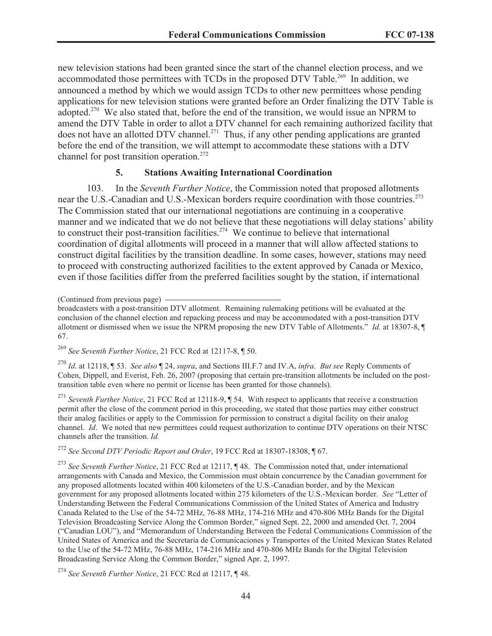new television stations had been granted since the start of the channel election process, and we accommodated those permittees with TCDs in the proposed DTV Table.<sup>269</sup> In addition, we announced a method by which we would assign TCDs to other new permittees whose pending applications for new television stations were granted before an Order finalizing the DTV Table is adopted.<sup>270</sup> We also stated that, before the end of the transition, we would issue an NPRM to amend the DTV Table in order to allot a DTV channel for each remaining authorized facility that does not have an allotted DTV channel.<sup>271</sup> Thus, if any other pending applications are granted before the end of the transition, we will attempt to accommodate these stations with a DTV channel for post transition operation.<sup>272</sup>

### **5. Stations Awaiting International Coordination**

103. In the *Seventh Further Notice*, the Commission noted that proposed allotments near the U.S.-Canadian and U.S.-Mexican borders require coordination with those countries.<sup>273</sup> The Commission stated that our international negotiations are continuing in a cooperative manner and we indicated that we do not believe that these negotiations will delay stations' ability to construct their post-transition facilities.<sup>274</sup> We continue to believe that international coordination of digital allotments will proceed in a manner that will allow affected stations to construct digital facilities by the transition deadline. In some cases, however, stations may need to proceed with constructing authorized facilities to the extent approved by Canada or Mexico, even if those facilities differ from the preferred facilities sought by the station, if international

<sup>269</sup> *See Seventh Further Notice*, 21 FCC Rcd at 12117-8, ¶ 50.

<sup>270</sup> *Id*. at 12118, ¶ 53. *See also* ¶ 24, *supra*, and Sections III.F.7 and IV.A, *infra*. *But see* Reply Comments of Cohen, Dippell, and Everist, Feb. 26, 2007 (proposing that certain pre-transition allotments be included on the posttransition table even where no permit or license has been granted for those channels).

<sup>271</sup> Seventh Further Notice, 21 FCC Rcd at 12118-9, ¶ 54. With respect to applicants that receive a construction permit after the close of the comment period in this proceeding, we stated that those parties may either construct their analog facilities or apply to the Commission for permission to construct a digital facility on their analog channel. *Id*. We noted that new permittees could request authorization to continue DTV operations on their NTSC channels after the transition. *Id.* 

<sup>272</sup> *See Second DTV Periodic Report and Order*, 19 FCC Rcd at 18307-18308, ¶ 67.

<sup>273</sup> *See Seventh Further Notice*, 21 FCC Rcd at 12117, ¶ 48. The Commission noted that, under international arrangements with Canada and Mexico, the Commission must obtain concurrence by the Canadian government for any proposed allotments located within 400 kilometers of the U.S.-Canadian border, and by the Mexican government for any proposed allotments located within 275 kilometers of the U.S.-Mexican border. *See* "Letter of Understanding Between the Federal Communications Commission of the United States of America and Industry Canada Related to the Use of the 54-72 MHz, 76-88 MHz, 174-216 MHz and 470-806 MHz Bands for the Digital Television Broadcasting Service Along the Common Border," signed Sept. 22, 2000 and amended Oct. 7, 2004 ("Canadian LOU"), and "Memorandum of Understanding Between the Federal Communications Commission of the United States of America and the Secretaria de Comunicaciones y Transportes of the United Mexican States Related to the Use of the 54-72 MHz, 76-88 MHz, 174-216 MHz and 470-806 MHz Bands for the Digital Television Broadcasting Service Along the Common Border," signed Apr. 2, 1997.

<sup>(</sup>Continued from previous page)

broadcasters with a post-transition DTV allotment. Remaining rulemaking petitions will be evaluated at the conclusion of the channel election and repacking process and may be accommodated with a post-transition DTV allotment or dismissed when we issue the NPRM proposing the new DTV Table of Allotments." *Id.* at 18307-8, ¶ 67.

<sup>274</sup> *See Seventh Further Notice*, 21 FCC Rcd at 12117, ¶ 48.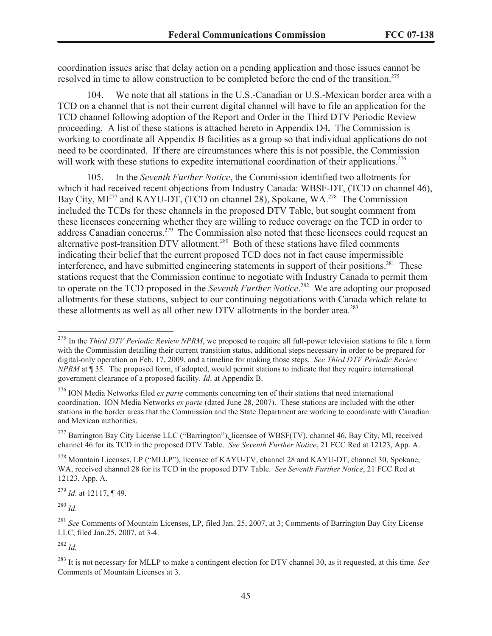coordination issues arise that delay action on a pending application and those issues cannot be resolved in time to allow construction to be completed before the end of the transition.<sup>275</sup>

104. We note that all stations in the U.S.-Canadian or U.S.-Mexican border area with a TCD on a channel that is not their current digital channel will have to file an application for the TCD channel following adoption of the Report and Order in the Third DTV Periodic Review proceeding. A list of these stations is attached hereto in Appendix D4**.** The Commission is working to coordinate all Appendix B facilities as a group so that individual applications do not need to be coordinated. If there are circumstances where this is not possible, the Commission will work with these stations to expedite international coordination of their applications.<sup>276</sup>

105. In the *Seventh Further Notice*, the Commission identified two allotments for which it had received recent objections from Industry Canada: WBSF-DT, (TCD on channel 46), Bay City, MI<sup>277</sup> and KAYU-DT, (TCD on channel 28), Spokane, WA.<sup>278</sup> The Commission included the TCDs for these channels in the proposed DTV Table, but sought comment from these licensees concerning whether they are willing to reduce coverage on the TCD in order to address Canadian concerns.<sup>279</sup> The Commission also noted that these licensees could request an alternative post-transition DTV allotment.<sup>280</sup> Both of these stations have filed comments indicating their belief that the current proposed TCD does not in fact cause impermissible interference, and have submitted engineering statements in support of their positions.<sup>281</sup> These stations request that the Commission continue to negotiate with Industry Canada to permit them to operate on the TCD proposed in the *Seventh Further Notice*. <sup>282</sup> We are adopting our proposed allotments for these stations, subject to our continuing negotiations with Canada which relate to these allotments as well as all other new DTV allotments in the border area.<sup>283</sup>

<sup>279</sup> *Id*. at 12117, ¶ 49.

<sup>280</sup> *Id*.

<sup>&</sup>lt;sup>275</sup> In the *Third DTV Periodic Review NPRM*, we proposed to require all full-power television stations to file a form with the Commission detailing their current transition status, additional steps necessary in order to be prepared for digital-only operation on Feb. 17, 2009, and a timeline for making those steps. *See Third DTV Periodic Review NPRM* at ¶ 35. The proposed form, if adopted, would permit stations to indicate that they require international government clearance of a proposed facility. *Id*. at Appendix B.

<sup>276</sup> ION Media Networks filed *ex parte* comments concerning ten of their stations that need international coordination. ION Media Networks *ex parte* (dated June 28, 2007). These stations are included with the other stations in the border areas that the Commission and the State Department are working to coordinate with Canadian and Mexican authorities.

<sup>&</sup>lt;sup>277</sup> Barrington Bay City License LLC ("Barrington"), licensee of WBSF(TV), channel 46, Bay City, MI, received channel 46 for its TCD in the proposed DTV Table. *See Seventh Further Notice*, 21 FCC Rcd at 12123, App. A.

<sup>278</sup> Mountain Licenses, LP ("MLLP"), licensee of KAYU-TV, channel 28 and KAYU-DT, channel 30, Spokane, WA, received channel 28 for its TCD in the proposed DTV Table. *See Seventh Further Notice*, 21 FCC Rcd at 12123, App. A.

<sup>281</sup> *See* Comments of Mountain Licenses, LP, filed Jan. 25, 2007, at 3; Comments of Barrington Bay City License LLC, filed Jan.25, 2007, at 3-4.

<sup>282</sup> *Id.*

<sup>283</sup> It is not necessary for MLLP to make a contingent election for DTV channel 30, as it requested, at this time. *See*  Comments of Mountain Licenses at 3.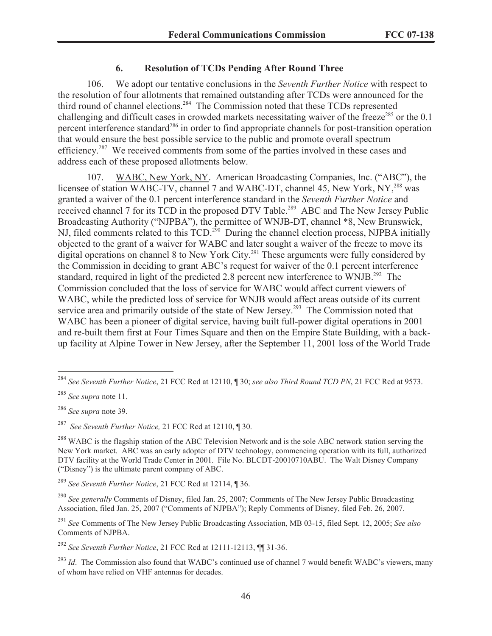### **6. Resolution of TCDs Pending After Round Three**

106. We adopt our tentative conclusions in the *Seventh Further Notice* with respect to the resolution of four allotments that remained outstanding after TCDs were announced for the third round of channel elections.<sup>284</sup> The Commission noted that these TCDs represented challenging and difficult cases in crowded markets necessitating waiver of the freeze<sup>285</sup> or the  $0.1$ percent interference standard<sup>286</sup> in order to find appropriate channels for post-transition operation that would ensure the best possible service to the public and promote overall spectrum efficiency.<sup>287</sup> We received comments from some of the parties involved in these cases and address each of these proposed allotments below.

107. WABC, New York, NY. American Broadcasting Companies, Inc. ("ABC"), the licensee of station WABC-TV, channel 7 and WABC-DT, channel 45, New York, NY,<sup>288</sup> was granted a waiver of the 0.1 percent interference standard in the *Seventh Further Notice* and received channel 7 for its TCD in the proposed DTV Table.<sup>289</sup> ABC and The New Jersey Public Broadcasting Authority ("NJPBA"), the permittee of WNJB-DT, channel \*8, New Brunswick, NJ, filed comments related to this TCD.<sup>290</sup> During the channel election process, NJPBA initially objected to the grant of a waiver for WABC and later sought a waiver of the freeze to move its digital operations on channel 8 to New York City.<sup>291</sup> These arguments were fully considered by the Commission in deciding to grant ABC's request for waiver of the 0.1 percent interference standard, required in light of the predicted 2.8 percent new interference to WNJB.<sup>292</sup> The Commission concluded that the loss of service for WABC would affect current viewers of WABC, while the predicted loss of service for WNJB would affect areas outside of its current service area and primarily outside of the state of New Jersey.<sup>293</sup> The Commission noted that WABC has been a pioneer of digital service, having built full-power digital operations in 2001 and re-built them first at Four Times Square and then on the Empire State Building, with a backup facility at Alpine Tower in New Jersey, after the September 11, 2001 loss of the World Trade

<sup>286</sup> *See supra* note 39.

<sup>287</sup> *See Seventh Further Notice,* 21 FCC Rcd at 12110, ¶ 30.

<sup>292</sup> *See Seventh Further Notice*, 21 FCC Rcd at 12111-12113, ¶¶ 31-36.

<sup>284</sup> *See Seventh Further Notice*, 21 FCC Rcd at 12110, ¶ 30; *see also Third Round TCD PN*, 21 FCC Rcd at 9573.

<sup>285</sup> *See supra* note 11.

<sup>&</sup>lt;sup>288</sup> WABC is the flagship station of the ABC Television Network and is the sole ABC network station serving the New York market. ABC was an early adopter of DTV technology, commencing operation with its full, authorized DTV facility at the World Trade Center in 2001. File No. BLCDT-20010710ABU. The Walt Disney Company ("Disney") is the ultimate parent company of ABC.

<sup>289</sup> *See Seventh Further Notice*, 21 FCC Rcd at 12114, ¶ 36.

<sup>290</sup> *See generally* Comments of Disney, filed Jan. 25, 2007; Comments of The New Jersey Public Broadcasting Association, filed Jan. 25, 2007 ("Comments of NJPBA"); Reply Comments of Disney, filed Feb. 26, 2007.

<sup>291</sup> *See* Comments of The New Jersey Public Broadcasting Association, MB 03-15, filed Sept. 12, 2005; *See also*  Comments of NJPBA.

<sup>&</sup>lt;sup>293</sup> *Id.* The Commission also found that WABC's continued use of channel 7 would benefit WABC's viewers, many of whom have relied on VHF antennas for decades.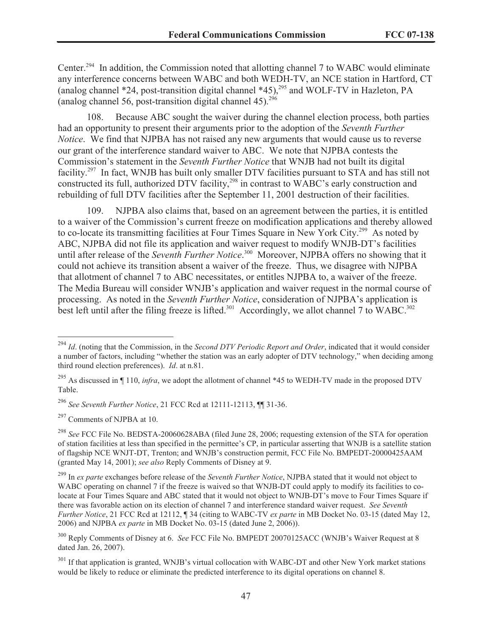Center.<sup>294</sup> In addition, the Commission noted that allotting channel 7 to WABC would eliminate any interference concerns between WABC and both WEDH-TV, an NCE station in Hartford, CT (analog channel \*24, post-transition digital channel \*45), <sup>295</sup> and WOLF-TV in Hazleton, PA (analog channel 56, post-transition digital channel  $45$ ).<sup>296</sup>

108. Because ABC sought the waiver during the channel election process, both parties had an opportunity to present their arguments prior to the adoption of the *Seventh Further Notice*. We find that NJPBA has not raised any new arguments that would cause us to reverse our grant of the interference standard waiver to ABC. We note that NJPBA contests the Commission's statement in the *Seventh Further Notice* that WNJB had not built its digital facility.<sup>297</sup> In fact, WNJB has built only smaller DTV facilities pursuant to STA and has still not constructed its full, authorized DTV facility,<sup>298</sup> in contrast to WABC's early construction and rebuilding of full DTV facilities after the September 11, 2001 destruction of their facilities.

109. NJPBA also claims that, based on an agreement between the parties, it is entitled to a waiver of the Commission's current freeze on modification applications and thereby allowed to co-locate its transmitting facilities at Four Times Square in New York City.<sup>299</sup> As noted by ABC, NJPBA did not file its application and waiver request to modify WNJB-DT's facilities until after release of the *Seventh Further Notice*. <sup>300</sup> Moreover, NJPBA offers no showing that it could not achieve its transition absent a waiver of the freeze. Thus, we disagree with NJPBA that allotment of channel 7 to ABC necessitates, or entitles NJPBA to, a waiver of the freeze. The Media Bureau will consider WNJB's application and waiver request in the normal course of processing. As noted in the *Seventh Further Notice*, consideration of NJPBA's application is best left until after the filing freeze is lifted.<sup>301</sup> Accordingly, we allot channel 7 to WABC.<sup>302</sup>

 $297$  Comments of NJPBA at 10.

<sup>294</sup> *Id*. (noting that the Commission, in the *Second DTV Periodic Report and Order*, indicated that it would consider a number of factors, including "whether the station was an early adopter of DTV technology," when deciding among third round election preferences). *Id*. at n.81.

<sup>&</sup>lt;sup>295</sup> As discussed in ¶ 110, *infra*, we adopt the allotment of channel \*45 to WEDH-TV made in the proposed DTV Table.

<sup>296</sup> *See Seventh Further Notice*, 21 FCC Rcd at 12111-12113, ¶¶ 31-36.

<sup>298</sup> *See* FCC File No. BEDSTA-20060628ABA (filed June 28, 2006; requesting extension of the STA for operation of station facilities at less than specified in the permittee's CP, in particular asserting that WNJB is a satellite station of flagship NCE WNJT-DT, Trenton; and WNJB's construction permit, FCC File No. BMPEDT-20000425AAM (granted May 14, 2001); *see also* Reply Comments of Disney at 9.

<sup>299</sup> In *ex parte* exchanges before release of the *Seventh Further Notice*, NJPBA stated that it would not object to WABC operating on channel 7 if the freeze is waived so that WNJB-DT could apply to modify its facilities to colocate at Four Times Square and ABC stated that it would not object to WNJB-DT's move to Four Times Square if there was favorable action on its election of channel 7 and interference standard waiver request. *See Seventh Further Notice*, 21 FCC Rcd at 12112, ¶ 34 (citing to WABC-TV *ex parte* in MB Docket No. 03-15 (dated May 12, 2006) and NJPBA *ex parte* in MB Docket No. 03-15 (dated June 2, 2006)).

<sup>300</sup> Reply Comments of Disney at 6. *See* FCC File No. BMPEDT 20070125ACC (WNJB's Waiver Request at 8 dated Jan. 26, 2007).

<sup>&</sup>lt;sup>301</sup> If that application is granted, WNJB's virtual collocation with WABC-DT and other New York market stations would be likely to reduce or eliminate the predicted interference to its digital operations on channel 8.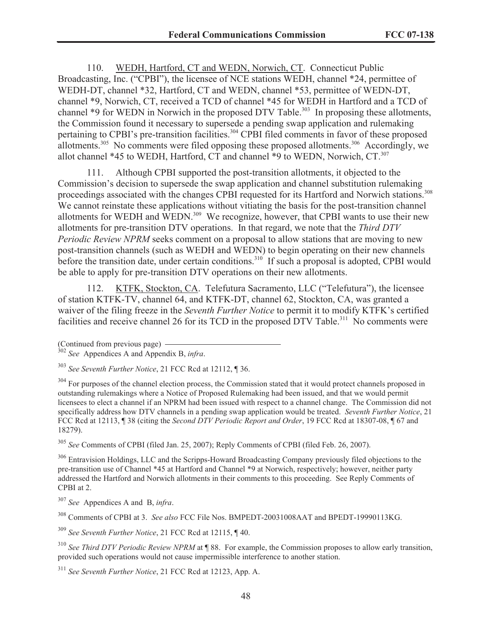110. WEDH, Hartford, CT and WEDN, Norwich, CT. Connecticut Public Broadcasting, Inc. ("CPBI"), the licensee of NCE stations WEDH, channel \*24, permittee of WEDH-DT, channel \*32, Hartford, CT and WEDN, channel \*53, permittee of WEDN-DT, channel \*9, Norwich, CT, received a TCD of channel \*45 for WEDH in Hartford and a TCD of channel \*9 for WEDN in Norwich in the proposed DTV Table.<sup>303</sup> In proposing these allotments, the Commission found it necessary to supersede a pending swap application and rulemaking pertaining to CPBI's pre-transition facilities.<sup>304</sup> CPBI filed comments in favor of these proposed allotments.<sup>305</sup> No comments were filed opposing these proposed allotments.<sup>306</sup> Accordingly, we allot channel  $*45$  to WEDH, Hartford, CT and channel  $*9$  to WEDN, Norwich, CT.<sup>307</sup>

111. Although CPBI supported the post-transition allotments, it objected to the Commission's decision to supersede the swap application and channel substitution rulemaking proceedings associated with the changes CPBI requested for its Hartford and Norwich stations.<sup>308</sup> We cannot reinstate these applications without vitiating the basis for the post-transition channel allotments for WEDH and WEDN.<sup>309</sup> We recognize, however, that CPBI wants to use their new allotments for pre-transition DTV operations. In that regard, we note that the *Third DTV Periodic Review NPRM* seeks comment on a proposal to allow stations that are moving to new post-transition channels (such as WEDH and WEDN) to begin operating on their new channels before the transition date, under certain conditions.<sup>310</sup> If such a proposal is adopted, CPBI would be able to apply for pre-transition DTV operations on their new allotments.

112. KTFK, Stockton, CA. Telefutura Sacramento, LLC ("Telefutura"), the licensee of station KTFK-TV, channel 64, and KTFK-DT, channel 62, Stockton, CA, was granted a waiver of the filing freeze in the *Seventh Further Notice* to permit it to modify KTFK's certified facilities and receive channel 26 for its TCD in the proposed DTV Table.<sup>311</sup> No comments were

<sup>304</sup> For purposes of the channel election process, the Commission stated that it would protect channels proposed in outstanding rulemakings where a Notice of Proposed Rulemaking had been issued, and that we would permit licensees to elect a channel if an NPRM had been issued with respect to a channel change. The Commission did not specifically address how DTV channels in a pending swap application would be treated. *Seventh Further Notice*, 21 FCC Rcd at 12113, ¶ 38 (citing the *Second DTV Periodic Report and Order*, 19 FCC Rcd at 18307-08, ¶ 67 and 18279).

<sup>305</sup> *See* Comments of CPBI (filed Jan. 25, 2007); Reply Comments of CPBI (filed Feb. 26, 2007).

<sup>306</sup> Entravision Holdings, LLC and the Scripps-Howard Broadcasting Company previously filed objections to the pre-transition use of Channel \*45 at Hartford and Channel \*9 at Norwich, respectively; however, neither party addressed the Hartford and Norwich allotments in their comments to this proceeding. See Reply Comments of CPBI at 2.

<sup>307</sup> *See* Appendices A and B, *infra*.

<sup>308</sup> Comments of CPBI at 3. *See also* FCC File Nos. BMPEDT-20031008AAT and BPEDT-19990113KG.

<sup>309</sup> *See Seventh Further Notice*, 21 FCC Rcd at 12115, ¶ 40.

<sup>310</sup> *See Third DTV Periodic Review NPRM* at ¶ 88. For example, the Commission proposes to allow early transition, provided such operations would not cause impermissible interference to another station.

<sup>311</sup> *See Seventh Further Notice*, 21 FCC Rcd at 12123, App. A.

<sup>(</sup>Continued from previous page)

<sup>302</sup> *See* Appendices A and Appendix B, *infra*.

<sup>303</sup> *See Seventh Further Notice*, 21 FCC Rcd at 12112, ¶ 36.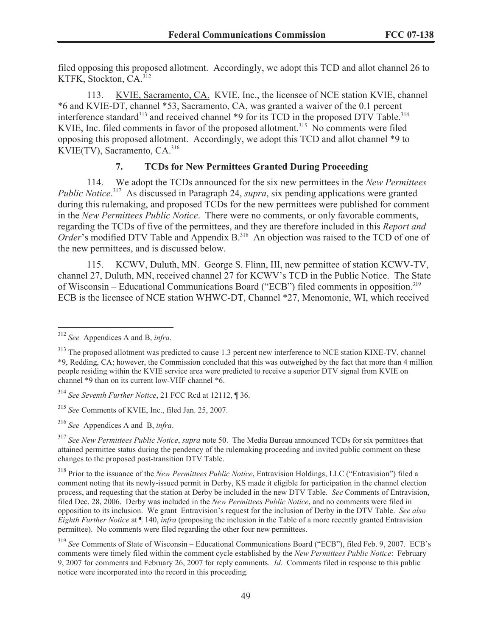filed opposing this proposed allotment. Accordingly, we adopt this TCD and allot channel 26 to KTFK, Stockton, CA.<sup>312</sup>

113. KVIE, Sacramento, CA. KVIE, Inc., the licensee of NCE station KVIE, channel \*6 and KVIE-DT, channel \*53, Sacramento, CA, was granted a waiver of the 0.1 percent interference standard<sup>313</sup> and received channel \*9 for its TCD in the proposed DTV Table.<sup>314</sup> KVIE, Inc. filed comments in favor of the proposed allotment.<sup>315</sup> No comments were filed opposing this proposed allotment. Accordingly, we adopt this TCD and allot channel \*9 to KVIE(TV), Sacramento,  $CA^{316}$ 

### **7. TCDs for New Permittees Granted During Proceeding**

114. We adopt the TCDs announced for the six new permittees in the *New Permittees Public Notice*. <sup>317</sup> As discussed in Paragraph 24, *supra*, six pending applications were granted during this rulemaking, and proposed TCDs for the new permittees were published for comment in the *New Permittees Public Notice*. There were no comments, or only favorable comments, regarding the TCDs of five of the permittees, and they are therefore included in this *Report and Order*'s modified DTV Table and Appendix B.<sup>318</sup> An objection was raised to the TCD of one of the new permittees, and is discussed below.

115. KCWV, Duluth, MN. George S. Flinn, III, new permittee of station KCWV-TV, channel 27, Duluth, MN, received channel 27 for KCWV's TCD in the Public Notice. The State of Wisconsin – Educational Communications Board ("ECB") filed comments in opposition.<sup>319</sup> ECB is the licensee of NCE station WHWC-DT, Channel \*27, Menomonie, WI, which received

<sup>315</sup> *See* Comments of KVIE, Inc., filed Jan. 25, 2007.

<sup>312</sup> *See* Appendices A and B, *infra*.

<sup>&</sup>lt;sup>313</sup> The proposed allotment was predicted to cause 1.3 percent new interference to NCE station KIXE-TV, channel \*9, Redding, CA; however, the Commission concluded that this was outweighed by the fact that more than 4 million people residing within the KVIE service area were predicted to receive a superior DTV signal from KVIE on channel \*9 than on its current low-VHF channel \*6.

<sup>314</sup> *See Seventh Further Notice*, 21 FCC Rcd at 12112, ¶ 36.

<sup>316</sup> *See* Appendices A and B, *infra*.

<sup>317</sup> *See New Permittees Public Notice*, *supra* note 50. The Media Bureau announced TCDs for six permittees that attained permittee status during the pendency of the rulemaking proceeding and invited public comment on these changes to the proposed post-transition DTV Table.

<sup>318</sup> Prior to the issuance of the *New Permittees Public Notice*, Entravision Holdings, LLC ("Entravision") filed a comment noting that its newly-issued permit in Derby, KS made it eligible for participation in the channel election process, and requesting that the station at Derby be included in the new DTV Table. *See* Comments of Entravision, filed Dec. 28, 2006. Derby was included in the *New Permittees Public Notice*, and no comments were filed in opposition to its inclusion. We grant Entravision's request for the inclusion of Derby in the DTV Table. *See also Eighth Further Notice* at ¶ 140, *infra* (proposing the inclusion in the Table of a more recently granted Entravision permittee). No comments were filed regarding the other four new permittees.

<sup>319</sup> *See* Comments of State of Wisconsin – Educational Communications Board ("ECB"), filed Feb. 9, 2007. ECB's comments were timely filed within the comment cycle established by the *New Permittees Public Notice*: February 9, 2007 for comments and February 26, 2007 for reply comments. *Id*. Comments filed in response to this public notice were incorporated into the record in this proceeding.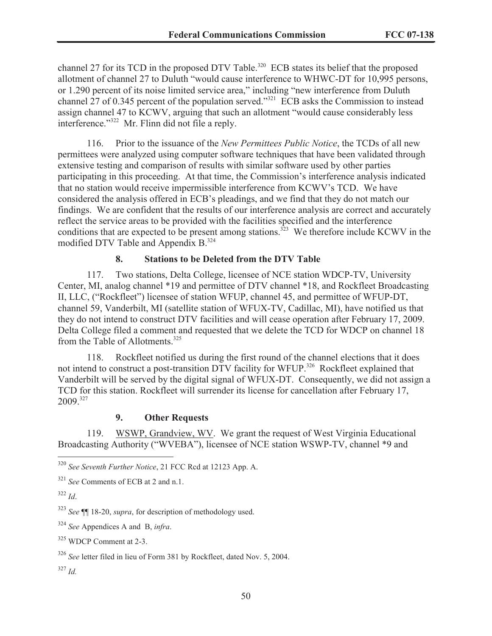channel 27 for its TCD in the proposed DTV Table.<sup>320</sup> ECB states its belief that the proposed allotment of channel 27 to Duluth "would cause interference to WHWC-DT for 10,995 persons, or 1.290 percent of its noise limited service area," including "new interference from Duluth channel 27 of 0.345 percent of the population served."<sup>321</sup> ECB asks the Commission to instead assign channel 47 to KCWV, arguing that such an allotment "would cause considerably less interference." <sup>322</sup> Mr. Flinn did not file a reply.

116. Prior to the issuance of the *New Permittees Public Notice*, the TCDs of all new permittees were analyzed using computer software techniques that have been validated through extensive testing and comparison of results with similar software used by other parties participating in this proceeding. At that time, the Commission's interference analysis indicated that no station would receive impermissible interference from KCWV's TCD. We have considered the analysis offered in ECB's pleadings, and we find that they do not match our findings. We are confident that the results of our interference analysis are correct and accurately reflect the service areas to be provided with the facilities specified and the interference conditions that are expected to be present among stations.<sup>323</sup> We therefore include KCWV in the modified DTV Table and Appendix B.<sup>324</sup>

### **8. Stations to be Deleted from the DTV Table**

117. Two stations, Delta College, licensee of NCE station WDCP-TV, University Center, MI, analog channel \*19 and permittee of DTV channel \*18, and Rockfleet Broadcasting II, LLC, ("Rockfleet") licensee of station WFUP, channel 45, and permittee of WFUP-DT, channel 59, Vanderbilt, MI (satellite station of WFUX-TV, Cadillac, MI), have notified us that they do not intend to construct DTV facilities and will cease operation after February 17, 2009. Delta College filed a comment and requested that we delete the TCD for WDCP on channel 18 from the Table of Allotments.<sup>325</sup>

118. Rockfleet notified us during the first round of the channel elections that it does not intend to construct a post-transition DTV facility for WFUP.<sup>326</sup> Rockfleet explained that Vanderbilt will be served by the digital signal of WFUX-DT. Consequently, we did not assign a TCD for this station. Rockfleet will surrender its license for cancellation after February 17, 2009.<sup>327</sup>

### **9. Other Requests**

119. WSWP, Grandview, WV. We grant the request of West Virginia Educational Broadcasting Authority ("WVEBA"), licensee of NCE station WSWP-TV, channel \*9 and

<sup>327</sup> *Id.*

<sup>320</sup> *See Seventh Further Notice*, 21 FCC Rcd at 12123 App. A.

<sup>321</sup> *See* Comments of ECB at 2 and n.1.

<sup>322</sup> *Id*.

<sup>323</sup> *See* ¶¶ 18-20, *supra*, for description of methodology used.

<sup>324</sup> *See* Appendices A and B, *infra*.

<sup>325</sup> WDCP Comment at 2-3.

<sup>326</sup> *See* letter filed in lieu of Form 381 by Rockfleet, dated Nov. 5, 2004.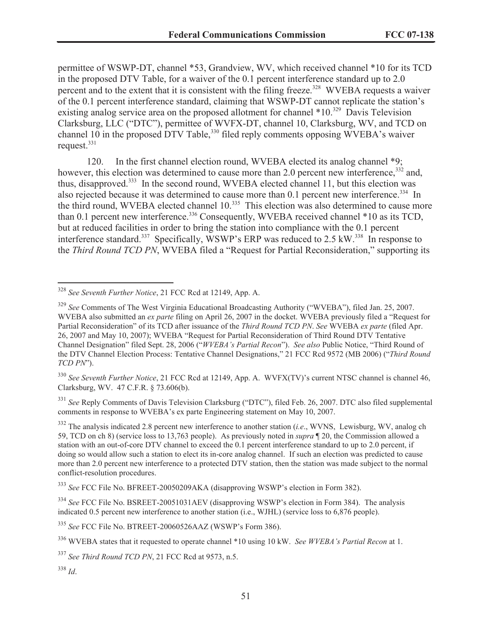permittee of WSWP-DT, channel \*53, Grandview, WV, which received channel \*10 for its TCD in the proposed DTV Table, for a waiver of the 0.1 percent interference standard up to 2.0 percent and to the extent that it is consistent with the filing freeze.<sup>328</sup> WVEBA requests a waiver of the 0.1 percent interference standard, claiming that WSWP-DT cannot replicate the station's existing analog service area on the proposed allotment for channel \*10.<sup>329</sup> Davis Television Clarksburg, LLC ("DTC"), permittee of WVFX-DT, channel 10, Clarksburg, WV, and TCD on channel 10 in the proposed DTV Table,  $330$  filed reply comments opposing WVEBA's waiver request. $331$ 

120. In the first channel election round, WVEBA elected its analog channel \*9; however, this election was determined to cause more than 2.0 percent new interference,<sup>332</sup> and, thus, disapproved.<sup>333</sup> In the second round, WVEBA elected channel 11, but this election was also rejected because it was determined to cause more than  $0.1$  percent new interference.<sup>334</sup> In the third round, WVEBA elected channel 10.<sup>335</sup> This election was also determined to cause more than 0.1 percent new interference.<sup>336</sup> Consequently, WVEBA received channel \*10 as its TCD, but at reduced facilities in order to bring the station into compliance with the 0.1 percent interference standard.<sup>337</sup> Specifically, WSWP's ERP was reduced to  $2.5 \text{ kW}$ .<sup>338</sup> In response to the *Third Round TCD PN*, WVEBA filed a "Request for Partial Reconsideration," supporting its

<sup>330</sup> *See Seventh Further Notice*, 21 FCC Rcd at 12149, App. A. WVFX(TV)'s current NTSC channel is channel 46, Clarksburg, WV. 47 C.F.R. § 73.606(b).

<sup>331</sup> See Reply Comments of Davis Television Clarksburg ("DTC"), filed Feb. 26, 2007. DTC also filed supplemental comments in response to WVEBA's ex parte Engineering statement on May 10, 2007.

<sup>332</sup> The analysis indicated 2.8 percent new interference to another station (*i.e*., WVNS, Lewisburg, WV, analog ch 59, TCD on ch 8) (service loss to 13,763 people). As previously noted in *supra* ¶ 20, the Commission allowed a station with an out-of-core DTV channel to exceed the 0.1 percent interference standard to up to 2.0 percent, if doing so would allow such a station to elect its in-core analog channel. If such an election was predicted to cause more than 2.0 percent new interference to a protected DTV station, then the station was made subject to the normal conflict-resolution procedures.

<sup>333</sup> *See* FCC File No. BFREET-20050209AKA (disapproving WSWP's election in Form 382).

<sup>334</sup> See FCC File No. BSREET-20051031AEV (disapproving WSWP's election in Form 384). The analysis indicated 0.5 percent new interference to another station (i.e., WJHL) (service loss to 6,876 people).

<sup>335</sup> *See* FCC File No. BTREET-20060526AAZ (WSWP's Form 386).

<sup>336</sup> WVEBA states that it requested to operate channel \*10 using 10 kW. *See WVEBA's Partial Recon* at 1.

<sup>337</sup> *See Third Round TCD PN*, 21 FCC Rcd at 9573, n.5.

<sup>338</sup> *Id*.

<sup>328</sup> *See Seventh Further Notice*, 21 FCC Rcd at 12149, App. A.

<sup>329</sup> *See* Comments of The West Virginia Educational Broadcasting Authority ("WVEBA"), filed Jan. 25, 2007. WVEBA also submitted an *ex parte* filing on April 26, 2007 in the docket. WVEBA previously filed a "Request for Partial Reconsideration" of its TCD after issuance of the *Third Round TCD PN*. *See* WVEBA *ex parte* (filed Apr. 26, 2007 and May 10, 2007); WVEBA "Request for Partial Reconsideration of Third Round DTV Tentative Channel Designation" filed Sept. 28, 2006 ("*WVEBA's Partial Recon*"). *See also* Public Notice, "Third Round of the DTV Channel Election Process: Tentative Channel Designations," 21 FCC Rcd 9572 (MB 2006) ("*Third Round TCD PN*").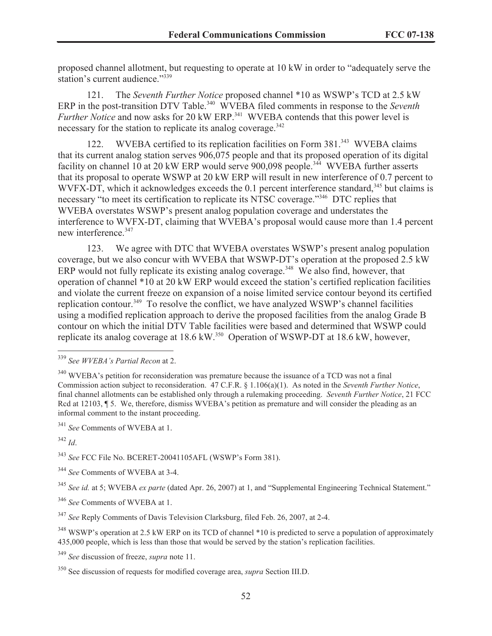proposed channel allotment, but requesting to operate at 10 kW in order to "adequately serve the station's current audience."339

121. The *Seventh Further Notice* proposed channel \*10 as WSWP's TCD at 2.5 kW ERP in the post-transition DTV Table.<sup>340</sup> WVEBA filed comments in response to the *Seventh Further Notice* and now asks for 20 kW ERP.<sup>341</sup> WVEBA contends that this power level is necessary for the station to replicate its analog coverage.<sup>342</sup>

122. WVEBA certified to its replication facilities on Form 381.<sup>343</sup> WVEBA claims that its current analog station serves 906,075 people and that its proposed operation of its digital facility on channel 10 at 20 kW ERP would serve 900,098 people.<sup>344</sup> WVEBA further asserts that its proposal to operate WSWP at 20 kW ERP will result in new interference of 0.7 percent to WVFX-DT, which it acknowledges exceeds the  $0.1$  percent interference standard,<sup>345</sup> but claims is necessary "to meet its certification to replicate its NTSC coverage."<sup>346</sup> DTC replies that WVEBA overstates WSWP's present analog population coverage and understates the interference to WVFX-DT, claiming that WVEBA's proposal would cause more than 1.4 percent new interference.<sup>347</sup>

123. We agree with DTC that WVEBA overstates WSWP's present analog population coverage, but we also concur with WVEBA that WSWP-DT's operation at the proposed 2.5 kW ERP would not fully replicate its existing analog coverage.<sup>348</sup> We also find, however, that operation of channel \*10 at 20 kW ERP would exceed the station's certified replication facilities and violate the current freeze on expansion of a noise limited service contour beyond its certified replication contour.<sup>349</sup> To resolve the conflict, we have analyzed WSWP's channel facilities using a modified replication approach to derive the proposed facilities from the analog Grade B contour on which the initial DTV Table facilities were based and determined that WSWP could replicate its analog coverage at  $18.6 \text{ kW}$ <sup>350</sup> Operation of WSWP-DT at  $18.6 \text{ kW}$ , however,

<sup>339</sup> *See WVEBA's Partial Recon* at 2.

 $340$  WVEBA's petition for reconsideration was premature because the issuance of a TCD was not a final Commission action subject to reconsideration. 47 C.F.R. § 1.106(a)(1). As noted in the *Seventh Further Notice*, final channel allotments can be established only through a rulemaking proceeding. *Seventh Further Notice*, 21 FCC Rcd at 12103,  $\P$  5. We, therefore, dismiss WVEBA's petition as premature and will consider the pleading as an informal comment to the instant proceeding.

<sup>341</sup> *See* Comments of WVEBA at 1.

<sup>342</sup> *Id*.

<sup>343</sup> *See* FCC File No. BCERET-20041105AFL (WSWP's Form 381).

<sup>344</sup> *See* Comments of WVEBA at 3-4.

<sup>345</sup> *See id.* at 5; WVEBA *ex parte* (dated Apr. 26, 2007) at 1, and "Supplemental Engineering Technical Statement."

<sup>346</sup> *See* Comments of WVEBA at 1.

<sup>347</sup> *See* Reply Comments of Davis Television Clarksburg, filed Feb. 26, 2007, at 2-4.

<sup>&</sup>lt;sup>348</sup> WSWP's operation at 2.5 kW ERP on its TCD of channel \*10 is predicted to serve a population of approximately 435,000 people, which is less than those that would be served by the station's replication facilities.

<sup>349</sup> *See* discussion of freeze, *supra* note 11.

<sup>350</sup> See discussion of requests for modified coverage area, *supra* Section III.D.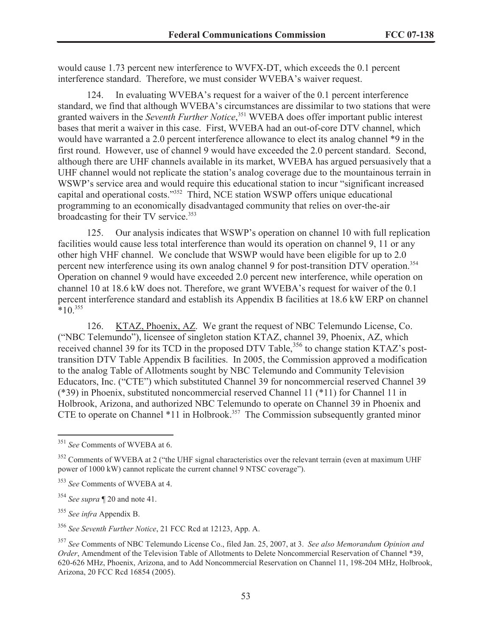would cause 1.73 percent new interference to WVFX-DT, which exceeds the 0.1 percent interference standard. Therefore, we must consider WVEBA's waiver request.

124. In evaluating WVEBA's request for a waiver of the 0.1 percent interference standard, we find that although WVEBA's circumstances are dissimilar to two stations that were granted waivers in the *Seventh Further Notice*, <sup>351</sup> WVEBA does offer important public interest bases that merit a waiver in this case. First, WVEBA had an out-of-core DTV channel, which would have warranted a 2.0 percent interference allowance to elect its analog channel \*9 in the first round. However, use of channel 9 would have exceeded the 2.0 percent standard. Second, although there are UHF channels available in its market, WVEBA has argued persuasively that a UHF channel would not replicate the station's analog coverage due to the mountainous terrain in WSWP's service area and would require this educational station to incur "significant increased capital and operational costs."<sup>352</sup> Third, NCE station WSWP offers unique educational programming to an economically disadvantaged community that relies on over-the-air broadcasting for their TV service.<sup>353</sup>

125. Our analysis indicates that WSWP's operation on channel 10 with full replication facilities would cause less total interference than would its operation on channel 9, 11 or any other high VHF channel. We conclude that WSWP would have been eligible for up to 2.0 percent new interference using its own analog channel 9 for post-transition DTV operation.<sup>354</sup> Operation on channel 9 would have exceeded 2.0 percent new interference, while operation on channel 10 at 18.6 kW does not. Therefore, we grant WVEBA's request for waiver of the 0.1 percent interference standard and establish its Appendix B facilities at 18.6 kW ERP on channel  $*10^{355}$ 

126. KTAZ, Phoenix, AZ. We grant the request of NBC Telemundo License, Co. ("NBC Telemundo"), licensee of singleton station KTAZ, channel 39, Phoenix, AZ, which received channel 39 for its TCD in the proposed DTV Table,<sup>356</sup> to change station KTAZ's posttransition DTV Table Appendix B facilities. In 2005, the Commission approved a modification to the analog Table of Allotments sought by NBC Telemundo and Community Television Educators, Inc. ("CTE") which substituted Channel 39 for noncommercial reserved Channel 39 (\*39) in Phoenix, substituted noncommercial reserved Channel 11 (\*11) for Channel 11 in Holbrook, Arizona, and authorized NBC Telemundo to operate on Channel 39 in Phoenix and CTE to operate on Channel  $*11$  in Holbrook.<sup>357</sup> The Commission subsequently granted minor

<sup>351</sup> *See* Comments of WVEBA at 6.

<sup>&</sup>lt;sup>352</sup> Comments of WVEBA at 2 ("the UHF signal characteristics over the relevant terrain (even at maximum UHF power of 1000 kW) cannot replicate the current channel 9 NTSC coverage").

<sup>353</sup> *See* Comments of WVEBA at 4.

<sup>354</sup> *See supra* ¶ 20 and note 41.

<sup>355</sup> *See infra* Appendix B.

<sup>356</sup> *See Seventh Further Notice*, 21 FCC Rcd at 12123, App. A.

<sup>357</sup> *See* Comments of NBC Telemundo License Co., filed Jan. 25, 2007, at 3. *See also Memorandum Opinion and Order*, Amendment of the Television Table of Allotments to Delete Noncommercial Reservation of Channel \*39, 620-626 MHz, Phoenix, Arizona, and to Add Noncommercial Reservation on Channel 11, 198-204 MHz, Holbrook, Arizona, 20 FCC Rcd 16854 (2005).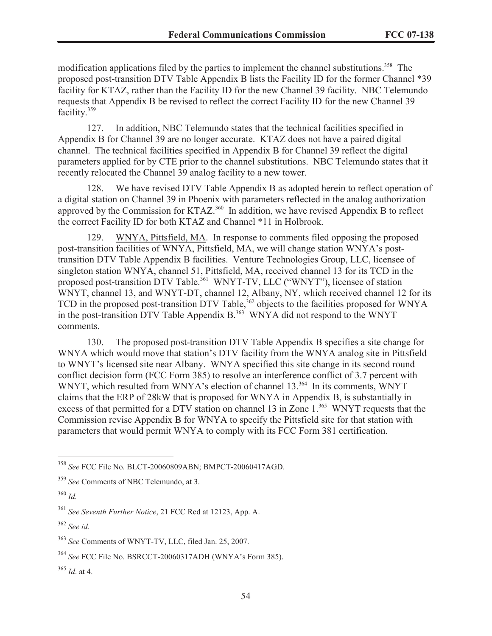modification applications filed by the parties to implement the channel substitutions.<sup>358</sup> The proposed post-transition DTV Table Appendix B lists the Facility ID for the former Channel \*39 facility for KTAZ, rather than the Facility ID for the new Channel 39 facility. NBC Telemundo requests that Appendix B be revised to reflect the correct Facility ID for the new Channel 39 facility.<sup>359</sup>

127. In addition, NBC Telemundo states that the technical facilities specified in Appendix B for Channel 39 are no longer accurate. KTAZ does not have a paired digital channel. The technical facilities specified in Appendix B for Channel 39 reflect the digital parameters applied for by CTE prior to the channel substitutions. NBC Telemundo states that it recently relocated the Channel 39 analog facility to a new tower.

128. We have revised DTV Table Appendix B as adopted herein to reflect operation of a digital station on Channel 39 in Phoenix with parameters reflected in the analog authorization approved by the Commission for KTAZ.<sup>360</sup> In addition, we have revised Appendix B to reflect the correct Facility ID for both KTAZ and Channel \*11 in Holbrook.

129. WNYA, Pittsfield, MA. In response to comments filed opposing the proposed post-transition facilities of WNYA, Pittsfield, MA, we will change station WNYA's posttransition DTV Table Appendix B facilities. Venture Technologies Group, LLC, licensee of singleton station WNYA, channel 51, Pittsfield, MA, received channel 13 for its TCD in the proposed post-transition DTV Table.<sup>361</sup> WNYT-TV, LLC ("WNYT"), licensee of station WNYT, channel 13, and WNYT-DT, channel 12, Albany, NY, which received channel 12 for its TCD in the proposed post-transition DTV Table,<sup>362</sup> objects to the facilities proposed for WNYA in the post-transition DTV Table Appendix  $B^{363}$  WNYA did not respond to the WNYT comments.

130. The proposed post-transition DTV Table Appendix B specifies a site change for WNYA which would move that station's DTV facility from the WNYA analog site in Pittsfield to WNYT's licensed site near Albany. WNYA specified this site change in its second round conflict decision form (FCC Form 385) to resolve an interference conflict of 3.7 percent with WNYT, which resulted from WNYA's election of channel 13.<sup>364</sup> In its comments, WNYT claims that the ERP of 28kW that is proposed for WNYA in Appendix B, is substantially in excess of that permitted for a DTV station on channel 13 in Zone 1.<sup>365</sup> WNYT requests that the Commission revise Appendix B for WNYA to specify the Pittsfield site for that station with parameters that would permit WNYA to comply with its FCC Form 381 certification.

<sup>358</sup> *See* FCC File No. BLCT-20060809ABN; BMPCT-20060417AGD.

<sup>359</sup> *See* Comments of NBC Telemundo, at 3.

<sup>360</sup> *Id.*

<sup>361</sup> *See Seventh Further Notice*, 21 FCC Rcd at 12123, App. A.

<sup>362</sup> *See id*.

<sup>363</sup> *See* Comments of WNYT-TV, LLC, filed Jan. 25, 2007.

<sup>364</sup> *See* FCC File No. BSRCCT-20060317ADH (WNYA's Form 385).

<sup>365</sup> *Id*. at 4.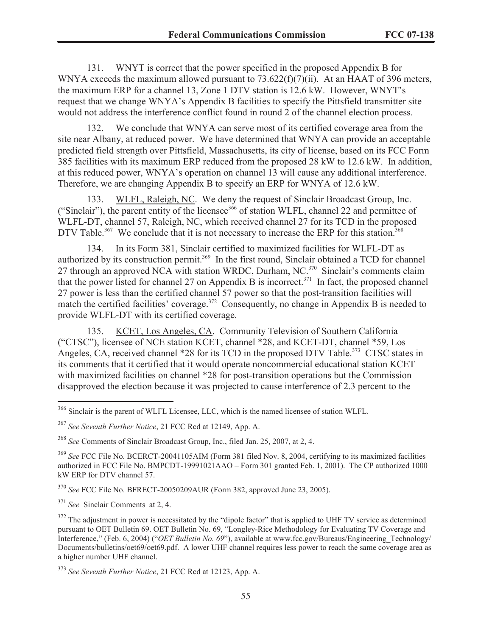131. WNYT is correct that the power specified in the proposed Appendix B for WNYA exceeds the maximum allowed pursuant to  $73.622(f)(7)(ii)$ . At an HAAT of 396 meters, the maximum ERP for a channel 13, Zone 1 DTV station is 12.6 kW. However, WNYT's request that we change WNYA's Appendix B facilities to specify the Pittsfield transmitter site would not address the interference conflict found in round 2 of the channel election process.

132. We conclude that WNYA can serve most of its certified coverage area from the site near Albany, at reduced power. We have determined that WNYA can provide an acceptable predicted field strength over Pittsfield, Massachusetts, its city of license, based on its FCC Form 385 facilities with its maximum ERP reduced from the proposed 28 kW to 12.6 kW. In addition, at this reduced power, WNYA's operation on channel 13 will cause any additional interference. Therefore, we are changing Appendix B to specify an ERP for WNYA of 12.6 kW.

133. WLFL, Raleigh, NC. We deny the request of Sinclair Broadcast Group, Inc. ("Sinclair"), the parent entity of the licensee<sup>366</sup> of station WLFL, channel 22 and permittee of WLFL-DT, channel 57, Raleigh, NC, which received channel 27 for its TCD in the proposed DTV Table.<sup>367</sup> We conclude that it is not necessary to increase the ERP for this station.<sup>368</sup>

134. In its Form 381, Sinclair certified to maximized facilities for WLFL-DT as authorized by its construction permit.<sup>369</sup> In the first round, Sinclair obtained a TCD for channel 27 through an approved NCA with station WRDC, Durham, NC. $370$  Sinclair's comments claim that the power listed for channel 27 on Appendix B is incorrect.<sup>371</sup> In fact, the proposed channel 27 power is less than the certified channel 57 power so that the post-transition facilities will match the certified facilities' coverage.<sup>372</sup> Consequently, no change in Appendix B is needed to provide WLFL-DT with its certified coverage.

135. KCET, Los Angeles, CA. Community Television of Southern California ("CTSC"), licensee of NCE station KCET, channel \*28, and KCET-DT, channel \*59, Los Angeles, CA, received channel \*28 for its TCD in the proposed DTV Table.<sup>373</sup> CTSC states in its comments that it certified that it would operate noncommercial educational station KCET with maximized facilities on channel \*28 for post-transition operations but the Commission disapproved the election because it was projected to cause interference of 2.3 percent to the

<sup>370</sup> *See* FCC File No. BFRECT-20050209AUR (Form 382, approved June 23, 2005).

<sup>371</sup> *See* Sinclair Comments at 2, 4.

<sup>366</sup> Sinclair is the parent of WLFL Licensee, LLC, which is the named licensee of station WLFL.

<sup>367</sup> *See Seventh Further Notice*, 21 FCC Rcd at 12149, App. A.

<sup>368</sup> *See* Comments of Sinclair Broadcast Group, Inc., filed Jan. 25, 2007, at 2, 4.

<sup>369</sup> *See* FCC File No. BCERCT-20041105AIM (Form 381 filed Nov. 8, 2004, certifying to its maximized facilities authorized in FCC File No. BMPCDT-19991021AAO – Form 301 granted Feb. 1, 2001). The CP authorized 1000 kW ERP for DTV channel 57.

 $372$  The adjustment in power is necessitated by the "dipole factor" that is applied to UHF TV service as determined pursuant to OET Bulletin 69. OET Bulletin No. 69, "Longley-Rice Methodology for Evaluating TV Coverage and Interference," (Feb. 6, 2004) ("*OET Bulletin No. 69*"), available at www.fcc.gov/Bureaus/Engineering\_Technology/ Documents/bulletins/oet69/oet69.pdf. A lower UHF channel requires less power to reach the same coverage area as a higher number UHF channel.

<sup>373</sup> *See Seventh Further Notice*, 21 FCC Rcd at 12123, App. A.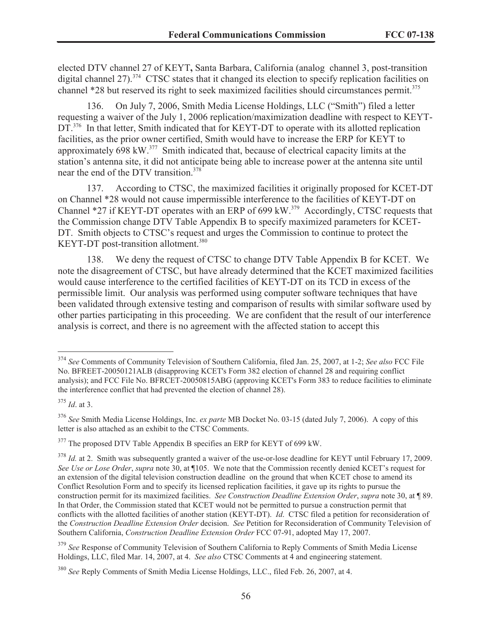elected DTV channel 27 of KEYT**,** Santa Barbara, California (analog channel 3, post-transition digital channel 27).<sup>374</sup> CTSC states that it changed its election to specify replication facilities on channel \*28 but reserved its right to seek maximized facilities should circumstances permit.<sup>375</sup>

136. On July 7, 2006, Smith Media License Holdings, LLC ("Smith") filed a letter requesting a waiver of the July 1, 2006 replication/maximization deadline with respect to KEYT-DT.<sup>376</sup> In that letter, Smith indicated that for KEYT-DT to operate with its allotted replication facilities, as the prior owner certified, Smith would have to increase the ERP for KEYT to approximately 698 kW.<sup>377</sup> Smith indicated that, because of electrical capacity limits at the station's antenna site, it did not anticipate being able to increase power at the antenna site until near the end of the DTV transition.<sup>378</sup>

137. According to CTSC, the maximized facilities it originally proposed for KCET-DT on Channel \*28 would not cause impermissible interference to the facilities of KEYT-DT on Channel \*27 if KEYT-DT operates with an ERP of 699 kW.<sup>379</sup> Accordingly, CTSC requests that the Commission change DTV Table Appendix B to specify maximized parameters for KCET-DT. Smith objects to CTSC's request and urges the Commission to continue to protect the KEYT-DT post-transition allotment.<sup>380</sup>

138. We deny the request of CTSC to change DTV Table Appendix B for KCET. We note the disagreement of CTSC, but have already determined that the KCET maximized facilities would cause interference to the certified facilities of KEYT-DT on its TCD in excess of the permissible limit. Our analysis was performed using computer software techniques that have been validated through extensive testing and comparison of results with similar software used by other parties participating in this proceeding. We are confident that the result of our interference analysis is correct, and there is no agreement with the affected station to accept this

<sup>374</sup> *See* Comments of Community Television of Southern California, filed Jan. 25, 2007, at 1-2; *See also* FCC File No. BFREET-20050121ALB (disapproving KCET's Form 382 election of channel 28 and requiring conflict analysis); and FCC File No. BFRCET-20050815ABG (approving KCET's Form 383 to reduce facilities to eliminate the interference conflict that had prevented the election of channel 28).

<sup>375</sup> *Id*. at 3.

<sup>376</sup> *See* Smith Media License Holdings, Inc. *ex parte* MB Docket No. 03-15 (dated July 7, 2006). A copy of this letter is also attached as an exhibit to the CTSC Comments.

<sup>&</sup>lt;sup>377</sup> The proposed DTV Table Appendix B specifies an ERP for KEYT of 699 kW.

<sup>&</sup>lt;sup>378</sup> *Id.* at 2. Smith was subsequently granted a waiver of the use-or-lose deadline for KEYT until February 17, 2009. *See Use or Lose Order*, *supra* note 30, at ¶105. We note that the Commission recently denied KCET's request for an extension of the digital television construction deadline on the ground that when KCET chose to amend its Conflict Resolution Form and to specify its licensed replication facilities, it gave up its rights to pursue the construction permit for its maximized facilities. *See Construction Deadline Extension Order*, *supra* note 30, at ¶ 89. In that Order, the Commission stated that KCET would not be permitted to pursue a construction permit that conflicts with the allotted facilities of another station (KEYT-DT). *Id*. CTSC filed a petition for reconsideration of the *Construction Deadline Extension Order* decision. *See* Petition for Reconsideration of Community Television of Southern California, *Construction Deadline Extension Order* FCC 07-91, adopted May 17, 2007.

<sup>&</sup>lt;sup>379</sup> See Response of Community Television of Southern California to Reply Comments of Smith Media License Holdings, LLC, filed Mar. 14, 2007, at 4. *See also* CTSC Comments at 4 and engineering statement.

<sup>380</sup> *See* Reply Comments of Smith Media License Holdings, LLC., filed Feb. 26, 2007, at 4.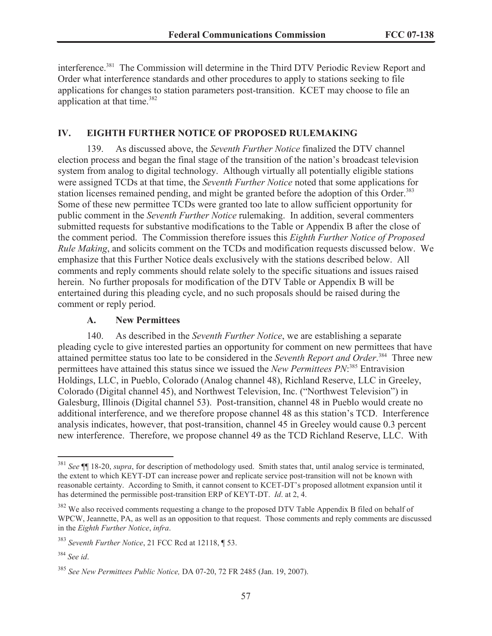interference.<sup>381</sup> The Commission will determine in the Third DTV Periodic Review Report and Order what interference standards and other procedures to apply to stations seeking to file applications for changes to station parameters post-transition. KCET may choose to file an application at that time.<sup>382</sup>

### **IV. EIGHTH FURTHER NOTICE OF PROPOSED RULEMAKING**

139. As discussed above, the *Seventh Further Notice* finalized the DTV channel election process and began the final stage of the transition of the nation's broadcast television system from analog to digital technology. Although virtually all potentially eligible stations were assigned TCDs at that time, the *Seventh Further Notice* noted that some applications for station licenses remained pending, and might be granted before the adoption of this Order.<sup>383</sup> Some of these new permittee TCDs were granted too late to allow sufficient opportunity for public comment in the *Seventh Further Notice* rulemaking. In addition, several commenters submitted requests for substantive modifications to the Table or Appendix B after the close of the comment period. The Commission therefore issues this *Eighth Further Notice of Proposed Rule Making*, and solicits comment on the TCDs and modification requests discussed below. We emphasize that this Further Notice deals exclusively with the stations described below. All comments and reply comments should relate solely to the specific situations and issues raised herein. No further proposals for modification of the DTV Table or Appendix B will be entertained during this pleading cycle, and no such proposals should be raised during the comment or reply period.

#### **A. New Permittees**

140. As described in the *Seventh Further Notice*, we are establishing a separate pleading cycle to give interested parties an opportunity for comment on new permittees that have attained permittee status too late to be considered in the *Seventh Report and Order*. <sup>384</sup> Three new permittees have attained this status since we issued the *New Permittees PN*: <sup>385</sup> Entravision Holdings, LLC, in Pueblo, Colorado (Analog channel 48), Richland Reserve, LLC in Greeley, Colorado (Digital channel 45), and Northwest Television, Inc. ("Northwest Television") in Galesburg, Illinois (Digital channel 53). Post-transition, channel 48 in Pueblo would create no additional interference, and we therefore propose channel 48 as this station's TCD. Interference analysis indicates, however, that post-transition, channel 45 in Greeley would cause 0.3 percent new interference. Therefore, we propose channel 49 as the TCD Richland Reserve, LLC. With

<sup>381</sup> *See* ¶¶ 18-20, *supra*, for description of methodology used. Smith states that, until analog service is terminated, the extent to which KEYT-DT can increase power and replicate service post-transition will not be known with reasonable certainty. According to Smith, it cannot consent to KCET-DT's proposed allotment expansion until it has determined the permissible post-transition ERP of KEYT-DT. *Id*. at 2, 4.

<sup>&</sup>lt;sup>382</sup> We also received comments requesting a change to the proposed DTV Table Appendix B filed on behalf of WPCW, Jeannette, PA, as well as an opposition to that request. Those comments and reply comments are discussed in the *Eighth Further Notice*, *infra*.

<sup>383</sup> *Seventh Further Notice*, 21 FCC Rcd at 12118, ¶ 53.

<sup>384</sup> *See id*.

<sup>385</sup> *See New Permittees Public Notice,* DA 07-20, 72 FR 2485 (Jan. 19, 2007).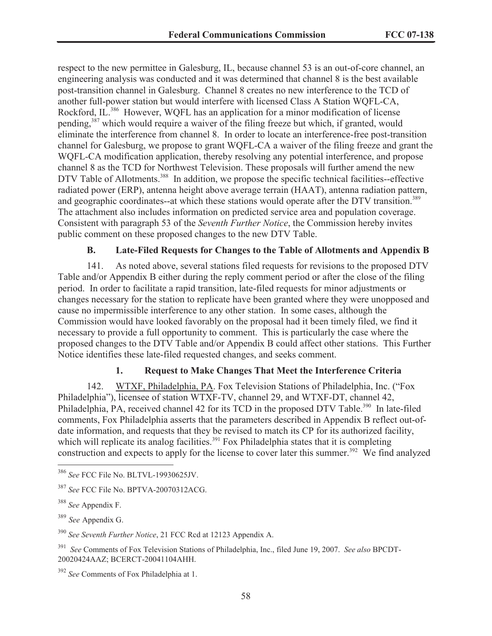respect to the new permittee in Galesburg, IL, because channel 53 is an out-of-core channel, an engineering analysis was conducted and it was determined that channel 8 is the best available post-transition channel in Galesburg. Channel 8 creates no new interference to the TCD of another full-power station but would interfere with licensed Class A Station WQFL-CA, Rockford, IL.<sup>386</sup> However, WQFL has an application for a minor modification of license pending,<sup>387</sup> which would require a waiver of the filing freeze but which, if granted, would eliminate the interference from channel 8. In order to locate an interference-free post-transition channel for Galesburg, we propose to grant WQFL-CA a waiver of the filing freeze and grant the WQFL-CA modification application, thereby resolving any potential interference, and propose channel 8 as the TCD for Northwest Television. These proposals will further amend the new DTV Table of Allotments.<sup>388</sup> In addition, we propose the specific technical facilities--effective radiated power (ERP), antenna height above average terrain (HAAT), antenna radiation pattern, and geographic coordinates--at which these stations would operate after the DTV transition.<sup>389</sup> The attachment also includes information on predicted service area and population coverage. Consistent with paragraph 53 of the *Seventh Further Notice*, the Commission hereby invites public comment on these proposed changes to the new DTV Table.

# **B. Late-Filed Requests for Changes to the Table of Allotments and Appendix B**

141. As noted above, several stations filed requests for revisions to the proposed DTV Table and/or Appendix B either during the reply comment period or after the close of the filing period. In order to facilitate a rapid transition, late-filed requests for minor adjustments or changes necessary for the station to replicate have been granted where they were unopposed and cause no impermissible interference to any other station. In some cases, although the Commission would have looked favorably on the proposal had it been timely filed, we find it necessary to provide a full opportunity to comment. This is particularly the case where the proposed changes to the DTV Table and/or Appendix B could affect other stations. This Further Notice identifies these late-filed requested changes, and seeks comment.

# **1. Request to Make Changes That Meet the Interference Criteria**

142. WTXF, Philadelphia, PA. Fox Television Stations of Philadelphia, Inc. ("Fox Philadelphia"), licensee of station WTXF-TV, channel 29, and WTXF-DT, channel 42, Philadelphia, PA, received channel 42 for its TCD in the proposed DTV Table.<sup>390</sup> In late-filed comments, Fox Philadelphia asserts that the parameters described in Appendix B reflect out-ofdate information, and requests that they be revised to match its CP for its authorized facility, which will replicate its analog facilities.<sup>391</sup> Fox Philadelphia states that it is completing construction and expects to apply for the license to cover later this summer.<sup>392</sup> We find analyzed

<sup>386</sup> *See* FCC File No. BLTVL-19930625JV.

<sup>387</sup> *See* FCC File No. BPTVA-20070312ACG.

<sup>388</sup> *See* Appendix F.

<sup>389</sup> *See* Appendix G.

<sup>390</sup> *See Seventh Further Notice*, 21 FCC Rcd at 12123 Appendix A.

<sup>391</sup> *See* Comments of Fox Television Stations of Philadelphia, Inc., filed June 19, 2007. *See also* BPCDT-20020424AAZ; BCERCT-20041104AHH.

<sup>392</sup> *See* Comments of Fox Philadelphia at 1.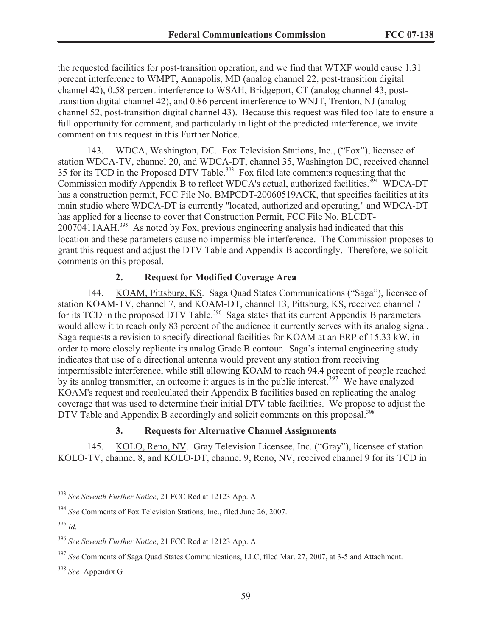the requested facilities for post-transition operation, and we find that WTXF would cause 1.31 percent interference to WMPT, Annapolis, MD (analog channel 22, post-transition digital channel 42), 0.58 percent interference to WSAH, Bridgeport, CT (analog channel 43, posttransition digital channel 42), and 0.86 percent interference to WNJT, Trenton, NJ (analog channel 52, post-transition digital channel 43). Because this request was filed too late to ensure a full opportunity for comment, and particularly in light of the predicted interference, we invite comment on this request in this Further Notice.

143. WDCA, Washington, DC. Fox Television Stations, Inc., ("Fox"), licensee of station WDCA-TV, channel 20, and WDCA-DT, channel 35, Washington DC, received channel 35 for its TCD in the Proposed DTV Table.<sup>393</sup> Fox filed late comments requesting that the Commission modify Appendix B to reflect WDCA's actual, authorized facilities.<sup>394</sup> WDCA-DT has a construction permit, FCC File No. BMPCDT-20060519ACK, that specifies facilities at its main studio where WDCA-DT is currently "located, authorized and operating," and WDCA-DT has applied for a license to cover that Construction Permit, FCC File No. BLCDT-20070411AAH.<sup>395</sup> As noted by Fox, previous engineering analysis had indicated that this location and these parameters cause no impermissible interference. The Commission proposes to grant this request and adjust the DTV Table and Appendix B accordingly. Therefore, we solicit comments on this proposal.

#### **2. Request for Modified Coverage Area**

144. KOAM, Pittsburg, KS. Saga Quad States Communications ("Saga"), licensee of station KOAM-TV, channel 7, and KOAM-DT, channel 13, Pittsburg, KS, received channel 7 for its TCD in the proposed DTV Table.<sup>396</sup> Saga states that its current Appendix B parameters would allow it to reach only 83 percent of the audience it currently serves with its analog signal. Saga requests a revision to specify directional facilities for KOAM at an ERP of 15.33 kW, in order to more closely replicate its analog Grade B contour. Saga's internal engineering study indicates that use of a directional antenna would prevent any station from receiving impermissible interference, while still allowing KOAM to reach 94.4 percent of people reached by its analog transmitter, an outcome it argues is in the public interest.<sup>397</sup> We have analyzed KOAM's request and recalculated their Appendix B facilities based on replicating the analog coverage that was used to determine their initial DTV table facilities. We propose to adjust the DTV Table and Appendix B accordingly and solicit comments on this proposal.<sup>398</sup>

### **3. Requests for Alternative Channel Assignments**

145. KOLO, Reno, NV. Gray Television Licensee, Inc. ("Gray"), licensee of station KOLO-TV, channel 8, and KOLO-DT, channel 9, Reno, NV, received channel 9 for its TCD in

<sup>393</sup> *See Seventh Further Notice*, 21 FCC Rcd at 12123 App. A.

<sup>394</sup> *See* Comments of Fox Television Stations, Inc., filed June 26, 2007.

<sup>395</sup> *Id.*

<sup>396</sup> *See Seventh Further Notice*, 21 FCC Rcd at 12123 App. A.

<sup>397</sup> *See* Comments of Saga Quad States Communications, LLC, filed Mar. 27, 2007, at 3-5 and Attachment.

<sup>398</sup> *See* Appendix G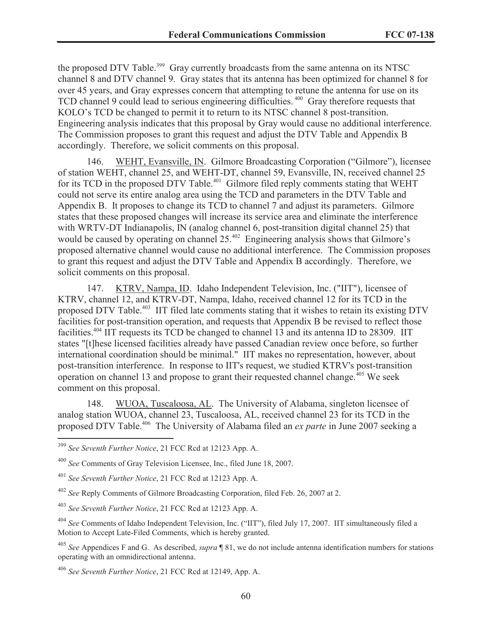the proposed DTV Table.<sup>399</sup> Gray currently broadcasts from the same antenna on its NTSC channel 8 and DTV channel 9. Gray states that its antenna has been optimized for channel 8 for over 45 years, and Gray expresses concern that attempting to retune the antenna for use on its TCD channel 9 could lead to serious engineering difficulties.<sup>400</sup> Gray therefore requests that KOLO's TCD be changed to permit it to return to its NTSC channel 8 post-transition. Engineering analysis indicates that this proposal by Gray would cause no additional interference. The Commission proposes to grant this request and adjust the DTV Table and Appendix B accordingly. Therefore, we solicit comments on this proposal.

146. WEHT, Evansville, IN. Gilmore Broadcasting Corporation ("Gilmore"), licensee of station WEHT, channel 25, and WEHT-DT, channel 59, Evansville, IN, received channel 25 for its TCD in the proposed DTV Table.<sup>401</sup> Gilmore filed reply comments stating that WEHT could not serve its entire analog area using the TCD and parameters in the DTV Table and Appendix B. It proposes to change its TCD to channel 7 and adjust its parameters. Gilmore states that these proposed changes will increase its service area and eliminate the interference with WRTV-DT Indianapolis, IN (analog channel 6, post-transition digital channel 25) that would be caused by operating on channel 25.<sup>402</sup> Engineering analysis shows that Gilmore's proposed alternative channel would cause no additional interference. The Commission proposes to grant this request and adjust the DTV Table and Appendix B accordingly. Therefore, we solicit comments on this proposal.

147. KTRV, Nampa, ID. Idaho Independent Television, Inc. ("IIT"), licensee of KTRV, channel 12, and KTRV-DT, Nampa, Idaho, received channel 12 for its TCD in the proposed DTV Table.<sup>403</sup> IIT filed late comments stating that it wishes to retain its existing DTV facilities for post-transition operation, and requests that Appendix B be revised to reflect those facilities.<sup>404</sup> IIT requests its TCD be changed to channel 13 and its antenna ID to 28309. IIT states "[t]hese licensed facilities already have passed Canadian review once before, so further international coordination should be minimal." IIT makes no representation, however, about post-transition interference. In response to IIT's request, we studied KTRV's post-transition operation on channel 13 and propose to grant their requested channel change.<sup> $405$ </sup> We seek comment on this proposal.

148. WUOA, Tuscaloosa, AL. The University of Alabama, singleton licensee of analog station WUOA, channel 23, Tuscaloosa, AL, received channel 23 for its TCD in the proposed DTV Table.<sup>406</sup> The University of Alabama filed an *ex parte* in June 2007 seeking a

<sup>399</sup> *See Seventh Further Notice*, 21 FCC Rcd at 12123 App. A.

<sup>400</sup> *See* Comments of Gray Television Licensee, Inc., filed June 18, 2007.

<sup>401</sup> *See Seventh Further Notice*, 21 FCC Rcd at 12123 App. A.

<sup>402</sup> *See* Reply Comments of Gilmore Broadcasting Corporation, filed Feb. 26, 2007 at 2.

<sup>403</sup> *See Seventh Further Notice*, 21 FCC Rcd at 12123 App. A.

<sup>404</sup> *See* Comments of Idaho Independent Television, Inc. ("IIT"), filed July 17, 2007. IIT simultaneously filed a Motion to Accept Late-Filed Comments, which is hereby granted.

<sup>405</sup> *See* Appendices F and G. As described, *supra* ¶ 81, we do not include antenna identification numbers for stations operating with an omnidirectional antenna.

<sup>406</sup> *See Seventh Further Notice*, 21 FCC Rcd at 12149, App. A.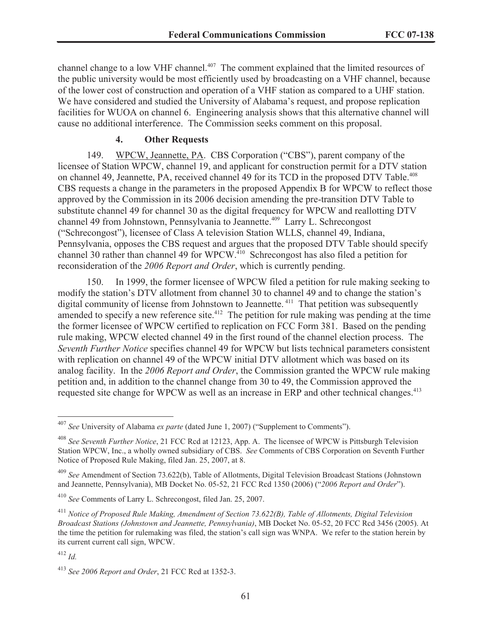channel change to a low VHF channel.<sup>407</sup> The comment explained that the limited resources of the public university would be most efficiently used by broadcasting on a VHF channel, because of the lower cost of construction and operation of a VHF station as compared to a UHF station. We have considered and studied the University of Alabama's request, and propose replication facilities for WUOA on channel 6. Engineering analysis shows that this alternative channel will cause no additional interference. The Commission seeks comment on this proposal.

#### **4. Other Requests**

149. WPCW, Jeannette, PA. CBS Corporation ("CBS"), parent company of the licensee of Station WPCW, channel 19, and applicant for construction permit for a DTV station on channel 49, Jeannette, PA, received channel 49 for its TCD in the proposed DTV Table.<sup>408</sup> CBS requests a change in the parameters in the proposed Appendix B for WPCW to reflect those approved by the Commission in its 2006 decision amending the pre-transition DTV Table to substitute channel 49 for channel 30 as the digital frequency for WPCW and reallotting DTV channel 49 from Johnstown, Pennsylvania to Jeannette.<sup>409</sup> Larry L. Schrecongost ("Schrecongost"), licensee of Class A television Station WLLS, channel 49, Indiana, Pennsylvania, opposes the CBS request and argues that the proposed DTV Table should specify channel 30 rather than channel 49 for WPCW.<sup>410</sup> Schrecongost has also filed a petition for reconsideration of the *2006 Report and Order*, which is currently pending.

150. In 1999, the former licensee of WPCW filed a petition for rule making seeking to modify the station's DTV allotment from channel 30 to channel 49 and to change the station's digital community of license from Johnstown to Jeannette. <sup>411</sup> That petition was subsequently amended to specify a new reference site.<sup> $412$ </sup> The petition for rule making was pending at the time the former licensee of WPCW certified to replication on FCC Form 381. Based on the pending rule making, WPCW elected channel 49 in the first round of the channel election process. The *Seventh Further Notice* specifies channel 49 for WPCW but lists technical parameters consistent with replication on channel 49 of the WPCW initial DTV allotment which was based on its analog facility. In the *2006 Report and Order*, the Commission granted the WPCW rule making petition and, in addition to the channel change from 30 to 49, the Commission approved the requested site change for WPCW as well as an increase in ERP and other technical changes.<sup>413</sup>

<sup>407</sup> *See* University of Alabama *ex parte* (dated June 1, 2007) ("Supplement to Comments").

<sup>408</sup> *See Seventh Further Notice*, 21 FCC Rcd at 12123, App. A. The licensee of WPCW is Pittsburgh Television Station WPCW, Inc., a wholly owned subsidiary of CBS. *See* Comments of CBS Corporation on Seventh Further Notice of Proposed Rule Making, filed Jan. 25, 2007, at 8.

<sup>409</sup> *See* Amendment of Section 73.622(b), Table of Allotments, Digital Television Broadcast Stations (Johnstown and Jeannette, Pennsylvania), MB Docket No. 05-52, 21 FCC Rcd 1350 (2006) ("*2006 Report and Order*").

<sup>410</sup> *See* Comments of Larry L. Schrecongost, filed Jan. 25, 2007.

<sup>411</sup> *Notice of Proposed Rule Making, Amendment of Section 73.622(B), Table of Allotments, Digital Television Broadcast Stations (Johnstown and Jeannette, Pennsylvania)*, MB Docket No. 05-52, 20 FCC Rcd 3456 (2005). At the time the petition for rulemaking was filed, the station's call sign was WNPA. We refer to the station herein by its current current call sign, WPCW.

<sup>412</sup> *Id.*

<sup>413</sup> *See 2006 Report and Order*, 21 FCC Rcd at 1352-3.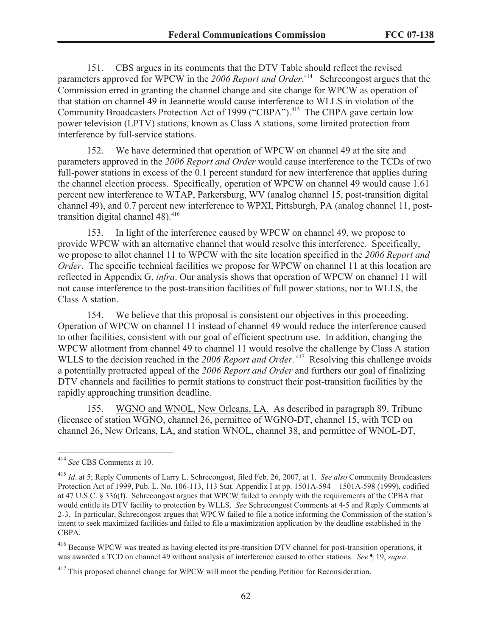151. CBS argues in its comments that the DTV Table should reflect the revised parameters approved for WPCW in the 2006 Report and Order.<sup>414</sup> Schrecongost argues that the Commission erred in granting the channel change and site change for WPCW as operation of that station on channel 49 in Jeannette would cause interference to WLLS in violation of the Community Broadcasters Protection Act of 1999 ("CBPA").<sup>415</sup> The CBPA gave certain low power television (LPTV) stations, known as Class A stations, some limited protection from interference by full-service stations.

152. We have determined that operation of WPCW on channel 49 at the site and parameters approved in the *2006 Report and Order* would cause interference to the TCDs of two full-power stations in excess of the 0.1 percent standard for new interference that applies during the channel election process. Specifically, operation of WPCW on channel 49 would cause 1.61 percent new interference to WTAP, Parkersburg, WV (analog channel 15, post-transition digital channel 49), and 0.7 percent new interference to WPXI, Pittsburgh, PA (analog channel 11, posttransition digital channel 48). 416

153. In light of the interference caused by WPCW on channel 49, we propose to provide WPCW with an alternative channel that would resolve this interference. Specifically, we propose to allot channel 11 to WPCW with the site location specified in the *2006 Report and Order*. The specific technical facilities we propose for WPCW on channel 11 at this location are reflected in Appendix G, *infra*. Our analysis shows that operation of WPCW on channel 11 will not cause interference to the post-transition facilities of full power stations, nor to WLLS, the Class A station.

154. We believe that this proposal is consistent our objectives in this proceeding. Operation of WPCW on channel 11 instead of channel 49 would reduce the interference caused to other facilities, consistent with our goal of efficient spectrum use. In addition, changing the WPCW allotment from channel 49 to channel 11 would resolve the challenge by Class A station WLLS to the decision reached in the 2006 Report and Order.<sup>417</sup> Resolving this challenge avoids a potentially protracted appeal of the *2006 Report and Order* and furthers our goal of finalizing DTV channels and facilities to permit stations to construct their post-transition facilities by the rapidly approaching transition deadline.

155. WGNO and WNOL, New Orleans, LA. As described in paragraph 89, Tribune (licensee of station WGNO, channel 26, permittee of WGNO-DT, channel 15, with TCD on channel 26, New Orleans, LA, and station WNOL, channel 38, and permittee of WNOL-DT,

<sup>414</sup> *See* CBS Comments at 10.

<sup>415</sup> *Id*. at 5; Reply Comments of Larry L. Schrecongost, filed Feb. 26, 2007, at 1. *See also* Community Broadcasters Protection Act of 1999, Pub. L. No. 106-113, 113 Stat. Appendix I at pp. 1501A-594 – 1501A-598 (1999), codified at 47 U.S.C. § 336(f). Schrecongost argues that WPCW failed to comply with the requirements of the CPBA that would entitle its DTV facility to protection by WLLS. *See* Schrecongost Comments at 4-5 and Reply Comments at 2-3. In particular, Schrecongost argues that WPCW failed to file a notice informing the Commission of the station's intent to seek maximized facilities and failed to file a maximization application by the deadline established in the CBPA.

<sup>&</sup>lt;sup>416</sup> Because WPCW was treated as having elected its pre-transition DTV channel for post-transition operations, it was awarded a TCD on channel 49 without analysis of interference caused to other stations. *See* ¶ 19, *supra*.

<sup>&</sup>lt;sup>417</sup> This proposed channel change for WPCW will moot the pending Petition for Reconsideration.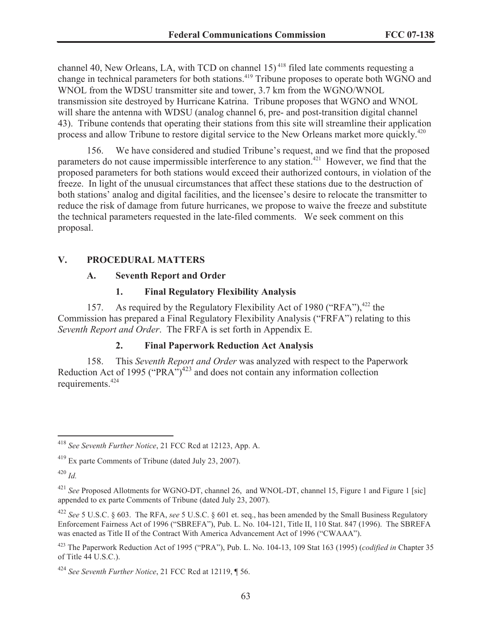channel 40, New Orleans, LA, with TCD on channel 15) <sup>418</sup> filed late comments requesting a change in technical parameters for both stations.<sup>419</sup> Tribune proposes to operate both WGNO and WNOL from the WDSU transmitter site and tower, 3.7 km from the WGNO/WNOL transmission site destroyed by Hurricane Katrina. Tribune proposes that WGNO and WNOL will share the antenna with WDSU (analog channel 6, pre- and post-transition digital channel 43). Tribune contends that operating their stations from this site will streamline their application process and allow Tribune to restore digital service to the New Orleans market more quickly.<sup>420</sup>

156. We have considered and studied Tribune's request, and we find that the proposed parameters do not cause impermissible interference to any station.<sup>421</sup> However, we find that the proposed parameters for both stations would exceed their authorized contours, in violation of the freeze. In light of the unusual circumstances that affect these stations due to the destruction of both stations' analog and digital facilities, and the licensee's desire to relocate the transmitter to reduce the risk of damage from future hurricanes, we propose to waive the freeze and substitute the technical parameters requested in the late-filed comments. We seek comment on this proposal.

#### **V. PROCEDURAL MATTERS**

#### **A. Seventh Report and Order**

#### **1. Final Regulatory Flexibility Analysis**

157. As required by the Regulatory Flexibility Act of 1980 ("RFA"),  $422$  the Commission has prepared a Final Regulatory Flexibility Analysis ("FRFA") relating to this *Seventh Report and Order*. The FRFA is set forth in Appendix E.

#### **2. Final Paperwork Reduction Act Analysis**

158. This *Seventh Report and Order* was analyzed with respect to the Paperwork Reduction Act of 1995 ("PRA")<sup>423</sup> and does not contain any information collection requirements.<sup>424</sup>

<sup>420</sup> *Id.*

<sup>418</sup> *See Seventh Further Notice*, 21 FCC Rcd at 12123, App. A.

<sup>419</sup> Ex parte Comments of Tribune (dated July 23, 2007).

<sup>421</sup> *See* Proposed Allotments for WGNO-DT, channel 26, and WNOL-DT, channel 15, Figure 1 and Figure 1 [sic] appended to ex parte Comments of Tribune (dated July 23, 2007).

<sup>422</sup> *See* 5 U.S.C. § 603. The RFA, *see* 5 U.S.C. § 601 et. seq., has been amended by the Small Business Regulatory Enforcement Fairness Act of 1996 ("SBREFA"), Pub. L. No. 104-121, Title II, 110 Stat. 847 (1996). The SBREFA was enacted as Title II of the Contract With America Advancement Act of 1996 ("CWAAA").

<sup>423</sup> The Paperwork Reduction Act of 1995 ("PRA"), Pub. L. No. 104-13, 109 Stat 163 (1995) (*codified in* Chapter 35 of Title 44 U.S.C.).

<sup>424</sup> *See Seventh Further Notice*, 21 FCC Rcd at 12119, ¶ 56.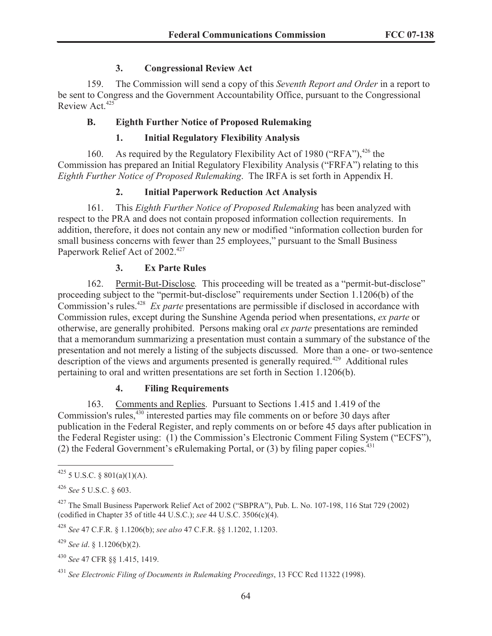## **3. Congressional Review Act**

159. The Commission will send a copy of this *Seventh Report and Order* in a report to be sent to Congress and the Government Accountability Office, pursuant to the Congressional Review Act.<sup>425</sup>

# **B. Eighth Further Notice of Proposed Rulemaking**

# **1. Initial Regulatory Flexibility Analysis**

160. As required by the Regulatory Flexibility Act of 1980 ("RFA"),  $426$  the Commission has prepared an Initial Regulatory Flexibility Analysis ("FRFA") relating to this *Eighth Further Notice of Proposed Rulemaking*. The IRFA is set forth in Appendix H.

# **2. Initial Paperwork Reduction Act Analysis**

161. This *Eighth Further Notice of Proposed Rulemaking* has been analyzed with respect to the PRA and does not contain proposed information collection requirements. In addition, therefore, it does not contain any new or modified "information collection burden for small business concerns with fewer than 25 employees," pursuant to the Small Business Paperwork Relief Act of 2002.<sup>427</sup>

# **3. Ex Parte Rules**

162. Permit-But-Disclose*.* This proceeding will be treated as a "permit-but-disclose" proceeding subject to the "permit-but-disclose" requirements under Section 1.1206(b) of the Commission's rules.<sup>428</sup> *Ex parte* presentations are permissible if disclosed in accordance with Commission rules, except during the Sunshine Agenda period when presentations, *ex parte* or otherwise, are generally prohibited. Persons making oral *ex parte* presentations are reminded that a memorandum summarizing a presentation must contain a summary of the substance of the presentation and not merely a listing of the subjects discussed. More than a one- or two-sentence description of the views and arguments presented is generally required.<sup>429</sup> Additional rules pertaining to oral and written presentations are set forth in Section 1.1206(b).

# **4. Filing Requirements**

163. Comments and Replies. Pursuant to Sections 1.415 and 1.419 of the Commission's rules,<sup>430</sup> interested parties may file comments on or before 30 days after publication in the Federal Register, and reply comments on or before 45 days after publication in the Federal Register using: (1) the Commission's Electronic Comment Filing System ("ECFS"), (2) the Federal Government's eRulemaking Portal, or  $(3)$  by filing paper copies.<sup>431</sup>

<sup>428</sup> *See* 47 C.F.R. § 1.1206(b); *see also* 47 C.F.R. §§ 1.1202, 1.1203.

<sup>429</sup> *See id*. § 1.1206(b)(2).

 $425$  5 U.S.C. § 801(a)(1)(A).

<sup>426</sup> *See* 5 U.S.C. § 603.

<sup>427</sup> The Small Business Paperwork Relief Act of 2002 ("SBPRA"), Pub. L. No. 107-198, 116 Stat 729 (2002) (codified in Chapter 35 of title 44 U.S.C.); *see* 44 U.S.C. 3506(c)(4).

<sup>430</sup> *See* 47 CFR §§ 1.415, 1419.

<sup>431</sup> *See Electronic Filing of Documents in Rulemaking Proceedings*, 13 FCC Rcd 11322 (1998).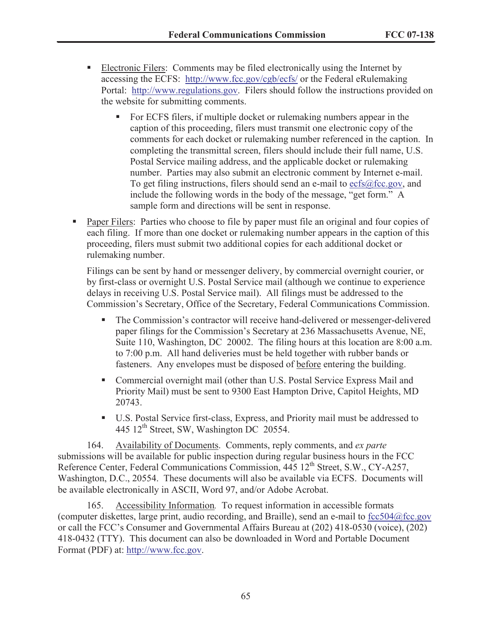- § Electronic Filers: Comments may be filed electronically using the Internet by accessing the ECFS: http://www.fcc.gov/cgb/ecfs/ or the Federal eRulemaking Portal: http://www.regulations.gov. Filers should follow the instructions provided on the website for submitting comments.
	- For ECFS filers, if multiple docket or rulemaking numbers appear in the caption of this proceeding, filers must transmit one electronic copy of the comments for each docket or rulemaking number referenced in the caption. In completing the transmittal screen, filers should include their full name, U.S. Postal Service mailing address, and the applicable docket or rulemaking number. Parties may also submit an electronic comment by Internet e-mail. To get filing instructions, filers should send an e-mail to ecfs@fcc.gov, and include the following words in the body of the message, "get form." A sample form and directions will be sent in response.
- Paper Filers: Parties who choose to file by paper must file an original and four copies of each filing. If more than one docket or rulemaking number appears in the caption of this proceeding, filers must submit two additional copies for each additional docket or rulemaking number.

Filings can be sent by hand or messenger delivery, by commercial overnight courier, or by first-class or overnight U.S. Postal Service mail (although we continue to experience delays in receiving U.S. Postal Service mail). All filings must be addressed to the Commission's Secretary, Office of the Secretary, Federal Communications Commission.

- § The Commission's contractor will receive hand-delivered or messenger-delivered paper filings for the Commission's Secretary at 236 Massachusetts Avenue, NE, Suite 110, Washington, DC 20002. The filing hours at this location are 8:00 a.m. to 7:00 p.m. All hand deliveries must be held together with rubber bands or fasteners. Any envelopes must be disposed of before entering the building.
- Commercial overnight mail (other than U.S. Postal Service Express Mail and Priority Mail) must be sent to 9300 East Hampton Drive, Capitol Heights, MD 20743.
- U.S. Postal Service first-class, Express, and Priority mail must be addressed to 445 12<sup>th</sup> Street, SW, Washington DC 20554.

164. Availability of Documents. Comments, reply comments, and *ex parte* submissions will be available for public inspection during regular business hours in the FCC Reference Center, Federal Communications Commission, 445 12<sup>th</sup> Street, S.W., CY-A257, Washington, D.C., 20554. These documents will also be available via ECFS. Documents will be available electronically in ASCII, Word 97, and/or Adobe Acrobat.

165. Accessibility Information*.* To request information in accessible formats (computer diskettes, large print, audio recording, and Braille), send an e-mail to fcc504@fcc.gov or call the FCC's Consumer and Governmental Affairs Bureau at (202) 418-0530 (voice), (202) 418-0432 (TTY). This document can also be downloaded in Word and Portable Document Format (PDF) at: http://www.fcc.gov.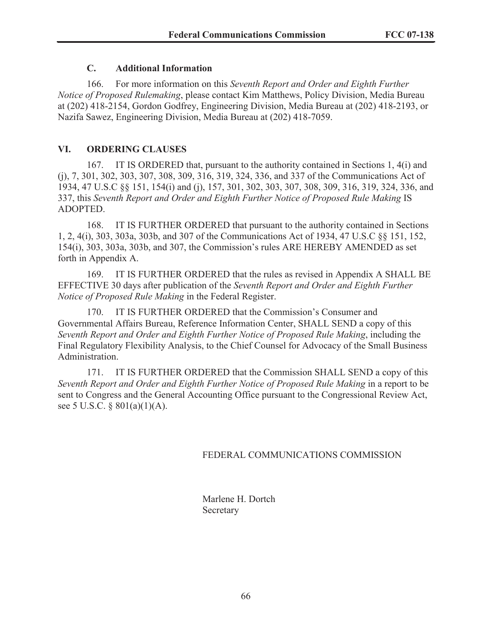# **C. Additional Information**

166. For more information on this *Seventh Report and Order and Eighth Further Notice of Proposed Rulemaking*, please contact Kim Matthews, Policy Division, Media Bureau at (202) 418-2154, Gordon Godfrey, Engineering Division, Media Bureau at (202) 418-2193, or Nazifa Sawez, Engineering Division, Media Bureau at (202) 418-7059.

## **VI. ORDERING CLAUSES**

167. IT IS ORDERED that, pursuant to the authority contained in Sections 1, 4(i) and (j), 7, 301, 302, 303, 307, 308, 309, 316, 319, 324, 336, and 337 of the Communications Act of 1934, 47 U.S.C §§ 151, 154(i) and (j), 157, 301, 302, 303, 307, 308, 309, 316, 319, 324, 336, and 337, this *Seventh Report and Order and Eighth Further Notice of Proposed Rule Making* IS ADOPTED.

168. IT IS FURTHER ORDERED that pursuant to the authority contained in Sections 1, 2, 4(i), 303, 303a, 303b, and 307 of the Communications Act of 1934, 47 U.S.C §§ 151, 152, 154(i), 303, 303a, 303b, and 307, the Commission's rules ARE HEREBY AMENDED as set forth in Appendix A.

169. IT IS FURTHER ORDERED that the rules as revised in Appendix A SHALL BE EFFECTIVE 30 days after publication of the *Seventh Report and Order and Eighth Further Notice of Proposed Rule Making* in the Federal Register.

170. IT IS FURTHER ORDERED that the Commission's Consumer and Governmental Affairs Bureau, Reference Information Center, SHALL SEND a copy of this *Seventh Report and Order and Eighth Further Notice of Proposed Rule Making*, including the Final Regulatory Flexibility Analysis, to the Chief Counsel for Advocacy of the Small Business Administration.

171. IT IS FURTHER ORDERED that the Commission SHALL SEND a copy of this *Seventh Report and Order and Eighth Further Notice of Proposed Rule Making* in a report to be sent to Congress and the General Accounting Office pursuant to the Congressional Review Act, see 5 U.S.C. § 801(a)(1)(A).

# FEDERAL COMMUNICATIONS COMMISSION

Marlene H. Dortch Secretary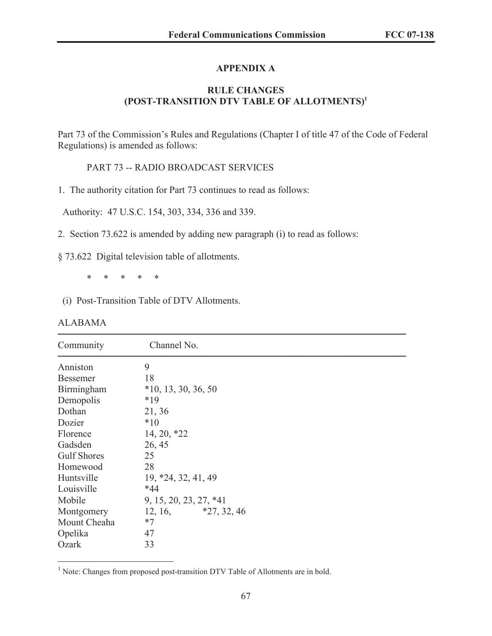# **APPENDIX A**

# **RULE CHANGES (POST-TRANSITION DTV TABLE OF ALLOTMENTS) 1**

Part 73 of the Commission's Rules and Regulations (Chapter I of title 47 of the Code of Federal Regulations) is amended as follows:

PART 73 -- RADIO BROADCAST SERVICES

1. The authority citation for Part 73 continues to read as follows:

Authority: 47 U.S.C. 154, 303, 334, 336 and 339.

2. Section 73.622 is amended by adding new paragraph (i) to read as follows:

§ 73.622 Digital television table of allotments.

\* \* \* \* \*

(i) Post-Transition Table of DTV Allotments.

| <b>ALABAMA</b> |
|----------------|
|----------------|

| Community          | Channel No.            |  |
|--------------------|------------------------|--|
| Anniston           | 9                      |  |
| <b>Bessemer</b>    | 18                     |  |
| Birmingham         | $*10, 13, 30, 36, 50$  |  |
| Demopolis          | $*19$                  |  |
| Dothan             | 21, 36                 |  |
| Dozier             | $*10$                  |  |
| Florence           | $14, 20, *22$          |  |
| Gadsden            | 26, 45                 |  |
| <b>Gulf Shores</b> | 25                     |  |
| Homewood           | 28                     |  |
| Huntsville         | 19, *24, 32, 41, 49    |  |
| Louisville         | $*44$                  |  |
| Mobile             | 9, 15, 20, 23, 27, *41 |  |
| Montgomery         | $12, 16,$ *27, 32, 46  |  |
| Mount Cheaha       | $*7$                   |  |
| Opelika            | 47                     |  |
| Ozark              | 33                     |  |

<sup>&</sup>lt;sup>1</sup> Note: Changes from proposed post-transition DTV Table of Allotments are in bold.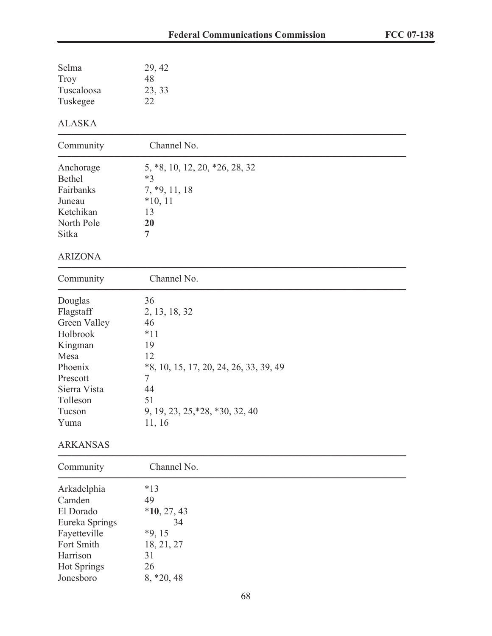| Selma<br><b>Troy</b>     | 29, 42<br>48                                |
|--------------------------|---------------------------------------------|
| Tuscaloosa<br>Tuskegee   | 23, 33<br>22                                |
| <b>ALASKA</b>            |                                             |
| Community                | Channel No.                                 |
| Anchorage<br>Bethel      | 5, *8, 10, 12, 20, *26, 28, 32<br>$*3$      |
| Fairbanks                | $7, *9, 11, 18$                             |
| Juneau                   | $*10, 11$                                   |
| Ketchikan                | 13                                          |
| North Pole               | 20                                          |
| Sitka                    | $\overline{7}$                              |
| <b>ARIZONA</b>           |                                             |
| Community                | Channel No.                                 |
| Douglas                  | 36                                          |
| Flagstaff                | 2, 13, 18, 32                               |
| Green Valley             | 46                                          |
| Holbrook                 | $*11$                                       |
| Kingman                  | 19                                          |
| Mesa                     | 12                                          |
| Phoenix                  | *8, 10, 15, 17, 20, 24, 26, 33, 39, 49<br>7 |
| Prescott<br>Sierra Vista | 44                                          |
| Tolleson                 | 51                                          |
| Tucson                   | 9, 19, 23, 25, *28, *30, 32, 40             |
| Yuma                     | 11, 16                                      |
| <b>ARKANSAS</b>          |                                             |
| Community                | Channel No.                                 |
| Arkadelphia              | $*13$                                       |
| Camden                   | 49                                          |
| El Dorado                | $*10, 27, 43$                               |
| Eureka Springs           | 34                                          |
| Fayetteville             | $*9, 15$                                    |
| Fort Smith               | 18, 21, 27                                  |
| Harrison                 | 31                                          |
| <b>Hot Springs</b>       | 26                                          |
| Jonesboro                | $8, *20, 48$                                |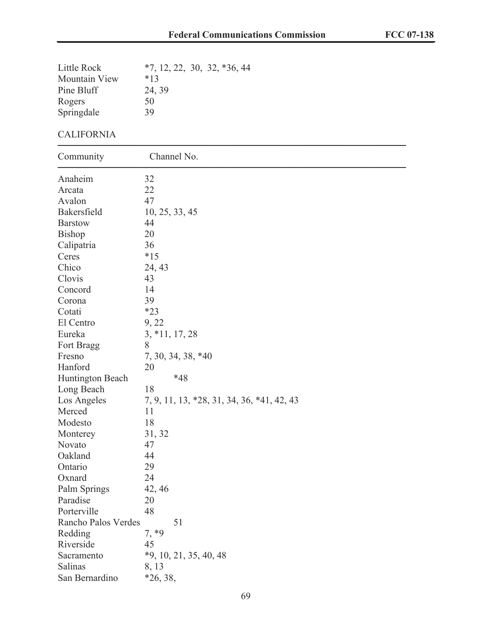| Little Rock         | $*7, 12, 22, 30, 32, *36, 44$              |
|---------------------|--------------------------------------------|
| Mountain View       | $*13$                                      |
| Pine Bluff          | 24, 39                                     |
| Rogers              | 50                                         |
| Springdale          | 39                                         |
| <b>CALIFORNIA</b>   |                                            |
| Community           | Channel No.                                |
| Anaheim             | 32                                         |
| Arcata              | 22                                         |
| Avalon              | 47                                         |
| Bakersfield         | 10, 25, 33, 45                             |
| <b>Barstow</b>      | 44                                         |
| <b>Bishop</b>       | 20                                         |
| Calipatria          | 36                                         |
| Ceres               | $*15$                                      |
| Chico               | 24, 43                                     |
| Clovis              | 43                                         |
| Concord             | 14                                         |
| Corona              | 39                                         |
| Cotati              | $*23$                                      |
| El Centro           | 9, 22                                      |
| Eureka              | $3, *11, 17, 28$                           |
| Fort Bragg          | 8                                          |
| Fresno              | 7, 30, 34, 38, *40                         |
| Hanford             | 20                                         |
| Huntington Beach    | $*48$                                      |
| Long Beach          | 18                                         |
| Los Angeles         | 7, 9, 11, 13, *28, 31, 34, 36, *41, 42, 43 |
| Merced              | 11                                         |
| Modesto             | 18                                         |
| Monterey            | 31, 32                                     |
| Novato              | 47                                         |
| Oakland             | 44                                         |
| Ontario             | 29                                         |
| Oxnard              | 24                                         |
| Palm Springs        | 42, 46                                     |
| Paradise            | 20                                         |
| Porterville         | 48                                         |
| Rancho Palos Verdes | 51                                         |
| Redding             | $7, *9$                                    |
| Riverside           | 45                                         |
| Sacramento          | $*9, 10, 21, 35, 40, 48$                   |
| Salinas             | 8, 13                                      |
| San Bernardino      | *26, 38,                                   |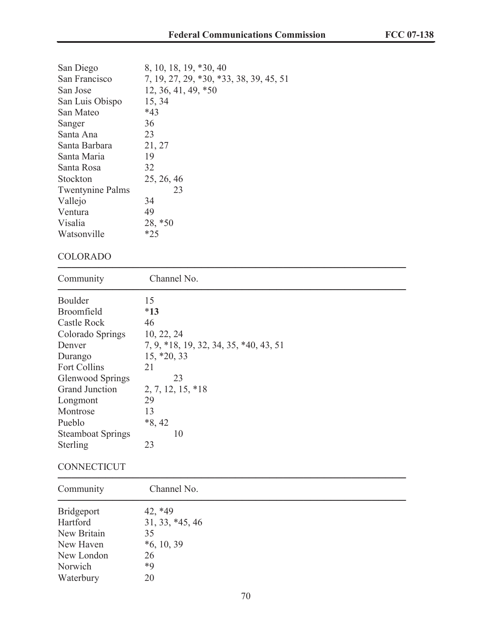| 8, 10, 18, 19, *30, 40                  |
|-----------------------------------------|
| 7, 19, 27, 29, *30, *33, 38, 39, 45, 51 |
| 12, 36, 41, 49, *50                     |
| 15, 34                                  |
| $*43$                                   |
| 36                                      |
| 23                                      |
| 21, 27                                  |
| 19                                      |
| 32                                      |
| 25, 26, 46                              |
| 23                                      |
| 34                                      |
| 49                                      |
| 28, *50                                 |
| $*25$                                   |
|                                         |

# COLORADO

| Community                | Channel No.                            |
|--------------------------|----------------------------------------|
| Boulder                  | 15                                     |
| <b>Broomfield</b>        | $*13$                                  |
| Castle Rock              | 46                                     |
| Colorado Springs         | 10, 22, 24                             |
| Denver                   | 7, 9, *18, 19, 32, 34, 35, *40, 43, 51 |
| Durango                  | $15, *20, 33$                          |
| <b>Fort Collins</b>      | 21                                     |
| <b>Glenwood Springs</b>  | 23                                     |
| <b>Grand Junction</b>    | 2, 7, 12, 15, *18                      |
| Longmont                 | 29                                     |
| Montrose                 | 13                                     |
| Pueblo                   | $*8, 42$                               |
| <b>Steamboat Springs</b> | 10                                     |
| Sterling                 | 23                                     |
|                          |                                        |

# **CONNECTICUT**

| Community   | Channel No.     |  |  |
|-------------|-----------------|--|--|
| Bridgeport  | 42, *49         |  |  |
| Hartford    | 31, 33, *45, 46 |  |  |
| New Britain | 35              |  |  |
| New Haven   | $*6, 10, 39$    |  |  |
| New London  | 26              |  |  |
| Norwich     | $*9$            |  |  |
| Waterbury   | 20              |  |  |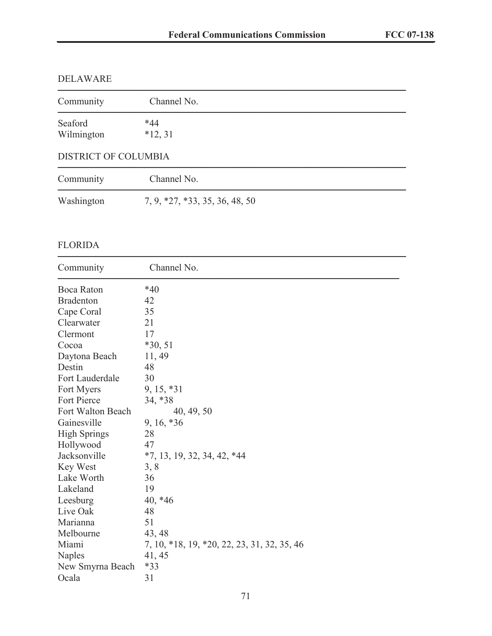# DELAWARE

| Community                   | Channel No.                    |  |
|-----------------------------|--------------------------------|--|
| Seaford<br>Wilmington       | $*44$<br>$*12, 31$             |  |
| <b>DISTRICT OF COLUMBIA</b> |                                |  |
| Community                   | Channel No.                    |  |
| Washington                  | 7, 9, *27, *33, 35, 36, 48, 50 |  |

# FLORIDA

| Community           | Channel No.                                 |
|---------------------|---------------------------------------------|
| Boca Raton          | $*40$                                       |
| <b>Bradenton</b>    | 42                                          |
| Cape Coral          | 35                                          |
| Clearwater          | 21                                          |
| Clermont            | 17                                          |
| Cocoa               | $*30, 51$                                   |
| Daytona Beach       | 11, 49                                      |
| Destin              | 48                                          |
| Fort Lauderdale     | 30                                          |
| Fort Myers          | $9, 15, *31$                                |
| <b>Fort Pierce</b>  | 34, *38                                     |
| Fort Walton Beach   | 40, 49, 50                                  |
| Gainesville         | 9, 16, *36                                  |
| <b>High Springs</b> | 28                                          |
| Hollywood           | 47                                          |
| Jacksonville        | $*7, 13, 19, 32, 34, 42, *44$               |
| Key West            | 3, 8                                        |
| Lake Worth          | 36                                          |
| Lakeland            | 19                                          |
| Leesburg            | $40, *46$                                   |
| Live Oak            | 48                                          |
| Marianna            | 51                                          |
| Melbourne           | 43, 48                                      |
| Miami               | 7, 10, *18, 19, *20, 22, 23, 31, 32, 35, 46 |
| <b>Naples</b>       | 41, 45                                      |
| New Smyrna Beach    | $*33$                                       |
| Ocala               | 31                                          |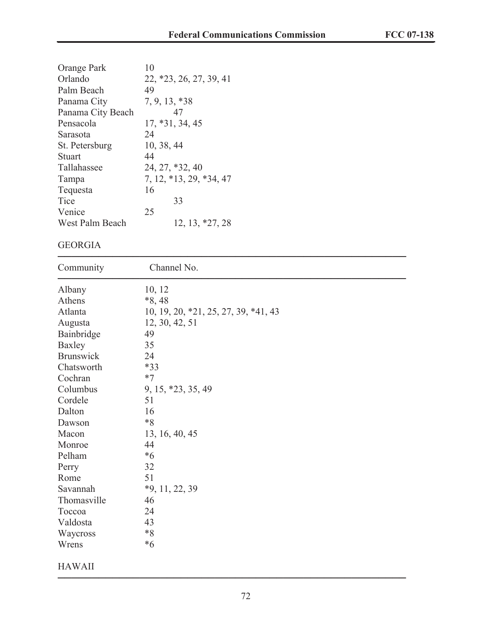| Orange Park       | 10                      |
|-------------------|-------------------------|
| Orlando           | 22, *23, 26, 27, 39, 41 |
| Palm Beach        | 49                      |
| Panama City       | $7, 9, 13, *38$         |
| Panama City Beach | 47                      |
| Pensacola         | $17, *31, 34, 45$       |
| Sarasota          | 24                      |
| St. Petersburg    | 10, 38, 44              |
| Stuart            | 44                      |
| Tallahassee       | 24, 27, *32, 40         |
| Tampa             | 7, 12, *13, 29, *34, 47 |
| Tequesta          | 16                      |
| Tice              | 33                      |
| Venice            | 25                      |
| West Palm Beach   | 12, 13, *27, 28         |

# GEORGIA

| Community        | Channel No.                          |
|------------------|--------------------------------------|
| Albany           | 10, 12                               |
| Athens           | $*8,48$                              |
| Atlanta          | 10, 19, 20, *21, 25, 27, 39, *41, 43 |
| Augusta          | 12, 30, 42, 51                       |
| Bainbridge       | 49                                   |
| Baxley           | 35                                   |
| <b>Brunswick</b> | 24                                   |
| Chatsworth       | $*33$                                |
| Cochran          | $*7$                                 |
| Columbus         | 9, 15, *23, 35, 49                   |
| Cordele          | 51                                   |
| Dalton           | 16                                   |
| Dawson           | $*8$                                 |
| Macon            | 13, 16, 40, 45                       |
| Monroe           | 44                                   |
| Pelham           | $*_{6}$                              |
| Perry            | 32                                   |
| Rome             | 51                                   |
| Savannah         | $*9, 11, 22, 39$                     |
| Thomasville      | 46                                   |
| Toccoa           | 24                                   |
| Valdosta         | 43                                   |
| Waycross         | $\boldsymbol{*}8$                    |
| Wrens            | $*6$                                 |
| <b>HAWAII</b>    |                                      |

───────────────────────────────────────────────────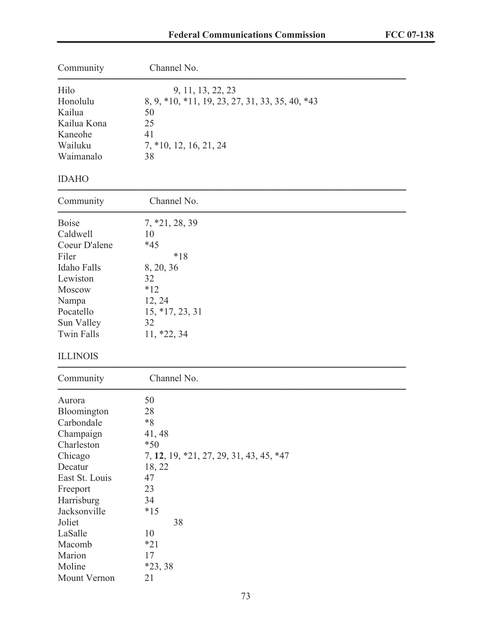| Community                                                                                                                                                                                                           | Channel No.<br>9, 11, 13, 22, 23<br>8, 9, *10, *11, 19, 23, 27, 31, 33, 35, 40, *43<br>50<br>25<br>41<br>7, *10, 12, 16, 21, 24<br>38                             |  |  |
|---------------------------------------------------------------------------------------------------------------------------------------------------------------------------------------------------------------------|-------------------------------------------------------------------------------------------------------------------------------------------------------------------|--|--|
| Hilo<br>Honolulu<br>Kailua<br>Kailua Kona<br>Kaneohe<br>Wailuku<br>Waimanalo                                                                                                                                        |                                                                                                                                                                   |  |  |
| <b>IDAHO</b>                                                                                                                                                                                                        |                                                                                                                                                                   |  |  |
| Community                                                                                                                                                                                                           | Channel No.                                                                                                                                                       |  |  |
| <b>Boise</b><br>Caldwell<br>Coeur D'alene<br>Filer<br>Idaho Falls<br>Lewiston<br>Moscow<br>Nampa<br>Pocatello<br>Sun Valley<br>Twin Falls<br><b>ILLINOIS</b>                                                        | $7, *21, 28, 39$<br>10<br>$*45$<br>$*18$<br>8, 20, 36<br>32<br>$*12$<br>12, 24<br>$15, *17, 23, 31$<br>32<br>$11, *22, 34$                                        |  |  |
| Community                                                                                                                                                                                                           | Channel No.                                                                                                                                                       |  |  |
| Aurora<br>Bloomington<br>Carbondale<br>Champaign<br>Charleston<br>Chicago<br>Decatur<br>East St. Louis<br>Freeport<br>Harrisburg<br>Jacksonville<br>Joliet<br>LaSalle<br>Macomb<br>Marion<br>Moline<br>Mount Vernon | 50<br>28<br>$*8$<br>41, 48<br>$*50$<br>7, 12, 19, *21, 27, 29, 31, 43, 45, *47<br>18, 22<br>47<br>23<br>34<br>$*15$<br>38<br>10<br>$*21$<br>17<br>$*23, 38$<br>21 |  |  |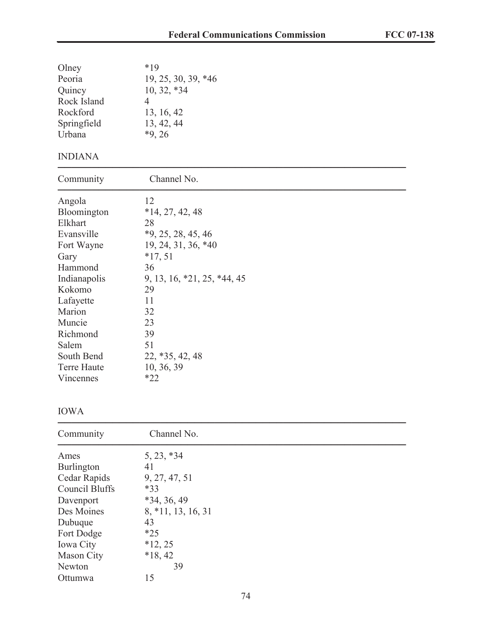| Olney<br>Peoria<br>Quincy<br>Rock Island<br>Rockford<br>Springfield<br>Urbana<br><b>INDIANA</b>                                                                                                           | $*19$<br>19, 25, 30, 39, *46<br>$10, 32, *34$<br>$\overline{4}$<br>13, 16, 42<br>13, 42, 44<br>$*9, 26$                                                                                                       |
|-----------------------------------------------------------------------------------------------------------------------------------------------------------------------------------------------------------|---------------------------------------------------------------------------------------------------------------------------------------------------------------------------------------------------------------|
|                                                                                                                                                                                                           |                                                                                                                                                                                                               |
| Community                                                                                                                                                                                                 | Channel No.                                                                                                                                                                                                   |
| Angola<br>Bloomington<br>Elkhart<br>Evansville<br>Fort Wayne<br>Gary<br>Hammond<br>Indianapolis<br>Kokomo<br>Lafayette<br>Marion<br>Muncie<br>Richmond<br>Salem<br>South Bend<br>Terre Haute<br>Vincennes | 12<br>$*14, 27, 42, 48$<br>28<br>$*9, 25, 28, 45, 46$<br>19, 24, 31, 36, *40<br>$*17,51$<br>36<br>9, 13, 16, *21, 25, *44, 45<br>29<br>11<br>32<br>23<br>39<br>51<br>$22, *35, 42, 48$<br>10, 36, 39<br>$*22$ |

## IOWA

| Community             | Channel No.        |  |
|-----------------------|--------------------|--|
| Ames                  | $5, 23, *34$       |  |
| Burlington            | 41                 |  |
| Cedar Rapids          | 9, 27, 47, 51      |  |
| <b>Council Bluffs</b> | $*33$              |  |
| Davenport             | $*34, 36, 49$      |  |
| Des Moines            | 8, *11, 13, 16, 31 |  |
| Dubuque               | 43                 |  |
| Fort Dodge            | $*25$              |  |
| <b>Iowa City</b>      | $*12, 25$          |  |
| Mason City            | $*18, 42$          |  |
| Newton                | 39                 |  |
| Ottumwa               | 15                 |  |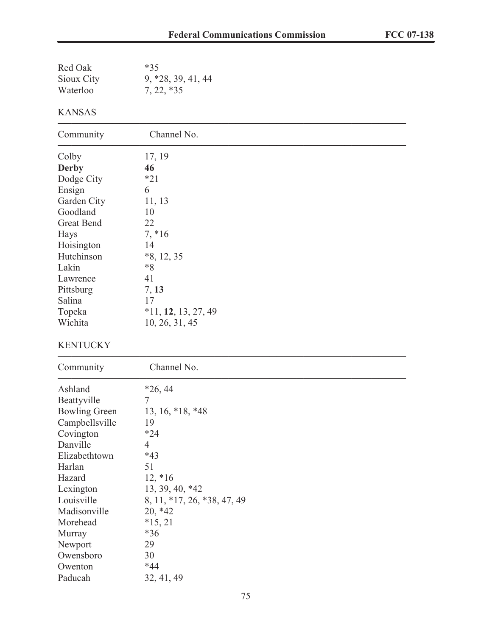| Red Oak<br>Sioux City<br>Waterloo | $*35$<br>9, *28, 39, 41, 44<br>$7, 22, *35$ |  |
|-----------------------------------|---------------------------------------------|--|
| <b>KANSAS</b>                     |                                             |  |
| Community                         | Channel No.                                 |  |
| Colby<br><b>Derby</b>             | 17, 19<br>46                                |  |
| Dodge City                        | $*21$                                       |  |
| Ensign                            | 6                                           |  |
| Garden City                       | 11, 13                                      |  |
| Goodland                          | 10                                          |  |
| <b>Great Bend</b>                 | 22                                          |  |
| Hays                              | $7, *16$                                    |  |
| Hoisington                        | 14                                          |  |
| Hutchinson                        | $*8, 12, 35$                                |  |
| Lakin<br>Lawrence                 | $*8$<br>41                                  |  |
| Pittsburg                         | 7, 13                                       |  |
| Salina                            | 17                                          |  |
| Topeka                            | $*11, 12, 13, 27, 49$                       |  |
| Wichita                           | 10, 26, 31, 45                              |  |
| <b>KENTUCKY</b>                   |                                             |  |
| Community                         | Channel No.                                 |  |
| Ashland                           | $*26, 44$                                   |  |
| Beattyville                       | 7                                           |  |
| <b>Bowling Green</b>              | $13, 16, *18, *48$                          |  |
| Campbellsville                    | 19                                          |  |
| Covington                         | $*24$                                       |  |
| Danville                          | 4                                           |  |
| Elizabethtown<br>Harlan           | $*43$<br>51                                 |  |
| Hazard                            | $12, *16$                                   |  |
| Lexington                         | 13, 39, 40, *42                             |  |
| Louisville                        | 8, 11, *17, 26, *38, 47, 49                 |  |
| Madisonville                      | $20, *42$                                   |  |
| Morehead                          | $*15, 21$                                   |  |
| Murray                            | $*36$                                       |  |
| Newport                           | 29                                          |  |
| Owensboro                         | 30                                          |  |
| Owenton                           | $*44$                                       |  |
| Paducah                           | 32, 41, 49                                  |  |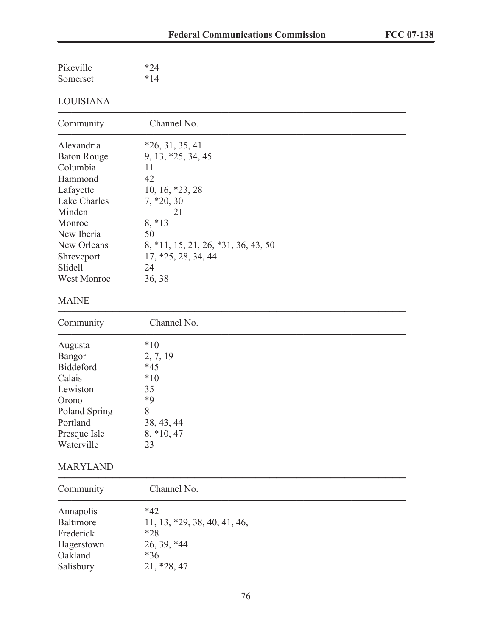| Pikeville | $*24$ |
|-----------|-------|
| Somerset  | $*14$ |

# LOUISIANA

| Community             | Channel No.                         |
|-----------------------|-------------------------------------|
| Alexandria            | $*26, 31, 35, 41$                   |
| <b>Baton Rouge</b>    | 9, 13, *25, 34, 45                  |
| Columbia              | 11                                  |
| Hammond               | 42                                  |
| Lafayette             | $10, 16, *23, 28$                   |
| Lake Charles          | $7, *20, 30$                        |
| Minden                | 21                                  |
| Monroe                | $8, *13$                            |
| New Iberia            | 50                                  |
| New Orleans           | 8, *11, 15, 21, 26, *31, 36, 43, 50 |
| Shreveport<br>Slidell | 17, *25, 28, 34, 44<br>24           |
| <b>West Monroe</b>    | 36, 38                              |
|                       |                                     |
| <b>MAINE</b>          |                                     |
| Community             | Channel No.                         |
| Augusta               | $*10$                               |
| <b>Bangor</b>         | 2, 7, 19                            |
| <b>Biddeford</b>      | $*45$                               |
| Calais                | $*10$                               |
| Lewiston              | 35                                  |
| Orono                 | $*9$                                |
| Poland Spring         | 8                                   |
| Portland              | 38, 43, 44                          |
| Presque Isle          | $8, *10, 47$                        |
| Waterville            | 23                                  |
| <b>MARYLAND</b>       |                                     |

| Community  | Channel No.                    |  |
|------------|--------------------------------|--|
| Annapolis  | $*42$                          |  |
| Baltimore  | $11, 13, *29, 38, 40, 41, 46,$ |  |
| Frederick  | $*28$                          |  |
| Hagerstown | 26, 39, *44                    |  |
| Oakland    | $*36$                          |  |
| Salisbury  | 21, *28, 47                    |  |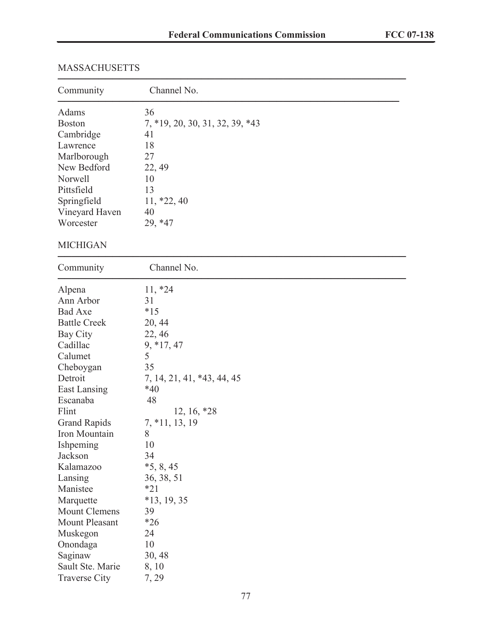# MASSACHUSETTS ───────────────────────────────────────────────────

| Community            | Channel No.                     |
|----------------------|---------------------------------|
| Adams                | 36                              |
| <b>Boston</b>        | 7, *19, 20, 30, 31, 32, 39, *43 |
| Cambridge            | 41                              |
| Lawrence             | 18                              |
| Marlborough          | 27                              |
| New Bedford          | 22, 49                          |
| Norwell              | 10                              |
| Pittsfield           | 13                              |
| Springfield          | $11, *22, 40$                   |
| Vineyard Haven       | 40                              |
| Worcester            | 29, *47                         |
| <b>MICHIGAN</b>      |                                 |
| Community            | Channel No.                     |
| Alpena               | $11, *24$                       |
| Ann Arbor            | 31                              |
| <b>Bad Axe</b>       | $*15$                           |
| <b>Battle Creek</b>  | 20, 44                          |
| Bay City             | 22, 46                          |
| Cadillac             | $9, *17, 47$                    |
| Calumet              | 5                               |
| Cheboygan            | 35                              |
| Detroit              | 7, 14, 21, 41, *43, 44, 45      |
| East Lansing         | $*40$                           |
| Escanaba             | 48                              |
| Flint                | $12, 16, *28$                   |
| <b>Grand Rapids</b>  | $7, *11, 13, 19$                |
| Iron Mountain        | 8                               |
| Ishpeming            | 10                              |
| Jackson              | 34                              |
| Kalamazoo            | $*5, 8, 45$                     |
| Lansing              | 36, 38, 51                      |
| Manistee             | $*21$                           |
| Marquette            | $*13, 19, 35$                   |
| <b>Mount Clemens</b> | 39                              |
| Mount Pleasant       | $*26$                           |
| Muskegon             | 24                              |
| Onondaga             | 10                              |
| Saginaw              | 30, 48                          |
| Sault Ste. Marie     | 8, 10                           |
| <b>Traverse City</b> | 7, 29                           |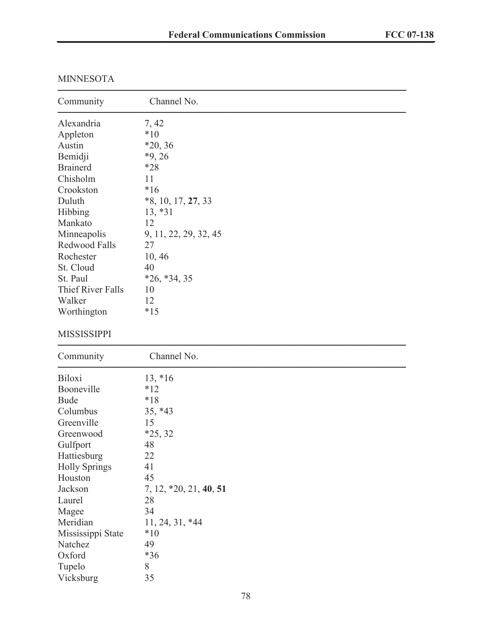| Community                | Channel No.            |
|--------------------------|------------------------|
| Alexandria               | 7, 42                  |
| Appleton                 | $*10$                  |
| Austin                   | $*20, 36$              |
| Bemidji                  | $*9, 26$               |
| <b>Brainerd</b>          | $*28$                  |
| Chisholm                 | 11                     |
| Crookston                | $*16$                  |
| Duluth                   | $*8, 10, 17, 27, 33$   |
| Hibbing                  | $13, *31$              |
| Mankato                  | 12                     |
| Minneapolis              | 9, 11, 22, 29, 32, 45  |
| Redwood Falls            | 27                     |
| Rochester                | 10, 46                 |
| St. Cloud                | 40                     |
| St. Paul                 | $*26, *34, 35$         |
| <b>Thief River Falls</b> | 10                     |
| Walker                   | 12                     |
| Worthington              | $*15$                  |
| <b>MISSISSIPPI</b>       |                        |
| Community                | Channel No.            |
| <b>Biloxi</b>            | $13, *16$              |
| Booneville               | $*12$                  |
| <b>Bude</b>              | $*18$                  |
| Columbus                 | 35, *43                |
| Greenville               | 15                     |
| Greenwood                | $*25, 32$              |
| Gulfport                 | 48                     |
| Hattiesburg              | 22                     |
| <b>Holly Springs</b>     | 41                     |
| Houston                  | 45                     |
| Jackson                  | 7, 12, *20, 21, 40, 51 |
| Laurel                   | 28                     |
| Magee                    | 34                     |
| Meridian                 | 11, 24, 31, *44        |
| Mississippi State        | $*10$                  |
| Natchez                  | 49                     |
| Oxford                   | *36                    |
| Tupelo                   | 8                      |
| Vicksburg                | 35                     |

## MINNESOTA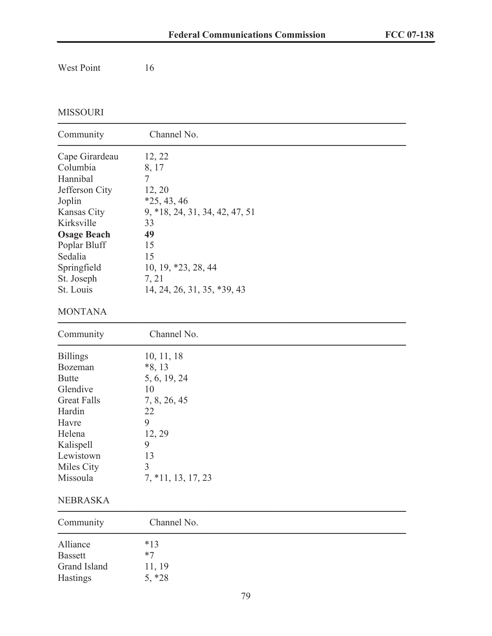# West Point 16

# MISSOURI

| Community          | Channel No.                    |  |  |
|--------------------|--------------------------------|--|--|
| Cape Girardeau     | 12, 22                         |  |  |
| Columbia           | 8, 17                          |  |  |
| Hannibal           | $\overline{7}$                 |  |  |
| Jefferson City     | 12, 20                         |  |  |
| Joplin             | $*25, 43, 46$                  |  |  |
| Kansas City        | 9, *18, 24, 31, 34, 42, 47, 51 |  |  |
| Kirksville         | 33                             |  |  |
| <b>Osage Beach</b> | 49                             |  |  |
| Poplar Bluff       | 15                             |  |  |
| Sedalia            | 15                             |  |  |
| Springfield        | 10, 19, *23, 28, 44            |  |  |
| St. Joseph         | 7, 21                          |  |  |
| St. Louis          | 14, 24, 26, 31, 35, *39, 43    |  |  |
| <b>MONTANA</b>     |                                |  |  |
| Community          | Channel No.                    |  |  |
| <b>Billings</b>    | 10, 11, 18                     |  |  |
| Bozeman            | $*8, 13$                       |  |  |
| <b>Butte</b>       | 5, 6, 19, 24                   |  |  |
| Glendive           | 10                             |  |  |
| <b>Great Falls</b> | 7, 8, 26, 45                   |  |  |
| Hardin             | 22                             |  |  |
| Havre              | 9                              |  |  |
| Helena             | 12, 29                         |  |  |
| Kalispell          | 9                              |  |  |
| Lewistown          | 13                             |  |  |
| Miles City         | 3                              |  |  |
| Missoula           | $7, *11, 13, 17, 23$           |  |  |

#### NEBRASKA

| Community      | Channel No. |  |  |
|----------------|-------------|--|--|
| Alliance       | $*13$       |  |  |
| <b>Bassett</b> | $*7$        |  |  |
| Grand Island   | 11, 19      |  |  |
| Hastings       | $5, *28$    |  |  |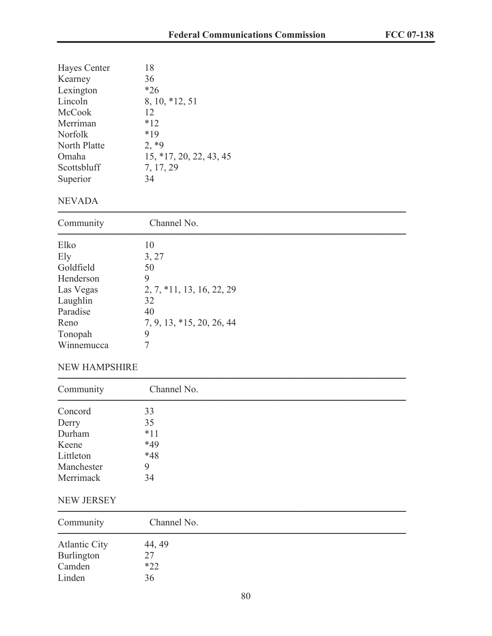| Hayes Center   | 18                      |
|----------------|-------------------------|
| Kearney        | 36                      |
| Lexington      | $*26$                   |
| Lincoln        | 8, 10, *12, 51          |
| McCook         | 12                      |
| Merriman       | $*12$                   |
| <b>Norfolk</b> | $*19$                   |
| North Platte   | $2, *9$                 |
| Omaha          | 15, *17, 20, 22, 43, 45 |
| Scottsbluff    | 7, 17, 29               |
| Superior       | 34                      |
|                |                         |

### NEVADA

| Community  | Channel No.               |  |
|------------|---------------------------|--|
| Elko       | 10                        |  |
| Ely        | 3, 27                     |  |
| Goldfield  | 50                        |  |
| Henderson  | 9                         |  |
| Las Vegas  | 2, 7, *11, 13, 16, 22, 29 |  |
| Laughlin   | 32                        |  |
| Paradise   | 40                        |  |
| Reno       | 7, 9, 13, *15, 20, 26, 44 |  |
| Tonopah    | 9                         |  |
| Winnemucca | 7                         |  |

#### NEW HAMPSHIRE

| Community  | Channel No. |  |
|------------|-------------|--|
| Concord    | 33          |  |
| Derry      | 35          |  |
| Durham     | $*11$       |  |
| Keene      | *49         |  |
| Littleton  | $*48$       |  |
| Manchester | 9           |  |
| Merrimack  | 34          |  |

### NEW JERSEY

| Community            | Channel No. |  |
|----------------------|-------------|--|
| <b>Atlantic City</b> | 44, 49      |  |
| Burlington           | 27          |  |
| Camden               | $*22$       |  |
| Linden               | 36          |  |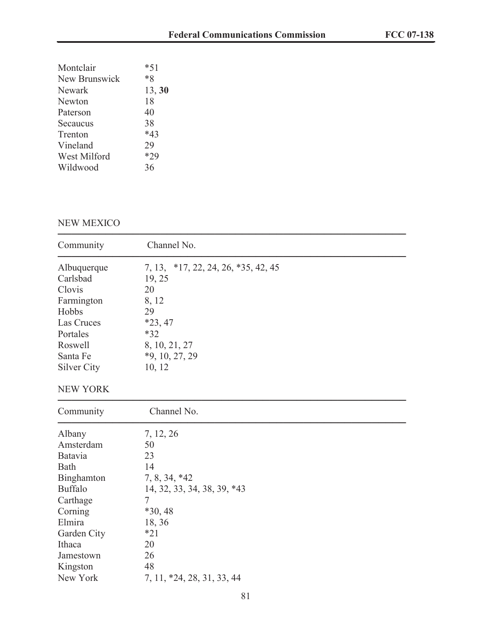| Montclair            | $*51$  |
|----------------------|--------|
| <b>New Brunswick</b> | $*8$   |
| Newark               | 13, 30 |
| Newton               | 18     |
| Paterson             | 40     |
| Secaucus             | 38     |
| Trenton              | $*43$  |
| Vineland             | 29     |
| West Milford         | $*29$  |
| Wildwood             | 36     |
|                      |        |

## NEW MEXICO

| Community                         | Channel No.                                         |
|-----------------------------------|-----------------------------------------------------|
| Albuquerque<br>Carlsbad<br>Clovis | 7, 13, *17, 22, 24, 26, *35, 42, 45<br>19, 25<br>20 |
| Farmington                        | 8, 12                                               |
| Hobbs                             | 29                                                  |
| Las Cruces                        | $*23,47$                                            |
| Portales                          | $*32$                                               |
| Roswell                           | 8, 10, 21, 27                                       |
| Santa Fe                          | $*9, 10, 27, 29$                                    |
| <b>Silver City</b>                | 10, 12                                              |
| <b>NEW YORK</b>                   |                                                     |
| Community                         | Channel No.                                         |
| Albany                            | 7, 12, 26                                           |
| Amsterdam                         | 50                                                  |
| Batavia                           | 23                                                  |
| Bath                              | 14                                                  |
| Binghamton                        | 7, 8, 34, *42                                       |
| <b>Buffalo</b>                    | 14, 32, 33, 34, 38, 39, *43                         |
| Carthage                          | 7                                                   |
| Corning                           | $*30, 48$                                           |
| Elmira                            | 18, 36                                              |
| Garden City                       | $*21$                                               |
| Ithaca                            | 20                                                  |
| Jamestown                         | 26                                                  |
| Kingston                          | 48                                                  |
| New York                          | 7, 11, *24, 28, 31, 33, 44                          |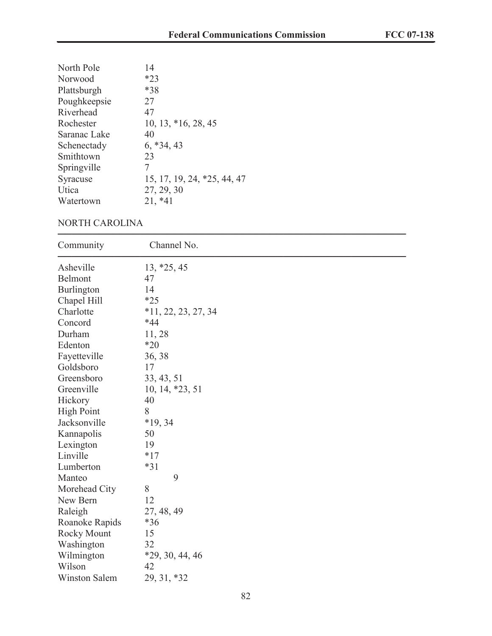| North Pole   | 14                          |
|--------------|-----------------------------|
| Norwood      | $*23$                       |
| Plattsburgh  | *38                         |
| Poughkeepsie | 27                          |
| Riverhead    | 47                          |
| Rochester    | 10, 13, *16, 28, 45         |
| Saranac Lake | 40                          |
| Schenectady  | $6, *34, 43$                |
| Smithtown    | 23                          |
| Springville  | 7                           |
| Syracuse     | 15, 17, 19, 24, *25, 44, 47 |
| Utica        | 27, 29, 30                  |
| Watertown    | $21, *41$                   |

#### NORTH CAROLINA

| Community            | Channel No.           |
|----------------------|-----------------------|
| Asheville            | $13, *25, 45$         |
| Belmont              | 47                    |
| Burlington           | 14                    |
| Chapel Hill          | $*25$                 |
| Charlotte            | $*11, 22, 23, 27, 34$ |
| Concord              | $*44$                 |
| Durham               | 11,28                 |
| Edenton              | $*20$                 |
| Fayetteville         | 36, 38                |
| Goldsboro            | 17                    |
| Greensboro           | 33, 43, 51            |
| Greenville           | 10, 14, *23, 51       |
| Hickory              | 40                    |
| <b>High Point</b>    | 8                     |
| Jacksonville         | $*19, 34$             |
| Kannapolis           | 50                    |
| Lexington            | 19                    |
| Linville             | $*17$                 |
| Lumberton            | $*31$                 |
| Manteo               | 9                     |
| Morehead City        | 8                     |
| New Bern             | 12                    |
| Raleigh              | 27, 48, 49            |
| Roanoke Rapids       | $*36$                 |
| Rocky Mount          | 15                    |
| Washington           | 32                    |
| Wilmington           | $*29, 30, 44, 46$     |
| Wilson               | 42                    |
| <b>Winston Salem</b> | 29, 31, *32           |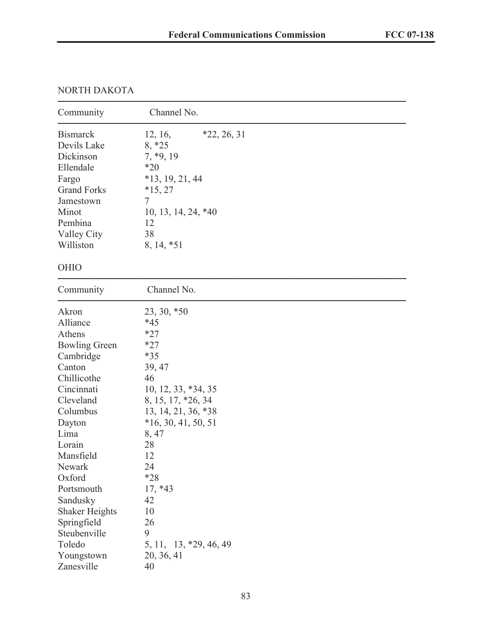# NORTH DAKOTA

| Community             | Channel No.              |
|-----------------------|--------------------------|
| <b>Bismarck</b>       | $*22, 26, 31$<br>12, 16, |
| Devils Lake           | $8, *25$                 |
| Dickinson             | $7, *9, 19$              |
| Ellendale             | $*20$                    |
| Fargo                 | $*13, 19, 21, 44$        |
| <b>Grand Forks</b>    | $*15, 27$                |
| Jamestown             | 7                        |
| Minot                 | $10, 13, 14, 24, *40$    |
| Pembina               | 12                       |
| Valley City           | 38                       |
| Williston             | 8, 14, *51               |
|                       |                          |
| <b>OHIO</b>           |                          |
| Community             | Channel No.              |
| Akron                 | 23, 30, *50              |
| Alliance              | $*45$                    |
| Athens                | $*27$                    |
| <b>Bowling Green</b>  | $*27$                    |
| Cambridge             | $*35$                    |
| Canton                | 39, 47                   |
| Chillicothe           | 46                       |
| Cincinnati            | $10, 12, 33, *34, 35$    |
| Cleveland             | 8, 15, 17, *26, 34       |
| Columbus              | 13, 14, 21, 36, *38      |
| Dayton                | $*16, 30, 41, 50, 51$    |
| Lima                  | 8,47                     |
| Lorain                | 28                       |
| Mansfield             | 12                       |
| Newark                | 24                       |
| Oxford                | $*28$                    |
| Portsmouth            | $17, *43$                |
| Sandusky              | 42                       |
| <b>Shaker Heights</b> | 10                       |
| Springfield           | 26                       |
| Steubenville          | 9                        |
| Toledo                | 5, 11, 13, *29, 46, 49   |
| Youngstown            | 20, 36, 41               |
| Zanesville            | 40                       |
|                       |                          |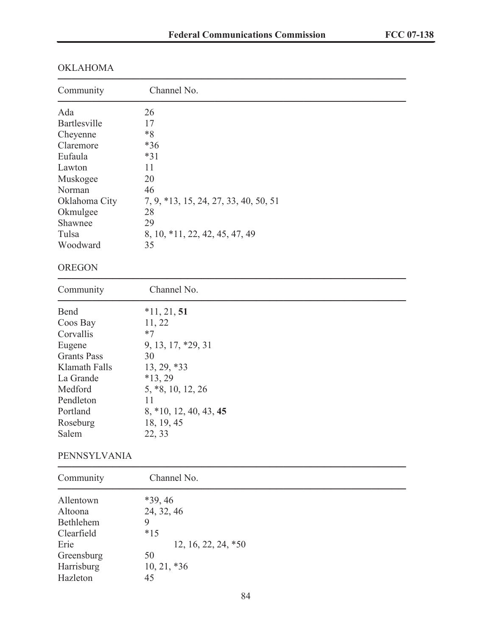| Community                                                                                                                                            | Channel No.                                                                                                                                                            |
|------------------------------------------------------------------------------------------------------------------------------------------------------|------------------------------------------------------------------------------------------------------------------------------------------------------------------------|
| Ada<br>Bartlesville<br>Cheyenne<br>Claremore<br>Eufaula<br>Lawton<br>Muskogee<br>Norman<br>Oklahoma City<br>Okmulgee<br>Shawnee<br>Tulsa<br>Woodward | 26<br>17<br>$*8$<br>$*36$<br>$*31$<br>11<br>20<br>46<br>7, 9, *13, 15, 24, 27, 33, 40, 50, 51<br>28<br>29<br>8, 10, *11, 22, 42, 45, 47, 49<br>35                      |
| <b>OREGON</b>                                                                                                                                        |                                                                                                                                                                        |
| Community                                                                                                                                            | Channel No.                                                                                                                                                            |
| Bend<br>Coos Bay<br>Corvallis<br>Eugene<br><b>Grants Pass</b><br>Klamath Falls<br>La Grande<br>Medford<br>Pendleton<br>Portland<br>Roseburg<br>Salem | $*11, 21, 51$<br>11, 22<br>$*7$<br>9, 13, 17, *29, 31<br>30<br>$13, 29, *33$<br>$*13, 29$<br>5, *8, 10, 12, 26<br>11<br>8, *10, 12, 40, 43, 45<br>18, 19, 45<br>22, 33 |
| PENNSYLVANIA                                                                                                                                         |                                                                                                                                                                        |
| Community                                                                                                                                            | Channel No.                                                                                                                                                            |
| Allentown<br>Altoona<br>Bethlehem<br>Clearfield<br>Erie<br>Greensburg<br>Harrisburg<br>Hazleton                                                      | $*39, 46$<br>24, 32, 46<br>9<br>$*15$<br>12, 16, 22, 24, *50<br>50<br>$10, 21, *36$<br>45                                                                              |

# OKLAHOMA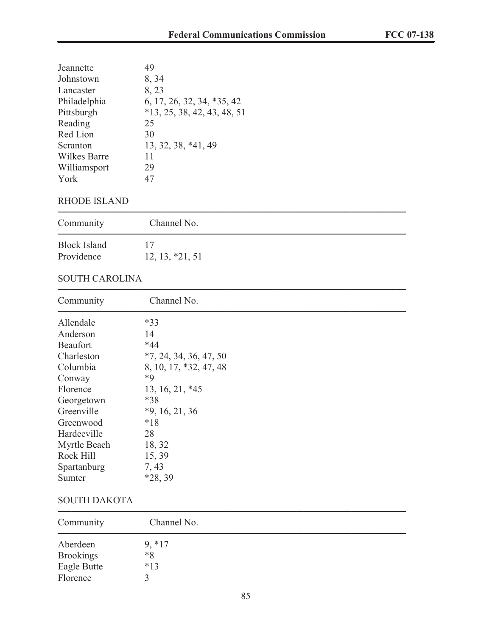| Jeannette           | 49                            |
|---------------------|-------------------------------|
| Johnstown           | 8, 34                         |
| Lancaster           | 8,23                          |
| Philadelphia        | 6, 17, 26, 32, 34, *35, 42    |
| Pittsburgh          | $*13, 25, 38, 42, 43, 48, 51$ |
| Reading             | 25                            |
| Red Lion            | 30                            |
| Scranton            | 13, 32, 38, *41, 49           |
| <b>Wilkes Barre</b> | 11                            |
| Williamsport        | 29                            |
| York                | 47                            |

### RHODE ISLAND

| Community                         | Channel No.       |  |
|-----------------------------------|-------------------|--|
| <b>Block Island</b><br>Providence | $12, 13, *21, 51$ |  |

# SOUTH CAROLINA

| Channel No.              |  |
|--------------------------|--|
| $*33$                    |  |
| 14                       |  |
| $*44$                    |  |
| $*7, 24, 34, 36, 47, 50$ |  |
| 8, 10, 17, *32, 47, 48   |  |
| *9                       |  |
| 13, 16, 21, *45          |  |
| $*38$                    |  |
| $*9, 16, 21, 36$         |  |
| $*18$                    |  |
| 28                       |  |
| 18, 32                   |  |
| 15, 39                   |  |
| 7, 43                    |  |
| $*28, 39$                |  |
|                          |  |

### SOUTH DAKOTA

| Community        | Channel No. |  |  |
|------------------|-------------|--|--|
| Aberdeen         | $9, *17$    |  |  |
| <b>Brookings</b> | $*8$        |  |  |
| Eagle Butte      | $*13$       |  |  |
| Florence         |             |  |  |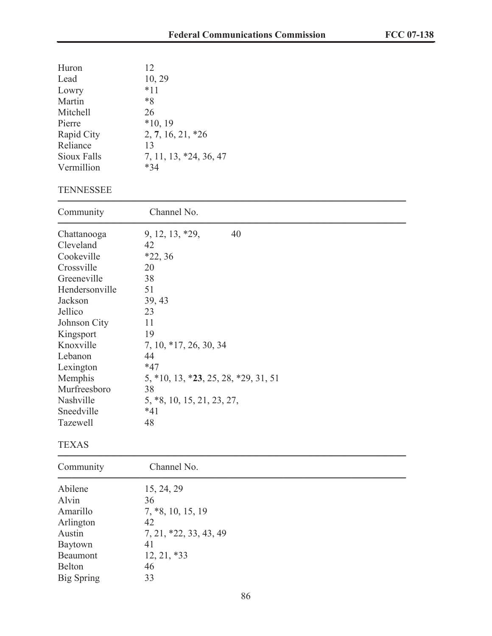| Huron<br>Lead<br>Lowry<br>Martin<br>Mitchell<br>Pierre<br>Rapid City<br>Reliance<br>Sioux Falls<br>Vermillion<br><b>TENNESSEE</b>                                                                                                               | 12<br>10, 29<br>$*11$<br>$*8$<br>26<br>$*10, 19$<br>$2, 7, 16, 21, *26$<br>13<br>7, 11, 13, *24, 36, 47<br>$*34$                                                                                                           |
|-------------------------------------------------------------------------------------------------------------------------------------------------------------------------------------------------------------------------------------------------|----------------------------------------------------------------------------------------------------------------------------------------------------------------------------------------------------------------------------|
| Community                                                                                                                                                                                                                                       | Channel No.                                                                                                                                                                                                                |
| Chattanooga<br>Cleveland<br>Cookeville<br>Crossville<br>Greeneville<br>Hendersonville<br>Jackson<br>Jellico<br>Johnson City<br>Kingsport<br>Knoxville<br>Lebanon<br>Lexington<br>Memphis<br>Murfreesboro<br>Nashville<br>Sneedville<br>Tazewell | 40<br>9, 12, 13, *29,<br>42<br>$*22, 36$<br>20<br>38<br>51<br>39, 43<br>23<br>11<br>19<br>7, 10, *17, 26, 30, 34<br>44<br>$*47$<br>5, *10, 13, *23, 25, 28, *29, 31, 51<br>38<br>5, *8, 10, 15, 21, 23, 27,<br>$*41$<br>48 |
| <b>TEXAS</b>                                                                                                                                                                                                                                    |                                                                                                                                                                                                                            |
| Community                                                                                                                                                                                                                                       | Channel No.                                                                                                                                                                                                                |
| Abilene<br>Alvin<br>Amarillo<br>Arlington<br>Austin<br>Baytown<br>Beaumont<br><b>Belton</b><br><b>Big Spring</b>                                                                                                                                | 15, 24, 29<br>36<br>$7, *8, 10, 15, 19$<br>42<br>7, 21, *22, 33, 43, 49<br>41<br>$12, 21, *33$<br>46<br>33                                                                                                                 |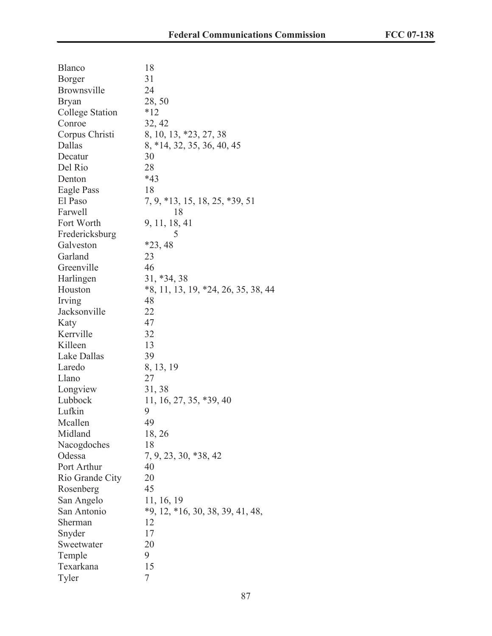| Blanco          | 18                                    |
|-----------------|---------------------------------------|
| <b>Borger</b>   | 31                                    |
| Brownsville     | 24                                    |
| <b>Bryan</b>    | 28,50                                 |
| College Station | $*12$                                 |
| Conroe          | 32, 42                                |
| Corpus Christi  | 8, 10, 13, *23, 27, 38                |
| Dallas          | 8, *14, 32, 35, 36, 40, 45            |
| Decatur         | 30                                    |
| Del Rio         | 28                                    |
| Denton          | $*43$                                 |
| Eagle Pass      | 18                                    |
| El Paso         | 7, 9, *13, 15, 18, 25, *39, 51        |
| Farwell         | 18                                    |
| Fort Worth      | 9, 11, 18, 41                         |
| Fredericksburg  | 5                                     |
| Galveston       | $*23,48$                              |
| Garland         | 23                                    |
| Greenville      | 46                                    |
| Harlingen       | 31, *34, 38                           |
| Houston         | $*8, 11, 13, 19, *24, 26, 35, 38, 44$ |
| Irving          | 48                                    |
| Jacksonville    | 22                                    |
| Katy            | 47                                    |
| Kerrville       | 32                                    |
| Killeen         | 13                                    |
| Lake Dallas     | 39                                    |
| Laredo          | 8, 13, 19                             |
| Llano           | 27                                    |
| Longview        | 31, 38                                |
| Lubbock         | 11, 16, 27, 35, *39, 40               |
| Lufkin          | 9                                     |
| Mcallen         | 49                                    |
| Midland         | 18, 26                                |
| Nacogdoches     | 18                                    |
| Odessa          | 7, 9, 23, 30, *38, 42                 |
| Port Arthur     | 40                                    |
| Rio Grande City | 20                                    |
| Rosenberg       | 45                                    |
| San Angelo      | 11, 16, 19                            |
| San Antonio     | $*9, 12, *16, 30, 38, 39, 41, 48,$    |
| Sherman         | 12                                    |
| Snyder          | 17                                    |
| Sweetwater      | 20                                    |
| Temple          | 9                                     |
| Texarkana       | 15                                    |
| Tyler           | 7                                     |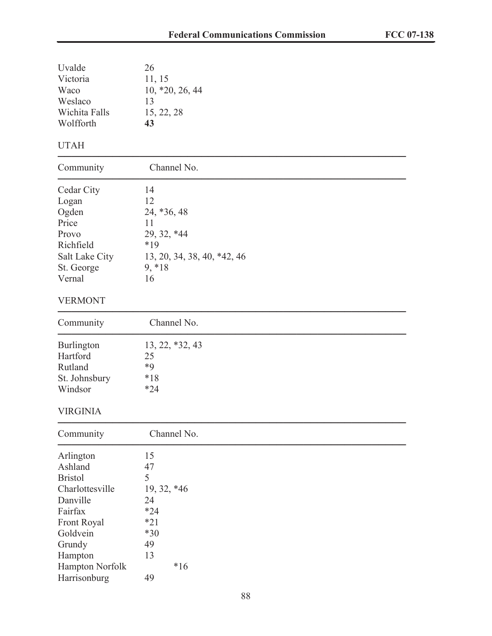| Uvalde<br>Victoria<br>Waco<br>Weslaco<br>Wichita Falls<br>Wolfforth                                                                                                 | 26<br>11, 15<br>$10, *20, 26, 44$<br>13<br>15, 22, 28<br>43                                            |
|---------------------------------------------------------------------------------------------------------------------------------------------------------------------|--------------------------------------------------------------------------------------------------------|
| <b>UTAH</b>                                                                                                                                                         |                                                                                                        |
| Community                                                                                                                                                           | Channel No.                                                                                            |
| Cedar City<br>Logan<br>Ogden<br>Price<br>Provo<br>Richfield<br>Salt Lake City<br>St. George<br>Vernal                                                               | 14<br>12<br>24, *36, 48<br>11<br>29, 32, *44<br>$*19$<br>13, 20, 34, 38, 40, *42, 46<br>$9, *18$<br>16 |
| <b>VERMONT</b>                                                                                                                                                      |                                                                                                        |
| Community                                                                                                                                                           | Channel No.                                                                                            |
| Burlington<br>Hartford<br>Rutland<br>St. Johnsbury<br>Windsor                                                                                                       | $13, 22, *32, 43$<br>25<br>$*9$<br>$*18$<br>$*24$                                                      |
| <b>VIRGINIA</b>                                                                                                                                                     |                                                                                                        |
| Community                                                                                                                                                           | Channel No.                                                                                            |
| Arlington<br>Ashland<br><b>Bristol</b><br>Charlottesville<br>Danville<br>Fairfax<br>Front Royal<br>Goldvein<br>Grundy<br>Hampton<br>Hampton Norfolk<br>Harrisonburg | 15<br>47<br>5<br>19, 32, *46<br>24<br>$*24$<br>$*21$<br>$*30$<br>49<br>13<br>$*16$<br>49               |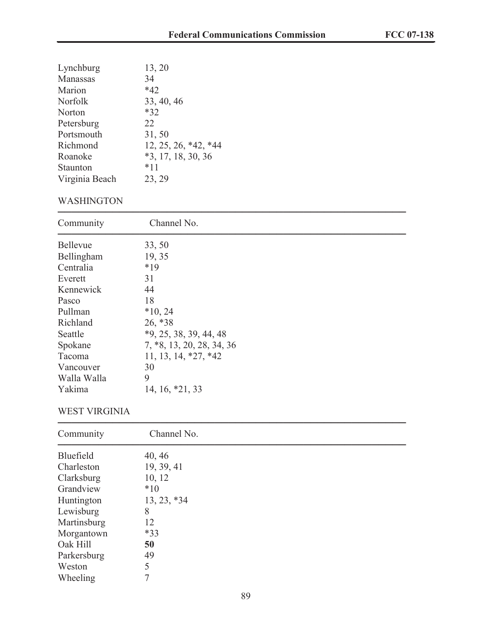| Lynchburg      | 13, 20               |
|----------------|----------------------|
| Manassas       | 34                   |
| Marion         | $*42$                |
| Norfolk        | 33, 40, 46           |
| Norton         | $*32$                |
| Petersburg     | 22                   |
| Portsmouth     | 31,50                |
| Richmond       | 12, 25, 26, *42, *44 |
| Roanoke        | $*3, 17, 18, 30, 36$ |
| Staunton       | $*11$                |
| Virginia Beach | 23, 29               |
|                |                      |

## WASHINGTON

| Channel No.               |
|---------------------------|
| 33, 50                    |
| 19, 35                    |
| $*19$                     |
| 31                        |
| 44                        |
| 18                        |
| $*10, 24$                 |
| 26, *38                   |
| $*9, 25, 38, 39, 44, 48$  |
| 7, *8, 13, 20, 28, 34, 36 |
| $11, 13, 14, *27, *42$    |
| 30                        |
| 9                         |
| 14, 16, *21, 33           |
|                           |

### WEST VIRGINIA

| Community   | Channel No.   |  |  |  |  |
|-------------|---------------|--|--|--|--|
| Bluefield   | 40, 46        |  |  |  |  |
| Charleston  | 19, 39, 41    |  |  |  |  |
| Clarksburg  | 10, 12        |  |  |  |  |
| Grandview   | $*10$         |  |  |  |  |
| Huntington  | $13, 23, *34$ |  |  |  |  |
| Lewisburg   | 8             |  |  |  |  |
| Martinsburg | 12            |  |  |  |  |
| Morgantown  | $*33$         |  |  |  |  |
| Oak Hill    | 50            |  |  |  |  |
| Parkersburg | 49            |  |  |  |  |
| Weston      | 5             |  |  |  |  |
| Wheeling    |               |  |  |  |  |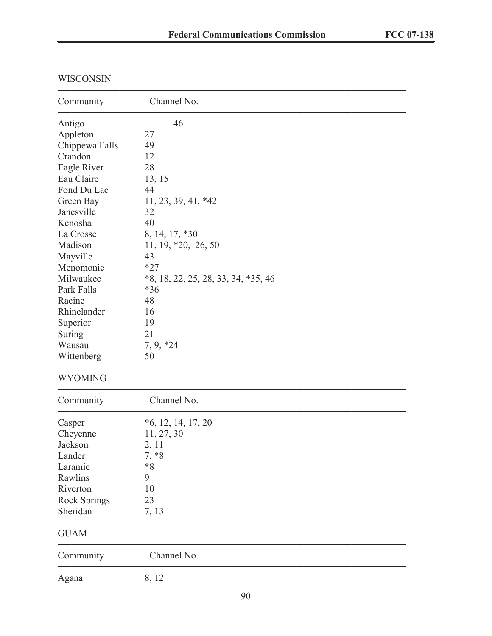| Channel No.                           |
|---------------------------------------|
| 46                                    |
| 27                                    |
| 49                                    |
| 12                                    |
| 28                                    |
| 13, 15                                |
| 44                                    |
| 11, 23, 39, 41, *42                   |
| 32                                    |
| 40                                    |
| 8, 14, 17, *30                        |
| 11, 19, *20, 26, 50                   |
| 43                                    |
| $*27$                                 |
| $*8, 18, 22, 25, 28, 33, 34, *35, 46$ |
| $*36$                                 |
| 48                                    |
| 16                                    |
| 19                                    |
| 21                                    |
| $7, 9, *24$                           |
| 50                                    |
|                                       |

#### WISCONSIN

### WYOMING

| Community           | Channel No.          |  |  |  |  |
|---------------------|----------------------|--|--|--|--|
| Casper              | $*6, 12, 14, 17, 20$ |  |  |  |  |
| Cheyenne            | 11, 27, 30           |  |  |  |  |
| Jackson             | 2, 11                |  |  |  |  |
| Lander              | $7, *8$              |  |  |  |  |
| Laramie             | $*8$                 |  |  |  |  |
| Rawlins             | 9                    |  |  |  |  |
| Riverton            | 10                   |  |  |  |  |
| <b>Rock Springs</b> | 23                   |  |  |  |  |
| Sheridan            | 7, 13                |  |  |  |  |
| <b>GUAM</b>         |                      |  |  |  |  |
| Community           | Channel No.          |  |  |  |  |
| Agana               | 8, 12                |  |  |  |  |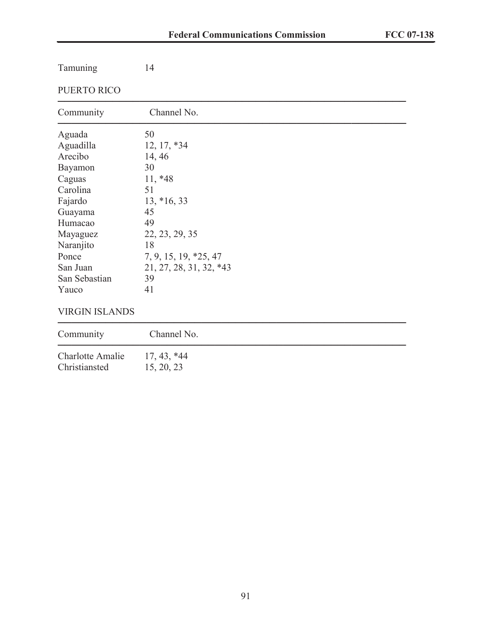| Tamuning      | 14                      |  |
|---------------|-------------------------|--|
| PUERTO RICO   |                         |  |
| Community     | Channel No.             |  |
| Aguada        | 50                      |  |
| Aguadilla     | $12, 17, *34$           |  |
| Arecibo       | 14, 46                  |  |
| Bayamon       | 30                      |  |
| Caguas        | $11, *48$               |  |
| Carolina      | 51                      |  |
| Fajardo       | $13, *16, 33$           |  |
| Guayama       | 45                      |  |
| Humacao       | 49                      |  |
| Mayaguez      | 22, 23, 29, 35          |  |
| Naranjito     | 18                      |  |
| Ponce         | 7, 9, 15, 19, *25, 47   |  |
| San Juan      | 21, 27, 28, 31, 32, *43 |  |
| San Sebastian | 39                      |  |
| Yauco         | 41                      |  |
|               |                         |  |

#### VIRGIN ISLANDS

| Community        | Channel No.   |
|------------------|---------------|
| Charlotte Amalie | $17, 43, *44$ |
| Christiansted    | 15, 20, 23    |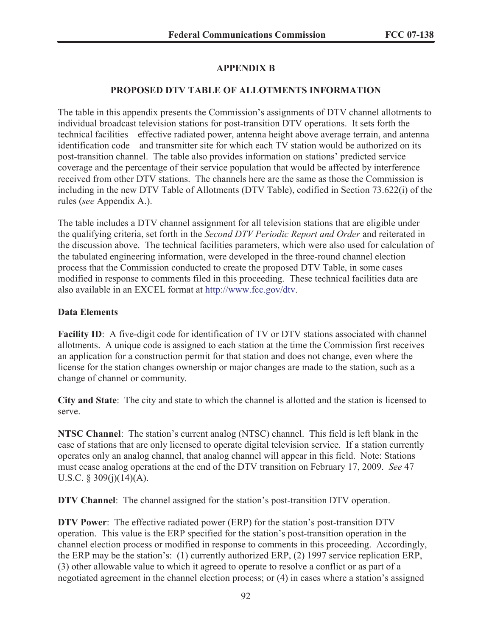## **APPENDIX B**

#### **PROPOSED DTV TABLE OF ALLOTMENTS INFORMATION**

The table in this appendix presents the Commission's assignments of DTV channel allotments to individual broadcast television stations for post-transition DTV operations. It sets forth the technical facilities – effective radiated power, antenna height above average terrain, and antenna identification code – and transmitter site for which each TV station would be authorized on its post-transition channel. The table also provides information on stations' predicted service coverage and the percentage of their service population that would be affected by interference received from other DTV stations. The channels here are the same as those the Commission is including in the new DTV Table of Allotments (DTV Table), codified in Section 73.622(i) of the rules (*see* Appendix A.).

The table includes a DTV channel assignment for all television stations that are eligible under the qualifying criteria, set forth in the *Second DTV Periodic Report and Order* and reiterated in the discussion above. The technical facilities parameters, which were also used for calculation of the tabulated engineering information, were developed in the three-round channel election process that the Commission conducted to create the proposed DTV Table, in some cases modified in response to comments filed in this proceeding. These technical facilities data are also available in an EXCEL format at http://www.fcc.gov/dtv.

#### **Data Elements**

**Facility ID:** A five-digit code for identification of TV or DTV stations associated with channel allotments. A unique code is assigned to each station at the time the Commission first receives an application for a construction permit for that station and does not change, even where the license for the station changes ownership or major changes are made to the station, such as a change of channel or community.

**City and State**: The city and state to which the channel is allotted and the station is licensed to serve.

**NTSC Channel**: The station's current analog (NTSC) channel. This field is left blank in the case of stations that are only licensed to operate digital television service. If a station currently operates only an analog channel, that analog channel will appear in this field. Note: Stations must cease analog operations at the end of the DTV transition on February 17, 2009. *See* 47 U.S.C.  $\S$  309(j)(14)(A).

**DTV Channel**: The channel assigned for the station's post-transition DTV operation.

**DTV Power**: The effective radiated power (ERP) for the station's post-transition DTV operation. This value is the ERP specified for the station's post-transition operation in the channel election process or modified in response to comments in this proceeding. Accordingly, the ERP may be the station's: (1) currently authorized ERP, (2) 1997 service replication ERP, (3) other allowable value to which it agreed to operate to resolve a conflict or as part of a negotiated agreement in the channel election process; or (4) in cases where a station's assigned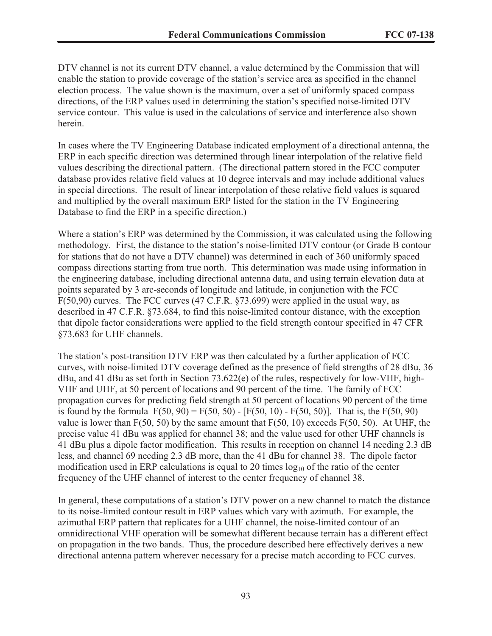DTV channel is not its current DTV channel, a value determined by the Commission that will enable the station to provide coverage of the station's service area as specified in the channel election process. The value shown is the maximum, over a set of uniformly spaced compass directions, of the ERP values used in determining the station's specified noise-limited DTV service contour. This value is used in the calculations of service and interference also shown herein.

In cases where the TV Engineering Database indicated employment of a directional antenna, the ERP in each specific direction was determined through linear interpolation of the relative field values describing the directional pattern. (The directional pattern stored in the FCC computer database provides relative field values at 10 degree intervals and may include additional values in special directions. The result of linear interpolation of these relative field values is squared and multiplied by the overall maximum ERP listed for the station in the TV Engineering Database to find the ERP in a specific direction.)

Where a station's ERP was determined by the Commission, it was calculated using the following methodology. First, the distance to the station's noise-limited DTV contour (or Grade B contour for stations that do not have a DTV channel) was determined in each of 360 uniformly spaced compass directions starting from true north. This determination was made using information in the engineering database, including directional antenna data, and using terrain elevation data at points separated by 3 arc-seconds of longitude and latitude, in conjunction with the FCC F(50,90) curves. The FCC curves (47 C.F.R. §73.699) were applied in the usual way, as described in 47 C.F.R. §73.684, to find this noise-limited contour distance, with the exception that dipole factor considerations were applied to the field strength contour specified in 47 CFR §73.683 for UHF channels.

The station's post-transition DTV ERP was then calculated by a further application of FCC curves, with noise-limited DTV coverage defined as the presence of field strengths of 28 dBu, 36 dBu, and 41 dBu as set forth in Section 73.622(e) of the rules, respectively for low-VHF, high-VHF and UHF, at 50 percent of locations and 90 percent of the time. The family of FCC propagation curves for predicting field strength at 50 percent of locations 90 percent of the time is found by the formula  $F(50, 90) = F(50, 50) - [F(50, 10) - F(50, 50)]$ . That is, the  $F(50, 90)$ value is lower than  $F(50, 50)$  by the same amount that  $F(50, 10)$  exceeds  $F(50, 50)$ . At UHF, the precise value 41 dBu was applied for channel 38; and the value used for other UHF channels is 41 dBu plus a dipole factor modification. This results in reception on channel 14 needing 2.3 dB less, and channel 69 needing 2.3 dB more, than the 41 dBu for channel 38. The dipole factor modification used in ERP calculations is equal to 20 times  $log_{10}$  of the ratio of the center frequency of the UHF channel of interest to the center frequency of channel 38.

In general, these computations of a station's DTV power on a new channel to match the distance to its noise-limited contour result in ERP values which vary with azimuth. For example, the azimuthal ERP pattern that replicates for a UHF channel, the noise-limited contour of an omnidirectional VHF operation will be somewhat different because terrain has a different effect on propagation in the two bands. Thus, the procedure described here effectively derives a new directional antenna pattern wherever necessary for a precise match according to FCC curves.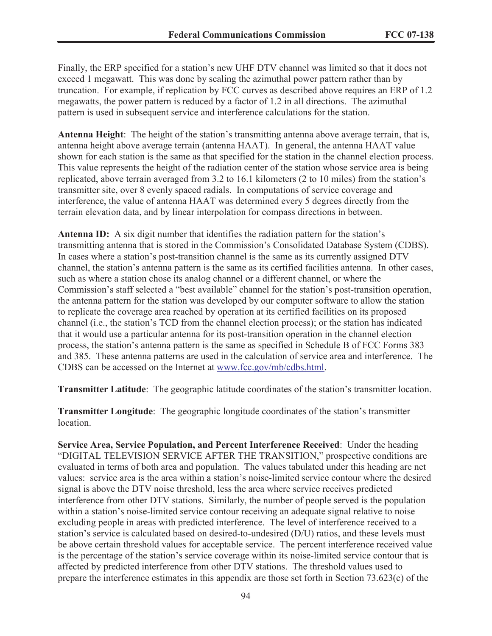Finally, the ERP specified for a station's new UHF DTV channel was limited so that it does not exceed 1 megawatt. This was done by scaling the azimuthal power pattern rather than by truncation. For example, if replication by FCC curves as described above requires an ERP of 1.2 megawatts, the power pattern is reduced by a factor of 1.2 in all directions. The azimuthal pattern is used in subsequent service and interference calculations for the station.

**Antenna Height**: The height of the station's transmitting antenna above average terrain, that is, antenna height above average terrain (antenna HAAT). In general, the antenna HAAT value shown for each station is the same as that specified for the station in the channel election process. This value represents the height of the radiation center of the station whose service area is being replicated, above terrain averaged from 3.2 to 16.1 kilometers (2 to 10 miles) from the station's transmitter site, over 8 evenly spaced radials. In computations of service coverage and interference, the value of antenna HAAT was determined every 5 degrees directly from the terrain elevation data, and by linear interpolation for compass directions in between.

**Antenna ID:** A six digit number that identifies the radiation pattern for the station's transmitting antenna that is stored in the Commission's Consolidated Database System (CDBS). In cases where a station's post-transition channel is the same as its currently assigned DTV channel, the station's antenna pattern is the same as its certified facilities antenna. In other cases, such as where a station chose its analog channel or a different channel, or where the Commission's staff selected a "best available" channel for the station's post-transition operation, the antenna pattern for the station was developed by our computer software to allow the station to replicate the coverage area reached by operation at its certified facilities on its proposed channel (i.e., the station's TCD from the channel election process); or the station has indicated that it would use a particular antenna for its post-transition operation in the channel election process, the station's antenna pattern is the same as specified in Schedule B of FCC Forms 383 and 385. These antenna patterns are used in the calculation of service area and interference. The CDBS can be accessed on the Internet at www.fcc.gov/mb/cdbs.html.

**Transmitter Latitude**: The geographic latitude coordinates of the station's transmitter location.

**Transmitter Longitude**: The geographic longitude coordinates of the station's transmitter location.

**Service Area, Service Population, and Percent Interference Received**: Under the heading "DIGITAL TELEVISION SERVICE AFTER THE TRANSITION," prospective conditions are evaluated in terms of both area and population. The values tabulated under this heading are net values: service area is the area within a station's noise-limited service contour where the desired signal is above the DTV noise threshold, less the area where service receives predicted interference from other DTV stations. Similarly, the number of people served is the population within a station's noise-limited service contour receiving an adequate signal relative to noise excluding people in areas with predicted interference. The level of interference received to a station's service is calculated based on desired-to-undesired (D/U) ratios, and these levels must be above certain threshold values for acceptable service. The percent interference received value is the percentage of the station's service coverage within its noise-limited service contour that is affected by predicted interference from other DTV stations. The threshold values used to prepare the interference estimates in this appendix are those set forth in Section 73.623(c) of the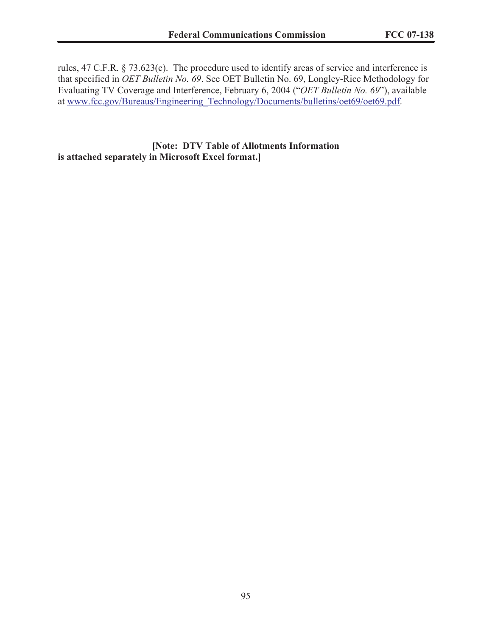rules, 47 C.F.R. § 73.623(c). The procedure used to identify areas of service and interference is that specified in *OET Bulletin No. 69*. See OET Bulletin No. 69, Longley-Rice Methodology for Evaluating TV Coverage and Interference, February 6, 2004 ("*OET Bulletin No. 69*"), available at www.fcc.gov/Bureaus/Engineering\_Technology/Documents/bulletins/oet69/oet69.pdf.

**[Note: DTV Table of Allotments Information is attached separately in Microsoft Excel format.]**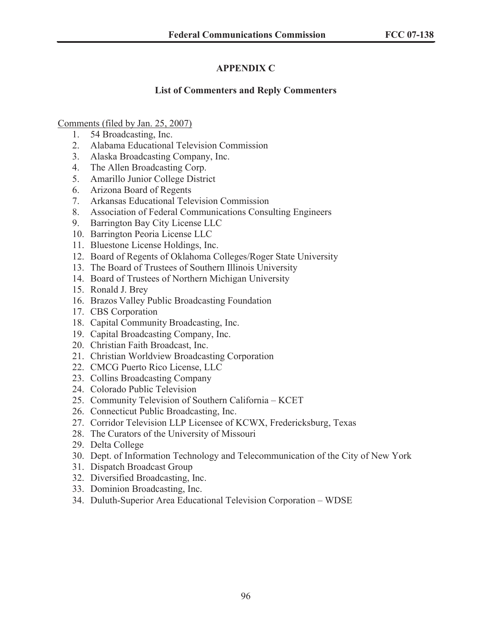# **APPENDIX C**

#### **List of Commenters and Reply Commenters**

#### Comments (filed by Jan. 25, 2007)

- 1. 54 Broadcasting, Inc.
- 2. Alabama Educational Television Commission
- 3. Alaska Broadcasting Company, Inc.
- 4. The Allen Broadcasting Corp.
- 5. Amarillo Junior College District
- 6. Arizona Board of Regents
- 7. Arkansas Educational Television Commission
- 8. Association of Federal Communications Consulting Engineers
- 9. Barrington Bay City License LLC
- 10. Barrington Peoria License LLC
- 11. Bluestone License Holdings, Inc.
- 12. Board of Regents of Oklahoma Colleges/Roger State University
- 13. The Board of Trustees of Southern Illinois University
- 14. Board of Trustees of Northern Michigan University
- 15. Ronald J. Brey
- 16. Brazos Valley Public Broadcasting Foundation
- 17. CBS Corporation
- 18. Capital Community Broadcasting, Inc.
- 19. Capital Broadcasting Company, Inc.
- 20. Christian Faith Broadcast, Inc.
- 21. Christian Worldview Broadcasting Corporation
- 22. CMCG Puerto Rico License, LLC
- 23. Collins Broadcasting Company
- 24. Colorado Public Television
- 25. Community Television of Southern California KCET
- 26. Connecticut Public Broadcasting, Inc.
- 27. Corridor Television LLP Licensee of KCWX, Fredericksburg, Texas
- 28. The Curators of the University of Missouri
- 29. Delta College
- 30. Dept. of Information Technology and Telecommunication of the City of New York
- 31. Dispatch Broadcast Group
- 32. Diversified Broadcasting, Inc.
- 33. Dominion Broadcasting, Inc.
- 34. Duluth-Superior Area Educational Television Corporation WDSE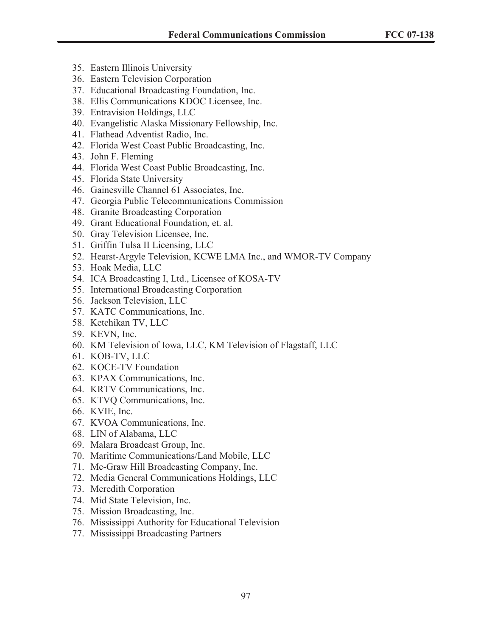- 35. Eastern Illinois University
- 36. Eastern Television Corporation
- 37. Educational Broadcasting Foundation, Inc.
- 38. Ellis Communications KDOC Licensee, Inc.
- 39. Entravision Holdings, LLC
- 40. Evangelistic Alaska Missionary Fellowship, Inc.
- 41. Flathead Adventist Radio, Inc.
- 42. Florida West Coast Public Broadcasting, Inc.
- 43. John F. Fleming
- 44. Florida West Coast Public Broadcasting, Inc.
- 45. Florida State University
- 46. Gainesville Channel 61 Associates, Inc.
- 47. Georgia Public Telecommunications Commission
- 48. Granite Broadcasting Corporation
- 49. Grant Educational Foundation, et. al.
- 50. Gray Television Licensee, Inc.
- 51. Griffin Tulsa II Licensing, LLC
- 52. Hearst-Argyle Television, KCWE LMA Inc., and WMOR-TV Company
- 53. Hoak Media, LLC
- 54. ICA Broadcasting I, Ltd., Licensee of KOSA-TV
- 55. International Broadcasting Corporation
- 56. Jackson Television, LLC
- 57. KATC Communications, Inc.
- 58. Ketchikan TV, LLC
- 59. KEVN, Inc.
- 60. KM Television of Iowa, LLC, KM Television of Flagstaff, LLC
- 61. KOB-TV, LLC
- 62. KOCE-TV Foundation
- 63. KPAX Communications, Inc.
- 64. KRTV Communications, Inc.
- 65. KTVQ Communications, Inc.
- 66. KVIE, Inc.
- 67. KVOA Communications, Inc.
- 68. LIN of Alabama, LLC
- 69. Malara Broadcast Group, Inc.
- 70. Maritime Communications/Land Mobile, LLC
- 71. Mc-Graw Hill Broadcasting Company, Inc.
- 72. Media General Communications Holdings, LLC
- 73. Meredith Corporation
- 74. Mid State Television, Inc.
- 75. Mission Broadcasting, Inc.
- 76. Mississippi Authority for Educational Television
- 77. Mississippi Broadcasting Partners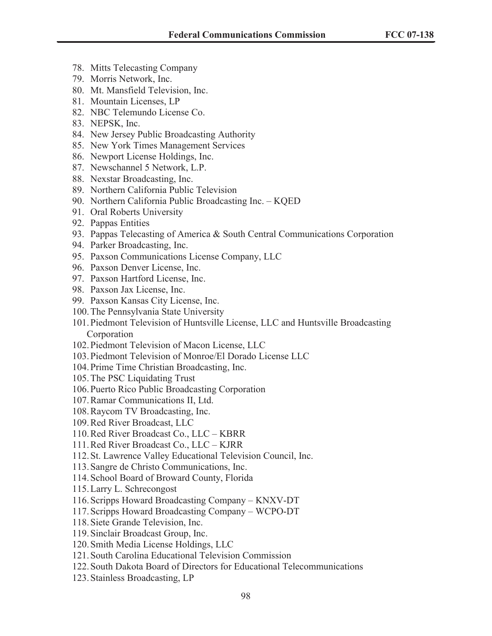- 78. Mitts Telecasting Company
- 79. Morris Network, Inc.
- 80. Mt. Mansfield Television, Inc.
- 81. Mountain Licenses, LP
- 82. NBC Telemundo License Co.
- 83. NEPSK, Inc.
- 84. New Jersey Public Broadcasting Authority
- 85. New York Times Management Services
- 86. Newport License Holdings, Inc.
- 87. Newschannel 5 Network, L.P.
- 88. Nexstar Broadcasting, Inc.
- 89. Northern California Public Television
- 90. Northern California Public Broadcasting Inc. KQED
- 91. Oral Roberts University
- 92. Pappas Entities
- 93. Pappas Telecasting of America & South Central Communications Corporation
- 94. Parker Broadcasting, Inc.
- 95. Paxson Communications License Company, LLC
- 96. Paxson Denver License, Inc.
- 97. Paxson Hartford License, Inc.
- 98. Paxson Jax License, Inc.
- 99. Paxson Kansas City License, Inc.
- 100.The Pennsylvania State University
- 101.Piedmont Television of Huntsville License, LLC and Huntsville Broadcasting Corporation
- 102.Piedmont Television of Macon License, LLC
- 103.Piedmont Television of Monroe/El Dorado License LLC
- 104.Prime Time Christian Broadcasting, Inc.
- 105.The PSC Liquidating Trust
- 106.Puerto Rico Public Broadcasting Corporation
- 107.Ramar Communications II, Ltd.
- 108.Raycom TV Broadcasting, Inc.
- 109.Red River Broadcast, LLC
- 110.Red River Broadcast Co., LLC KBRR
- 111.Red River Broadcast Co., LLC KJRR
- 112.St. Lawrence Valley Educational Television Council, Inc.
- 113.Sangre de Christo Communications, Inc.
- 114.School Board of Broward County, Florida
- 115.Larry L. Schrecongost
- 116.Scripps Howard Broadcasting Company KNXV-DT
- 117.Scripps Howard Broadcasting Company WCPO-DT
- 118.Siete Grande Television, Inc.
- 119.Sinclair Broadcast Group, Inc.
- 120.Smith Media License Holdings, LLC
- 121.South Carolina Educational Television Commission
- 122.South Dakota Board of Directors for Educational Telecommunications
- 123.Stainless Broadcasting, LP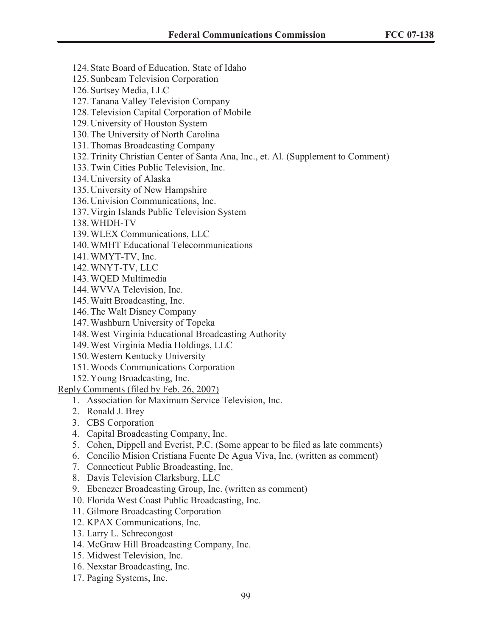- 124.State Board of Education, State of Idaho
- 125.Sunbeam Television Corporation
- 126.Surtsey Media, LLC
- 127.Tanana Valley Television Company
- 128.Television Capital Corporation of Mobile
- 129.University of Houston System
- 130.The University of North Carolina
- 131.Thomas Broadcasting Company
- 132.Trinity Christian Center of Santa Ana, Inc., et. Al. (Supplement to Comment)
- 133.Twin Cities Public Television, Inc.
- 134.University of Alaska
- 135.University of New Hampshire
- 136.Univision Communications, Inc.
- 137.Virgin Islands Public Television System
- 138.WHDH-TV
- 139.WLEX Communications, LLC
- 140.WMHT Educational Telecommunications
- 141.WMYT-TV, Inc.
- 142.WNYT-TV, LLC
- 143.WQED Multimedia
- 144.WVVA Television, Inc.
- 145.Waitt Broadcasting, Inc.
- 146.The Walt Disney Company
- 147.Washburn University of Topeka
- 148.West Virginia Educational Broadcasting Authority
- 149.West Virginia Media Holdings, LLC
- 150.Western Kentucky University
- 151.Woods Communications Corporation
- 152.Young Broadcasting, Inc.
- Reply Comments (filed by Feb. 26, 2007)
	- 1. Association for Maximum Service Television, Inc.
	- 2. Ronald J. Brey
	- 3. CBS Corporation
	- 4. Capital Broadcasting Company, Inc.
	- 5. Cohen, Dippell and Everist, P.C. (Some appear to be filed as late comments)
	- 6. Concilio Mision Cristiana Fuente De Agua Viva, Inc. (written as comment)
	- 7. Connecticut Public Broadcasting, Inc.
	- 8. Davis Television Clarksburg, LLC
	- 9. Ebenezer Broadcasting Group, Inc. (written as comment)
	- 10. Florida West Coast Public Broadcasting, Inc.
	- 11. Gilmore Broadcasting Corporation
	- 12. KPAX Communications, Inc.
	- 13. Larry L. Schrecongost
	- 14. McGraw Hill Broadcasting Company, Inc.
	- 15. Midwest Television, Inc.
	- 16. Nexstar Broadcasting, Inc.
	- 17. Paging Systems, Inc.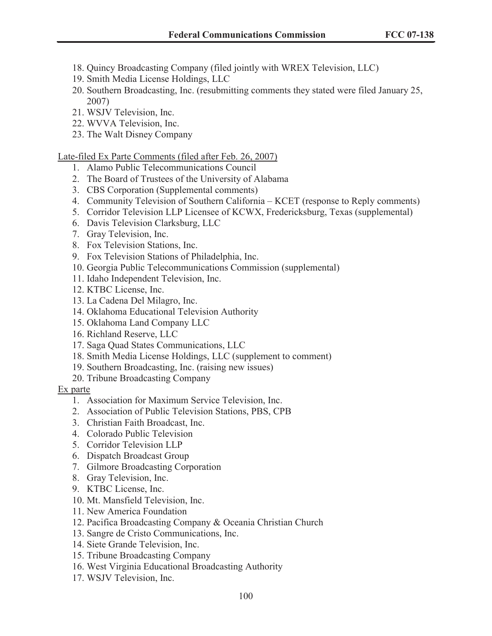- 18. Quincy Broadcasting Company (filed jointly with WREX Television, LLC)
- 19. Smith Media License Holdings, LLC
- 20. Southern Broadcasting, Inc. (resubmitting comments they stated were filed January 25, 2007)
- 21. WSJV Television, Inc.
- 22. WVVA Television, Inc.
- 23. The Walt Disney Company

Late-filed Ex Parte Comments (filed after Feb. 26, 2007)

- 1. Alamo Public Telecommunications Council
- 2. The Board of Trustees of the University of Alabama
- 3. CBS Corporation (Supplemental comments)
- 4. Community Television of Southern California KCET (response to Reply comments)
- 5. Corridor Television LLP Licensee of KCWX, Fredericksburg, Texas (supplemental)
- 6. Davis Television Clarksburg, LLC
- 7. Gray Television, Inc.
- 8. Fox Television Stations, Inc.
- 9. Fox Television Stations of Philadelphia, Inc.
- 10. Georgia Public Telecommunications Commission (supplemental)
- 11. Idaho Independent Television, Inc.
- 12. KTBC License, Inc.
- 13. La Cadena Del Milagro, Inc.
- 14. Oklahoma Educational Television Authority
- 15. Oklahoma Land Company LLC
- 16. Richland Reserve, LLC
- 17. Saga Quad States Communications, LLC
- 18. Smith Media License Holdings, LLC (supplement to comment)
- 19. Southern Broadcasting, Inc. (raising new issues)
- 20. Tribune Broadcasting Company

#### Ex parte

- 1. Association for Maximum Service Television, Inc.
- 2. Association of Public Television Stations, PBS, CPB
- 3. Christian Faith Broadcast, Inc.
- 4. Colorado Public Television
- 5. Corridor Television LLP
- 6. Dispatch Broadcast Group
- 7. Gilmore Broadcasting Corporation
- 8. Gray Television, Inc.
- 9. KTBC License, Inc.
- 10. Mt. Mansfield Television, Inc.
- 11. New America Foundation
- 12. Pacifica Broadcasting Company & Oceania Christian Church
- 13. Sangre de Cristo Communications, Inc.
- 14. Siete Grande Television, Inc.
- 15. Tribune Broadcasting Company
- 16. West Virginia Educational Broadcasting Authority
- 17. WSJV Television, Inc.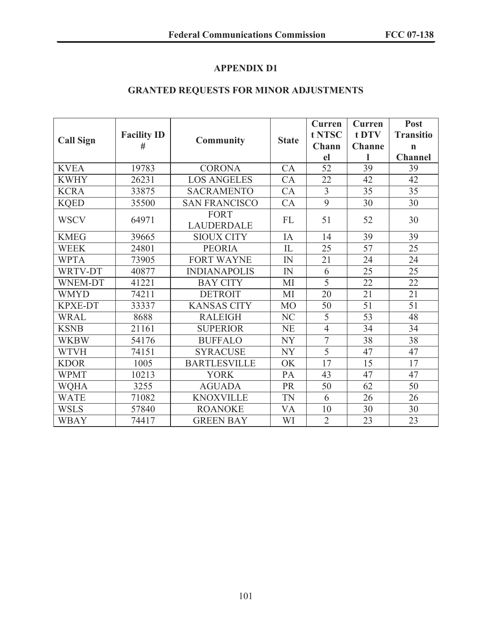# **APPENDIX D1**

# **GRANTED REQUESTS FOR MINOR ADJUSTMENTS**

|                  | <b>Facility ID</b> | <b>Community</b>                 |                | Curren         | <b>Curren</b> | Post             |
|------------------|--------------------|----------------------------------|----------------|----------------|---------------|------------------|
| <b>Call Sign</b> |                    |                                  | <b>State</b>   | t NTSC         | t DTV         | <b>Transitio</b> |
|                  | #                  |                                  |                | Chann          | <b>Channe</b> | $\mathbf n$      |
|                  |                    |                                  |                | el             |               | <b>Channel</b>   |
| <b>KVEA</b>      | 19783              | <b>CORONA</b>                    | CA             | 52             | 39            | 39               |
| <b>KWHY</b>      | 26231              | <b>LOS ANGELES</b>               | CA             | 22             | 42            | 42               |
| <b>KCRA</b>      | 33875              | <b>SACRAMENTO</b>                | CA             | $\overline{3}$ | 35            | 35               |
| <b>KQED</b>      | 35500              | <b>SAN FRANCISCO</b>             | CA             | 9              | 30            | 30               |
| <b>WSCV</b>      | 64971              | <b>FORT</b><br><b>LAUDERDALE</b> | <b>FL</b>      | 51             | 52            | 30               |
| <b>KMEG</b>      | 39665              | <b>SIOUX CITY</b>                | IA             | 14             | 39            | 39               |
| <b>WEEK</b>      | 24801              | <b>PEORIA</b>                    | $\mathcal{I}$  | 25             | 57            | 25               |
| <b>WPTA</b>      | 73905              | <b>FORT WAYNE</b>                | IN             | 21             | 24            | 24               |
| WRTV-DT          | 40877              | <b>INDIANAPOLIS</b>              | IN             | 6              | 25            | 25               |
| <b>WNEM-DT</b>   | 41221              | <b>BAY CITY</b>                  | MI             | $\overline{5}$ | 22            | 22               |
| <b>WMYD</b>      | 74211              | <b>DETROIT</b>                   | MI             | 20             | 21            | 21               |
| <b>KPXE-DT</b>   | 33337              | <b>KANSAS CITY</b>               | M <sub>O</sub> | 50             | 51            | 51               |
| <b>WRAL</b>      | 8688               | <b>RALEIGH</b>                   | NC             | 5              | 53            | 48               |
| <b>KSNB</b>      | 21161              | <b>SUPERIOR</b>                  | <b>NE</b>      | $\overline{4}$ | 34            | 34               |
| <b>WKBW</b>      | 54176              | <b>BUFFALO</b>                   | <b>NY</b>      | $\overline{7}$ | 38            | 38               |
| <b>WTVH</b>      | 74151              | <b>SYRACUSE</b>                  | <b>NY</b>      | 5              | 47            | 47               |
| <b>KDOR</b>      | 1005               | <b>BARTLESVILLE</b>              | OK             | 17             | 15            | 17               |
| <b>WPMT</b>      | 10213              | <b>YORK</b>                      | PA             | 43             | 47            | 47               |
| <b>WQHA</b>      | 3255               | <b>AGUADA</b>                    | PR             | 50             | 62            | 50               |
| <b>WATE</b>      | 71082              | <b>KNOXVILLE</b>                 | <b>TN</b>      | 6              | 26            | 26               |
| <b>WSLS</b>      | 57840              | <b>ROANOKE</b>                   | VA             | 10             | 30            | 30               |
| <b>WBAY</b>      | 74417              | <b>GREEN BAY</b>                 | WI             | $\overline{2}$ | 23            | 23               |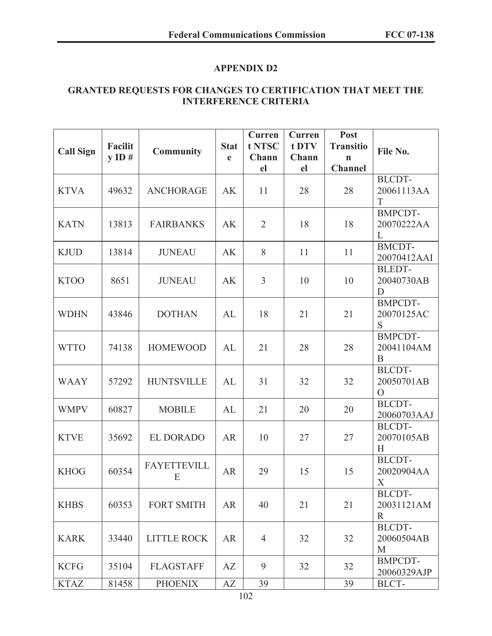# **APPENDIX D2**

## **GRANTED REQUESTS FOR CHANGES TO CERTIFICATION THAT MEET THE INTERFERENCE CRITERIA**

| <b>Call Sign</b> | Facilit<br>$y$ ID # | <b>Community</b>        | <b>Stat</b><br>e | Curren<br>t NTSC<br>Chann<br>el | Curren<br>t DTV<br>Chann<br>el | Post<br><b>Transitio</b><br>$\mathbf n$<br><b>Channel</b> | File No.                                      |
|------------------|---------------------|-------------------------|------------------|---------------------------------|--------------------------------|-----------------------------------------------------------|-----------------------------------------------|
| <b>KTVA</b>      | 49632               | <b>ANCHORAGE</b>        | <b>AK</b>        | 11                              | 28                             | 28                                                        | <b>BLCDT-</b><br>20061113AA<br>T              |
| <b>KATN</b>      | 13813               | <b>FAIRBANKS</b>        | AK               | $\overline{2}$                  | 18                             | 18                                                        | <b>BMPCDT-</b><br>20070222AA<br>L             |
| <b>KJUD</b>      | 13814               | <b>JUNEAU</b>           | AK               | 8                               | 11                             | 11                                                        | <b>BMCDT-</b><br>20070412AAI                  |
| <b>KTOO</b>      | 8651                | <b>JUNEAU</b>           | AK               | $\overline{3}$                  | 10                             | 10                                                        | <b>BLEDT-</b><br>20040730AB<br>D              |
| <b>WDHN</b>      | 43846               | <b>DOTHAN</b>           | AL               | 18                              | 21                             | 21                                                        | <b>BMPCDT-</b><br>20070125AC<br>S             |
| <b>WTTO</b>      | 74138               | <b>HOMEWOOD</b>         | AL               | 21                              | 28                             | 28                                                        | <b>BMPCDT-</b><br>20041104AM<br>B             |
| <b>WAAY</b>      | 57292               | <b>HUNTSVILLE</b>       | AL               | 31                              | 32                             | 32                                                        | <b>BLCDT-</b><br>20050701AB<br>$\overline{O}$ |
| <b>WMPV</b>      | 60827               | <b>MOBILE</b>           | AL               | 21                              | 20                             | 20                                                        | BLCDT-<br>20060703AAJ                         |
| <b>KTVE</b>      | 35692               | <b>EL DORADO</b>        | <b>AR</b>        | 10                              | 27                             | 27                                                        | <b>BLCDT-</b><br>20070105AB<br>H              |
| <b>KHOG</b>      | 60354               | <b>FAYETTEVILL</b><br>E | <b>AR</b>        | 29                              | 15                             | 15                                                        | <b>BLCDT-</b><br>20020904AA<br>X              |
| <b>KHBS</b>      | 60353               | <b>FORT SMITH</b>       | <b>AR</b>        | 40                              | 21                             | 21                                                        | <b>BLCDT-</b><br>20031121AM<br>R              |
| <b>KARK</b>      | 33440               | <b>LITTLE ROCK</b>      | <b>AR</b>        | $\overline{4}$                  | 32                             | 32                                                        | <b>BLCDT-</b><br>20060504AB<br>M              |
| <b>KCFG</b>      | 35104               | <b>FLAGSTAFF</b>        | AZ               | 9                               | 32                             | 32                                                        | <b>BMPCDT-</b><br>20060329AJP                 |
| <b>KTAZ</b>      | 81458               | <b>PHOENIX</b>          | AZ               | 39                              |                                | 39                                                        | BLCT-                                         |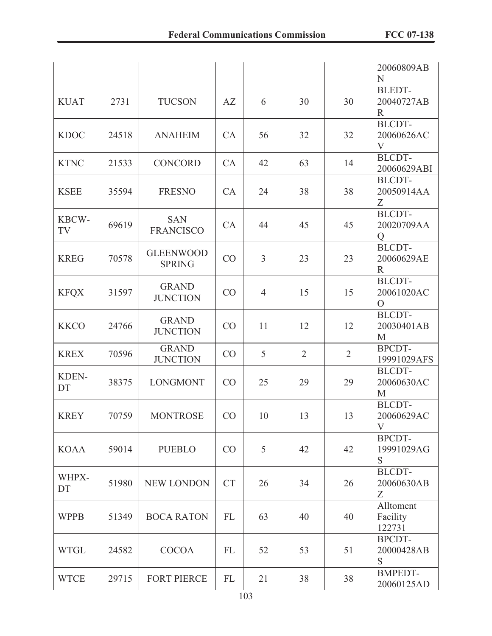|             |       |                                   |            |                |                |                | 20060809AB<br>N                               |
|-------------|-------|-----------------------------------|------------|----------------|----------------|----------------|-----------------------------------------------|
| <b>KUAT</b> | 2731  | <b>TUCSON</b>                     | AZ         | 6              | 30             | 30             | <b>BLEDT-</b><br>20040727AB<br>$\mathbb{R}$   |
| <b>KDOC</b> | 24518 | <b>ANAHEIM</b>                    | CA         | 56             | 32             | 32             | <b>BLCDT-</b><br>20060626AC<br>V              |
| <b>KTNC</b> | 21533 | <b>CONCORD</b>                    | CA         | 42             | 63             | 14             | <b>BLCDT-</b><br>20060629ABI                  |
| <b>KSEE</b> | 35594 | <b>FRESNO</b>                     | CA         | 24             | 38             | 38             | <b>BLCDT-</b><br>20050914AA<br>Z              |
| KBCW-<br>TV | 69619 | <b>SAN</b><br><b>FRANCISCO</b>    | CA         | 44             | 45             | 45             | <b>BLCDT-</b><br>20020709AA<br>Q              |
| <b>KREG</b> | 70578 | <b>GLEENWOOD</b><br><b>SPRING</b> | CO         | $\overline{3}$ | 23             | 23             | <b>BLCDT-</b><br>20060629AE<br>$\mathbb{R}$   |
| <b>KFQX</b> | 31597 | <b>GRAND</b><br><b>JUNCTION</b>   | CO         | $\overline{4}$ | 15             | 15             | <b>BLCDT-</b><br>20061020AC<br>$\overline{O}$ |
| <b>KKCO</b> | 24766 | <b>GRAND</b><br><b>JUNCTION</b>   | CO         | 11             | 12             | 12             | <b>BLCDT-</b><br>20030401AB<br>M              |
| <b>KREX</b> | 70596 | <b>GRAND</b><br><b>JUNCTION</b>   | CO         | 5              | $\overline{2}$ | $\overline{2}$ | <b>BPCDT-</b><br>19991029AFS                  |
| KDEN-<br>DT | 38375 | <b>LONGMONT</b>                   | CO         | 25             | 29             | 29             | <b>BLCDT-</b><br>20060630AC<br>M              |
| <b>KREY</b> | 70759 | <b>MONTROSE</b>                   | CO         | 10             | 13             | 13             | <b>BLCDT-</b><br>20060629AC<br>V              |
| <b>KOAA</b> | 59014 | <b>PUEBLO</b>                     | CO         | 5              | 42             | 42             | <b>BPCDT-</b><br>19991029AG<br>S              |
| WHPX-<br>DT | 51980 | <b>NEW LONDON</b>                 | <b>CT</b>  | 26             | 34             | 26             | <b>BLCDT-</b><br>20060630AB<br>Z              |
| <b>WPPB</b> | 51349 | <b>BOCA RATON</b>                 | FL         | 63             | 40             | 40             | Alltoment<br>Facility<br>122731               |
| <b>WTGL</b> | 24582 | <b>COCOA</b>                      | FL         | 52             | 53             | 51             | BPCDT-<br>20000428AB<br>S                     |
| <b>WTCE</b> | 29715 | <b>FORT PIERCE</b>                | ${\rm FL}$ | 21             | 38             | 38             | <b>BMPEDT-</b><br>20060125AD                  |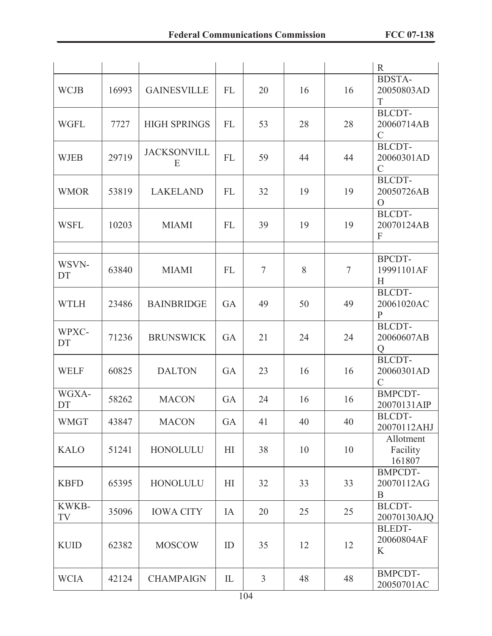|             |       |                         |                |                |    |        | $\mathbf R$                                  |
|-------------|-------|-------------------------|----------------|----------------|----|--------|----------------------------------------------|
| <b>WCJB</b> | 16993 | <b>GAINESVILLE</b>      | FL             | 20             | 16 | 16     | <b>BDSTA-</b><br>20050803AD<br>T             |
| <b>WGFL</b> | 7727  | <b>HIGH SPRINGS</b>     | FL             | 53             | 28 | 28     | <b>BLCDT-</b><br>20060714AB<br>$\mathcal{C}$ |
| <b>WJEB</b> | 29719 | <b>JACKSONVILL</b><br>E | FL             | 59             | 44 | 44     | <b>BLCDT-</b><br>20060301AD<br>$\mathcal{C}$ |
| <b>WMOR</b> | 53819 | <b>LAKELAND</b>         | FL             | 32             | 19 | 19     | <b>BLCDT-</b><br>20050726AB<br>$\Omega$      |
| <b>WSFL</b> | 10203 | <b>MIAMI</b>            | FL             | 39             | 19 | 19     | <b>BLCDT-</b><br>20070124AB<br>F             |
|             |       |                         |                |                |    |        |                                              |
| WSVN-<br>DT | 63840 | <b>MIAMI</b>            | FL             | $\tau$         | 8  | $\tau$ | BPCDT-<br>19991101AF<br>H                    |
| <b>WTLH</b> | 23486 | <b>BAINBRIDGE</b>       | GA             | 49             | 50 | 49     | <b>BLCDT-</b><br>20061020AC<br>$\mathbf{P}$  |
| WPXC-<br>DT | 71236 | <b>BRUNSWICK</b>        | GA             | 21             | 24 | 24     | <b>BLCDT-</b><br>20060607AB<br>Q             |
| <b>WELF</b> | 60825 | <b>DALTON</b>           | GA             | 23             | 16 | 16     | <b>BLCDT-</b><br>20060301AD<br>$\mathcal{C}$ |
| WGXA-<br>DT | 58262 | <b>MACON</b>            | GA             | 24             | 16 | 16     | <b>BMPCDT-</b><br>20070131AIP                |
| <b>WMGT</b> | 43847 | <b>MACON</b>            | GA             | 41             | 40 | 40     | BLCDT-<br>20070112AHJ                        |
| <b>KALO</b> | 51241 | <b>HONOLULU</b>         | H <sub>I</sub> | 38             | 10 | 10     | Allotment<br>Facility<br>161807              |
| <b>KBFD</b> | 65395 | <b>HONOLULU</b>         | H1             | 32             | 33 | 33     | <b>BMPCDT-</b><br>20070112AG<br>$\mathbf B$  |
| KWKB-<br>TV | 35096 | <b>IOWA CITY</b>        | IA             | 20             | 25 | 25     | BLCDT-<br>20070130AJQ                        |
| <b>KUID</b> | 62382 | <b>MOSCOW</b>           | ID             | 35             | 12 | 12     | <b>BLEDT-</b><br>20060804AF<br>K             |
| <b>WCIA</b> | 42124 | <b>CHAMPAIGN</b>        | IL             | $\overline{3}$ | 48 | 48     | <b>BMPCDT-</b><br>20050701AC                 |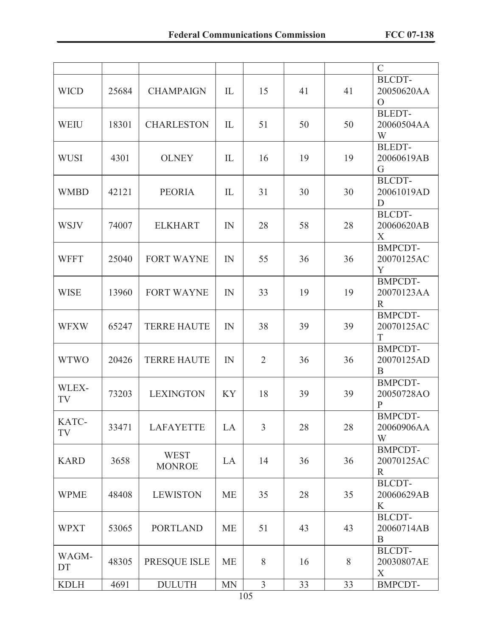|             |       |                              |           |                       |    |    | $\mathcal{C}$                                |
|-------------|-------|------------------------------|-----------|-----------------------|----|----|----------------------------------------------|
| <b>WICD</b> | 25684 | <b>CHAMPAIGN</b>             | IL        | 15                    | 41 | 41 | BLCDT-<br>20050620AA<br>$\overline{O}$       |
| <b>WEIU</b> | 18301 | <b>CHARLESTON</b>            | IL        | 51                    | 50 | 50 | <b>BLEDT-</b><br>20060504AA<br>W             |
| <b>WUSI</b> | 4301  | <b>OLNEY</b>                 | IL        | 16                    | 19 | 19 | <b>BLEDT-</b><br>20060619AB<br>G             |
| <b>WMBD</b> | 42121 | <b>PEORIA</b>                | IL        | 31                    | 30 | 30 | <b>BLCDT-</b><br>20061019AD<br>D             |
| <b>WSJV</b> | 74007 | <b>ELKHART</b>               | IN        | 28                    | 58 | 28 | <b>BLCDT-</b><br>20060620AB<br>X             |
| <b>WFFT</b> | 25040 | <b>FORT WAYNE</b>            | IN        | 55                    | 36 | 36 | <b>BMPCDT-</b><br>20070125AC<br>Y            |
| <b>WISE</b> | 13960 | <b>FORT WAYNE</b>            | IN        | 33                    | 19 | 19 | <b>BMPCDT-</b><br>20070123AA<br>$\mathbb{R}$ |
| <b>WFXW</b> | 65247 | <b>TERRE HAUTE</b>           | IN        | 38                    | 39 | 39 | <b>BMPCDT-</b><br>20070125AC<br>T            |
| <b>WTWO</b> | 20426 | <b>TERRE HAUTE</b>           | IN        | $\overline{2}$        | 36 | 36 | <b>BMPCDT-</b><br>20070125AD<br>B            |
| WLEX-<br>TV | 73203 | <b>LEXINGTON</b>             | <b>KY</b> | 18                    | 39 | 39 | <b>BMPCDT-</b><br>20050728AO<br>$\mathbf{P}$ |
| KATC-<br>TV | 33471 | <b>LAFAYETTE</b>             | LA        | $\overline{3}$        | 28 | 28 | <b>BMPCDT-</b><br>20060906AA<br>W            |
| <b>KARD</b> | 3658  | <b>WEST</b><br><b>MONROE</b> | LA        | 14                    | 36 | 36 | <b>BMPCDT-</b><br>20070125AC<br>$\mathbf R$  |
| <b>WPME</b> | 48408 | <b>LEWISTON</b>              | <b>ME</b> | 35                    | 28 | 35 | <b>BLCDT-</b><br>20060629AB<br>K             |
| <b>WPXT</b> | 53065 | <b>PORTLAND</b>              | <b>ME</b> | 51                    | 43 | 43 | <b>BLCDT-</b><br>20060714AB<br>B             |
| WAGM-<br>DT | 48305 | PRESQUE ISLE                 | <b>ME</b> | 8                     | 16 | 8  | <b>BLCDT-</b><br>20030807AE<br>X             |
| <b>KDLH</b> | 4691  | <b>DULUTH</b>                | <b>MN</b> | $\overline{3}$<br>105 | 33 | 33 | <b>BMPCDT-</b>                               |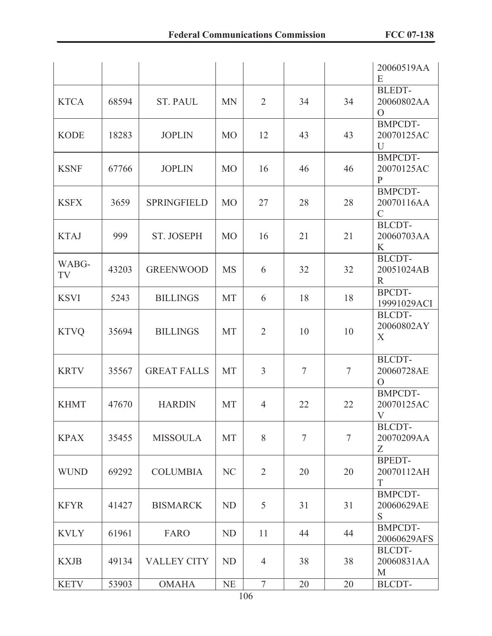|             |       |                    |                |                  |                |                | 20060519AA<br>E                                |
|-------------|-------|--------------------|----------------|------------------|----------------|----------------|------------------------------------------------|
| <b>KTCA</b> | 68594 | <b>ST. PAUL</b>    | <b>MN</b>      | $\overline{2}$   | 34             | 34             | <b>BLEDT-</b><br>20060802AA<br>$\Omega$        |
| <b>KODE</b> | 18283 | <b>JOPLIN</b>      | M <sub>O</sub> | 12               | 43             | 43             | <b>BMPCDT-</b><br>20070125AC<br>$\overline{U}$ |
| <b>KSNF</b> | 67766 | <b>JOPLIN</b>      | <b>MO</b>      | 16               | 46             | 46             | <b>BMPCDT-</b><br>20070125AC<br>$\mathbf{P}$   |
| <b>KSFX</b> | 3659  | <b>SPRINGFIELD</b> | <b>MO</b>      | 27               | 28             | 28             | <b>BMPCDT-</b><br>20070116AA<br>$\mathcal{C}$  |
| <b>KTAJ</b> | 999   | <b>ST. JOSEPH</b>  | <b>MO</b>      | 16               | 21             | 21             | <b>BLCDT-</b><br>20060703AA<br>K               |
| WABG-<br>TV | 43203 | <b>GREENWOOD</b>   | <b>MS</b>      | 6                | 32             | 32             | <b>BLCDT-</b><br>20051024AB<br>$\mathbb{R}$    |
| <b>KSVI</b> | 5243  | <b>BILLINGS</b>    | MT             | 6                | 18             | 18             | <b>BPCDT-</b><br>19991029ACI                   |
| <b>KTVQ</b> | 35694 | <b>BILLINGS</b>    | <b>MT</b>      | $\overline{2}$   | 10             | 10             | <b>BLCDT-</b><br>20060802AY<br>X               |
| <b>KRTV</b> | 35567 | <b>GREAT FALLS</b> | <b>MT</b>      | $\overline{3}$   | $\overline{7}$ | $\tau$         | <b>BLCDT-</b><br>20060728AE<br>$\overline{O}$  |
| <b>KHMT</b> | 47670 | <b>HARDIN</b>      | <b>MT</b>      | $\overline{4}$   | 22             | 22             | <b>BMPCDT-</b><br>20070125AC<br>V              |
| <b>KPAX</b> | 35455 | <b>MISSOULA</b>    | MT             | 8                | $\overline{7}$ | $\overline{7}$ | <b>BLCDT-</b><br>20070209AA<br>Z               |
| <b>WUND</b> | 69292 | <b>COLUMBIA</b>    | NC             | $\overline{2}$   | 20             | 20             | <b>BPEDT-</b><br>20070112AH<br>T               |
| <b>KFYR</b> | 41427 | <b>BISMARCK</b>    | ND             | 5                | 31             | 31             | <b>BMPCDT-</b><br>20060629AE<br>S              |
| <b>KVLY</b> | 61961 | FARO               | <b>ND</b>      | 11               | 44             | 44             | <b>BMPCDT-</b><br>20060629AFS                  |
| <b>KXJB</b> | 49134 | <b>VALLEY CITY</b> | <b>ND</b>      | $\overline{4}$   | 38             | 38             | <b>BLCDT-</b><br>20060831AA<br>M               |
| <b>KETV</b> | 53903 | <b>OMAHA</b>       | NE             | $\boldsymbol{7}$ | 20             | 20             | BLCDT-                                         |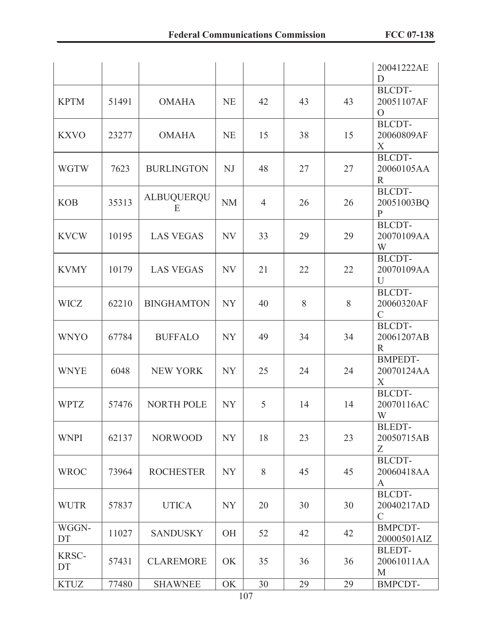|             |       |                        |           |                |    |    | 20041222AE<br>D                              |
|-------------|-------|------------------------|-----------|----------------|----|----|----------------------------------------------|
| <b>KPTM</b> | 51491 | <b>OMAHA</b>           | <b>NE</b> | 42             | 43 | 43 | <b>BLCDT-</b><br>20051107AF<br>$\Omega$      |
| <b>KXVO</b> | 23277 | <b>OMAHA</b>           | <b>NE</b> | 15             | 38 | 15 | <b>BLCDT-</b><br>20060809AF<br>X             |
| <b>WGTW</b> | 7623  | <b>BURLINGTON</b>      | NJ        | 48             | 27 | 27 | <b>BLCDT-</b><br>20060105AA<br>R             |
| <b>KOB</b>  | 35313 | <b>ALBUQUERQU</b><br>E | <b>NM</b> | $\overline{4}$ | 26 | 26 | <b>BLCDT-</b><br>20051003BQ<br>$\mathbf{P}$  |
| <b>KVCW</b> | 10195 | <b>LAS VEGAS</b>       | NV        | 33             | 29 | 29 | <b>BLCDT-</b><br>20070109AA<br>W             |
| <b>KVMY</b> | 10179 | <b>LAS VEGAS</b>       | NV        | 21             | 22 | 22 | <b>BLCDT-</b><br>20070109AA<br>U             |
| <b>WICZ</b> | 62210 | <b>BINGHAMTON</b>      | <b>NY</b> | 40             | 8  | 8  | <b>BLCDT-</b><br>20060320AF<br>$\mathcal{C}$ |
| <b>WNYO</b> | 67784 | <b>BUFFALO</b>         | <b>NY</b> | 49             | 34 | 34 | <b>BLCDT-</b><br>20061207AB<br>$\mathbb{R}$  |
| <b>WNYE</b> | 6048  | <b>NEW YORK</b>        | <b>NY</b> | 25             | 24 | 24 | <b>BMPEDT-</b><br>20070124AA<br>X            |
| <b>WPTZ</b> | 57476 | <b>NORTH POLE</b>      | NY        | 5              | 14 | 14 | <b>BLCDT-</b><br>20070116AC<br>W             |
| <b>WNPI</b> | 62137 | <b>NORWOOD</b>         | <b>NY</b> | 18             | 23 | 23 | <b>BLEDT-</b><br>20050715AB<br>Z             |
| <b>WROC</b> | 73964 | <b>ROCHESTER</b>       | NY        | 8              | 45 | 45 | <b>BLCDT-</b><br>20060418AA<br>A             |
| <b>WUTR</b> | 57837 | <b>UTICA</b>           | NY        | 20             | 30 | 30 | <b>BLCDT-</b><br>20040217AD<br>$\mathcal{C}$ |
| WGGN-<br>DT | 11027 | <b>SANDUSKY</b>        | <b>OH</b> | 52             | 42 | 42 | <b>BMPCDT-</b><br>20000501AIZ                |
| KRSC-<br>DT | 57431 | <b>CLAREMORE</b>       | OK        | 35             | 36 | 36 | <b>BLEDT-</b><br>20061011AA<br>M             |
| <b>KTUZ</b> | 77480 | <b>SHAWNEE</b>         | OK        | 30             | 29 | 29 | <b>BMPCDT-</b>                               |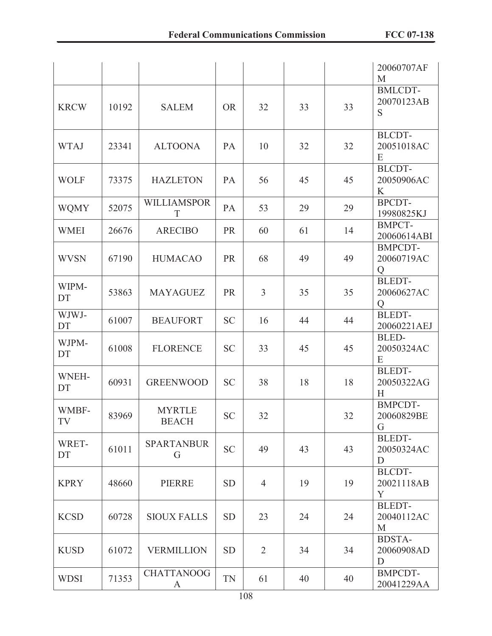|             |       |                               |           |                |    |    | 20060707AF<br>M                                |
|-------------|-------|-------------------------------|-----------|----------------|----|----|------------------------------------------------|
| <b>KRCW</b> | 10192 | <b>SALEM</b>                  | <b>OR</b> | 32             | 33 | 33 | <b>BMLCDT-</b><br>20070123AB<br>S              |
| <b>WTAJ</b> | 23341 | <b>ALTOONA</b>                | PA        | 10             | 32 | 32 | <b>BLCDT-</b><br>20051018AC<br>E               |
| <b>WOLF</b> | 73375 | <b>HAZLETON</b>               | PA        | 56             | 45 | 45 | <b>BLCDT-</b><br>20050906AC<br>K               |
| <b>WQMY</b> | 52075 | <b>WILLIAMSPOR</b><br>T       | PA        | 53             | 29 | 29 | <b>BPCDT-</b><br>19980825KJ                    |
| <b>WMEI</b> | 26676 | <b>ARECIBO</b>                | <b>PR</b> | 60             | 61 | 14 | <b>BMPCT-</b><br>20060614ABI                   |
| <b>WVSN</b> | 67190 | <b>HUMACAO</b>                | <b>PR</b> | 68             | 49 | 49 | <b>BMPCDT-</b><br>20060719AC<br>$\overline{O}$ |
| WIPM-<br>DT | 53863 | <b>MAYAGUEZ</b>               | PR        | $\overline{3}$ | 35 | 35 | <b>BLEDT-</b><br>20060627AC<br>Q               |
| WJWJ-<br>DT | 61007 | <b>BEAUFORT</b>               | <b>SC</b> | 16             | 44 | 44 | <b>BLEDT-</b><br>20060221AEJ                   |
| WJPM-<br>DT | 61008 | <b>FLORENCE</b>               | <b>SC</b> | 33             | 45 | 45 | BLED-<br>20050324AC<br>E                       |
| WNEH-<br>DT | 60931 | <b>GREENWOOD</b>              | <b>SC</b> | 38             | 18 | 18 | <b>BLEDT-</b><br>20050322AG<br>H               |
| WMBF-<br>TV | 83969 | <b>MYRTLE</b><br><b>BEACH</b> | <b>SC</b> | 32             |    | 32 | <b>BMPCDT-</b><br>20060829BE<br>G              |
| WRET-<br>DT | 61011 | <b>SPARTANBUR</b><br>G        | <b>SC</b> | 49             | 43 | 43 | <b>BLEDT-</b><br>20050324AC<br>D               |
| <b>KPRY</b> | 48660 | PIERRE                        | <b>SD</b> | $\overline{4}$ | 19 | 19 | <b>BLCDT-</b><br>20021118AB<br>Y               |
| <b>KCSD</b> | 60728 | <b>SIOUX FALLS</b>            | <b>SD</b> | 23             | 24 | 24 | <b>BLEDT-</b><br>20040112AC<br>M               |
| <b>KUSD</b> | 61072 | <b>VERMILLION</b>             | <b>SD</b> | $\overline{2}$ | 34 | 34 | <b>BDSTA-</b><br>20060908AD<br>D               |
| <b>WDSI</b> | 71353 | <b>CHATTANOOG</b><br>A        | TN        | 61             | 40 | 40 | BMPCDT-<br>20041229AA                          |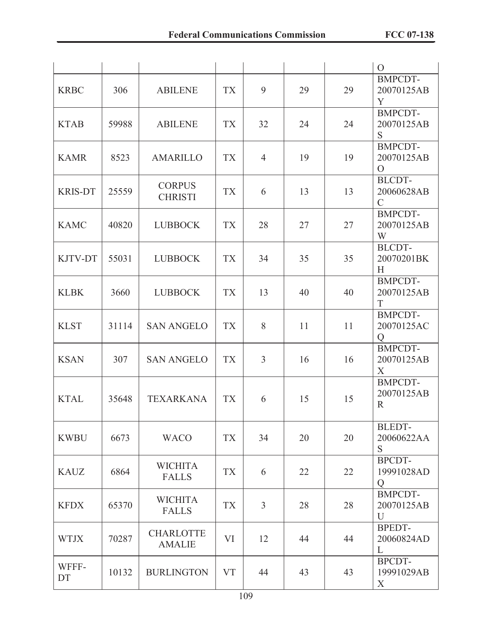|                |       |                                   |           |                |    |    | $\overline{O}$                                 |
|----------------|-------|-----------------------------------|-----------|----------------|----|----|------------------------------------------------|
| <b>KRBC</b>    | 306   | <b>ABILENE</b>                    | <b>TX</b> | 9              | 29 | 29 | <b>BMPCDT-</b><br>20070125AB<br>Y              |
| <b>KTAB</b>    | 59988 | <b>ABILENE</b>                    | <b>TX</b> | 32             | 24 | 24 | <b>BMPCDT-</b><br>20070125AB<br>S              |
| <b>KAMR</b>    | 8523  | <b>AMARILLO</b>                   | <b>TX</b> | $\overline{4}$ | 19 | 19 | <b>BMPCDT-</b><br>20070125AB<br>$\Omega$       |
| <b>KRIS-DT</b> | 25559 | <b>CORPUS</b><br><b>CHRISTI</b>   | <b>TX</b> | 6              | 13 | 13 | <b>BLCDT-</b><br>20060628AB<br>$\mathcal{C}$   |
| <b>KAMC</b>    | 40820 | <b>LUBBOCK</b>                    | <b>TX</b> | 28             | 27 | 27 | <b>BMPCDT-</b><br>20070125AB<br>W              |
| KJTV-DT        | 55031 | <b>LUBBOCK</b>                    | <b>TX</b> | 34             | 35 | 35 | <b>BLCDT-</b><br>20070201BK<br>H               |
| <b>KLBK</b>    | 3660  | <b>LUBBOCK</b>                    | <b>TX</b> | 13             | 40 | 40 | <b>BMPCDT-</b><br>20070125AB<br>T              |
| <b>KLST</b>    | 31114 | <b>SAN ANGELO</b>                 | <b>TX</b> | 8              | 11 | 11 | <b>BMPCDT-</b><br>20070125AC<br>$\overline{O}$ |
| <b>KSAN</b>    | 307   | <b>SAN ANGELO</b>                 | <b>TX</b> | $\overline{3}$ | 16 | 16 | <b>BMPCDT-</b><br>20070125AB<br>X              |
| <b>KTAL</b>    | 35648 | <b>TEXARKANA</b>                  | <b>TX</b> | 6              | 15 | 15 | <b>BMPCDT-</b><br>20070125AB<br>$\mathbf R$    |
| <b>KWBU</b>    | 6673  | <b>WACO</b>                       | <b>TX</b> | 34             | 20 | 20 | <b>BLEDT-</b><br>20060622AA<br>S               |
| <b>KAUZ</b>    | 6864  | <b>WICHITA</b><br><b>FALLS</b>    | <b>TX</b> | 6              | 22 | 22 | BPCDT-<br>19991028AD<br>Q                      |
| <b>KFDX</b>    | 65370 | <b>WICHITA</b><br><b>FALLS</b>    | <b>TX</b> | $\overline{3}$ | 28 | 28 | <b>BMPCDT-</b><br>20070125AB<br>U              |
| <b>WTJX</b>    | 70287 | <b>CHARLOTTE</b><br><b>AMALIE</b> | VI        | 12             | 44 | 44 | <b>BPEDT-</b><br>20060824AD<br>L               |
| WFFF-<br>DT    | 10132 | <b>BURLINGTON</b>                 | <b>VT</b> | 44             | 43 | 43 | BPCDT-<br>19991029AB<br>X                      |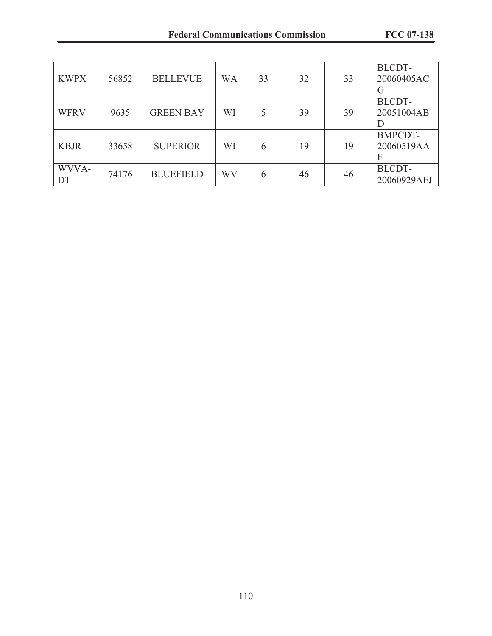| <b>KWPX</b> | 56852 | <b>BELLEVUE</b>  | <b>WA</b> | 33 | 32 | 33 | <b>BLCDT-</b><br>20060405AC<br>G  |
|-------------|-------|------------------|-----------|----|----|----|-----------------------------------|
| <b>WFRV</b> | 9635  | <b>GREEN BAY</b> | WI        |    | 39 | 39 | <b>BLCDT-</b><br>20051004AB<br>I) |
| <b>KBJR</b> | 33658 | <b>SUPERIOR</b>  | WI        | 6  | 19 | 19 | <b>BMPCDT-</b><br>20060519AA<br>F |
| WVVA-<br>DT | 74176 | <b>BLUEFIELD</b> | WV        | 6  | 46 | 46 | BLCDT-<br>20060929AEJ             |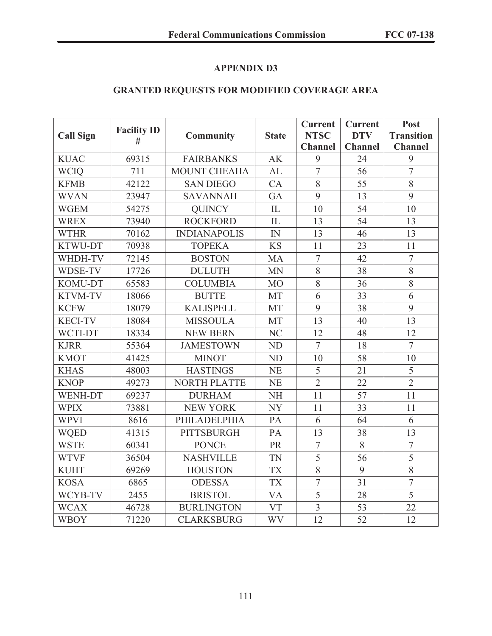# **GRANTED REQUESTS FOR MODIFIED COVERAGE AREA**

| <b>Call Sign</b> | <b>Facility ID</b> | <b>Community</b>    | <b>State</b>   | <b>Current</b><br><b>NTSC</b> | <b>Current</b><br><b>DTV</b> | Post<br><b>Transition</b> |
|------------------|--------------------|---------------------|----------------|-------------------------------|------------------------------|---------------------------|
|                  | #                  |                     |                | <b>Channel</b>                | <b>Channel</b>               | <b>Channel</b>            |
| <b>KUAC</b>      | 69315              | <b>FAIRBANKS</b>    | <b>AK</b>      | 9                             | 24                           | 9                         |
| <b>WCIQ</b>      | 711                | <b>MOUNT CHEAHA</b> | AL             | $\overline{7}$                | 56                           | $\overline{7}$            |
| <b>KFMB</b>      | 42122              | <b>SAN DIEGO</b>    | CA             | 8                             | 55                           | 8                         |
| <b>WVAN</b>      | 23947              | <b>SAVANNAH</b>     | GA             | 9                             | 13                           | 9                         |
| <b>WGEM</b>      | 54275              | <b>QUINCY</b>       | IL             | 10                            | 54                           | 10                        |
| <b>WREX</b>      | 73940              | <b>ROCKFORD</b>     | IL             | 13                            | 54                           | 13                        |
| <b>WTHR</b>      | 70162              | <b>INDIANAPOLIS</b> | IN             | 13                            | 46                           | 13                        |
| KTWU-DT          | 70938              | <b>TOPEKA</b>       | <b>KS</b>      | 11                            | 23                           | 11                        |
| WHDH-TV          | 72145              | <b>BOSTON</b>       | <b>MA</b>      | $\overline{7}$                | 42                           | $\overline{7}$            |
| WDSE-TV          | 17726              | <b>DULUTH</b>       | <b>MN</b>      | 8                             | 38                           | 8                         |
| <b>KOMU-DT</b>   | 65583              | <b>COLUMBIA</b>     | <b>MO</b>      | 8                             | 36                           | 8                         |
| <b>KTVM-TV</b>   | 18066              | <b>BUTTE</b>        | <b>MT</b>      | 6                             | 33                           | 6                         |
| <b>KCFW</b>      | 18079              | <b>KALISPELL</b>    | <b>MT</b>      | 9                             | 38                           | 9                         |
| <b>KECI-TV</b>   | 18084              | <b>MISSOULA</b>     | MT             | 13                            | 40                           | 13                        |
| WCTI-DT          | 18334              | <b>NEW BERN</b>     | NC             | 12                            | 48                           | 12                        |
| <b>KJRR</b>      | 55364              | <b>JAMESTOWN</b>    | N <sub>D</sub> | $\overline{7}$                | 18                           | $\overline{7}$            |
| <b>KMOT</b>      | 41425              | <b>MINOT</b>        | <b>ND</b>      | 10                            | 58                           | 10                        |
| <b>KHAS</b>      | 48003              | <b>HASTINGS</b>     | <b>NE</b>      | 5                             | 21                           | 5                         |
| <b>KNOP</b>      | 49273              | <b>NORTH PLATTE</b> | <b>NE</b>      | $\overline{2}$                | 22                           | $\overline{2}$            |
| <b>WENH-DT</b>   | 69237              | <b>DURHAM</b>       | <b>NH</b>      | 11                            | 57                           | 11                        |
| <b>WPIX</b>      | 73881              | <b>NEW YORK</b>     | <b>NY</b>      | 11                            | 33                           | 11                        |
| <b>WPVI</b>      | 8616               | PHILADELPHIA        | PA             | 6                             | 64                           | 6                         |
| <b>WQED</b>      | 41315              | <b>PITTSBURGH</b>   | PA             | 13                            | 38                           | 13                        |
| <b>WSTE</b>      | 60341              | <b>PONCE</b>        | PR             | $\overline{7}$                | 8                            | $\overline{7}$            |
| <b>WTVF</b>      | 36504              | <b>NASHVILLE</b>    | <b>TN</b>      | $\overline{5}$                | 56                           | $\overline{5}$            |
| <b>KUHT</b>      | 69269              | <b>HOUSTON</b>      | <b>TX</b>      | 8                             | 9                            | 8                         |
| <b>KOSA</b>      | 6865               | <b>ODESSA</b>       | <b>TX</b>      | $\overline{7}$                | 31                           | $\overline{7}$            |
| WCYB-TV          | 2455               | <b>BRISTOL</b>      | <b>VA</b>      | $\overline{5}$                | 28                           | $\overline{5}$            |
| <b>WCAX</b>      | 46728              | <b>BURLINGTON</b>   | <b>VT</b>      | $\overline{3}$                | 53                           | 22                        |
| <b>WBOY</b>      | 71220              | <b>CLARKSBURG</b>   | <b>WV</b>      | 12                            | 52                           | 12                        |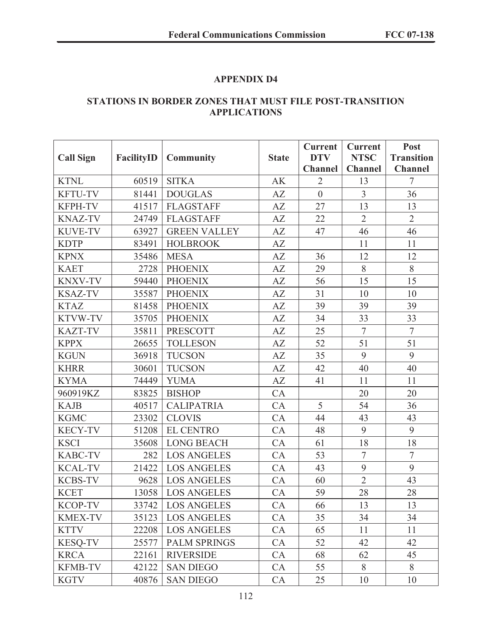### **STATIONS IN BORDER ZONES THAT MUST FILE POST-TRANSITION APPLICATIONS**

|                  |            |                     |              | <b>Current</b> | <b>Current</b> | Post              |
|------------------|------------|---------------------|--------------|----------------|----------------|-------------------|
| <b>Call Sign</b> | FacilityID | <b>Community</b>    | <b>State</b> | <b>DTV</b>     | <b>NTSC</b>    | <b>Transition</b> |
|                  |            |                     |              | <b>Channel</b> | <b>Channel</b> | <b>Channel</b>    |
| <b>KTNL</b>      | 60519      | <b>SITKA</b>        | AK           | $\overline{2}$ | 13             | $\tau$            |
| <b>KFTU-TV</b>   | 81441      | <b>DOUGLAS</b>      | AZ           | $\overline{0}$ | $\overline{3}$ | 36                |
| <b>KFPH-TV</b>   | 41517      | <b>FLAGSTAFF</b>    | AZ           | 27             | 13             | 13                |
| <b>KNAZ-TV</b>   | 24749      | <b>FLAGSTAFF</b>    | AZ           | 22             | $\overline{2}$ | $\overline{2}$    |
| <b>KUVE-TV</b>   | 63927      | <b>GREEN VALLEY</b> | AZ           | 47             | 46             | 46                |
| <b>KDTP</b>      | 83491      | <b>HOLBROOK</b>     | AZ           |                | 11             | 11                |
| <b>KPNX</b>      | 35486      | <b>MESA</b>         | AZ           | 36             | 12             | 12                |
| <b>KAET</b>      | 2728       | <b>PHOENIX</b>      | AZ           | 29             | 8              | 8                 |
| <b>KNXV-TV</b>   | 59440      | <b>PHOENIX</b>      | AZ           | 56             | 15             | 15                |
| <b>KSAZ-TV</b>   | 35587      | <b>PHOENIX</b>      | AZ           | 31             | 10             | 10                |
| <b>KTAZ</b>      | 81458      | <b>PHOENIX</b>      | AZ           | 39             | 39             | 39                |
| KTVW-TV          | 35705      | <b>PHOENIX</b>      | AZ           | 34             | 33             | 33                |
| <b>KAZT-TV</b>   | 35811      | <b>PRESCOTT</b>     | AZ           | 25             | $\overline{7}$ | $\overline{7}$    |
| <b>KPPX</b>      | 26655      | <b>TOLLESON</b>     | AZ           | 52             | 51             | 51                |
| <b>KGUN</b>      | 36918      | <b>TUCSON</b>       | AZ           | 35             | 9              | 9                 |
| <b>KHRR</b>      | 30601      | <b>TUCSON</b>       | AZ           | 42             | 40             | 40                |
| <b>KYMA</b>      | 74449      | <b>YUMA</b>         | AZ           | 41             | 11             | 11                |
| 960919KZ         | 83825      | <b>BISHOP</b>       | CA           |                | 20             | 20                |
| <b>KAJB</b>      | 40517      | <b>CALIPATRIA</b>   | CA           | 5              | 54             | 36                |
| <b>KGMC</b>      | 23302      | <b>CLOVIS</b>       | CA           | 44             | 43             | 43                |
| <b>KECY-TV</b>   | 51208      | <b>EL CENTRO</b>    | CA           | 48             | 9              | 9                 |
| <b>KSCI</b>      | 35608      | <b>LONG BEACH</b>   | CA           | 61             | 18             | 18                |
| <b>KABC-TV</b>   | 282        | <b>LOS ANGELES</b>  | CA           | 53             | $\overline{7}$ | $\overline{7}$    |
| <b>KCAL-TV</b>   | 21422      | <b>LOS ANGELES</b>  | CA           | 43             | 9              | 9                 |
| <b>KCBS-TV</b>   | 9628       | <b>LOS ANGELES</b>  | CA           | 60             | $\overline{2}$ | 43                |
| <b>KCET</b>      | 13058      | <b>LOS ANGELES</b>  | CA           | 59             | 28             | 28                |
| <b>KCOP-TV</b>   | 33742      | <b>LOS ANGELES</b>  | CA           | 66             | 13             | 13                |
| <b>KMEX-TV</b>   | 35123      | <b>LOS ANGELES</b>  | CA           | 35             | 34             | 34                |
| <b>KTTV</b>      | 22208      | <b>LOS ANGELES</b>  | CA           | 65             | 11             | 11                |
| <b>KESQ-TV</b>   | 25577      | <b>PALM SPRINGS</b> | CA           | 52             | 42             | 42                |
| <b>KRCA</b>      | 22161      | <b>RIVERSIDE</b>    | CA           | 68             | 62             | 45                |
| <b>KFMB-TV</b>   | 42122      | <b>SAN DIEGO</b>    | CA           | 55             | 8              | 8                 |
| <b>KGTV</b>      | 40876      | <b>SAN DIEGO</b>    | CA           | 25             | 10             | 10                |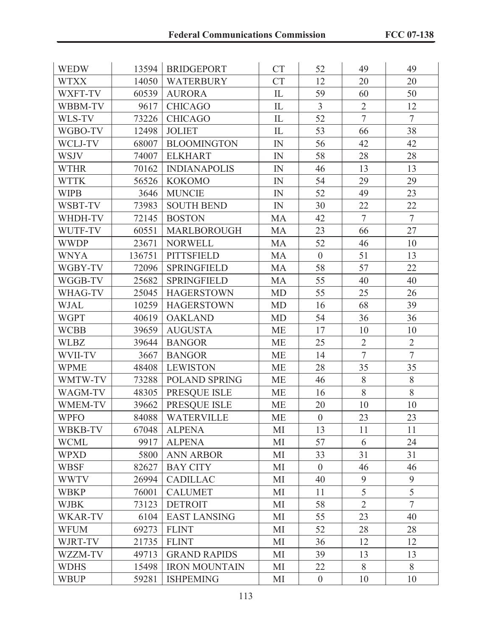| <b>WEDW</b>    | 13594  | <b>BRIDGEPORT</b>    | <b>CT</b>    | 52             | 49             | 49             |
|----------------|--------|----------------------|--------------|----------------|----------------|----------------|
| <b>WTXX</b>    | 14050  | <b>WATERBURY</b>     | <b>CT</b>    | 12             | 20             | 20             |
| WXFT-TV        | 60539  | <b>AURORA</b>        | IL           | 59             | 60             | 50             |
| WBBM-TV        | 9617   | <b>CHICAGO</b>       | ${\rm IL}$   | $\overline{3}$ | $\overline{2}$ | 12             |
| WLS-TV         | 73226  | <b>CHICAGO</b>       | $\mathbb{L}$ | 52             | $\overline{7}$ | $\overline{7}$ |
| WGBO-TV        | 12498  | <b>JOLIET</b>        | IL           | 53             | 66             | 38             |
| WCLJ-TV        | 68007  | <b>BLOOMINGTON</b>   | IN           | 56             | 42             | 42             |
| <b>WSJV</b>    | 74007  | <b>ELKHART</b>       | IN           | 58             | 28             | 28             |
| <b>WTHR</b>    | 70162  | <b>INDIANAPOLIS</b>  | IN           | 46             | 13             | 13             |
| <b>WTTK</b>    | 56526  | <b>KOKOMO</b>        | ${\rm IN}$   | 54             | 29             | 29             |
| <b>WIPB</b>    | 3646   | <b>MUNCIE</b>        | IN           | 52             | 49             | 23             |
| WSBT-TV        | 73983  | <b>SOUTH BEND</b>    | IN           | 30             | 22             | 22             |
| WHDH-TV        | 72145  | <b>BOSTON</b>        | MA           | 42             | $\overline{7}$ | $\overline{7}$ |
| WUTF-TV        | 60551  | MARLBOROUGH          | <b>MA</b>    | 23             | 66             | 27             |
| <b>WWDP</b>    | 23671  | <b>NORWELL</b>       | MA           | 52             | 46             | 10             |
| <b>WNYA</b>    | 136751 | <b>PITTSFIELD</b>    | MA           | $\overline{0}$ | 51             | 13             |
| WGBY-TV        | 72096  | <b>SPRINGFIELD</b>   | <b>MA</b>    | 58             | 57             | 22             |
| WGGB-TV        | 25682  | <b>SPRINGFIELD</b>   | MA           | 55             | 40             | 40             |
| WHAG-TV        | 25045  | <b>HAGERSTOWN</b>    | <b>MD</b>    | 55             | 25             | 26             |
| WJAL           | 10259  | <b>HAGERSTOWN</b>    | <b>MD</b>    | 16             | 68             | 39             |
| <b>WGPT</b>    | 40619  | <b>OAKLAND</b>       | <b>MD</b>    | 54             | 36             | 36             |
| <b>WCBB</b>    | 39659  | <b>AUGUSTA</b>       | <b>ME</b>    | 17             | 10             | 10             |
| <b>WLBZ</b>    | 39644  | <b>BANGOR</b>        | <b>ME</b>    | 25             | $\overline{2}$ | $\overline{2}$ |
| WVII-TV        | 3667   | <b>BANGOR</b>        | <b>ME</b>    | 14             | $\overline{7}$ | $\overline{7}$ |
| <b>WPME</b>    | 48408  | <b>LEWISTON</b>      | <b>ME</b>    | 28             | 35             | 35             |
| WMTW-TV        | 73288  | <b>POLAND SPRING</b> | <b>ME</b>    | 46             | 8              | 8              |
| WAGM-TV        | 48305  | PRESQUE ISLE         | <b>ME</b>    | 16             | 8              | 8              |
| <b>WMEM-TV</b> | 39662  | PRESQUE ISLE         | <b>ME</b>    | 20             | 10             | 10             |
| <b>WPFO</b>    | 84088  | <b>WATERVILLE</b>    | <b>ME</b>    | $\overline{0}$ | 23             | 23             |
| WBKB-TV        | 67048  | <b>ALPENA</b>        | MI           | 13             | 11             | 11             |
| <b>WCML</b>    | 9917   | <b>ALPENA</b>        | MI           | 57             | 6              | 24             |
| <b>WPXD</b>    | 5800   | <b>ANN ARBOR</b>     | MI           | 33             | 31             | 31             |
| <b>WBSF</b>    | 82627  | <b>BAY CITY</b>      | MI           | $\overline{0}$ | 46             | 46             |
| <b>WWTV</b>    | 26994  | <b>CADILLAC</b>      | MI           | 40             | 9              | 9              |
| <b>WBKP</b>    | 76001  | <b>CALUMET</b>       | MI           | 11             | 5              | 5              |
| <b>WJBK</b>    | 73123  | <b>DETROIT</b>       | MI           | 58             | $\overline{2}$ | $\overline{7}$ |
| <b>WKAR-TV</b> | 6104   | <b>EAST LANSING</b>  | MI           | 55             | 23             | 40             |
| <b>WFUM</b>    | 69273  | <b>FLINT</b>         | MI           | 52             | 28             | 28             |
| WJRT-TV        | 21735  | <b>FLINT</b>         | MI           | 36             | 12             | 12             |
| WZZM-TV        | 49713  | <b>GRAND RAPIDS</b>  | MI           | 39             | 13             | 13             |
| <b>WDHS</b>    | 15498  | <b>IRON MOUNTAIN</b> | MI           | 22             | 8              | 8              |
| <b>WBUP</b>    | 59281  | <b>ISHPEMING</b>     | MI           | $\overline{0}$ | 10             | 10             |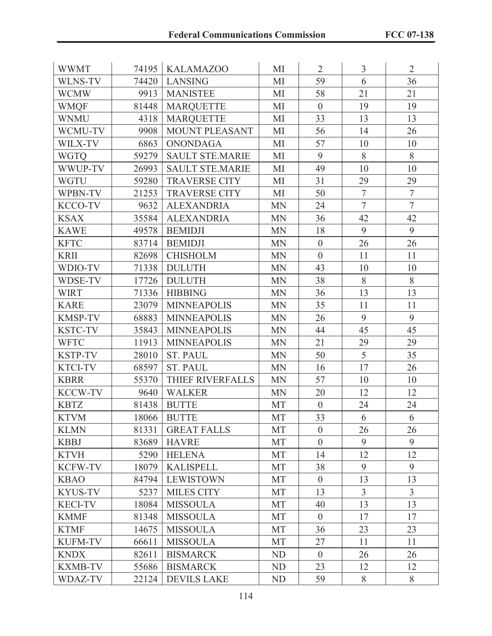| <b>WWMT</b>    | 74195 | <b>KALAMAZOO</b>       | MI        | $\overline{2}$   | 3              | $\overline{2}$ |
|----------------|-------|------------------------|-----------|------------------|----------------|----------------|
| <b>WLNS-TV</b> | 74420 | <b>LANSING</b>         | MI        | 59               | 6              | 36             |
| <b>WCMW</b>    | 9913  | <b>MANISTEE</b>        | MI        | 58               | 21             | 21             |
| <b>WMQF</b>    | 81448 | <b>MARQUETTE</b>       | MI        | $\overline{0}$   | 19             | 19             |
| <b>WNMU</b>    | 4318  | <b>MARQUETTE</b>       | MI        | 33               | 13             | 13             |
| WCMU-TV        | 9908  | MOUNT PLEASANT         | MI        | 56               | 14             | 26             |
| WILX-TV        | 6863  | <b>ONONDAGA</b>        | MI        | 57               | 10             | 10             |
| <b>WGTO</b>    | 59279 | <b>SAULT STE MARIE</b> | MI        | 9                | 8              | 8              |
| WWUP-TV        | 26993 | <b>SAULT STE.MARIE</b> | MI        | 49               | 10             | 10             |
| <b>WGTU</b>    | 59280 | <b>TRAVERSE CITY</b>   | MI        | 31               | 29             | 29             |
| WPBN-TV        | 21253 | <b>TRAVERSE CITY</b>   | MI        | 50               | $\tau$         | $\overline{7}$ |
| <b>KCCO-TV</b> | 9632  | <b>ALEXANDRIA</b>      | <b>MN</b> | 24               | $\overline{7}$ | $\overline{7}$ |
| <b>KSAX</b>    | 35584 | <b>ALEXANDRIA</b>      | <b>MN</b> | 36               | 42             | 42             |
| <b>KAWE</b>    | 49578 | <b>BEMIDJI</b>         | <b>MN</b> | 18               | 9              | 9              |
| <b>KFTC</b>    | 83714 | <b>BEMIDJI</b>         | <b>MN</b> | $\boldsymbol{0}$ | 26             | 26             |
| <b>KRII</b>    | 82698 | <b>CHISHOLM</b>        | <b>MN</b> | $\overline{0}$   | 11             | 11             |
| WDIO-TV        | 71338 | <b>DULUTH</b>          | <b>MN</b> | 43               | 10             | 10             |
| <b>WDSE-TV</b> | 17726 | <b>DULUTH</b>          | <b>MN</b> | 38               | 8              | 8              |
| <b>WIRT</b>    | 71336 | <b>HIBBING</b>         | <b>MN</b> | 36               | 13             | 13             |
| <b>KARE</b>    | 23079 | <b>MINNEAPOLIS</b>     | <b>MN</b> | 35               | 11             | 11             |
| <b>KMSP-TV</b> | 68883 | <b>MINNEAPOLIS</b>     | <b>MN</b> | 26               | 9              | 9              |
| <b>KSTC-TV</b> | 35843 | <b>MINNEAPOLIS</b>     | <b>MN</b> | 44               | 45             | 45             |
| <b>WFTC</b>    | 11913 | <b>MINNEAPOLIS</b>     | <b>MN</b> | 21               | 29             | 29             |
| <b>KSTP-TV</b> | 28010 | <b>ST. PAUL</b>        | <b>MN</b> | 50               | 5              | 35             |
| <b>KTCI-TV</b> | 68597 | <b>ST. PAUL</b>        | <b>MN</b> | 16               | 17             | 26             |
| <b>KBRR</b>    | 55370 | THIEF RIVERFALLS       | <b>MN</b> | 57               | 10             | 10             |
| <b>KCCW-TV</b> | 9640  | <b>WALKER</b>          | <b>MN</b> | 20               | 12             | 12             |
| <b>KBTZ</b>    | 81438 | <b>BUTTE</b>           | <b>MT</b> | $\overline{0}$   | 24             | 24             |
| <b>KTVM</b>    |       | 18066   BUTTE          | MT        | 33               | 6              | 6              |
| <b>KLMN</b>    | 81331 | <b>GREAT FALLS</b>     | <b>MT</b> | $\overline{0}$   | 26             | 26             |
| <b>KBBJ</b>    | 83689 | <b>HAVRE</b>           | <b>MT</b> | $\overline{0}$   | 9              | 9              |
| <b>KTVH</b>    | 5290  | <b>HELENA</b>          | <b>MT</b> | 14               | 12             | 12             |
| <b>KCFW-TV</b> | 18079 | <b>KALISPELL</b>       | MT        | 38               | 9              | 9              |
| <b>KBAO</b>    | 84794 | <b>LEWISTOWN</b>       | <b>MT</b> | $\overline{0}$   | 13             | 13             |
| <b>KYUS-TV</b> | 5237  | <b>MILES CITY</b>      | <b>MT</b> | 13               | $\overline{3}$ | $\overline{3}$ |
| <b>KECI-TV</b> | 18084 | <b>MISSOULA</b>        | <b>MT</b> | 40               | 13             | 13             |
| <b>KMMF</b>    | 81348 | <b>MISSOULA</b>        | <b>MT</b> | $\overline{0}$   | 17             | 17             |
| <b>KTMF</b>    | 14675 | <b>MISSOULA</b>        | <b>MT</b> | 36               | 23             | 23             |
| <b>KUFM-TV</b> | 66611 | <b>MISSOULA</b>        | <b>MT</b> | 27               | 11             | 11             |
| <b>KNDX</b>    | 82611 | <b>BISMARCK</b>        | ND        | $\overline{0}$   | 26             | 26             |
| <b>KXMB-TV</b> | 55686 | <b>BISMARCK</b>        | ND        | 23               | 12             | 12             |
| WDAZ-TV        | 22124 | <b>DEVILS LAKE</b>     | ND        | 59               | 8              | 8              |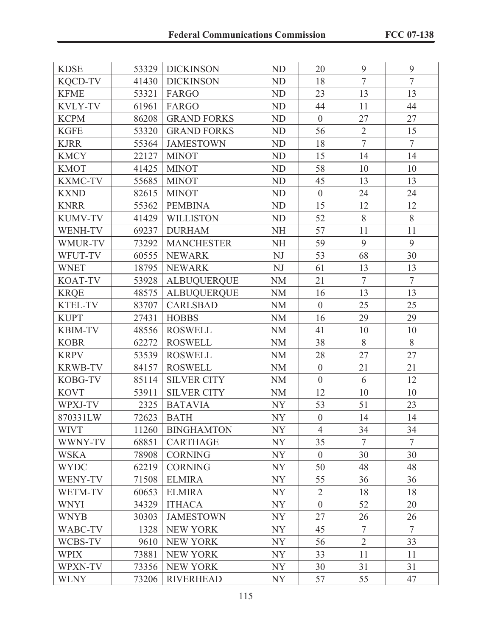| <b>KDSE</b>    | 53329 | <b>DICKINSON</b>   | <b>ND</b>      | 20               | 9              | 9              |
|----------------|-------|--------------------|----------------|------------------|----------------|----------------|
| <b>KQCD-TV</b> | 41430 | <b>DICKINSON</b>   | ND             | 18               | $\overline{7}$ | $\overline{7}$ |
| <b>KFME</b>    | 53321 | FARGO              | ND             | 23               | 13             | 13             |
| <b>KVLY-TV</b> | 61961 | FARGO              | <b>ND</b>      | 44               | 11             | 44             |
| <b>KCPM</b>    | 86208 | <b>GRAND FORKS</b> | <b>ND</b>      | $\boldsymbol{0}$ | 27             | 27             |
| <b>KGFE</b>    | 53320 | <b>GRAND FORKS</b> | <b>ND</b>      | 56               | $\overline{2}$ | 15             |
| <b>KJRR</b>    | 55364 | <b>JAMESTOWN</b>   | ND             | 18               | $\overline{7}$ | $\overline{7}$ |
| <b>KMCY</b>    | 22127 | <b>MINOT</b>       | <b>ND</b>      | 15               | 14             | 14             |
| <b>KMOT</b>    | 41425 | <b>MINOT</b>       | <b>ND</b>      | 58               | 10             | 10             |
| <b>KXMC-TV</b> | 55685 | <b>MINOT</b>       | ND             | 45               | 13             | 13             |
| <b>KXND</b>    | 82615 | <b>MINOT</b>       | <b>ND</b>      | $\overline{0}$   | 24             | 24             |
| <b>KNRR</b>    | 55362 | <b>PEMBINA</b>     | <b>ND</b>      | 15               | 12             | 12             |
| <b>KUMV-TV</b> | 41429 | <b>WILLISTON</b>   | <b>ND</b>      | 52               | 8              | 8              |
| <b>WENH-TV</b> | 69237 | <b>DURHAM</b>      | <b>NH</b>      | 57               | 11             | 11             |
| WMUR-TV        | 73292 | <b>MANCHESTER</b>  | <b>NH</b>      | 59               | 9              | 9              |
| WFUT-TV        | 60555 | <b>NEWARK</b>      | NJ             | 53               | 68             | 30             |
| <b>WNET</b>    | 18795 | <b>NEWARK</b>      | NJ             | 61               | 13             | 13             |
| <b>KOAT-TV</b> | 53928 | <b>ALBUQUERQUE</b> | <b>NM</b>      | 21               | $\overline{7}$ | $\overline{7}$ |
| <b>KRQE</b>    | 48575 | <b>ALBUQUERQUE</b> | <b>NM</b>      | 16               | 13             | 13             |
| <b>KTEL-TV</b> | 83707 | <b>CARLSBAD</b>    | <b>NM</b>      | $\boldsymbol{0}$ | 25             | 25             |
| <b>KUPT</b>    | 27431 | <b>HOBBS</b>       | <b>NM</b>      | 16               | 29             | 29             |
| <b>KBIM-TV</b> | 48556 | <b>ROSWELL</b>     | <b>NM</b>      | 41               | 10             | 10             |
| <b>KOBR</b>    | 62272 | <b>ROSWELL</b>     | <b>NM</b>      | 38               | 8              | 8              |
| <b>KRPV</b>    | 53539 | <b>ROSWELL</b>     | <b>NM</b>      | 28               | 27             | 27             |
| <b>KRWB-TV</b> | 84157 | <b>ROSWELL</b>     | <b>NM</b>      | $\boldsymbol{0}$ | 21             | 21             |
| KOBG-TV        | 85114 | <b>SILVER CITY</b> | <b>NM</b>      | $\overline{0}$   | 6              | 12             |
| <b>KOVT</b>    | 53911 | <b>SILVER CITY</b> | <b>NM</b>      | 12               | 10             | 10             |
| WPXJ-TV        | 2325  | <b>BATAVIA</b>     | NY             | 53               | 51             | 23             |
| 870331LW       | 72623 | <b>BATH</b>        | NY             | $\overline{0}$   | 14             | 14             |
| <b>WIVT</b>    | 11260 | <b>BINGHAMTON</b>  | NY <sub></sub> | $\overline{4}$   | 34             | 34             |
| WWNY-TV        | 68851 | <b>CARTHAGE</b>    | NY             | 35               | $\overline{7}$ | $\overline{7}$ |
| <b>WSKA</b>    | 78908 | <b>CORNING</b>     | <b>NY</b>      | $\overline{0}$   | 30             | 30             |
| <b>WYDC</b>    | 62219 | <b>CORNING</b>     | NY <sub></sub> | 50               | 48             | 48             |
| WENY-TV        | 71508 | <b>ELMIRA</b>      | <b>NY</b>      | 55               | 36             | 36             |
| WETM-TV        | 60653 | <b>ELMIRA</b>      | <b>NY</b>      | $\overline{2}$   | 18             | 18             |
| <b>WNYI</b>    | 34329 | <b>ITHACA</b>      | <b>NY</b>      | $\boldsymbol{0}$ | 52             | 20             |
| <b>WNYB</b>    | 30303 | <b>JAMESTOWN</b>   | <b>NY</b>      | 27               | 26             | 26             |
| WABC-TV        | 1328  | <b>NEW YORK</b>    | <b>NY</b>      | 45               | $\tau$         | $\overline{7}$ |
| WCBS-TV        | 9610  | <b>NEW YORK</b>    | <b>NY</b>      | 56               | $\overline{2}$ | 33             |
| <b>WPIX</b>    | 73881 | <b>NEW YORK</b>    | <b>NY</b>      | 33               | 11             | 11             |
| WPXN-TV        | 73356 | <b>NEW YORK</b>    | <b>NY</b>      | 30               | 31             | 31             |
| <b>WLNY</b>    | 73206 | <b>RIVERHEAD</b>   | <b>NY</b>      | 57               | 55             | 47             |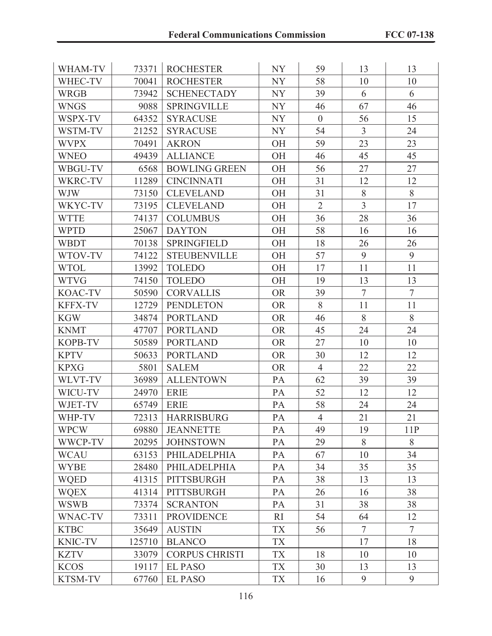| WHAM-TV        | 73371  | <b>ROCHESTER</b>      | <b>NY</b> | 59             | 13             | 13             |
|----------------|--------|-----------------------|-----------|----------------|----------------|----------------|
| WHEC-TV        | 70041  | <b>ROCHESTER</b>      | NY        | 58             | 10             | 10             |
| <b>WRGB</b>    | 73942  | <b>SCHENECTADY</b>    | NY        | 39             | 6              | 6              |
| <b>WNGS</b>    | 9088   | <b>SPRINGVILLE</b>    | NY        | 46             | 67             | 46             |
| WSPX-TV        | 64352  | <b>SYRACUSE</b>       | NY        | $\overline{0}$ | 56             | 15             |
| WSTM-TV        | 21252  | <b>SYRACUSE</b>       | NY        | 54             | $\overline{3}$ | 24             |
| <b>WVPX</b>    | 70491  | <b>AKRON</b>          | <b>OH</b> | 59             | 23             | 23             |
| <b>WNEO</b>    | 49439  | <b>ALLIANCE</b>       | <b>OH</b> | 46             | 45             | 45             |
| WBGU-TV        | 6568   | <b>BOWLING GREEN</b>  | <b>OH</b> | 56             | 27             | 27             |
| WKRC-TV        | 11289  | <b>CINCINNATI</b>     | <b>OH</b> | 31             | 12             | 12             |
| <b>WJW</b>     | 73150  | <b>CLEVELAND</b>      | <b>OH</b> | 31             | 8              | 8              |
| WKYC-TV        | 73195  | <b>CLEVELAND</b>      | <b>OH</b> | $\overline{2}$ | $\overline{3}$ | 17             |
| <b>WTTE</b>    | 74137  | <b>COLUMBUS</b>       | <b>OH</b> | 36             | 28             | 36             |
| <b>WPTD</b>    | 25067  | <b>DAYTON</b>         | OH        | 58             | 16             | 16             |
| WBDT           | 70138  | <b>SPRINGFIELD</b>    | <b>OH</b> | 18             | 26             | 26             |
| WTOV-TV        | 74122  | <b>STEUBENVILLE</b>   | <b>OH</b> | 57             | 9              | 9              |
| <b>WTOL</b>    | 13992  | <b>TOLEDO</b>         | <b>OH</b> | 17             | 11             | 11             |
| <b>WTVG</b>    | 74150  | <b>TOLEDO</b>         | OH        | 19             | 13             | 13             |
| <b>KOAC-TV</b> | 50590  | <b>CORVALLIS</b>      | <b>OR</b> | 39             | $\tau$         | $\overline{7}$ |
| <b>KFFX-TV</b> | 12729  | <b>PENDLETON</b>      | <b>OR</b> | 8              | 11             | 11             |
| <b>KGW</b>     | 34874  | <b>PORTLAND</b>       | <b>OR</b> | 46             | 8              | 8              |
| <b>KNMT</b>    | 47707  | <b>PORTLAND</b>       | <b>OR</b> | 45             | 24             | 24             |
| <b>KOPB-TV</b> | 50589  | <b>PORTLAND</b>       | <b>OR</b> | 27             | 10             | 10             |
| <b>KPTV</b>    | 50633  | <b>PORTLAND</b>       | <b>OR</b> | 30             | 12             | 12             |
| <b>KPXG</b>    | 5801   | <b>SALEM</b>          | <b>OR</b> | $\overline{4}$ | 22             | 22             |
| WLVT-TV        | 36989  | <b>ALLENTOWN</b>      | PA        | 62             | 39             | 39             |
| WICU-TV        | 24970  | <b>ERIE</b>           | PA        | 52             | 12             | 12             |
| WJET-TV        | 65749  | <b>ERIE</b>           | PA        | 58             | 24             | 24             |
| WHP-TV         | 72313  | <b>HARRISBURG</b>     | PA        | $\overline{4}$ | 21             | 21             |
| <b>WPCW</b>    | 69880  | <b>JEANNETTE</b>      | PA        | 49             | 19             | 11P            |
| WWCP-TV        | 20295  | <b>JOHNSTOWN</b>      | PA        | 29             | 8              | 8              |
| <b>WCAU</b>    | 63153  | <b>PHILADELPHIA</b>   | PA        | 67             | 10             | 34             |
| <b>WYBE</b>    | 28480  | PHILADELPHIA          | PA        | 34             | 35             | 35             |
| <b>WQED</b>    | 41315  | PITTSBURGH            | PA        | 38             | 13             | 13             |
| <b>WQEX</b>    | 41314  | PITTSBURGH            | PA        | 26             | 16             | 38             |
| <b>WSWB</b>    | 73374  | <b>SCRANTON</b>       | PA        | 31             | 38             | 38             |
| WNAC-TV        | 73311  | <b>PROVIDENCE</b>     | RI        | 54             | 64             | 12             |
| <b>KTBC</b>    | 35649  | <b>AUSTIN</b>         | <b>TX</b> | 56             | $\overline{7}$ | $\overline{7}$ |
| <b>KNIC-TV</b> | 125710 | <b>BLANCO</b>         | <b>TX</b> |                | 17             | 18             |
| <b>KZTV</b>    | 33079  | <b>CORPUS CHRISTI</b> | <b>TX</b> | 18             | 10             | 10             |
| <b>KCOS</b>    | 19117  | <b>EL PASO</b>        | <b>TX</b> | 30             | 13             | 13             |
| KTSM-TV        | 67760  | <b>EL PASO</b>        | <b>TX</b> | 16             | 9              | 9              |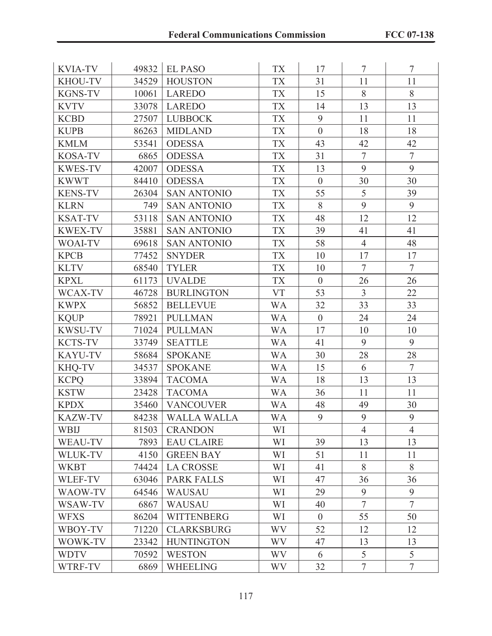| <b>KVIA-TV</b> | 49832 | <b>EL PASO</b>     | <b>TX</b> | 17               | $\tau$         | $\overline{7}$ |
|----------------|-------|--------------------|-----------|------------------|----------------|----------------|
| <b>KHOU-TV</b> | 34529 | <b>HOUSTON</b>     | <b>TX</b> | 31               | 11             | 11             |
| <b>KGNS-TV</b> | 10061 | <b>LAREDO</b>      | <b>TX</b> | 15               | 8              | 8              |
| <b>KVTV</b>    | 33078 | <b>LAREDO</b>      | <b>TX</b> | 14               | 13             | 13             |
| <b>KCBD</b>    | 27507 | <b>LUBBOCK</b>     | <b>TX</b> | 9                | 11             | 11             |
| <b>KUPB</b>    | 86263 | <b>MIDLAND</b>     | <b>TX</b> | $\overline{0}$   | 18             | 18             |
| <b>KMLM</b>    | 53541 | <b>ODESSA</b>      | <b>TX</b> | 43               | 42             | 42             |
| <b>KOSA-TV</b> | 6865  | <b>ODESSA</b>      | <b>TX</b> | 31               | $\overline{7}$ | $\overline{7}$ |
| <b>KWES-TV</b> | 42007 | <b>ODESSA</b>      | <b>TX</b> | 13               | 9              | 9              |
| <b>KWWT</b>    | 84410 | <b>ODESSA</b>      | <b>TX</b> | $\overline{0}$   | 30             | 30             |
| <b>KENS-TV</b> | 26304 | <b>SAN ANTONIO</b> | <b>TX</b> | 55               | 5              | 39             |
| <b>KLRN</b>    | 749   | <b>SAN ANTONIO</b> | <b>TX</b> | 8                | 9              | 9              |
| <b>KSAT-TV</b> | 53118 | <b>SAN ANTONIO</b> | <b>TX</b> | 48               | 12             | 12             |
| <b>KWEX-TV</b> | 35881 | <b>SAN ANTONIO</b> | <b>TX</b> | 39               | 41             | 41             |
| <b>WOAI-TV</b> | 69618 | <b>SAN ANTONIO</b> | <b>TX</b> | 58               | $\overline{4}$ | 48             |
| <b>KPCB</b>    | 77452 | <b>SNYDER</b>      | <b>TX</b> | 10               | 17             | 17             |
| <b>KLTV</b>    | 68540 | <b>TYLER</b>       | <b>TX</b> | 10               | $\overline{7}$ | $\overline{7}$ |
| <b>KPXL</b>    | 61173 | <b>UVALDE</b>      | <b>TX</b> | $\overline{0}$   | 26             | 26             |
| WCAX-TV        | 46728 | <b>BURLINGTON</b>  | <b>VT</b> | 53               | $\overline{3}$ | 22             |
| <b>KWPX</b>    | 56852 | <b>BELLEVUE</b>    | <b>WA</b> | 32               | 33             | 33             |
| <b>KQUP</b>    | 78921 | <b>PULLMAN</b>     | <b>WA</b> | $\boldsymbol{0}$ | 24             | 24             |
| <b>KWSU-TV</b> | 71024 | <b>PULLMAN</b>     | <b>WA</b> | 17               | 10             | 10             |
| <b>KCTS-TV</b> | 33749 | <b>SEATTLE</b>     | WA        | 41               | 9              | 9              |
| <b>KAYU-TV</b> | 58684 | <b>SPOKANE</b>     | <b>WA</b> | 30               | 28             | 28             |
| KHQ-TV         | 34537 | <b>SPOKANE</b>     | <b>WA</b> | 15               | 6              | $\overline{7}$ |
| <b>KCPQ</b>    | 33894 | <b>TACOMA</b>      | <b>WA</b> | 18               | 13             | 13             |
| <b>KSTW</b>    | 23428 | <b>TACOMA</b>      | <b>WA</b> | 36               | 11             | 11             |
| <b>KPDX</b>    | 35460 | <b>VANCOUVER</b>   | <b>WA</b> | 48               | 49             | 30             |
| <b>KAZW-TV</b> | 84238 | <b>WALLA WALLA</b> | <b>WA</b> | 9                | 9              | 9              |
| <b>WBIJ</b>    | 81503 | <b>CRANDON</b>     | WI        |                  | $\overline{4}$ | $\overline{4}$ |
| WEAU-TV        | 7893  | <b>EAU CLAIRE</b>  | WI        | 39               | 13             | 13             |
| WLUK-TV        | 4150  | <b>GREEN BAY</b>   | WI        | 51               | 11             | 11             |
| <b>WKBT</b>    | 74424 | <b>LA CROSSE</b>   | WI        | 41               | 8              | 8              |
| WLEF-TV        | 63046 | <b>PARK FALLS</b>  | WI        | 47               | 36             | 36             |
| WAOW-TV        | 64546 | <b>WAUSAU</b>      | WI        | 29               | 9              | 9              |
| WSAW-TV        | 6867  | <b>WAUSAU</b>      | WI        | 40               | $\overline{7}$ | $\overline{7}$ |
| <b>WFXS</b>    | 86204 | <b>WITTENBERG</b>  | WI        | $\overline{0}$   | 55             | 50             |
| WBOY-TV        | 71220 | <b>CLARKSBURG</b>  | <b>WV</b> | 52               | 12             | 12             |
| WOWK-TV        | 23342 | <b>HUNTINGTON</b>  | WV        | 47               | 13             | 13             |
| <b>WDTV</b>    | 70592 | <b>WESTON</b>      | WV.       | 6                | 5              | 5              |
| WTRF-TV        | 6869  | <b>WHEELING</b>    | <b>WV</b> | 32               | $\tau$         | $\tau$         |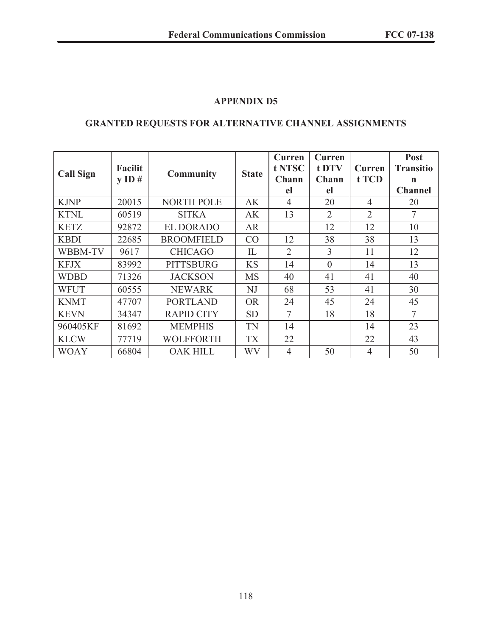### **GRANTED REQUESTS FOR ALTERNATIVE CHANNEL ASSIGNMENTS**

| <b>Call Sign</b> | <b>Facilit</b><br><b>Community</b><br>$\bf{v}$ ID # |                                                              | <b>State</b> | Curren<br>t NTSC<br>Chann | <b>Curren</b><br>t DTV<br>Chann | Curren<br>t TCD | Post<br><b>Transitio</b><br>n |
|------------------|-----------------------------------------------------|--------------------------------------------------------------|--------------|---------------------------|---------------------------------|-----------------|-------------------------------|
|                  |                                                     |                                                              |              | el                        | el                              |                 | <b>Channel</b>                |
| <b>KJNP</b>      | 20015                                               | <b>NORTH POLE</b>                                            | AK           | $\overline{4}$            | 20                              | 4               | 20                            |
| <b>KTNL</b>      | 60519                                               | $\overline{2}$<br>$\overline{2}$<br>13<br><b>SITKA</b><br>AK |              | $\overline{7}$            |                                 |                 |                               |
| <b>KETZ</b>      | 92872                                               | <b>EL DORADO</b><br>12<br>12<br><b>AR</b>                    |              | 10                        |                                 |                 |                               |
| <b>KBDI</b>      | 22685                                               | <b>BROOMFIELD</b>                                            | CO           | 12                        | 38                              | 38              | 13                            |
| WBBM-TV          | 9617                                                | <b>CHICAGO</b>                                               | IL           | $\overline{2}$            | 3                               | 11              | 12                            |
| <b>KFJX</b>      | 83992                                               | <b>PITTSBURG</b>                                             | <b>KS</b>    | 14                        | $\theta$                        | 14              | 13                            |
| <b>WDBD</b>      | 71326                                               | <b>JACKSON</b>                                               | <b>MS</b>    | 40                        | 41                              | 41              | 40                            |
| <b>WFUT</b>      | 60555                                               | <b>NEWARK</b>                                                | NJ           | 68                        | 53                              | 41              | 30                            |
| <b>KNMT</b>      | 47707                                               | <b>PORTLAND</b>                                              | <b>OR</b>    | 24                        | 45                              | 24              | 45                            |
| <b>KEVN</b>      | 34347                                               | <b>RAPID CITY</b>                                            | <b>SD</b>    | 7                         | 18                              | 18              | $\overline{7}$                |
| 960405KF         | 81692                                               | <b>MEMPHIS</b>                                               | TN           | 14                        |                                 | 14              | 23                            |
| <b>KLCW</b>      | 77719                                               | <b>WOLFFORTH</b>                                             | <b>TX</b>    | 22                        |                                 | 22              | 43                            |
| <b>WOAY</b>      | 66804                                               | <b>OAK HILL</b>                                              | WV           | 4                         | 50                              | 4               | 50                            |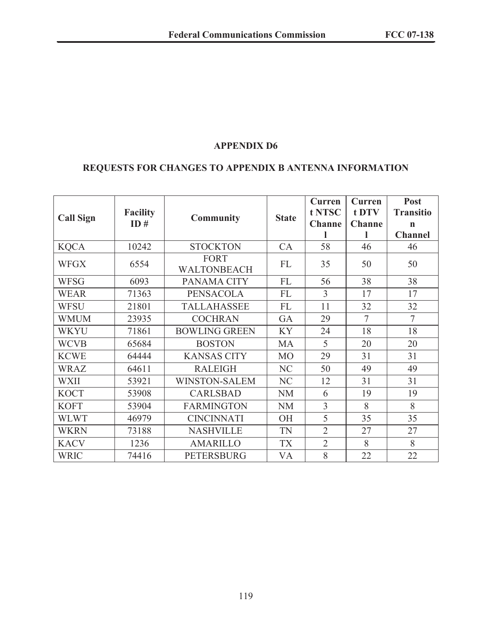### **REQUESTS FOR CHANGES TO APPENDIX B ANTENNA INFORMATION**

| <b>Call Sign</b> | <b>Facility</b><br>ID# | <b>Community</b>                  | <b>State</b>   | <b>Curren</b><br>t NTSC<br><b>Channe</b> | Curren<br>t DTV<br><b>Channe</b> | Post<br><b>Transitio</b><br>$\mathbf n$<br><b>Channel</b> |
|------------------|------------------------|-----------------------------------|----------------|------------------------------------------|----------------------------------|-----------------------------------------------------------|
| <b>KQCA</b>      | 10242                  | <b>STOCKTON</b>                   | CA             | 58                                       | 46                               | 46                                                        |
| WFGX             | 6554                   | <b>FORT</b><br><b>WALTONBEACH</b> | <b>FL</b>      | 35                                       | 50                               | 50                                                        |
| <b>WFSG</b>      | 6093                   | PANAMA CITY                       | FL             | 56                                       | 38                               | 38                                                        |
| <b>WEAR</b>      | 71363                  | <b>PENSACOLA</b>                  | FL             | 3                                        | 17                               | 17                                                        |
| <b>WFSU</b>      | 21801                  | <b>TALLAHASSEE</b>                | FL             | 11                                       | 32                               | 32                                                        |
| <b>WMUM</b>      | 23935                  | <b>COCHRAN</b>                    | GA             | 29                                       | $\overline{7}$                   | $\overline{7}$                                            |
| <b>WKYU</b>      | 71861                  | <b>BOWLING GREEN</b>              | <b>KY</b>      | 24                                       | 18                               | 18                                                        |
| <b>WCVB</b>      | 65684                  | <b>BOSTON</b>                     | MA             | 5                                        | 20                               | 20                                                        |
| <b>KCWE</b>      | 64444                  | <b>KANSAS CITY</b>                | M <sub>O</sub> | 29                                       | 31                               | 31                                                        |
| WRAZ             | 64611                  | <b>RALEIGH</b>                    | NC             | 50                                       | 49                               | 49                                                        |
| <b>WXII</b>      | 53921                  | <b>WINSTON-SALEM</b>              | NC             | 12                                       | 31                               | 31                                                        |
| <b>KOCT</b>      | 53908                  | <b>CARLSBAD</b>                   | <b>NM</b>      | 6                                        | 19                               | 19                                                        |
| <b>KOFT</b>      | 53904                  | <b>FARMINGTON</b>                 | <b>NM</b>      | $\overline{3}$                           | 8                                | 8                                                         |
| <b>WLWT</b>      | 46979                  | <b>CINCINNATI</b>                 | <b>OH</b>      | 5                                        | 35                               | 35                                                        |
| <b>WKRN</b>      | 73188                  | <b>NASHVILLE</b>                  | TN             | $\overline{2}$                           | 27                               | 27                                                        |
| <b>KACV</b>      | 1236                   | <b>AMARILLO</b>                   | <b>TX</b>      | $\overline{2}$                           | 8                                | 8                                                         |
| <b>WRIC</b>      | 74416                  | <b>PETERSBURG</b>                 | VA             | 8                                        | 22                               | 22                                                        |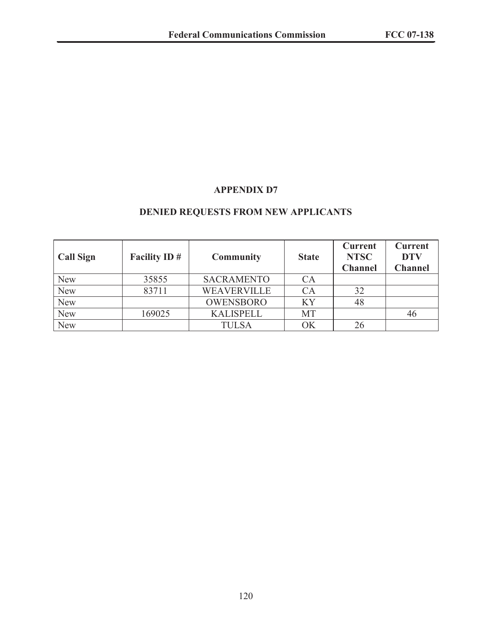# **DENIED REQUESTS FROM NEW APPLICANTS**

| <b>Call Sign</b> | <b>Facility ID#</b> | <b>Community</b>   | <b>State</b> | <b>Current</b><br><b>NTSC</b><br><b>Channel</b> | <b>Current</b><br><b>DTV</b><br><b>Channel</b> |
|------------------|---------------------|--------------------|--------------|-------------------------------------------------|------------------------------------------------|
| <b>New</b>       | 35855               | <b>SACRAMENTO</b>  | CA           |                                                 |                                                |
| <b>New</b>       | 83711               | <b>WEAVERVILLE</b> | $\bigcirc$ A | 32                                              |                                                |
| <b>New</b>       |                     | <b>OWENSBORO</b>   | KY           | 48                                              |                                                |
| <b>New</b>       | 169025              | <b>KALISPELL</b>   | MT           |                                                 | 46                                             |
| <b>New</b>       |                     | TULSA              | ΟK           | 26                                              |                                                |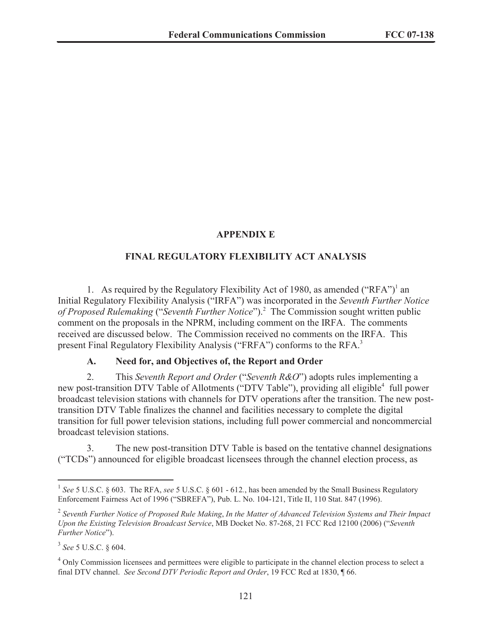#### **APPENDIX E**

#### **FINAL REGULATORY FLEXIBILITY ACT ANALYSIS**

1. As required by the Regulatory Flexibility Act of 1980, as amended ("RFA")<sup>1</sup> an Initial Regulatory Flexibility Analysis ("IRFA") was incorporated in the *Seventh Further Notice of Proposed Rulemaking* ("*Seventh Further Notice*").<sup>2</sup> The Commission sought written public comment on the proposals in the NPRM, including comment on the IRFA. The comments received are discussed below. The Commission received no comments on the IRFA. This present Final Regulatory Flexibility Analysis ("FRFA") conforms to the RFA.<sup>3</sup>

#### **A. Need for, and Objectives of, the Report and Order**

2. This *Seventh Report and Order* ("*Seventh R&O*") adopts rules implementing a new post-transition DTV Table of Allotments ("DTV Table"), providing all eligible<sup>4</sup> full power broadcast television stations with channels for DTV operations after the transition. The new posttransition DTV Table finalizes the channel and facilities necessary to complete the digital transition for full power television stations, including full power commercial and noncommercial broadcast television stations.

3. The new post-transition DTV Table is based on the tentative channel designations ("TCDs") announced for eligible broadcast licensees through the channel election process, as

<sup>&</sup>lt;sup>1</sup> See 5 U.S.C. § 603. The RFA, see 5 U.S.C. § 601 - 612., has been amended by the Small Business Regulatory Enforcement Fairness Act of 1996 ("SBREFA"), Pub. L. No. 104-121, Title II, 110 Stat. 847 (1996).

<sup>2</sup> *Seventh Further Notice of Proposed Rule Making*, *In the Matter of Advanced Television Systems and Their Impact Upon the Existing Television Broadcast Service*, MB Docket No. 87-268, 21 FCC Rcd 12100 (2006) ("*Seventh Further Notice*").

<sup>3</sup> *See* 5 U.S.C. § 604.

<sup>&</sup>lt;sup>4</sup> Only Commission licensees and permittees were eligible to participate in the channel election process to select a final DTV channel. *See Second DTV Periodic Report and Order*, 19 FCC Rcd at 1830, ¶ 66.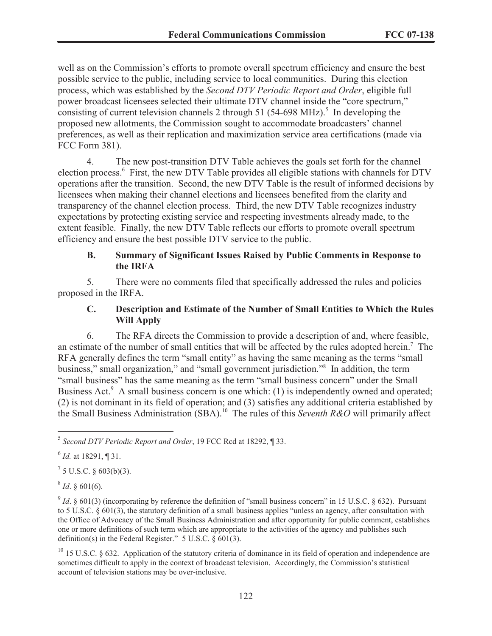well as on the Commission's efforts to promote overall spectrum efficiency and ensure the best possible service to the public, including service to local communities. During this election process, which was established by the *Second DTV Periodic Report and Order*, eligible full power broadcast licensees selected their ultimate DTV channel inside the "core spectrum," consisting of current television channels 2 through 51 (54-698 MHz).<sup>5</sup> In developing the proposed new allotments, the Commission sought to accommodate broadcasters' channel preferences, as well as their replication and maximization service area certifications (made via FCC Form 381).

4. The new post-transition DTV Table achieves the goals set forth for the channel election process.<sup>6</sup> First, the new DTV Table provides all eligible stations with channels for DTV operations after the transition. Second, the new DTV Table is the result of informed decisions by licensees when making their channel elections and licensees benefited from the clarity and transparency of the channel election process. Third, the new DTV Table recognizes industry expectations by protecting existing service and respecting investments already made, to the extent feasible. Finally, the new DTV Table reflects our efforts to promote overall spectrum efficiency and ensure the best possible DTV service to the public.

#### **B. Summary of Significant Issues Raised by Public Comments in Response to the IRFA**

5. There were no comments filed that specifically addressed the rules and policies proposed in the IRFA.

### **C. Description and Estimate of the Number of Small Entities to Which the Rules Will Apply**

6. The RFA directs the Commission to provide a description of and, where feasible, an estimate of the number of small entities that will be affected by the rules adopted herein.<sup>7</sup> The RFA generally defines the term "small entity" as having the same meaning as the terms "small business," small organization," and "small government jurisdiction."<sup>8</sup> In addition, the term "small business" has the same meaning as the term "small business concern" under the Small Business Act. $9$  A small business concern is one which: (1) is independently owned and operated; (2) is not dominant in its field of operation; and (3) satisfies any additional criteria established by the Small Business Administration (SBA).<sup>10</sup> The rules of this *Seventh R&O* will primarily affect

 $^7$  5 U.S.C. § 603(b)(3).

 $^{8}$  *Id.* § 601(6).

 $^{9}$  *Id.* § 601(3) (incorporating by reference the definition of "small business concern" in 15 U.S.C. § 632). Pursuant to 5 U.S.C. § 601(3), the statutory definition of a small business applies "unless an agency, after consultation with the Office of Advocacy of the Small Business Administration and after opportunity for public comment, establishes one or more definitions of such term which are appropriate to the activities of the agency and publishes such definition(s) in the Federal Register." 5 U.S.C.  $\frac{6}{9}$  601(3).

 $10$  15 U.S.C. § 632. Application of the statutory criteria of dominance in its field of operation and independence are sometimes difficult to apply in the context of broadcast television. Accordingly, the Commission's statistical account of television stations may be over-inclusive.

<sup>5</sup> *Second DTV Periodic Report and Order*, 19 FCC Rcd at 18292, ¶ 33.

<sup>6</sup> *Id.* at 18291, ¶ 31.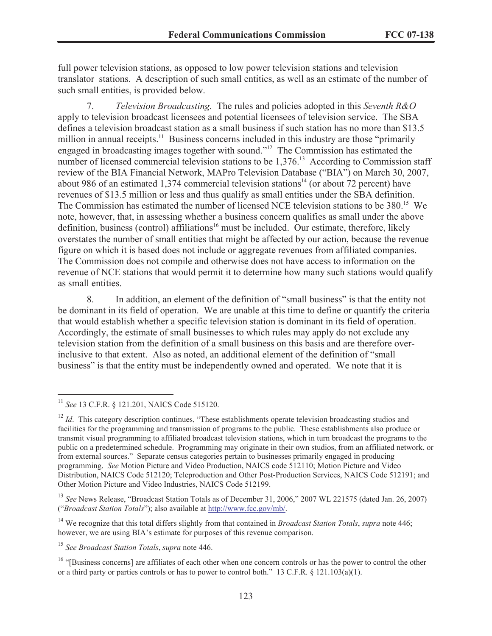full power television stations, as opposed to low power television stations and television translator stations. A description of such small entities, as well as an estimate of the number of such small entities, is provided below.

7. *Television Broadcasting.* The rules and policies adopted in this *Seventh R&O* apply to television broadcast licensees and potential licensees of television service. The SBA defines a television broadcast station as a small business if such station has no more than \$13.5 million in annual receipts.<sup>11</sup> Business concerns included in this industry are those "primarily engaged in broadcasting images together with sound."<sup>12</sup> The Commission has estimated the number of licensed commercial television stations to be  $1,376$ .<sup>13</sup> According to Commission staff review of the BIA Financial Network, MAPro Television Database ("BIA") on March 30, 2007, about 986 of an estimated 1,374 commercial television stations<sup>14</sup> (or about 72 percent) have revenues of \$13.5 million or less and thus qualify as small entities under the SBA definition. The Commission has estimated the number of licensed NCE television stations to be 380.<sup>15</sup> We note, however, that, in assessing whether a business concern qualifies as small under the above definition, business (control) affiliations<sup>16</sup> must be included. Our estimate, therefore, likely overstates the number of small entities that might be affected by our action, because the revenue figure on which it is based does not include or aggregate revenues from affiliated companies. The Commission does not compile and otherwise does not have access to information on the revenue of NCE stations that would permit it to determine how many such stations would qualify as small entities.

8. In addition, an element of the definition of "small business" is that the entity not be dominant in its field of operation. We are unable at this time to define or quantify the criteria that would establish whether a specific television station is dominant in its field of operation. Accordingly, the estimate of small businesses to which rules may apply do not exclude any television station from the definition of a small business on this basis and are therefore overinclusive to that extent. Also as noted, an additional element of the definition of "small business" is that the entity must be independently owned and operated. We note that it is

<sup>11</sup> *See* 13 C.F.R. § 121.201, NAICS Code 515120.

<sup>&</sup>lt;sup>12</sup> *Id*. This category description continues, "These establishments operate television broadcasting studios and facilities for the programming and transmission of programs to the public. These establishments also produce or transmit visual programming to affiliated broadcast television stations, which in turn broadcast the programs to the public on a predetermined schedule. Programming may originate in their own studios, from an affiliated network, or from external sources." Separate census categories pertain to businesses primarily engaged in producing programming. *See* Motion Picture and Video Production, NAICS code 512110; Motion Picture and Video Distribution, NAICS Code 512120; Teleproduction and Other Post-Production Services, NAICS Code 512191; and Other Motion Picture and Video Industries, NAICS Code 512199.

<sup>&</sup>lt;sup>13</sup> *See* News Release, "Broadcast Station Totals as of December 31, 2006," 2007 WL 221575 (dated Jan. 26, 2007) ("*Broadcast Station Totals*"); also available at http://www.fcc.gov/mb/.

<sup>14</sup> We recognize that this total differs slightly from that contained in *Broadcast Station Totals*, *supra* note 446; however, we are using BIA's estimate for purposes of this revenue comparison.

<sup>15</sup> *See Broadcast Station Totals*, *supra* note 446.

<sup>&</sup>lt;sup>16</sup> "[Business concerns] are affiliates of each other when one concern controls or has the power to control the other or a third party or parties controls or has to power to control both." 13 C.F.R.  $\S$  121.103(a)(1).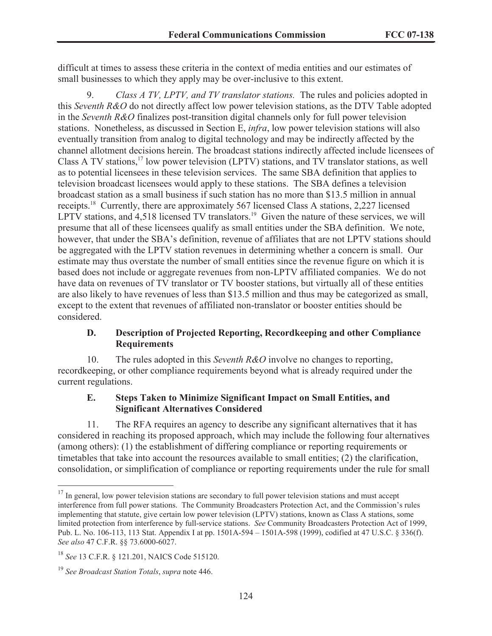difficult at times to assess these criteria in the context of media entities and our estimates of small businesses to which they apply may be over-inclusive to this extent.

9. *Class A TV, LPTV, and TV translator stations.* The rules and policies adopted in this *Seventh R&O* do not directly affect low power television stations, as the DTV Table adopted in the *Seventh R&O* finalizes post-transition digital channels only for full power television stations. Nonetheless, as discussed in Section E, *infra*, low power television stations will also eventually transition from analog to digital technology and may be indirectly affected by the channel allotment decisions herein. The broadcast stations indirectly affected include licensees of Class A TV stations,<sup>17</sup> low power television (LPTV) stations, and TV translator stations, as well as to potential licensees in these television services. The same SBA definition that applies to television broadcast licensees would apply to these stations. The SBA defines a television broadcast station as a small business if such station has no more than \$13.5 million in annual receipts.<sup>18</sup> Currently, there are approximately 567 licensed Class A stations, 2,227 licensed LPTV stations, and  $4.518$  licensed TV translators.<sup>19</sup> Given the nature of these services, we will presume that all of these licensees qualify as small entities under the SBA definition. We note, however, that under the SBA's definition, revenue of affiliates that are not LPTV stations should be aggregated with the LPTV station revenues in determining whether a concern is small. Our estimate may thus overstate the number of small entities since the revenue figure on which it is based does not include or aggregate revenues from non-LPTV affiliated companies. We do not have data on revenues of TV translator or TV booster stations, but virtually all of these entities are also likely to have revenues of less than \$13.5 million and thus may be categorized as small, except to the extent that revenues of affiliated non-translator or booster entities should be considered.

#### **D. Description of Projected Reporting, Recordkeeping and other Compliance Requirements**

10. The rules adopted in this *Seventh R&O* involve no changes to reporting, recordkeeping, or other compliance requirements beyond what is already required under the current regulations.

#### **E. Steps Taken to Minimize Significant Impact on Small Entities, and Significant Alternatives Considered**

11. The RFA requires an agency to describe any significant alternatives that it has considered in reaching its proposed approach, which may include the following four alternatives (among others): (1) the establishment of differing compliance or reporting requirements or timetables that take into account the resources available to small entities; (2) the clarification, consolidation, or simplification of compliance or reporting requirements under the rule for small

<sup>&</sup>lt;sup>17</sup> In general, low power television stations are secondary to full power television stations and must accept interference from full power stations. The Community Broadcasters Protection Act, and the Commission's rules implementing that statute, give certain low power television (LPTV) stations, known as Class A stations, some limited protection from interference by full-service stations. *See* Community Broadcasters Protection Act of 1999, Pub. L. No. 106-113, 113 Stat. Appendix I at pp. 1501A-594 – 1501A-598 (1999), codified at 47 U.S.C. § 336(f). *See also* 47 C.F.R. §§ 73.6000-6027.

<sup>18</sup> *See* 13 C.F.R. § 121.201, NAICS Code 515120.

<sup>19</sup> *See Broadcast Station Totals*, *supra* note 446.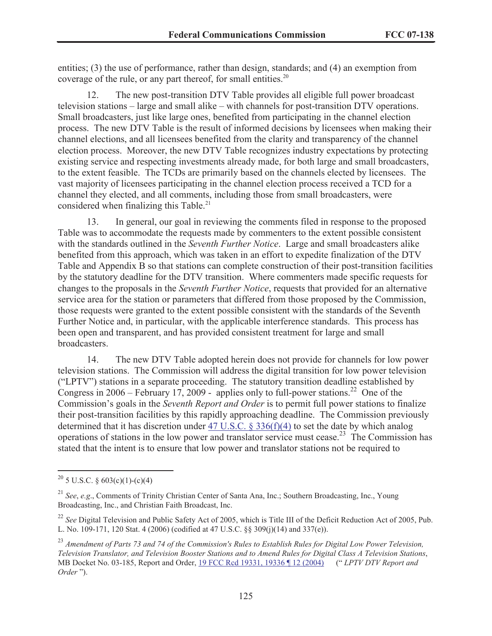entities; (3) the use of performance, rather than design, standards; and (4) an exemption from coverage of the rule, or any part thereof, for small entities. $20$ 

12. The new post-transition DTV Table provides all eligible full power broadcast television stations – large and small alike – with channels for post-transition DTV operations. Small broadcasters, just like large ones, benefited from participating in the channel election process. The new DTV Table is the result of informed decisions by licensees when making their channel elections, and all licensees benefited from the clarity and transparency of the channel election process. Moreover, the new DTV Table recognizes industry expectations by protecting existing service and respecting investments already made, for both large and small broadcasters, to the extent feasible. The TCDs are primarily based on the channels elected by licensees. The vast majority of licensees participating in the channel election process received a TCD for a channel they elected, and all comments, including those from small broadcasters, were considered when finalizing this Table.<sup>21</sup>

13. In general, our goal in reviewing the comments filed in response to the proposed Table was to accommodate the requests made by commenters to the extent possible consistent with the standards outlined in the *Seventh Further Notice*. Large and small broadcasters alike benefited from this approach, which was taken in an effort to expedite finalization of the DTV Table and Appendix B so that stations can complete construction of their post-transition facilities by the statutory deadline for the DTV transition. Where commenters made specific requests for changes to the proposals in the *Seventh Further Notice*, requests that provided for an alternative service area for the station or parameters that differed from those proposed by the Commission, those requests were granted to the extent possible consistent with the standards of the Seventh Further Notice and, in particular, with the applicable interference standards. This process has been open and transparent, and has provided consistent treatment for large and small broadcasters.

14. The new DTV Table adopted herein does not provide for channels for low power television stations. The Commission will address the digital transition for low power television ("LPTV") stations in a separate proceeding. The statutory transition deadline established by Congress in 2006 – February 17, 2009 - applies only to full-power stations.<sup>22</sup> One of the Commission's goals in the *Seventh Report and Order* is to permit full power stations to finalize their post-transition facilities by this rapidly approaching deadline. The Commission previously determined that it has discretion under 47 U.S.C. § 336(f)(4) to set the date by which analog operations of stations in the low power and translator service must cease.<sup>23</sup> The Commission has stated that the intent is to ensure that low power and translator stations not be required to

<sup>&</sup>lt;sup>20</sup> 5 U.S.C. § 603(c)(1)-(c)(4)

<sup>21</sup> *See*, *e.g*., Comments of Trinity Christian Center of Santa Ana, Inc.; Southern Broadcasting, Inc., Young Broadcasting, Inc., and Christian Faith Broadcast, Inc.

<sup>&</sup>lt;sup>22</sup> See Digital Television and Public Safety Act of 2005, which is Title III of the Deficit Reduction Act of 2005, Pub. L. No. 109-171, 120 Stat. 4 (2006) (codified at 47 U.S.C. §§ 309(j)(14) and 337(e)).

<sup>23</sup> *Amendment of Parts 73 and 74 of the Commission's Rules to Establish Rules for Digital Low Power Television, Television Translator, and Television Booster Stations and to Amend Rules for Digital Class A Television Stations*, MB Docket No. 03-185, Report and Order, 19 FCC Rcd 19331, 19336 ¶ 12 (2004) (" *LPTV DTV Report and Order* ").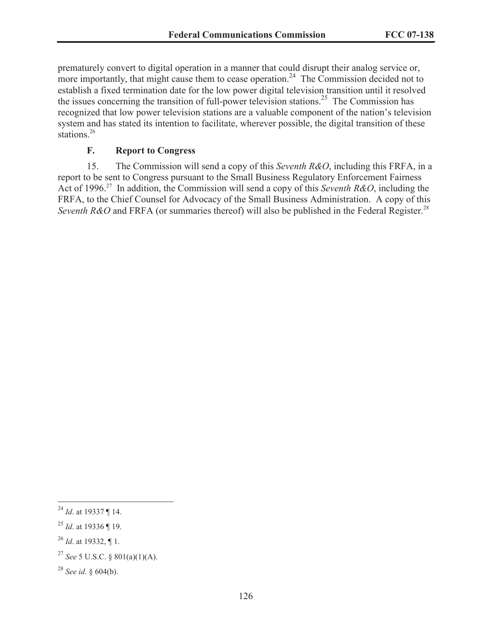prematurely convert to digital operation in a manner that could disrupt their analog service or, more importantly, that might cause them to cease operation.<sup>24</sup> The Commission decided not to establish a fixed termination date for the low power digital television transition until it resolved the issues concerning the transition of full-power television stations.<sup>25</sup> The Commission has recognized that low power television stations are a valuable component of the nation's television system and has stated its intention to facilitate, wherever possible, the digital transition of these stations.<sup>26</sup>

#### **F. Report to Congress**

15. The Commission will send a copy of this *Seventh R&O*, including this FRFA, in a report to be sent to Congress pursuant to the Small Business Regulatory Enforcement Fairness Act of 1996.<sup>27</sup> In addition, the Commission will send a copy of this *Seventh R&O*, including the FRFA, to the Chief Counsel for Advocacy of the Small Business Administration. A copy of this *Seventh R&O* and FRFA (or summaries thereof) will also be published in the Federal Register.<sup>28</sup>

<sup>24</sup> *Id*. at 19337 ¶ 14.

<sup>25</sup> *Id*. at 19336 ¶ 19.

<sup>26</sup> *Id*. at 19332, ¶ 1.

<sup>27</sup> *See* 5 U.S.C. § 801(a)(1)(A).

<sup>28</sup> *See id*. § 604(b).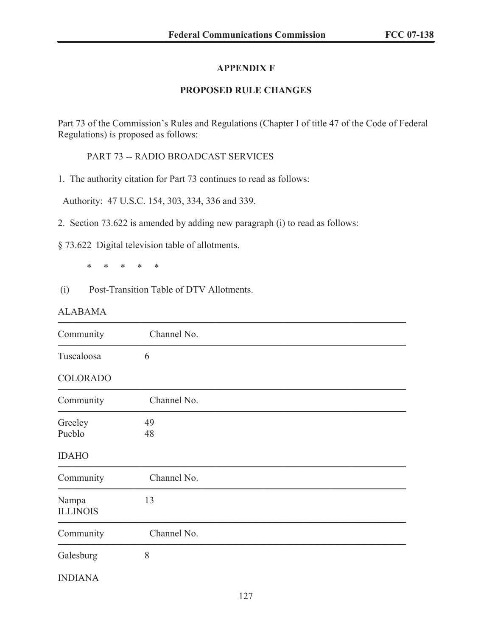### **APPENDIX F**

### **PROPOSED RULE CHANGES**

Part 73 of the Commission's Rules and Regulations (Chapter I of title 47 of the Code of Federal Regulations) is proposed as follows:

PART 73 -- RADIO BROADCAST SERVICES

1. The authority citation for Part 73 continues to read as follows:

Authority: 47 U.S.C. 154, 303, 334, 336 and 339.

2. Section 73.622 is amended by adding new paragraph (i) to read as follows:

§ 73.622 Digital television table of allotments.

\* \* \* \* \*

(i) Post-Transition Table of DTV Allotments.

#### ALABAMA

| Community                | Channel No. |  |  |
|--------------------------|-------------|--|--|
| Tuscaloosa               | 6           |  |  |
| <b>COLORADO</b>          |             |  |  |
| Community                | Channel No. |  |  |
| Greeley<br>Pueblo        | 49<br>48    |  |  |
| <b>IDAHO</b>             |             |  |  |
| Community                | Channel No. |  |  |
| Nampa<br><b>ILLINOIS</b> | 13          |  |  |
| Community                | Channel No. |  |  |
| Galesburg                | 8           |  |  |
| <b>INDIANA</b>           |             |  |  |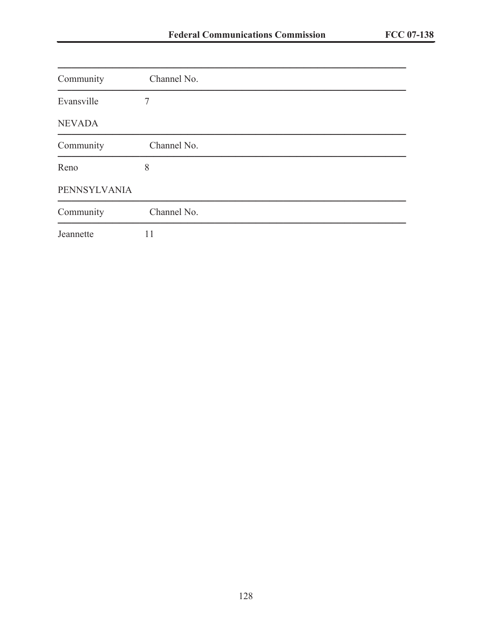| Community     | Channel No. |  |
|---------------|-------------|--|
| Evansville    | 7           |  |
| <b>NEVADA</b> |             |  |
| Community     | Channel No. |  |
| Reno          | 8           |  |
| PENNSYLVANIA  |             |  |
| Community     | Channel No. |  |
| Jeannette     | 11          |  |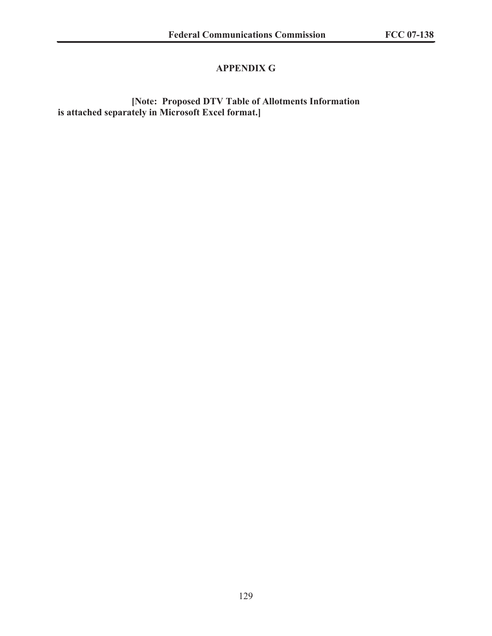# **APPENDIX G**

**[Note: Proposed DTV Table of Allotments Information is attached separately in Microsoft Excel format.]**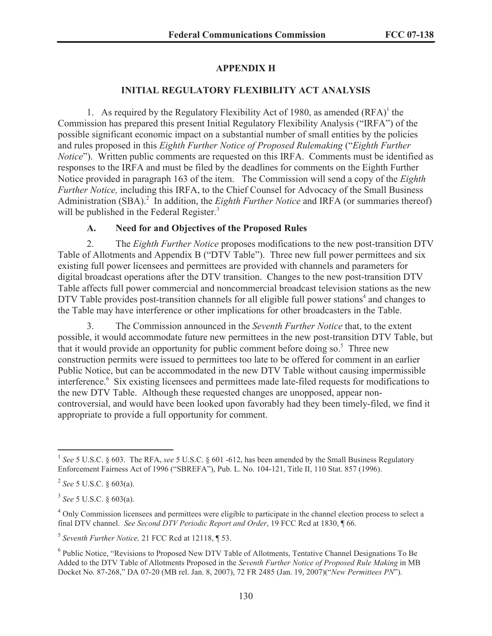### **APPENDIX H**

#### **INITIAL REGULATORY FLEXIBILITY ACT ANALYSIS**

1. As required by the Regulatory Flexibility Act of 1980, as amended  $(RFA)^1$  the Commission has prepared this present Initial Regulatory Flexibility Analysis ("IRFA") of the possible significant economic impact on a substantial number of small entities by the policies and rules proposed in this *Eighth Further Notice of Proposed Rulemaking* ("*Eighth Further Notice*"). Written public comments are requested on this IRFA. Comments must be identified as responses to the IRFA and must be filed by the deadlines for comments on the Eighth Further Notice provided in paragraph 163 of the item. The Commission will send a copy of the *Eighth Further Notice,* including this IRFA, to the Chief Counsel for Advocacy of the Small Business Administration (SBA).<sup>2</sup> In addition, the *Eighth Further Notice* and IRFA (or summaries thereof) will be published in the Federal Register.<sup>3</sup>

#### **A. Need for and Objectives of the Proposed Rules**

2. The *Eighth Further Notice* proposes modifications to the new post-transition DTV Table of Allotments and Appendix B ("DTV Table"). Three new full power permittees and six existing full power licensees and permittees are provided with channels and parameters for digital broadcast operations after the DTV transition. Changes to the new post-transition DTV Table affects full power commercial and noncommercial broadcast television stations as the new DTV Table provides post-transition channels for all eligible full power stations<sup>4</sup> and changes to the Table may have interference or other implications for other broadcasters in the Table.

3. The Commission announced in the *Seventh Further Notice* that, to the extent possible, it would accommodate future new permittees in the new post-transition DTV Table, but that it would provide an opportunity for public comment before doing so.<sup>5</sup> Three new construction permits were issued to permittees too late to be offered for comment in an earlier Public Notice, but can be accommodated in the new DTV Table without causing impermissible interference.<sup>6</sup> Six existing licensees and permittees made late-filed requests for modifications to the new DTV Table. Although these requested changes are unopposed, appear noncontroversial, and would have been looked upon favorably had they been timely-filed, we find it appropriate to provide a full opportunity for comment.

<sup>&</sup>lt;sup>1</sup> See 5 U.S.C. § 603. The RFA, see 5 U.S.C. § 601 -612, has been amended by the Small Business Regulatory Enforcement Fairness Act of 1996 ("SBREFA"), Pub. L. No. 104-121, Title II, 110 Stat. 857 (1996).

<sup>2</sup> *See* 5 U.S.C. § 603(a).

<sup>3</sup> *See* 5 U.S.C. § 603(a).

<sup>&</sup>lt;sup>4</sup> Only Commission licensees and permittees were eligible to participate in the channel election process to select a final DTV channel. *See Second DTV Periodic Report and Order*, 19 FCC Rcd at 1830, ¶ 66.

<sup>5</sup> *Seventh Further Notice,* 21 FCC Rcd at 12118, ¶ 53.

<sup>&</sup>lt;sup>6</sup> Public Notice, "Revisions to Proposed New DTV Table of Allotments, Tentative Channel Designations To Be Added to the DTV Table of Allotments Proposed in the *Seventh Further Notice of Proposed Rule Making* in MB Docket No. 87-268," DA 07-20 (MB rel. Jan. 8, 2007), 72 FR 2485 (Jan. 19, 2007)("*New Permittees PN*").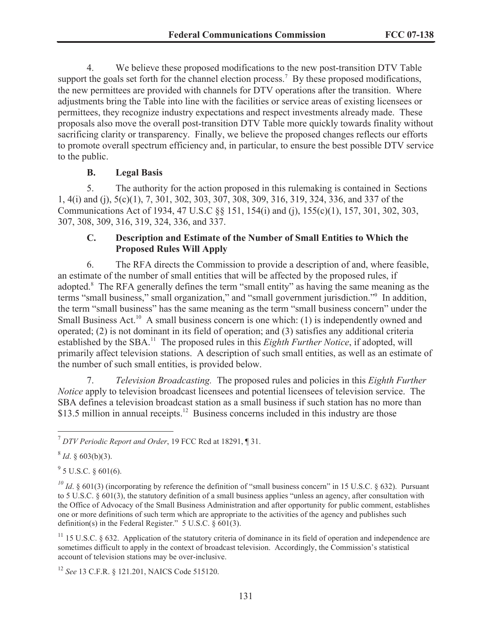4. We believe these proposed modifications to the new post-transition DTV Table support the goals set forth for the channel election process.<sup>7</sup> By these proposed modifications, the new permittees are provided with channels for DTV operations after the transition. Where adjustments bring the Table into line with the facilities or service areas of existing licensees or permittees, they recognize industry expectations and respect investments already made. These proposals also move the overall post-transition DTV Table more quickly towards finality without sacrificing clarity or transparency. Finally, we believe the proposed changes reflects our efforts to promote overall spectrum efficiency and, in particular, to ensure the best possible DTV service to the public.

#### **B. Legal Basis**

5. The authority for the action proposed in this rulemaking is contained in Sections 1, 4(i) and (j), 5(c)(1), 7, 301, 302, 303, 307, 308, 309, 316, 319, 324, 336, and 337 of the Communications Act of 1934, 47 U.S.C §§ 151, 154(i) and (j), 155(c)(1), 157, 301, 302, 303, 307, 308, 309, 316, 319, 324, 336, and 337.

#### **C. Description and Estimate of the Number of Small Entities to Which the Proposed Rules Will Apply**

6. The RFA directs the Commission to provide a description of and, where feasible, an estimate of the number of small entities that will be affected by the proposed rules, if adopted.<sup>8</sup> The RFA generally defines the term "small entity" as having the same meaning as the terms "small business," small organization," and "small government jurisdiction."<sup>9</sup> In addition, the term "small business" has the same meaning as the term "small business concern" under the Small Business Act.<sup>10</sup> A small business concern is one which: (1) is independently owned and operated; (2) is not dominant in its field of operation; and (3) satisfies any additional criteria established by the SBA.<sup>11</sup> The proposed rules in this *Eighth Further Notice*, if adopted, will primarily affect television stations. A description of such small entities, as well as an estimate of the number of such small entities, is provided below.

7. *Television Broadcasting.* The proposed rules and policies in this *Eighth Further Notice* apply to television broadcast licensees and potential licensees of television service. The SBA defines a television broadcast station as a small business if such station has no more than  $$13.5$  million in annual receipts.<sup>12</sup> Business concerns included in this industry are those

 $9^9$  5 U.S.C. § 601(6).

<sup>10</sup> *Id.*  $\&$  601(3) (incorporating by reference the definition of "small business concern" in 15 U.S.C.  $\&$  632). Pursuant to 5 U.S.C. § 601(3), the statutory definition of a small business applies "unless an agency, after consultation with the Office of Advocacy of the Small Business Administration and after opportunity for public comment, establishes one or more definitions of such term which are appropriate to the activities of the agency and publishes such definition(s) in the Federal Register."  $5 \text{ U.S.C.}$   $\frac{601(3)}{20}$ .

<sup>11</sup> 15 U.S.C. § 632. Application of the statutory criteria of dominance in its field of operation and independence are sometimes difficult to apply in the context of broadcast television. Accordingly, the Commission's statistical account of television stations may be over-inclusive.

<sup>7</sup> *DTV Periodic Report and Order*, 19 FCC Rcd at 18291, ¶ 31.

 $8^8$  *Id*. § 603(b)(3).

<sup>12</sup> *See* 13 C.F.R. § 121.201, NAICS Code 515120.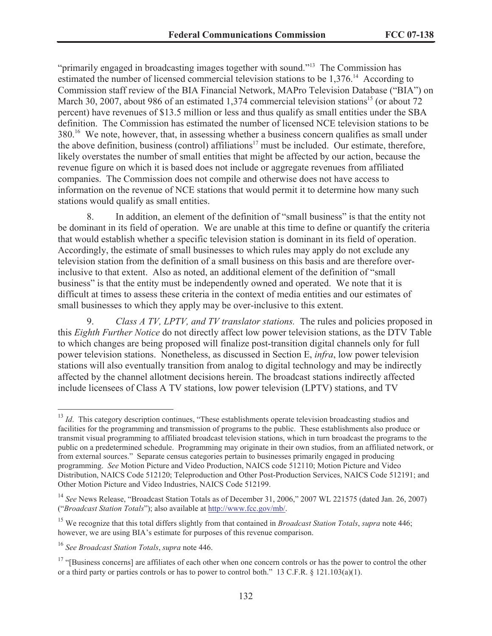"primarily engaged in broadcasting images together with sound."<sup>13</sup> The Commission has estimated the number of licensed commercial television stations to be 1,376.<sup>14</sup> According to Commission staff review of the BIA Financial Network, MAPro Television Database ("BIA") on March 30, 2007, about 986 of an estimated 1,374 commercial television stations<sup>15</sup> (or about 72) percent) have revenues of \$13.5 million or less and thus qualify as small entities under the SBA definition. The Commission has estimated the number of licensed NCE television stations to be 380.<sup>16</sup> We note, however, that, in assessing whether a business concern qualifies as small under the above definition, business (control) affiliations<sup>17</sup> must be included. Our estimate, therefore, likely overstates the number of small entities that might be affected by our action, because the revenue figure on which it is based does not include or aggregate revenues from affiliated companies. The Commission does not compile and otherwise does not have access to information on the revenue of NCE stations that would permit it to determine how many such stations would qualify as small entities.

8. In addition, an element of the definition of "small business" is that the entity not be dominant in its field of operation. We are unable at this time to define or quantify the criteria that would establish whether a specific television station is dominant in its field of operation. Accordingly, the estimate of small businesses to which rules may apply do not exclude any television station from the definition of a small business on this basis and are therefore overinclusive to that extent. Also as noted, an additional element of the definition of "small business" is that the entity must be independently owned and operated. We note that it is difficult at times to assess these criteria in the context of media entities and our estimates of small businesses to which they apply may be over-inclusive to this extent.

9. *Class A TV, LPTV, and TV translator stations.* The rules and policies proposed in this *Eighth Further Notice* do not directly affect low power television stations, as the DTV Table to which changes are being proposed will finalize post-transition digital channels only for full power television stations. Nonetheless, as discussed in Section E, *infra*, low power television stations will also eventually transition from analog to digital technology and may be indirectly affected by the channel allotment decisions herein. The broadcast stations indirectly affected include licensees of Class A TV stations, low power television (LPTV) stations, and TV

<sup>&</sup>lt;sup>13</sup> *Id*. This category description continues, "These establishments operate television broadcasting studios and facilities for the programming and transmission of programs to the public. These establishments also produce or transmit visual programming to affiliated broadcast television stations, which in turn broadcast the programs to the public on a predetermined schedule. Programming may originate in their own studios, from an affiliated network, or from external sources." Separate census categories pertain to businesses primarily engaged in producing programming. *See* Motion Picture and Video Production, NAICS code 512110; Motion Picture and Video Distribution, NAICS Code 512120; Teleproduction and Other Post-Production Services, NAICS Code 512191; and Other Motion Picture and Video Industries, NAICS Code 512199.

<sup>&</sup>lt;sup>14</sup> See News Release, "Broadcast Station Totals as of December 31, 2006," 2007 WL 221575 (dated Jan. 26, 2007) ("*Broadcast Station Totals*"); also available at http://www.fcc.gov/mb/.

<sup>15</sup> We recognize that this total differs slightly from that contained in *Broadcast Station Totals*, *supra* note 446; however, we are using BIA's estimate for purposes of this revenue comparison.

<sup>16</sup> *See Broadcast Station Totals*, *supra* note 446.

<sup>&</sup>lt;sup>17</sup> "[Business concerns] are affiliates of each other when one concern controls or has the power to control the other or a third party or parties controls or has to power to control both." 13 C.F.R.  $\S$  121.103(a)(1).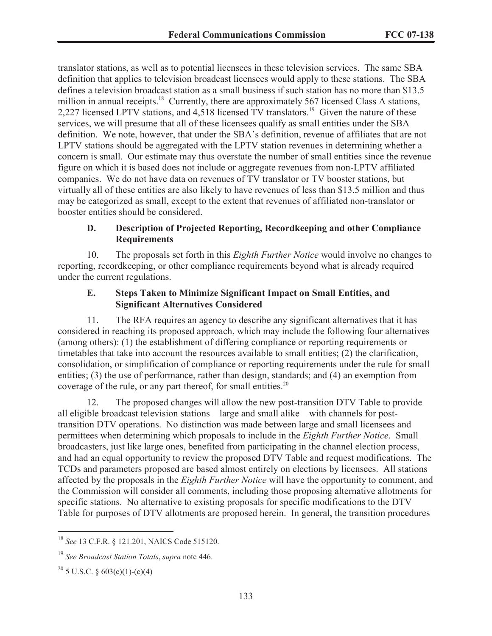translator stations, as well as to potential licensees in these television services. The same SBA definition that applies to television broadcast licensees would apply to these stations. The SBA defines a television broadcast station as a small business if such station has no more than \$13.5 million in annual receipts.<sup>18</sup> Currently, there are approximately 567 licensed Class A stations, 2,227 licensed LPTV stations, and  $4,518$  licensed TV translators.<sup>19</sup> Given the nature of these services, we will presume that all of these licensees qualify as small entities under the SBA definition. We note, however, that under the SBA's definition, revenue of affiliates that are not LPTV stations should be aggregated with the LPTV station revenues in determining whether a concern is small. Our estimate may thus overstate the number of small entities since the revenue figure on which it is based does not include or aggregate revenues from non-LPTV affiliated companies. We do not have data on revenues of TV translator or TV booster stations, but virtually all of these entities are also likely to have revenues of less than \$13.5 million and thus may be categorized as small, except to the extent that revenues of affiliated non-translator or booster entities should be considered.

#### **D. Description of Projected Reporting, Recordkeeping and other Compliance Requirements**

10. The proposals set forth in this *Eighth Further Notice* would involve no changes to reporting, recordkeeping, or other compliance requirements beyond what is already required under the current regulations.

#### **E. Steps Taken to Minimize Significant Impact on Small Entities, and Significant Alternatives Considered**

11. The RFA requires an agency to describe any significant alternatives that it has considered in reaching its proposed approach, which may include the following four alternatives (among others): (1) the establishment of differing compliance or reporting requirements or timetables that take into account the resources available to small entities; (2) the clarification, consolidation, or simplification of compliance or reporting requirements under the rule for small entities; (3) the use of performance, rather than design, standards; and (4) an exemption from coverage of the rule, or any part thereof, for small entities. $20$ 

12. The proposed changes will allow the new post-transition DTV Table to provide all eligible broadcast television stations – large and small alike – with channels for posttransition DTV operations. No distinction was made between large and small licensees and permittees when determining which proposals to include in the *Eighth Further Notice*. Small broadcasters, just like large ones, benefited from participating in the channel election process, and had an equal opportunity to review the proposed DTV Table and request modifications. The TCDs and parameters proposed are based almost entirely on elections by licensees. All stations affected by the proposals in the *Eighth Further Notice* will have the opportunity to comment, and the Commission will consider all comments, including those proposing alternative allotments for specific stations. No alternative to existing proposals for specific modifications to the DTV Table for purposes of DTV allotments are proposed herein. In general, the transition procedures

<sup>18</sup> *See* 13 C.F.R. § 121.201, NAICS Code 515120.

<sup>19</sup> *See Broadcast Station Totals*, *supra* note 446.

<sup>&</sup>lt;sup>20</sup> 5 U.S.C. § 603(c)(1)-(c)(4)